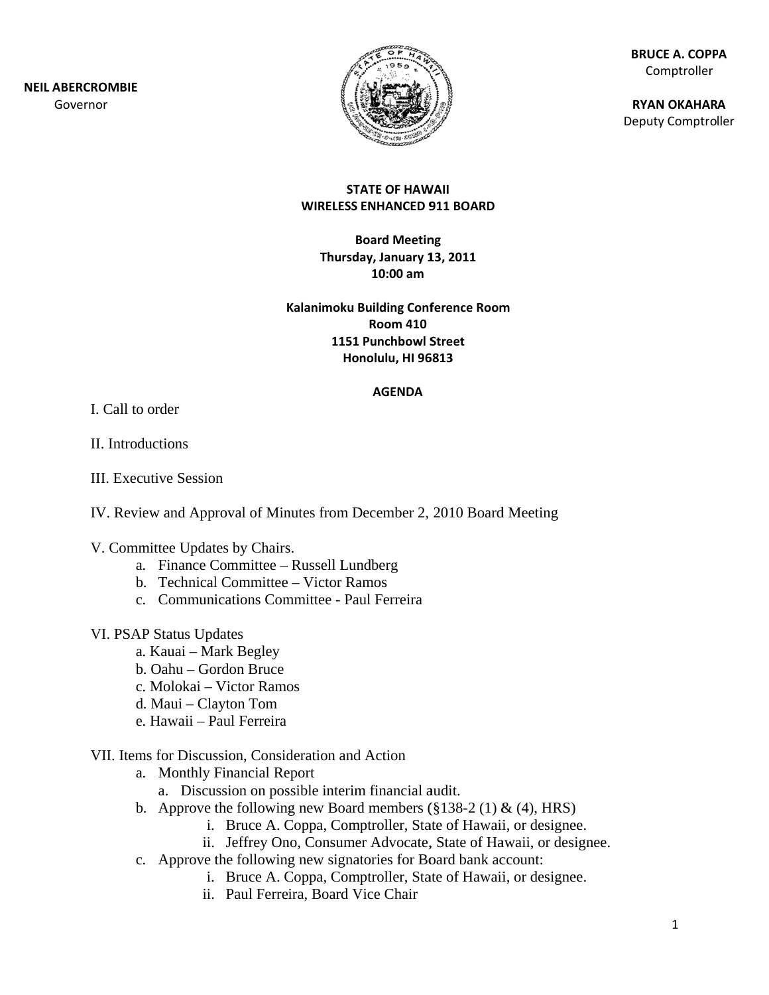**NEIL ABERCROMBIE** Governor



**BRUCE A. COPPA** Comptroller

**RYAN OKAHARA** Deputy Comptroller

#### **STATE OF HAWAII WIRELESS ENHANCED 911 BOARD**

**Board Meeting** Thursday, January 13, 2011  $10:00$  am

Kalanimoku Building Conference Room **Room 410 1151 Punchbowl Street** Honolulu, HI 96813

#### **AGENDA**

L Call to order

II. Introductions

**III.** Executive Session

IV. Review and Approval of Minutes from December 2, 2010 Board Meeting

- V. Committee Updates by Chairs.
	- a. Finance Committee Russell Lundberg
	- b. Technical Committee Victor Ramos
	- c. Communications Committee Paul Ferreira

#### VI. PSAP Status Updates

- a. Kauai Mark Begley
- b. Oahu Gordon Bruce
- c. Molokai Victor Ramos
- d. Maui Clayton Tom
- e. Hawaii Paul Ferreira

#### VII. Items for Discussion, Consideration and Action

- a. Monthly Financial Report
	- a. Discussion on possible interim financial audit.
- b. Approve the following new Board members  $(\S 138-2 (1) \& (4), HRS)$ 
	- i. Bruce A. Coppa, Comptroller, State of Hawaii, or designee.
	- ii. Jeffrey Ono, Consumer Advocate, State of Hawaii, or designee.
- c. Approve the following new signatories for Board bank account:
	- i. Bruce A. Coppa, Comptroller, State of Hawaii, or designee.
	- ii. Paul Ferreira. Board Vice Chair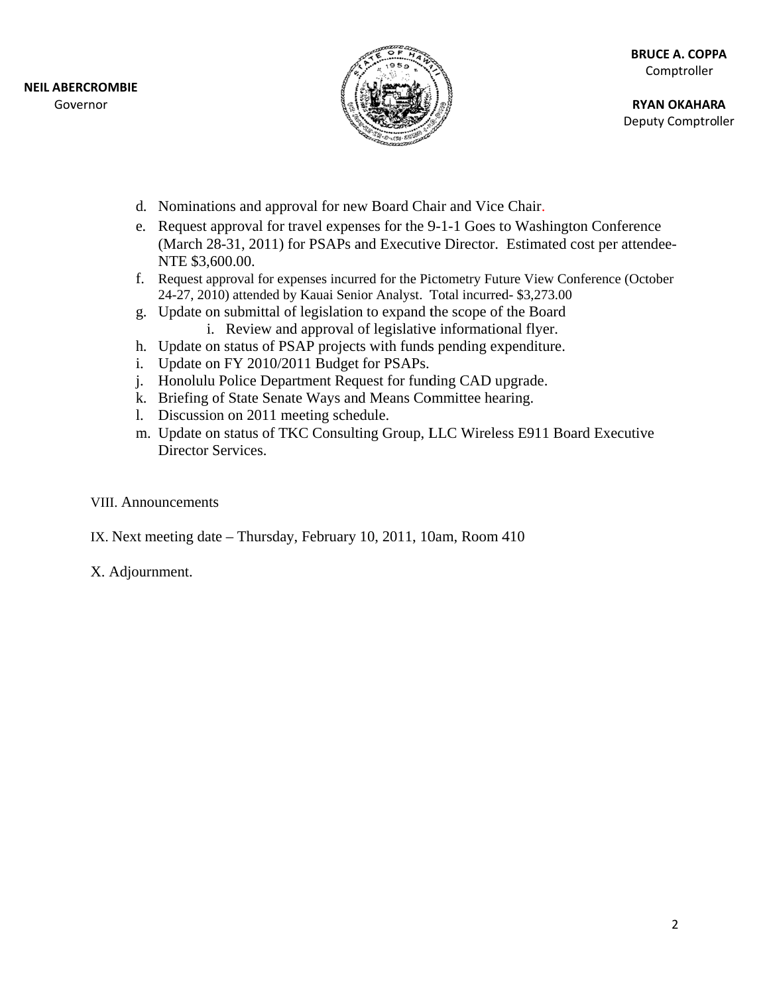

**RYAN OKAHARA** Deputy Comptroller

- d. Nominations and approval for new Board Chair and Vice Chair.
- e. Request approval for travel expenses for the 9-1-1 Goes to Washington Conference (March 28-31, 2011) for PSAPs and Executive Director. Estimated cost per attendee-NTE \$3,600.00.
- f. Request approval for expenses incurred for the Pictometry Future View Conference (October 24-27, 2010) attended by Kauai Senior Analyst. Total incurred- \$3,273.00
- g. Update on submittal of legislation to expand the scope of the Board i. Review and approval of legislative informational flyer.
- h. Update on status of PSAP projects with funds pending expenditure.
- i. Update on FY 2010/2011 Budget for PSAPs.
- j. Honolulu Police Department Request for funding CAD upgrade.
- k. Briefing of State Senate Ways and Means Committee hearing.
- 1. Discussion on 2011 meeting schedule.
- m. Update on status of TKC Consulting Group, LLC Wireless E911 Board Executive Director Services.

### **VIII.** Announcements

IX. Next meeting date – Thursday, February 10, 2011, 10am, Room 410

## X. Adjournment.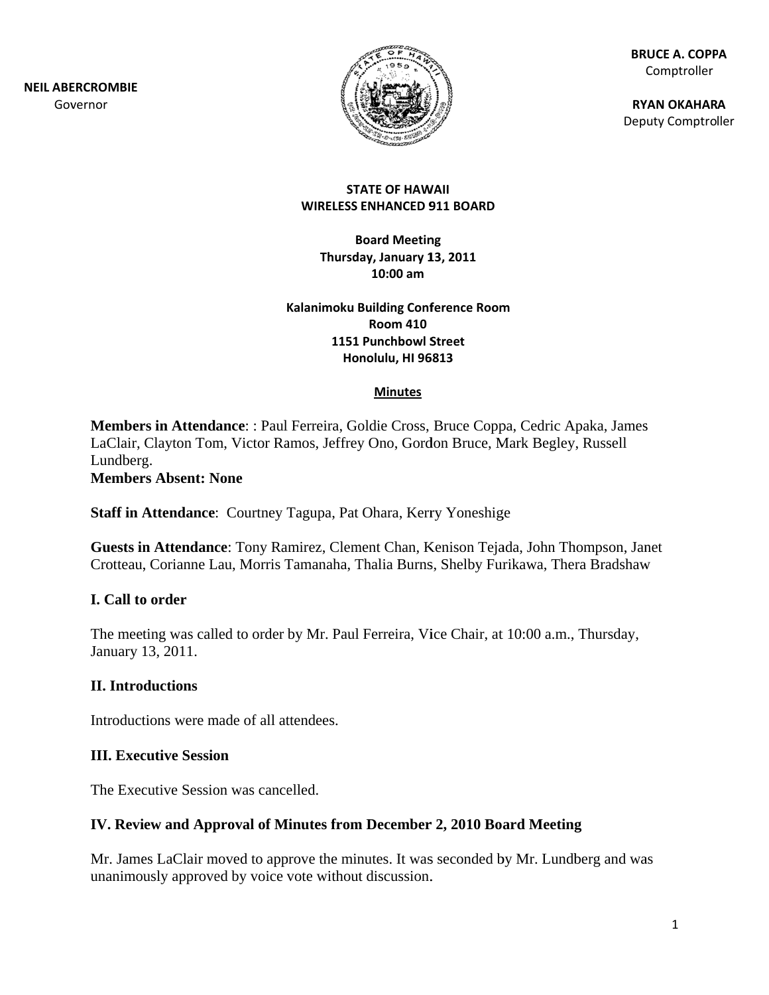**NEIL ABE RCROMBIE** Gov ernor



**BR RUCE A. COPP PA** Comptroller

**RY YAN OKAHAR A** Deputy Comptroller

#### **ST TATE OF HAW WAII WIRELESS ENHANCED 9 911 BOARD**

**B Board Meetin ng Thursd ay, January 1 13, 2011 10:00 am**

**Kalanimoku B Building Conf ference Room 1151 Punchbowl S Street Ho nolulu, HI 96 6813 Room 410**

#### **Minutes**

Members in Attendance: : Paul Ferreira, Goldie Cross, Bruce Coppa, Cedric Apaka, James LaClair, Clayton Tom, Victor Ramos, Jeffrey Ono, Gordon Bruce, Mark Begley, Russell Lundberg. Ference Room<br>
Street<br>
1813<br>
Bruce Coppa, Cedric A<br>
Ion Bruce, Mark Begley<br>
ry Yoneshige<br>
Kenison Tejada, John Th<br>
18, Shelby Furikawa, The<br>
ice Chair, at 10:00 a.m.,<br>
19, 2, 2010 Board Meetin<br>
19, seconded by Mr. Lund<br>
19, s<br>net

**Member rs Absent: N None** 

Staff in Attendance: Courtney Tagupa, Pat Ohara, Kerry Yoneshige

Guests in Attendance: Tony Ramirez, Clement Chan, Kenison Tejada, John Thompson, Jan Crotteau, Corianne Lau, Morris Tamanaha, Thalia Burns, Shelby Furikawa, Thera Bradshaw

### **I.** Call to order

The meeting was called to order by Mr. Paul Ferreira, Vice Chair, at 10:00 a.m., Thursday, January 1 13, 2011.

#### **II.** Introductions

Introductions were made of all attendees.

#### **III.** Executive Session

The Executive Session was cancelled.

### IV. Review and Approval of Minutes from December 2, 2010 Board Meeting

Mr. James LaClair moved to approve the minutes. It was seconded by Mr. Lundberg and wa unanimously approved by voice vote without discussion. w<br>as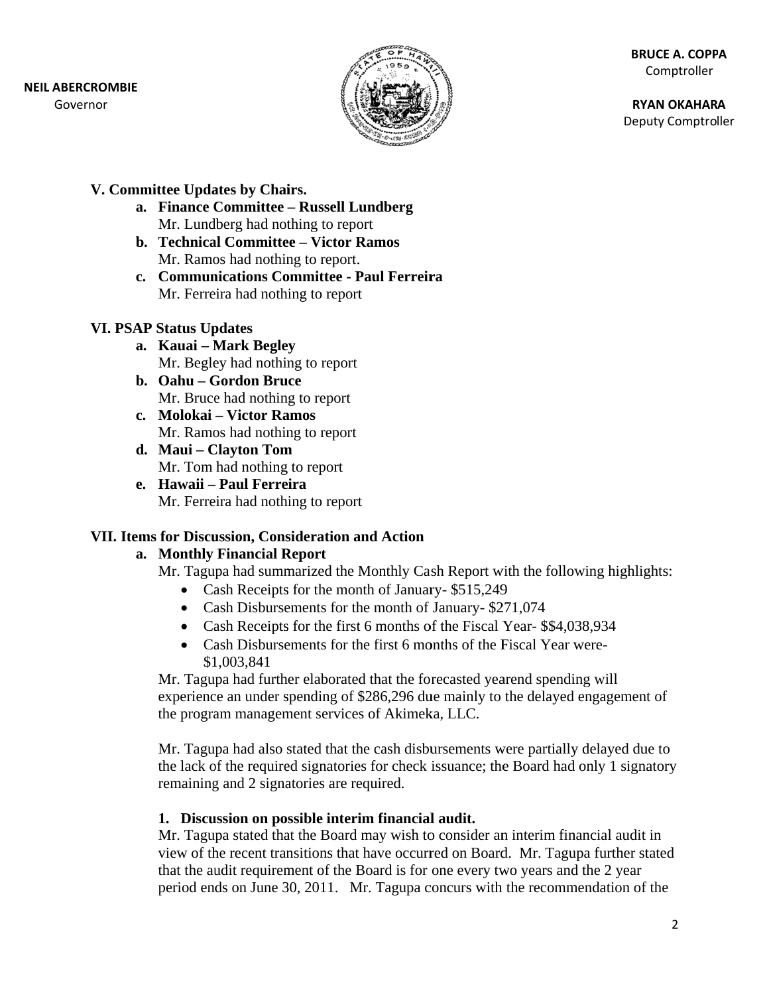### **NEIL ABERCROMBIE**

Governor



**BRUCE A. COPPA** Comptroller

**RYAN OKAHARA** Deputy Comptroller

## V. Committee Updates by Chairs.

- a. Finance Committee Russell Lundberg Mr. Lundberg had nothing to report
- b. Technical Committee Victor Ramos Mr. Ramos had nothing to report.
- c. Communications Committee Paul Ferreira Mr. Ferreira had nothing to report

## **VI. PSAP Status Updates**

- a. Kauai Mark Begley Mr. Begley had nothing to report
- b. Oahu Gordon Bruce Mr. Bruce had nothing to report
- c. Molokai Victor Ramos Mr. Ramos had nothing to report
- d. Maui Clayton Tom Mr. Tom had nothing to report
- e. Hawaii Paul Ferreira Mr. Ferreira had nothing to report

## VII. Items for Discussion, Consideration and Action

## a. Monthly Financial Report

Mr. Tagupa had summarized the Monthly Cash Report with the following highlights:

- Cash Receipts for the month of January- \$515,249
- Cash Disbursements for the month of January-\$271,074
- Cash Receipts for the first 6 months of the Fiscal Year-\$\$4,038,934
- Cash Disbursements for the first 6 months of the Fiscal Year were-\$1,003,841

Mr. Tagupa had further elaborated that the forecasted yearend spending will experience an under spending of \$286,296 due mainly to the delayed engagement of the program management services of Akimeka, LLC.

Mr. Tagupa had also stated that the cash disbursements were partially delayed due to the lack of the required signatories for check issuance; the Board had only 1 signatory remaining and 2 signatories are required.

## 1. Discussion on possible interim financial audit.

Mr. Tagupa stated that the Board may wish to consider an interim financial audit in view of the recent transitions that have occurred on Board. Mr. Tagupa further stated that the audit requirement of the Board is for one every two years and the 2 year period ends on June 30, 2011. Mr. Tagupa concurs with the recommendation of the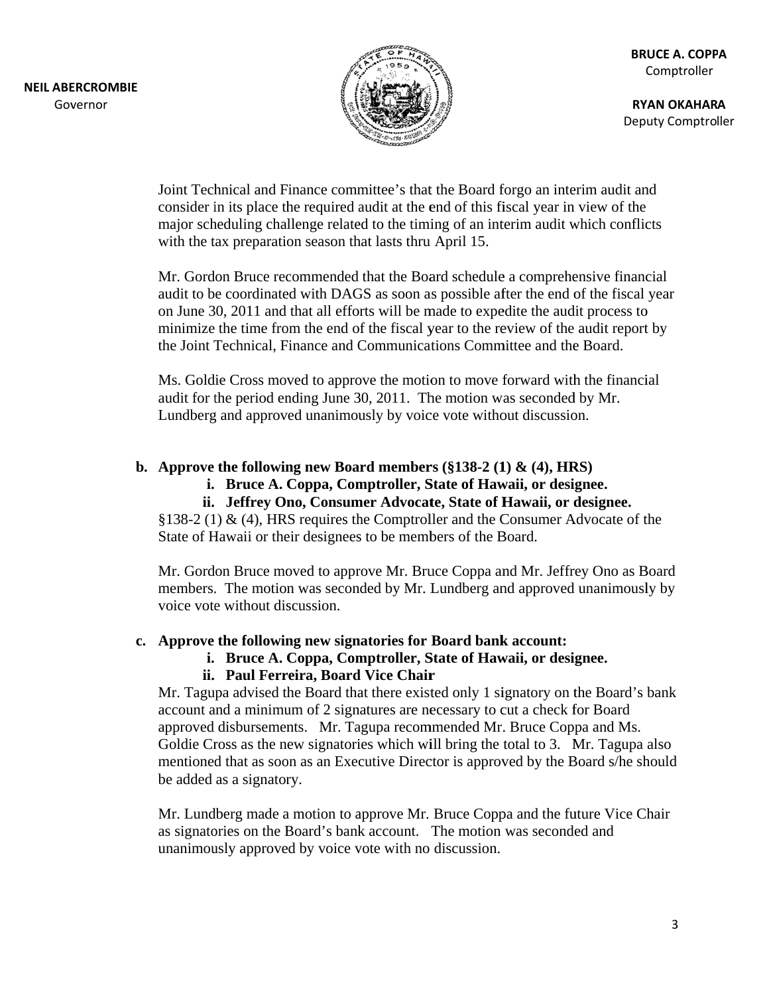

**RYAN OKAHARA** Deputy Comptroller

Joint Technical and Finance committee's that the Board forgo an interim audit and consider in its place the required audit at the end of this fiscal year in view of the major scheduling challenge related to the timing of an interim audit which conflicts with the tax preparation season that lasts thru April 15.

Mr. Gordon Bruce recommended that the Board schedule a comprehensive financial audit to be coordinated with DAGS as soon as possible after the end of the fiscal year on June 30, 2011 and that all efforts will be made to expedite the audit process to minimize the time from the end of the fiscal year to the review of the audit report by the Joint Technical, Finance and Communications Committee and the Board.

Ms. Goldie Cross moved to approve the motion to move forward with the financial audit for the period ending June 30, 2011. The motion was seconded by Mr. Lundberg and approved unanimously by voice vote without discussion.

#### b. Approve the following new Board members  $(\$138-2(1) \& (4), HRS)$

- i. Bruce A. Coppa, Comptroller, State of Hawaii, or designee.
	- ii. Jeffrey Ono, Consumer Advocate, State of Hawaii, or designee.

§138-2 (1) & (4), HRS requires the Comptroller and the Consumer Advocate of the State of Hawaii or their designees to be members of the Board.

Mr. Gordon Bruce moved to approve Mr. Bruce Coppa and Mr. Jeffrey Ono as Board members. The motion was seconded by Mr. Lundberg and approved unanimously by voice vote without discussion.

#### c. Approve the following new signatories for Board bank account:

i. Bruce A. Coppa, Comptroller, State of Hawaii, or designee.

### ii. Paul Ferreira, Board Vice Chair

Mr. Tagupa advised the Board that there existed only 1 signatory on the Board's bank account and a minimum of 2 signatures are necessary to cut a check for Board approved disbursements. Mr. Tagupa recommended Mr. Bruce Coppa and Ms. Goldie Cross as the new signatories which will bring the total to 3. Mr. Tagupa also mentioned that as soon as an Executive Director is approved by the Board s/he should be added as a signatory.

Mr. Lundberg made a motion to approve Mr. Bruce Coppa and the future Vice Chair as signatories on the Board's bank account. The motion was seconded and unanimously approved by voice vote with no discussion.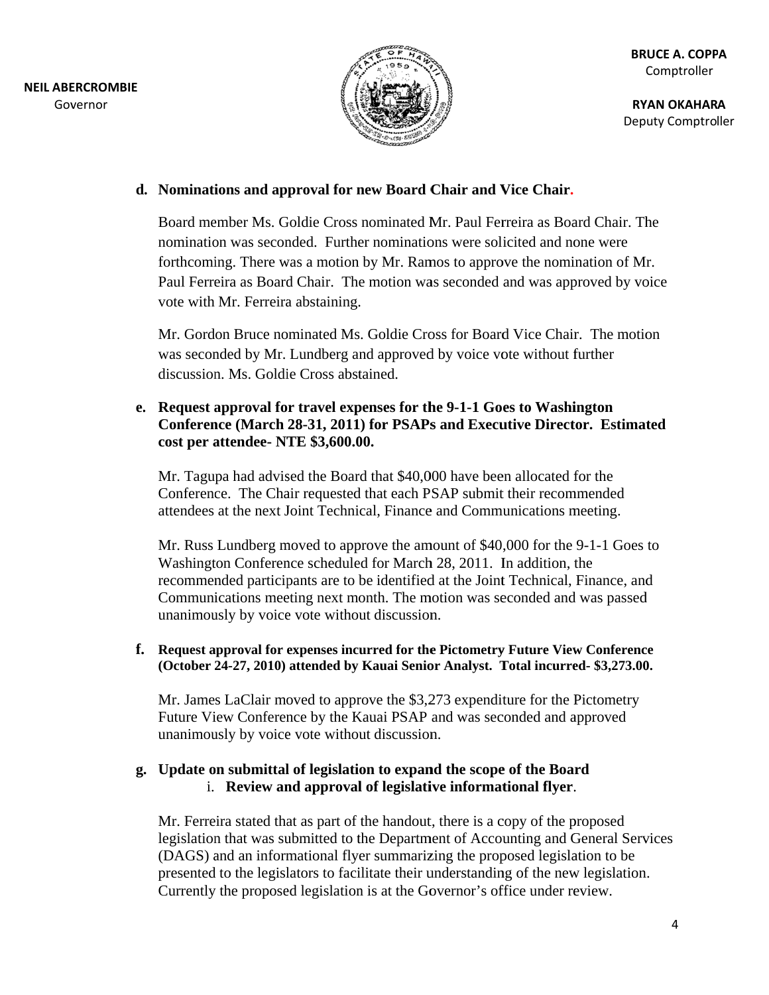

**RY YAN OKAHAR A** Deputy Comptroller

### **d.** Nominations and approval for new Board Chair and Vice Chair.

Board member Ms. Goldie Cross nominated Mr. Paul Ferreira as Board Chair. The nomination was seconded. Further nominations were solicited and none were forthcoming. There was a motion by Mr. Ramos to approve the nomination of Mr. Paul Ferreira as Board Chair. The motion was seconded and was approved by voice vote with Mr. Ferreira abstaining.

vote with Mr. Ferreira abstaining.<br>Mr. Gordon Bruce nominated Ms. Goldie Cross for Board Vice Chair. The motion was seconded by Mr. Lundberg and approved by voice vote without further discussion. Ms. Goldie Cross abstained.

### **e.** Request approval for travel expenses for the 9-1-1 Goes to Washington **Conference (March 28-31, 2011) for PSAPs and Executive Director. Estimated cost per attendee- NTE \$3,600.00.**

Mr. Tagupa had advised the Board that \$40,000 have been allocated for the Conference. The Chair requested that each PSAP submit their recommended attendees at the next Joint Technical, Finance and Communications meeting.

Mr. Russ Lundberg moved to approve the amount of \$40,000 for the 9-1-1 Goes to Washington Conference scheduled for March 28, 2011. In addition, the recommended participants are to be identified at the Joint Technical, Finance, and Communications meeting next month. The motion was seconded and was passed unanimously by voice vote without discussion.

### **f.** Request approval for expenses incurred for the Pictometry Future View Conference (October 24-27, 2010) attended by Kauai Senior Analyst. Total incurred- \$3,273.00.

Mr. James LaClair moved to approve the \$3,273 expenditure for the Pictometry Future View Conference by the Kauai PSAP and was seconded and approved unanimously by voice vote without discussion.

## g. Update on submittal of legislation to expand the scope of the Board i. Review and approval of legislative informational flyer.

Mr. Ferreira stated that as part of the handout, there is a copy of the proposed legislation that was submitted to the Department of Accounting and General Services (DAGS) and an informational flyer summarizing the proposed legislation to be presented to the legislators to facilitate their understanding of the new legislation. Currently the proposed legislation is at the Governor's office under review.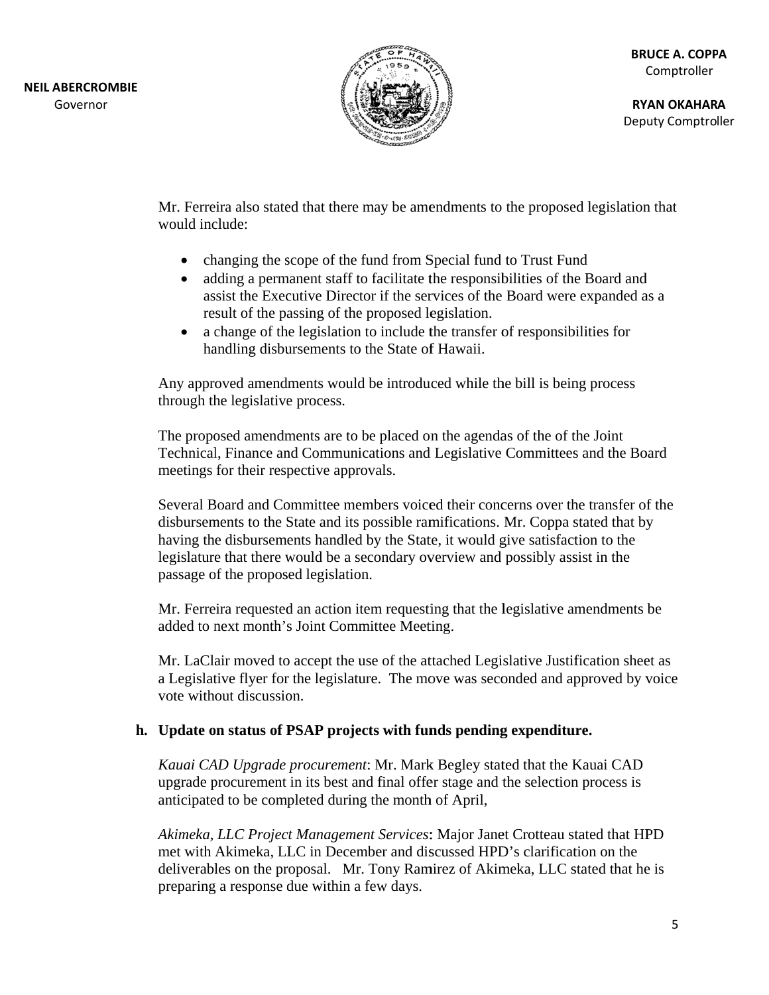

**RY YAN OKAHAR A** Deputy Comptroller

Mr. Ferreira also stated that there may be amendments to the proposed legislation that would include:

- changing the scope of the fund from Special fund to Trust Fund
- adding a permanent staff to facilitate the responsibilities of the Board and adding a permanent staff to facilitate the responsibilities of the Board and<br>assist the Executive Director if the services of the Board were expanded as a result of the passing of the proposed legislation.
- a change of the legislation to include the transfer of responsibilities for handling disbursements to the State of Hawaii.

Any approved amendments would be introduced while the bill is being process through the legislative process.

The proposed amendments are to be placed on the agendas of the of the Joint Technical, Finance and Communications and Legislative Committees and the Board meetings for their respective approvals.

Several Board and Committee members voiced their concerns over the transfer of the disbursements to the State and its possible ramifications. Mr. Coppa stated that by having the disbursements handled by the State, it would give satisfaction to the legislature that there would be a secondary overview and possibly assist in the passage of the proposed legislation. y<br>be

Mr. Ferreira requested an action item requesting that the legislative amendments added to next month's Joint Committee Meeting.

Mr. LaClair moved to accept the use of the attached Legislative Justification sheet as a Legislative flyer for the legislature. The move was seconded and approved by voice vote without discussion.

### **h.** Update on status of PSAP projects with funds pending expenditure.

Kauai CAD Upgrade procurement: Mr. Mark Begley stated that the Kauai CAD upgrade procurement in its best and final offer stage and the selection process is anticipated to be completed during the month of April,

Akimeka, LLC Project Management Services: Major Janet Crotteau stated that HPD met with Akimeka, LLC in December and discussed HPD's clarification on the deliverables on the proposal. Mr. Tony Ramirez of Akimeka, LLC stated that he is preparing a response due within a few days.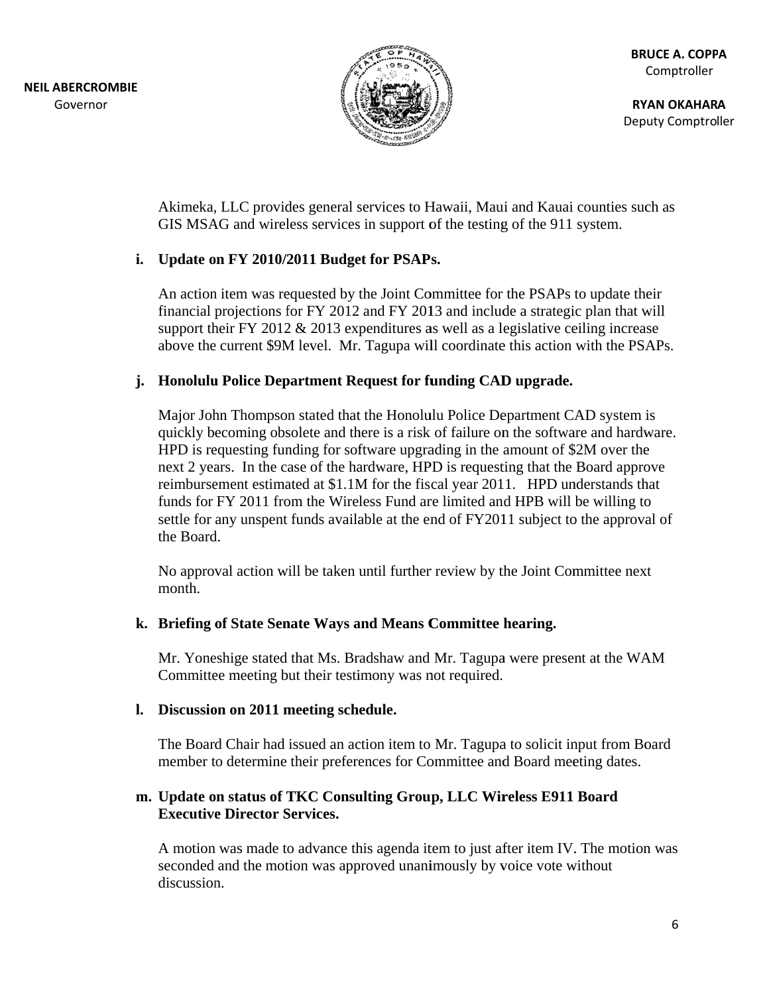

**RYAN OKAHARA** Deputy Comptroller

Akimeka, LLC provides general services to Hawaii, Maui and Kauai counties such as GIS MSAG and wireless services in support of the testing of the 911 system.

## i. Update on FY 2010/2011 Budget for PSAPs.

An action item was requested by the Joint Committee for the PSAPs to update their financial projections for FY 2012 and FY 2013 and include a strategic plan that will support their FY 2012  $\&$  2013 expenditures as well as a legislative ceiling increase above the current \$9M level. Mr. Tagupa will coordinate this action with the PSAPs.

### j. Honolulu Police Department Request for funding CAD upgrade.

Major John Thompson stated that the Honolulu Police Department CAD system is quickly becoming obsolete and there is a risk of failure on the software and hardware. HPD is requesting funding for software upgrading in the amount of \$2M over the next 2 years. In the case of the hardware, HPD is requesting that the Board approve reimbursement estimated at \$1.1M for the fiscal year 2011. HPD understands that funds for FY 2011 from the Wireless Fund are limited and HPB will be willing to settle for any unspent funds available at the end of FY2011 subject to the approval of the Board.

No approval action will be taken until further review by the Joint Committee next month.

### k. Briefing of State Senate Ways and Means Committee hearing.

Mr. Yoneshige stated that Ms. Bradshaw and Mr. Tagupa were present at the WAM Committee meeting but their testimony was not required.

#### 1. Discussion on 2011 meeting schedule.

The Board Chair had issued an action item to Mr. Tagupa to solicit input from Board member to determine their preferences for Committee and Board meeting dates.

#### m. Update on status of TKC Consulting Group, LLC Wireless E911 Board **Executive Director Services.**

A motion was made to advance this agenda item to just after item IV. The motion was seconded and the motion was approved unanimously by voice vote without discussion.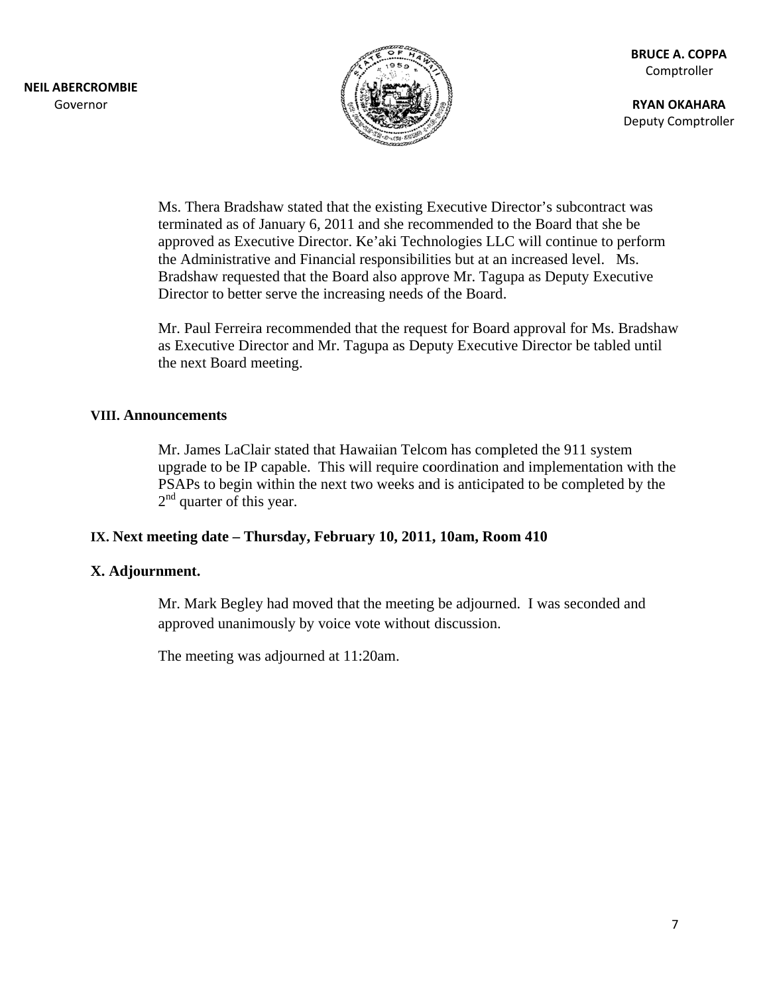

**RYAN OKAHARA** Deputy Comptroller

Ms. Thera Bradshaw stated that the existing Executive Director's subcontract was terminated as of January 6, 2011 and she recommended to the Board that she be approved as Executive Director. Ke'aki Technologies LLC will continue to perform the Administrative and Financial responsibilities but at an increased level. Ms. Bradshaw requested that the Board also approve Mr. Tagupa as Deputy Executive Director to better serve the increasing needs of the Board.

Mr. Paul Ferreira recommended that the request for Board approval for Ms. Bradshaw as Executive Director and Mr. Tagupa as Deputy Executive Director be tabled until the next Board meeting.

#### **VIII. Announcements**

Mr. James LaClair stated that Hawaiian Telcom has completed the 911 system upgrade to be IP capable. This will require coordination and implementation with the PSAPs to begin within the next two weeks and is anticipated to be completed by the  $2<sup>nd</sup>$  quarter of this year.

### IX. Next meeting date – Thursday, February 10, 2011, 10am, Room 410

### X. Adjournment.

Mr. Mark Begley had moved that the meeting be adjourned. I was seconded and approved unanimously by voice vote without discussion.

The meeting was adjourned at 11:20am.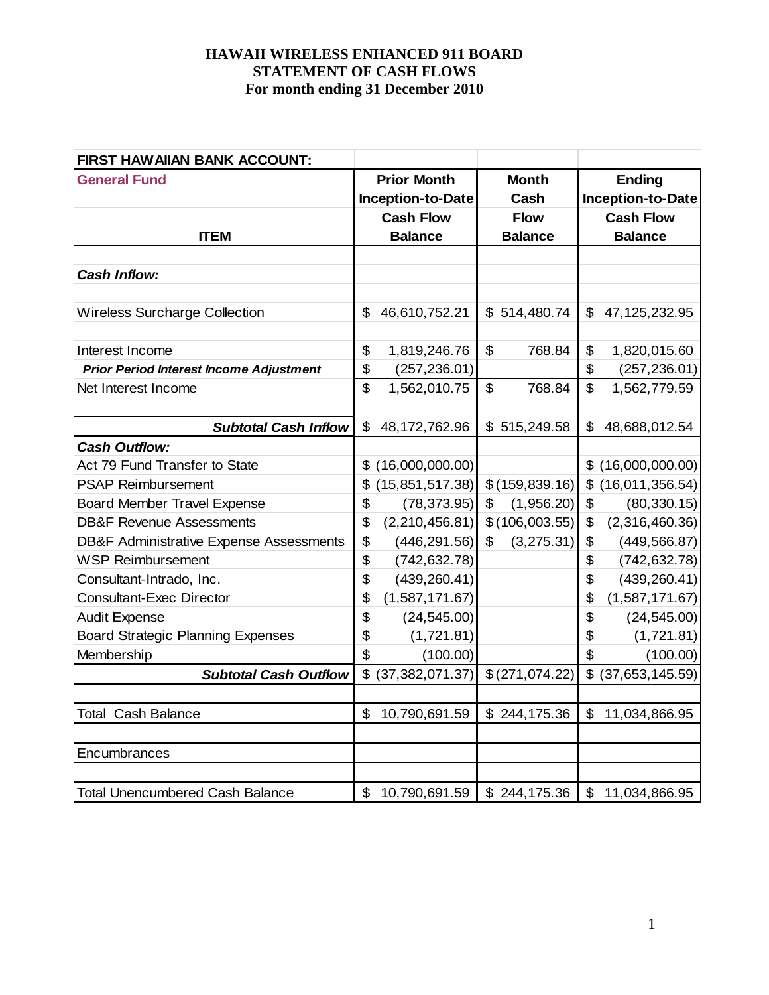| FIRST HAW AIIAN BANK ACCOUNT:                      |                                 |                  |                          |
|----------------------------------------------------|---------------------------------|------------------|--------------------------|
| <b>General Fund</b>                                | <b>Prior Month</b>              | <b>Month</b>     | <b>Ending</b>            |
|                                                    | <b>Inception-to-Date</b>        | Cash             | <b>Inception-to-Date</b> |
|                                                    | <b>Cash Flow</b>                | <b>Flow</b>      | <b>Cash Flow</b>         |
| <b>ITEM</b>                                        | <b>Balance</b>                  | <b>Balance</b>   | <b>Balance</b>           |
|                                                    |                                 |                  |                          |
| <b>Cash Inflow:</b>                                |                                 |                  |                          |
|                                                    |                                 |                  |                          |
| <b>Wireless Surcharge Collection</b>               | \$<br>46,610,752.21             | \$514,480.74     | \$<br>47, 125, 232. 95   |
|                                                    |                                 |                  |                          |
| Interest Income                                    | \$<br>1,819,246.76              | \$<br>768.84     | \$<br>1,820,015.60       |
| <b>Prior Period Interest Income Adjustment</b>     | \$<br>(257, 236.01)             |                  | \$<br>(257, 236.01)      |
| Net Interest Income                                | \$<br>1,562,010.75              | \$<br>768.84     | \$<br>1,562,779.59       |
|                                                    |                                 |                  |                          |
| <b>Subtotal Cash Inflow</b>                        | \$<br>48, 172, 762. 96          | \$515,249.58     | \$<br>48,688,012.54      |
| <b>Cash Outflow:</b>                               |                                 |                  |                          |
| Act 79 Fund Transfer to State                      | (16,000,000.00)<br>\$           |                  | \$(16,000,000.00)        |
| <b>PSAP Reimbursement</b>                          | (15, 851, 517.38)<br>\$         | \$(159, 839.16)  | (16,011,356.54)<br>\$    |
| <b>Board Member Travel Expense</b>                 | \$<br>(78, 373.95)              | (1,956.20)<br>\$ | \$<br>(80, 330.15)       |
| <b>DB&amp;F Revenue Assessments</b>                | \$<br>(2,210,456.81)            | \$(106,003.55)   | \$<br>(2,316,460.36)     |
| <b>DB&amp;F Administrative Expense Assessments</b> | \$<br>(446, 291.56)             | (3,275.31)<br>\$ | \$<br>(449, 566.87)      |
| <b>WSP Reimbursement</b>                           | \$<br>(742, 632.78)             |                  | \$<br>(742, 632.78)      |
| Consultant-Intrado, Inc.                           | \$<br>(439, 260.41)             |                  | \$<br>(439, 260.41)      |
| <b>Consultant-Exec Director</b>                    | \$<br>(1,587,171.67)            |                  | \$<br>(1,587,171.67)     |
| <b>Audit Expense</b>                               | \$<br>(24, 545.00)              |                  | \$<br>(24, 545.00)       |
| <b>Board Strategic Planning Expenses</b>           | \$<br>(1,721.81)                |                  | \$<br>(1,721.81)         |
| Membership                                         | \$<br>(100.00)                  |                  | \$<br>(100.00)           |
| <b>Subtotal Cash Outflow</b>                       | \$ (37, 382, 071.37)            | \$(271,074.22)   | \$<br>(37,653,145.59)    |
|                                                    |                                 |                  |                          |
| <b>Total Cash Balance</b>                          | \$<br>10,790,691.59             | \$244,175.36     | \$<br>11,034,866.95      |
|                                                    |                                 |                  |                          |
| Encumbrances                                       |                                 |                  |                          |
|                                                    |                                 |                  |                          |
| <b>Total Unencumbered Cash Balance</b>             | $\mathfrak{S}$<br>10,790,691.59 | \$244,175.36     | \$11,034,866.95          |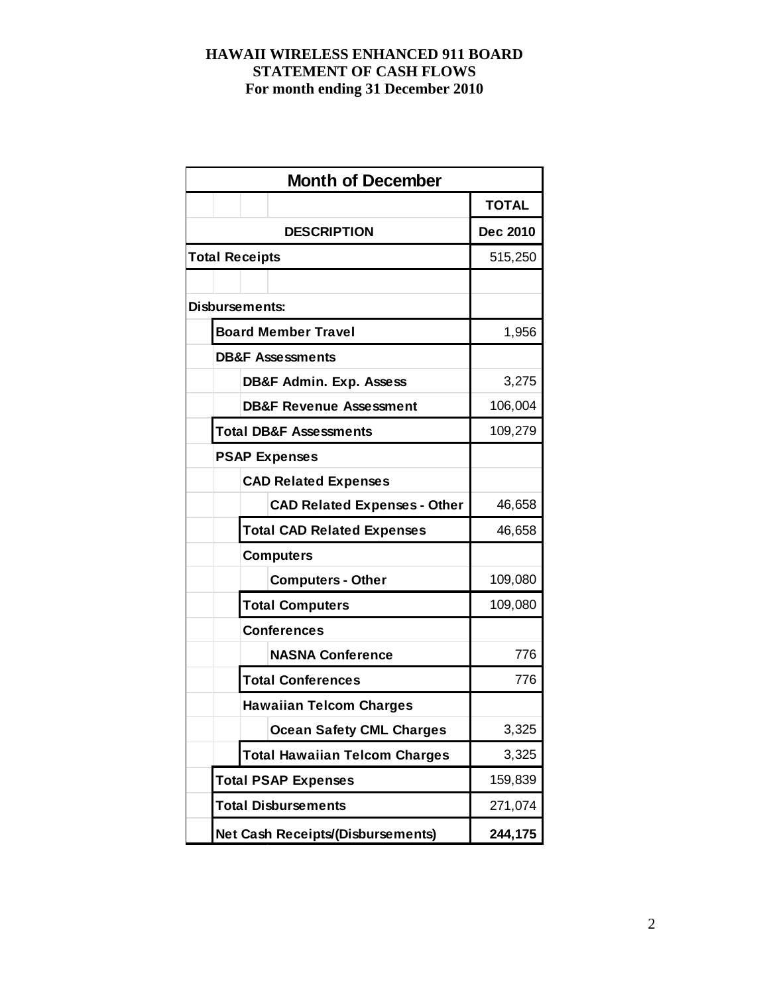|                                   |                      | <b>Month of December</b>                 |              |  |  |  |  |
|-----------------------------------|----------------------|------------------------------------------|--------------|--|--|--|--|
|                                   |                      |                                          | <b>TOTAL</b> |  |  |  |  |
|                                   |                      | <b>DESCRIPTION</b>                       | Dec 2010     |  |  |  |  |
| <b>Total Receipts</b>             |                      | 515,250                                  |              |  |  |  |  |
|                                   |                      |                                          |              |  |  |  |  |
| Disbursements:                    |                      |                                          |              |  |  |  |  |
|                                   |                      | <b>Board Member Travel</b>               | 1,956        |  |  |  |  |
|                                   |                      | <b>DB&amp;F Assessments</b>              |              |  |  |  |  |
|                                   |                      | <b>DB&amp;F Admin. Exp. Assess</b>       | 3,275        |  |  |  |  |
|                                   |                      | <b>DB&amp;F Revenue Assessment</b>       | 106,004      |  |  |  |  |
| <b>Total DB&amp;F Assessments</b> | 109,279              |                                          |              |  |  |  |  |
|                                   | <b>PSAP Expenses</b> |                                          |              |  |  |  |  |
|                                   |                      | <b>CAD Related Expenses</b>              |              |  |  |  |  |
|                                   |                      | <b>CAD Related Expenses - Other</b>      | 46,658       |  |  |  |  |
|                                   |                      | <b>Total CAD Related Expenses</b>        | 46,658       |  |  |  |  |
|                                   |                      | <b>Computers</b>                         |              |  |  |  |  |
|                                   |                      | <b>Computers - Other</b>                 | 109,080      |  |  |  |  |
|                                   |                      | <b>Total Computers</b>                   | 109,080      |  |  |  |  |
|                                   |                      | <b>Conferences</b>                       |              |  |  |  |  |
|                                   |                      | <b>NASNA Conference</b>                  | 776          |  |  |  |  |
|                                   |                      | <b>Total Conferences</b>                 | 776          |  |  |  |  |
|                                   |                      | <b>Hawaiian Telcom Charges</b>           |              |  |  |  |  |
|                                   |                      | <b>Ocean Safety CML Charges</b>          | 3,325        |  |  |  |  |
|                                   |                      | <b>Total Hawaiian Telcom Charges</b>     | 3,325        |  |  |  |  |
| <b>Total PSAP Expenses</b>        |                      |                                          |              |  |  |  |  |
|                                   |                      | <b>Total Disbursements</b>               | 271,074      |  |  |  |  |
|                                   |                      | <b>Net Cash Receipts/(Disbursements)</b> | 244,175      |  |  |  |  |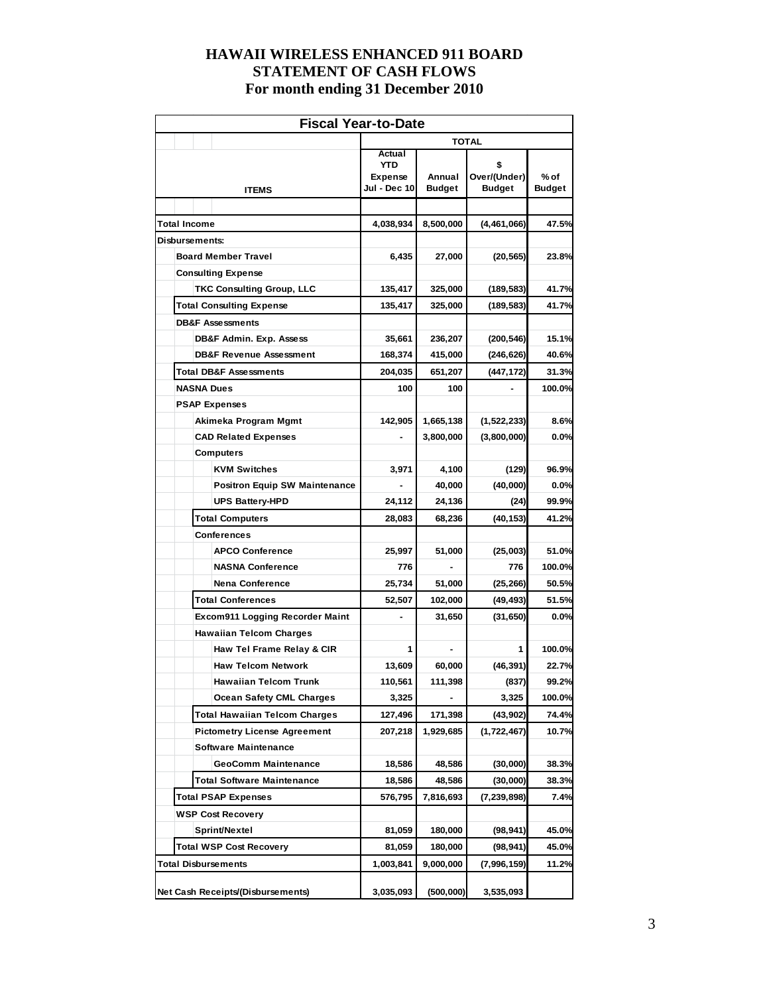| <b>Fiscal Year-to-Date</b>                                    |                                                        |                         |                                     |                         |  |  |  |  |  |  |
|---------------------------------------------------------------|--------------------------------------------------------|-------------------------|-------------------------------------|-------------------------|--|--|--|--|--|--|
|                                                               | <b>TOTAL</b>                                           |                         |                                     |                         |  |  |  |  |  |  |
| <b>ITEMS</b>                                                  | Actual<br><b>YTD</b><br><b>Expense</b><br>Jul - Dec 10 | Annual<br><b>Budget</b> | \$<br>Over/(Under)<br><b>Budget</b> | $%$ of<br><b>Budget</b> |  |  |  |  |  |  |
|                                                               |                                                        |                         |                                     |                         |  |  |  |  |  |  |
| <b>Total Income</b>                                           | 4,038,934                                              | 8,500,000               | (4,461,066)                         | 47.5%                   |  |  |  |  |  |  |
| <b>Disbursements:</b>                                         |                                                        |                         |                                     |                         |  |  |  |  |  |  |
| <b>Board Member Travel</b>                                    | 6,435                                                  | 27,000                  | (20, 565)                           | 23.8%                   |  |  |  |  |  |  |
| <b>Consulting Expense</b>                                     |                                                        |                         |                                     |                         |  |  |  |  |  |  |
| <b>TKC Consulting Group, LLC</b>                              | 135,417                                                | 325,000                 | (189,583)                           | 41.7%                   |  |  |  |  |  |  |
| <b>Total Consulting Expense</b>                               | 135,417                                                | 325,000                 | (189, 583)                          | 41.7%                   |  |  |  |  |  |  |
| <b>DB&amp;F Assessments</b>                                   |                                                        |                         |                                     | 15.1%                   |  |  |  |  |  |  |
| DB&F Admin. Exp. Assess<br><b>DB&amp;F Revenue Assessment</b> | 35,661<br>168,374                                      | 236,207<br>415,000      | (200, 546)<br>(246, 626)            | 40.6%                   |  |  |  |  |  |  |
| <b>Total DB&amp;F Assessments</b>                             | 204,035                                                | 651,207                 | (447, 172)                          | 31.3%                   |  |  |  |  |  |  |
| <b>NASNA Dues</b>                                             | 100                                                    | 100                     |                                     | 100.0%                  |  |  |  |  |  |  |
| <b>PSAP Expenses</b>                                          |                                                        |                         |                                     |                         |  |  |  |  |  |  |
| Akimeka Program Mgmt                                          | 142,905                                                | 1,665,138               | (1,522,233)                         | 8.6%                    |  |  |  |  |  |  |
| <b>CAD Related Expenses</b>                                   |                                                        | 3,800,000               | (3,800,000)                         | 0.0%                    |  |  |  |  |  |  |
| <b>Computers</b>                                              |                                                        |                         |                                     |                         |  |  |  |  |  |  |
| <b>KVM Switches</b>                                           | 3,971                                                  | 4,100                   | (129)                               | 96.9%                   |  |  |  |  |  |  |
| <b>Positron Equip SW Maintenance</b>                          |                                                        | 40,000                  | (40,000)                            | 0.0%                    |  |  |  |  |  |  |
| <b>UPS Battery-HPD</b>                                        | 24,112                                                 | 24,136                  | (24)                                | 99.9%                   |  |  |  |  |  |  |
| <b>Total Computers</b>                                        | 28,083                                                 | 68,236                  | (40, 153)                           | 41.2%                   |  |  |  |  |  |  |
| <b>Conferences</b>                                            |                                                        |                         |                                     |                         |  |  |  |  |  |  |
| <b>APCO Conference</b>                                        | 25,997                                                 | 51,000                  | (25,003)                            | 51.0%                   |  |  |  |  |  |  |
| <b>NASNA Conference</b>                                       | 776                                                    |                         | 776                                 | 100.0%                  |  |  |  |  |  |  |
| <b>Nena Conference</b>                                        | 25,734                                                 | 51,000                  | (25, 266)                           | 50.5%                   |  |  |  |  |  |  |
| <b>Total Conferences</b>                                      | 52,507                                                 | 102,000                 | (49, 493)                           | 51.5%                   |  |  |  |  |  |  |
| <b>Excom911 Logging Recorder Maint</b>                        |                                                        | 31,650                  | (31, 650)                           | 0.0%                    |  |  |  |  |  |  |
| <b>Hawaiian Telcom Charges</b>                                |                                                        |                         |                                     |                         |  |  |  |  |  |  |
| Haw Tel Frame Relay & CIR                                     | 1                                                      |                         | 1                                   | 100.0%                  |  |  |  |  |  |  |
| <b>Haw Telcom Network</b>                                     | 13,609                                                 | 60,000                  | (46, 391)                           | 22.7%                   |  |  |  |  |  |  |
| Hawaiian Telcom Trunk                                         | 110,561                                                | 111,398                 | (837)                               | 99.2%                   |  |  |  |  |  |  |
| <b>Ocean Safety CML Charges</b>                               | 3,325                                                  |                         | 3,325                               | 100.0%                  |  |  |  |  |  |  |
| Total Hawaiian Telcom Charges                                 | 127,496                                                | 171,398                 | (43,902)                            | 74.4%                   |  |  |  |  |  |  |
| <b>Pictometry License Agreement</b>                           | 207,218                                                | 1,929,685               | (1,722,467)                         | 10.7%                   |  |  |  |  |  |  |
| <b>Software Maintenance</b>                                   |                                                        |                         |                                     |                         |  |  |  |  |  |  |
| <b>GeoComm Maintenance</b>                                    | 18,586                                                 | 48,586                  | (30,000)                            | 38.3%                   |  |  |  |  |  |  |
| <b>Total Software Maintenance</b>                             | 18,586                                                 | 48,586                  | (30,000)                            | 38.3%                   |  |  |  |  |  |  |
| <b>Total PSAP Expenses</b>                                    | 576,795                                                | 7,816,693               | (7, 239, 898)                       | 7.4%                    |  |  |  |  |  |  |
| <b>WSP Cost Recovery</b>                                      |                                                        |                         |                                     |                         |  |  |  |  |  |  |
| Sprint/Nextel                                                 | 81,059                                                 | 180,000                 | (98,941)                            | 45.0%                   |  |  |  |  |  |  |
| Total WSP Cost Recovery                                       | 81,059                                                 | 180,000                 | (98,941)                            | 45.0%                   |  |  |  |  |  |  |
| <b>Total Disbursements</b>                                    | 1,003,841                                              | 9,000,000               | (7,996,159)                         | 11.2%                   |  |  |  |  |  |  |
| Net Cash Receipts/(Disbursements)                             | 3,035,093                                              | (500,000)               | 3,535,093                           |                         |  |  |  |  |  |  |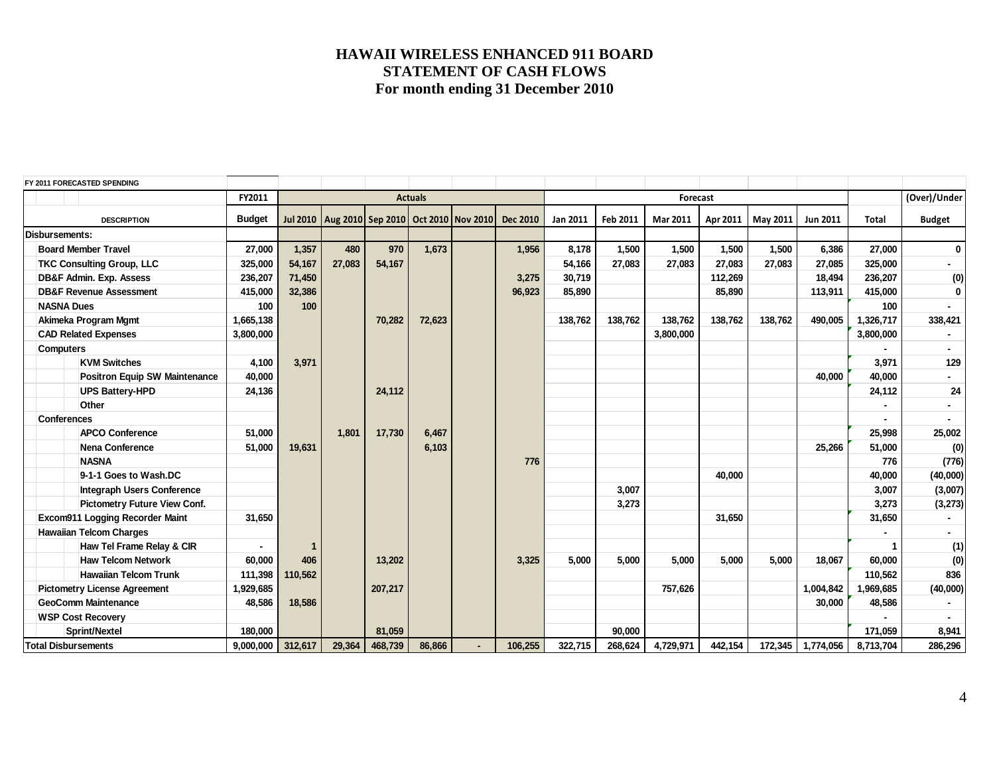|                            | FY 2011 FORECASTED SPENDING          |               |         |        |         |                                                      |                |                 |          |          |           |          |          |                   |              |                          |
|----------------------------|--------------------------------------|---------------|---------|--------|---------|------------------------------------------------------|----------------|-----------------|----------|----------|-----------|----------|----------|-------------------|--------------|--------------------------|
|                            |                                      | FY2011        |         |        |         | <b>Actuals</b>                                       |                |                 |          |          | Forecast  |          |          |                   |              | (Over)/Under             |
|                            | <b>DESCRIPTION</b>                   | <b>Budget</b> |         |        |         | Jul 2010   Aug 2010   Sep 2010   Oct 2010   Nov 2010 |                | <b>Dec 2010</b> | Jan 2011 | Feb 2011 | Mar 2011  | Apr 2011 | May 2011 | Jun 2011          | <b>Total</b> | <b>Budget</b>            |
| <b>Disbursements:</b>      |                                      |               |         |        |         |                                                      |                |                 |          |          |           |          |          |                   |              |                          |
|                            | <b>Board Member Travel</b>           | 27,000        | 1,357   | 480    | 970     | 1,673                                                |                | 1,956           | 8,178    | 1,500    | 1,500     | 1,500    | 1,500    | 6,386             | 27,000       | $\overline{0}$           |
|                            | <b>TKC Consulting Group, LLC</b>     | 325,000       | 54,167  | 27,083 | 54,167  |                                                      |                |                 | 54,166   | 27,083   | 27,083    | 27,083   | 27,083   | 27,085            | 325,000      | $\overline{\phantom{0}}$ |
|                            | DB&F Admin. Exp. Assess              | 236,207       | 71,450  |        |         |                                                      |                | 3,275           | 30,719   |          |           | 112,269  |          | 18,494            | 236,207      | (0)                      |
|                            | <b>DB&amp;F Revenue Assessment</b>   | 415,000       | 32,386  |        |         |                                                      |                | 96,923          | 85,890   |          |           | 85,890   |          | 113,911           | 415,000      | $\overline{0}$           |
|                            | <b>NASNA Dues</b>                    | 100           | 100     |        |         |                                                      |                |                 |          |          |           |          |          |                   | 100          |                          |
|                            | Akimeka Program Mgmt                 | 1,665,138     |         |        | 70,282  | 72,623                                               |                |                 | 138,762  | 138,762  | 138,762   | 138,762  | 138,762  | 490,005           | 1,326,717    | 338,421                  |
|                            | <b>CAD Related Expenses</b>          | 3,800,000     |         |        |         |                                                      |                |                 |          |          | 3,800,000 |          |          |                   | 3,800,000    |                          |
| <b>Computers</b>           |                                      |               |         |        |         |                                                      |                |                 |          |          |           |          |          |                   |              |                          |
|                            | <b>KVM Switches</b>                  | 4,100         | 3,971   |        |         |                                                      |                |                 |          |          |           |          |          |                   | 3,971        | 129                      |
|                            | <b>Positron Equip SW Maintenance</b> | 40,000        |         |        |         |                                                      |                |                 |          |          |           |          |          | 40,000            | 40,000       |                          |
|                            | <b>UPS Battery-HPD</b>               | 24,136        |         |        | 24,112  |                                                      |                |                 |          |          |           |          |          |                   | 24,112       | ${\bf 24}$               |
|                            | Other                                |               |         |        |         |                                                      |                |                 |          |          |           |          |          |                   |              |                          |
|                            | <b>Conferences</b>                   |               |         |        |         |                                                      |                |                 |          |          |           |          |          |                   |              | $\blacksquare$           |
|                            | <b>APCO Conference</b>               | 51,000        |         | 1,801  | 17,730  | 6,467                                                |                |                 |          |          |           |          |          |                   | 25,998       | 25,002                   |
|                            | Nena Conference                      | 51,000        | 19,631  |        |         | 6,103                                                |                |                 |          |          |           |          |          | 25,266            | 51,000       | (0)                      |
|                            | <b>NASNA</b>                         |               |         |        |         |                                                      |                | 776             |          |          |           |          |          |                   | 776          | (776)                    |
|                            | 9-1-1 Goes to Wash.DC                |               |         |        |         |                                                      |                |                 |          |          |           | 40,000   |          |                   | 40,000       | (40,000)                 |
|                            | <b>Integraph Users Conference</b>    |               |         |        |         |                                                      |                |                 |          | 3,007    |           |          |          |                   | 3,007        | (3,007)                  |
|                            | <b>Pictometry Future View Conf.</b>  |               |         |        |         |                                                      |                |                 |          | 3,273    |           |          |          |                   | 3,273        | (3,273)                  |
|                            | Excom911 Logging Recorder Maint      | 31,650        |         |        |         |                                                      |                |                 |          |          |           | 31,650   |          |                   | 31,650       |                          |
|                            | <b>Hawaiian Telcom Charges</b>       |               |         |        |         |                                                      |                |                 |          |          |           |          |          |                   |              | -                        |
|                            | Haw Tel Frame Relay & CIR            |               |         |        |         |                                                      |                |                 |          |          |           |          |          |                   |              | (1)                      |
|                            | <b>Haw Telcom Network</b>            | 60,000        | 406     |        | 13,202  |                                                      |                | 3,325           | 5,000    | 5,000    | 5,000     | 5,000    | 5,000    | 18,067            | 60,000       | (0)                      |
|                            | <b>Hawaiian Telcom Trunk</b>         | 111,398       | 110,562 |        |         |                                                      |                |                 |          |          |           |          |          |                   | 110,562      | 836                      |
|                            | <b>Pictometry License Agreement</b>  |               |         |        | 207,217 |                                                      |                |                 |          |          | 757,626   |          |          | 1,004,842         | 969,685      | (40,000)                 |
| <b>GeoComm Maintenance</b> |                                      | 48,586        | 18,586  |        |         |                                                      |                |                 |          |          |           |          |          | 30,000            | 48,586       |                          |
|                            | <b>WSP Cost Recovery</b>             |               |         |        |         |                                                      |                |                 |          |          |           |          |          |                   |              |                          |
|                            | <b>Sprint/Nextel</b>                 | 180,000       |         |        | 81.059  |                                                      |                |                 |          | 90,000   |           |          |          |                   | 171,059      | 8,941                    |
|                            | <b>Total Disbursements</b>           | 9,000,000     | 312,617 | 29,364 | 468,739 | 86,866                                               | $\blacksquare$ | 106,255         | 322,715  | 268,624  | 4,729,971 | 442,154  |          | 172,345 1,774,056 | 8,713,704    | 286,296                  |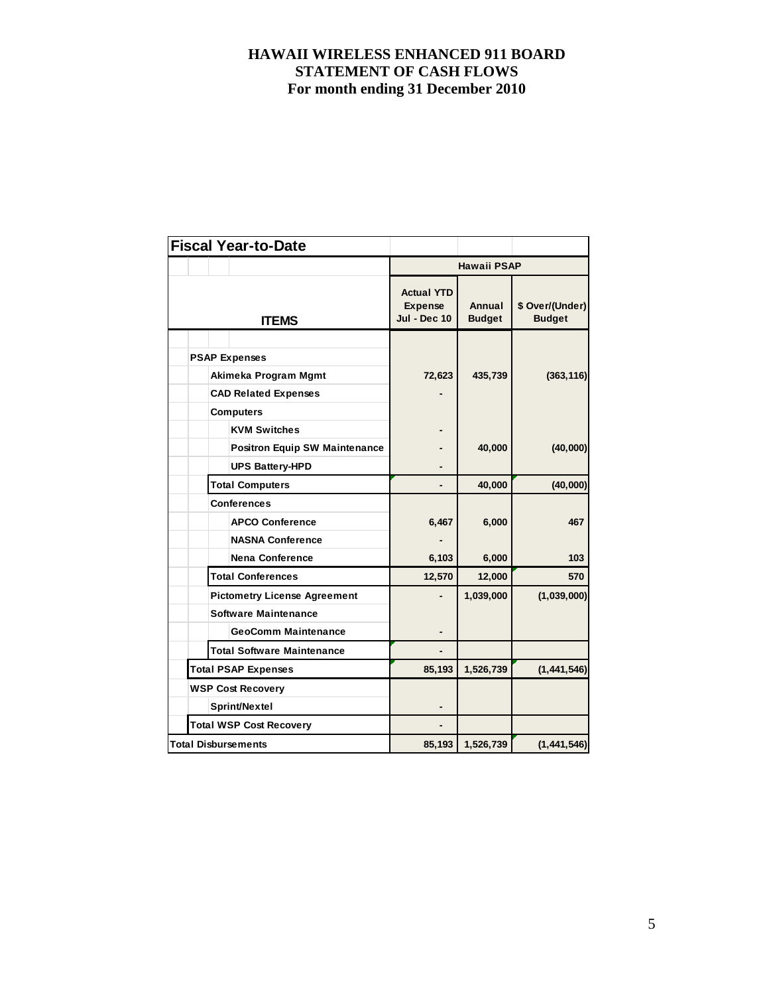|  | <b>Fiscal Year-to-Date</b>           |                                                            |                         |                                  |  |
|--|--------------------------------------|------------------------------------------------------------|-------------------------|----------------------------------|--|
|  |                                      |                                                            | <b>Hawaii PSAP</b>      |                                  |  |
|  | <b>ITEMS</b>                         | <b>Actual YTD</b><br><b>Expense</b><br><b>Jul - Dec 10</b> | Annual<br><b>Budget</b> | \$ Over/(Under)<br><b>Budget</b> |  |
|  |                                      |                                                            |                         |                                  |  |
|  | <b>PSAP Expenses</b>                 |                                                            |                         |                                  |  |
|  | Akimeka Program Mgmt                 | 72,623                                                     | 435,739                 | (363, 116)                       |  |
|  | <b>CAD Related Expenses</b>          |                                                            |                         |                                  |  |
|  | <b>Computers</b>                     |                                                            |                         |                                  |  |
|  | <b>KVM Switches</b>                  |                                                            |                         |                                  |  |
|  | <b>Positron Equip SW Maintenance</b> |                                                            | 40,000                  | (40,000)                         |  |
|  | <b>UPS Battery-HPD</b>               |                                                            |                         |                                  |  |
|  | <b>Total Computers</b>               |                                                            | 40,000                  | (40,000)                         |  |
|  | Conferences                          |                                                            |                         |                                  |  |
|  | <b>APCO Conference</b>               | 6,467                                                      | 6,000                   | 467                              |  |
|  | <b>NASNA Conference</b>              |                                                            |                         |                                  |  |
|  | <b>Nena Conference</b>               | 6,103                                                      | 6,000                   | 103                              |  |
|  | <b>Total Conferences</b>             | 12,570                                                     | 12,000                  | 570                              |  |
|  | <b>Pictometry License Agreement</b>  |                                                            | 1,039,000               | (1,039,000)                      |  |
|  | Software Maintenance                 |                                                            |                         |                                  |  |
|  | <b>GeoComm Maintenance</b>           |                                                            |                         |                                  |  |
|  | <b>Total Software Maintenance</b>    |                                                            |                         |                                  |  |
|  | <b>Total PSAP Expenses</b>           | 85,193                                                     | 1,526,739               | (1, 441, 546)                    |  |
|  | <b>WSP Cost Recovery</b>             |                                                            |                         |                                  |  |
|  | Sprint/Nextel                        |                                                            |                         |                                  |  |
|  | <b>Total WSP Cost Recovery</b>       |                                                            |                         |                                  |  |
|  | <b>Total Disbursements</b>           | 85,193                                                     | 1,526,739               | (1, 441, 546)                    |  |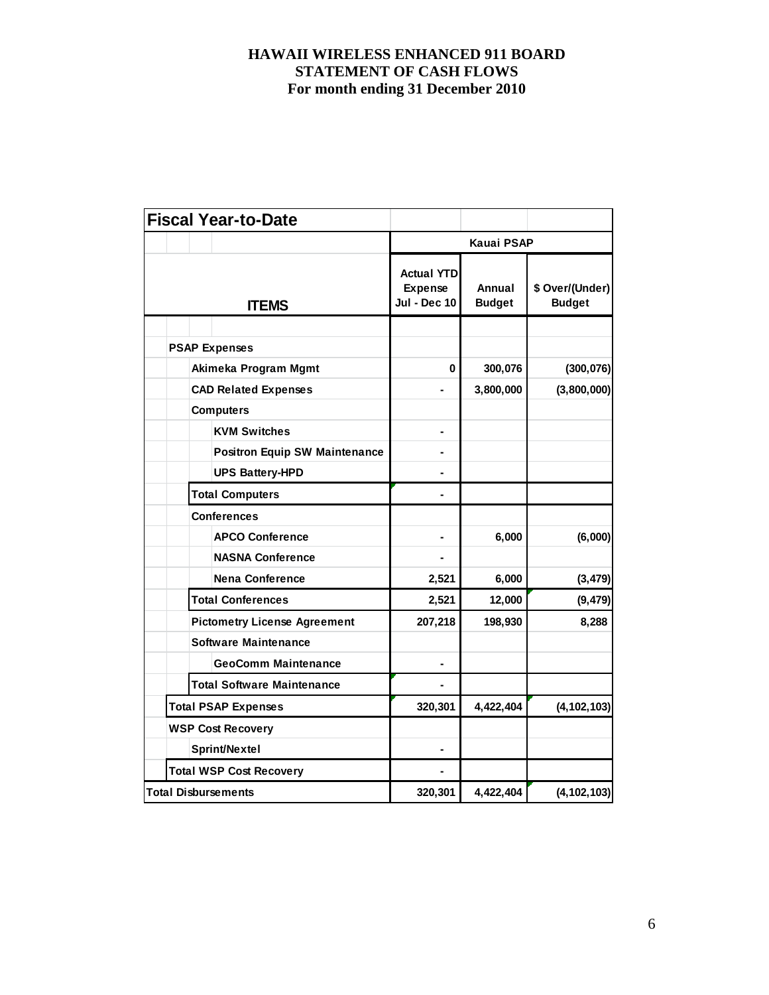|  |                            | <b>Fiscal Year-to-Date</b>           |                                                            |                         |                                  |
|--|----------------------------|--------------------------------------|------------------------------------------------------------|-------------------------|----------------------------------|
|  |                            |                                      |                                                            | Kauai PSAP              |                                  |
|  |                            | <b>ITEMS</b>                         | <b>Actual YTD</b><br><b>Expense</b><br><b>Jul - Dec 10</b> | Annual<br><b>Budget</b> | \$ Over/(Under)<br><b>Budget</b> |
|  |                            |                                      |                                                            |                         |                                  |
|  | <b>PSAP Expenses</b>       |                                      |                                                            |                         |                                  |
|  |                            | Akimeka Program Mgmt                 | 0                                                          | 300,076                 | (300, 076)                       |
|  |                            | <b>CAD Related Expenses</b>          |                                                            | 3,800,000               | (3,800,000)                      |
|  | <b>Computers</b>           |                                      |                                                            |                         |                                  |
|  |                            | <b>KVM Switches</b>                  | $\blacksquare$                                             |                         |                                  |
|  |                            | <b>Positron Equip SW Maintenance</b> |                                                            |                         |                                  |
|  |                            | <b>UPS Battery-HPD</b>               |                                                            |                         |                                  |
|  |                            | <b>Total Computers</b>               |                                                            |                         |                                  |
|  |                            | <b>Conferences</b>                   |                                                            |                         |                                  |
|  |                            | <b>APCO Conference</b>               | $\blacksquare$                                             | 6,000                   | (6,000)                          |
|  |                            | <b>NASNA Conference</b>              |                                                            |                         |                                  |
|  |                            | <b>Nena Conference</b>               | 2,521                                                      | 6,000                   | (3, 479)                         |
|  |                            | <b>Total Conferences</b>             | 2,521                                                      | 12,000                  | (9, 479)                         |
|  |                            | <b>Pictometry License Agreement</b>  | 207,218                                                    | 198,930                 | 8,288                            |
|  |                            | <b>Software Maintenance</b>          |                                                            |                         |                                  |
|  |                            | <b>GeoComm Maintenance</b>           |                                                            |                         |                                  |
|  |                            | <b>Total Software Maintenance</b>    |                                                            |                         |                                  |
|  |                            | <b>Total PSAP Expenses</b>           | 320,301                                                    | 4,422,404               | (4, 102, 103)                    |
|  |                            | <b>WSP Cost Recovery</b>             |                                                            |                         |                                  |
|  |                            | Sprint/Nextel                        |                                                            |                         |                                  |
|  |                            | <b>Total WSP Cost Recovery</b>       | $\blacksquare$                                             |                         |                                  |
|  | <b>Total Disbursements</b> |                                      | 320,301                                                    | 4,422,404               | (4, 102, 103)                    |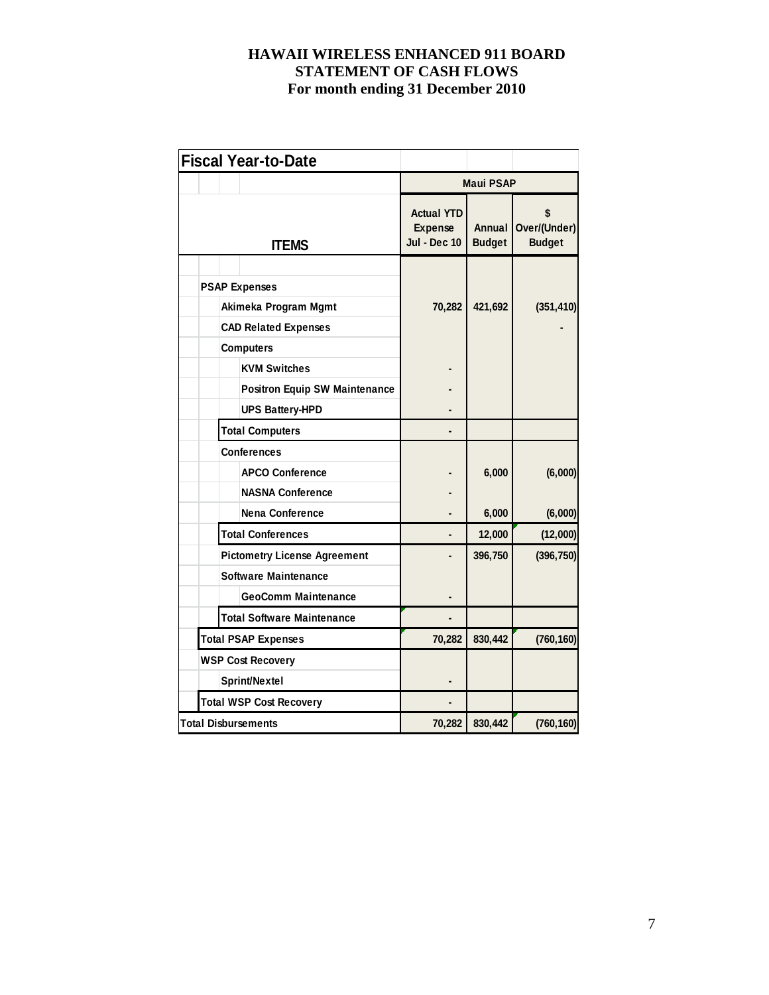| <b>Fiscal Year-to-Date</b>           |                                                            |                         |                                     |
|--------------------------------------|------------------------------------------------------------|-------------------------|-------------------------------------|
|                                      |                                                            | <b>Maui PSAP</b>        |                                     |
| <b>ITEMS</b>                         | <b>Actual YTD</b><br><b>Expense</b><br><b>Jul - Dec 10</b> | Annual<br><b>Budget</b> | \$<br>Over/(Under)<br><b>Budget</b> |
|                                      |                                                            |                         |                                     |
| <b>PSAP Expenses</b>                 |                                                            |                         |                                     |
| Akimeka Program Mgmt                 | 70,282                                                     | 421,692                 | (351, 410)                          |
| <b>CAD Related Expenses</b>          |                                                            |                         |                                     |
| <b>Computers</b>                     |                                                            |                         |                                     |
| <b>KVM Switches</b>                  |                                                            |                         |                                     |
| <b>Positron Equip SW Maintenance</b> |                                                            |                         |                                     |
| <b>UPS Battery-HPD</b>               |                                                            |                         |                                     |
| <b>Total Computers</b>               |                                                            |                         |                                     |
| <b>Conferences</b>                   |                                                            |                         |                                     |
| <b>APCO Conference</b>               |                                                            | 6,000                   | (6,000)                             |
| <b>NASNA Conference</b>              |                                                            |                         |                                     |
| <b>Nena Conference</b>               |                                                            | 6,000                   | (6,000)                             |
| <b>Total Conferences</b>             |                                                            | 12,000                  | (12,000)                            |
| <b>Pictometry License Agreement</b>  |                                                            | 396,750                 | (396, 750)                          |
| <b>Software Maintenance</b>          |                                                            |                         |                                     |
| <b>GeoComm Maintenance</b>           |                                                            |                         |                                     |
| <b>Total Software Maintenance</b>    |                                                            |                         |                                     |
| <b>Total PSAP Expenses</b>           | 70,282                                                     | 830,442                 | (760, 160)                          |
| <b>WSP Cost Recovery</b>             |                                                            |                         |                                     |
| Sprint/Nextel                        |                                                            |                         |                                     |
| <b>Total WSP Cost Recovery</b>       |                                                            |                         |                                     |
| Total Disbursements                  | 70,282                                                     | 830,442                 | (760, 160)                          |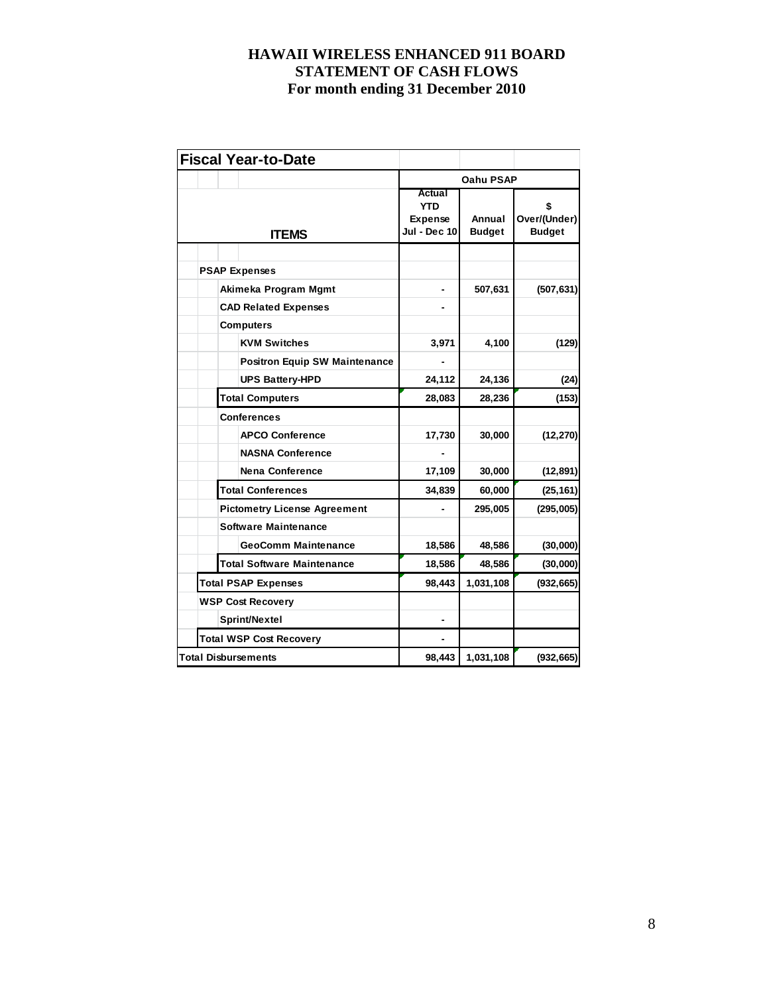|  | <b>Fiscal Year-to-Date</b>           |                                                        |                         |                                    |
|--|--------------------------------------|--------------------------------------------------------|-------------------------|------------------------------------|
|  |                                      |                                                        | Oahu PSAP               |                                    |
|  | <b>ITEMS</b>                         | Actual<br><b>YTD</b><br><b>Expense</b><br>Jul - Dec 10 | Annual<br><b>Budget</b> | S<br>Over/(Under)<br><b>Budget</b> |
|  |                                      |                                                        |                         |                                    |
|  | <b>PSAP Expenses</b>                 |                                                        |                         |                                    |
|  | Akimeka Program Mgmt                 |                                                        | 507,631                 | (507, 631)                         |
|  | <b>CAD Related Expenses</b>          |                                                        |                         |                                    |
|  | <b>Computers</b>                     |                                                        |                         |                                    |
|  | <b>KVM Switches</b>                  | 3,971                                                  | 4,100                   | (129)                              |
|  | <b>Positron Equip SW Maintenance</b> |                                                        |                         |                                    |
|  | <b>UPS Battery-HPD</b>               | 24,112                                                 | 24,136                  | (24)                               |
|  | <b>Total Computers</b>               | 28,083                                                 | 28,236                  | (153)                              |
|  | <b>Conferences</b>                   |                                                        |                         |                                    |
|  | <b>APCO Conference</b>               | 17,730                                                 | 30,000                  | (12, 270)                          |
|  | <b>NASNA Conference</b>              |                                                        |                         |                                    |
|  | <b>Nena Conference</b>               | 17,109                                                 | 30,000                  | (12, 891)                          |
|  | <b>Total Conferences</b>             | 34,839                                                 | 60,000                  | (25, 161)                          |
|  | <b>Pictometry License Agreement</b>  |                                                        | 295,005                 | (295,005)                          |
|  | <b>Software Maintenance</b>          |                                                        |                         |                                    |
|  | <b>GeoComm Maintenance</b>           | 18,586                                                 | 48,586                  | (30,000)                           |
|  | <b>Total Software Maintenance</b>    | 18,586                                                 | 48,586                  | (30,000)                           |
|  | <b>Total PSAP Expenses</b>           | 98,443                                                 | 1,031,108               | (932, 665)                         |
|  | <b>WSP Cost Recovery</b>             |                                                        |                         |                                    |
|  | Sprint/Nextel                        |                                                        |                         |                                    |
|  | <b>Total WSP Cost Recovery</b>       |                                                        |                         |                                    |
|  | <b>Total Disbursements</b>           | 98,443                                                 | 1,031,108               | (932, 665)                         |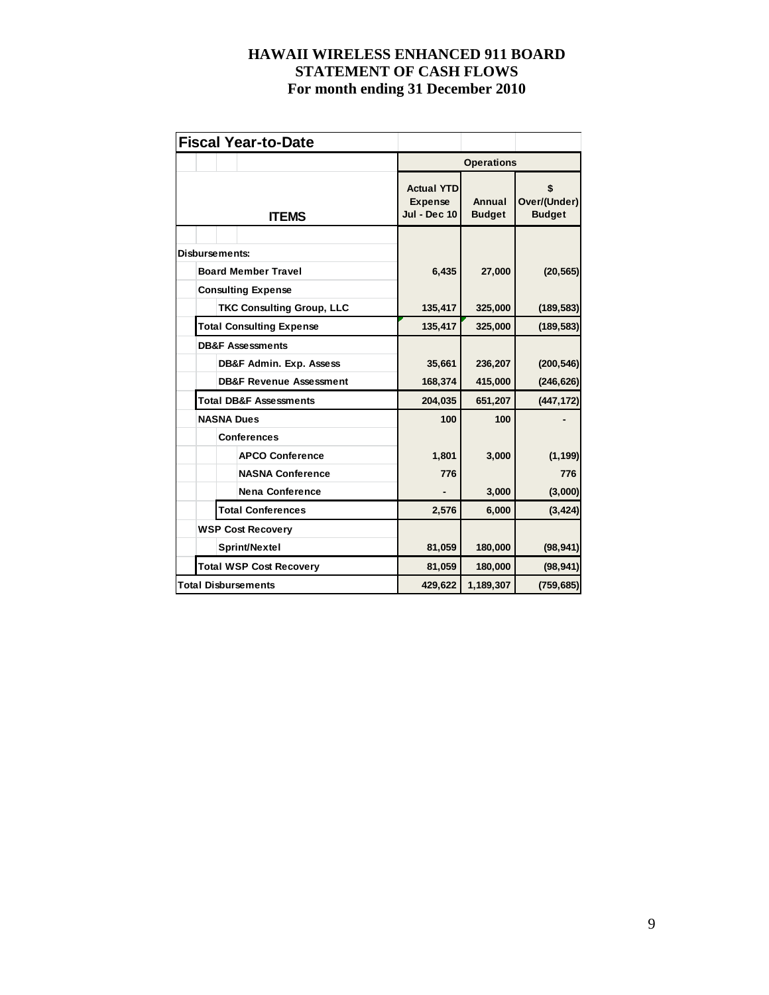| <b>Fiscal Year-to-Date</b>         |                                                            |                         |                                     |
|------------------------------------|------------------------------------------------------------|-------------------------|-------------------------------------|
|                                    |                                                            | <b>Operations</b>       |                                     |
| <b>ITEMS</b>                       | <b>Actual YTD</b><br><b>Expense</b><br><b>Jul - Dec 10</b> | Annual<br><b>Budget</b> | \$<br>Over/(Under)<br><b>Budget</b> |
| Disbursements:                     |                                                            |                         |                                     |
| <b>Board Member Travel</b>         | 6,435                                                      | 27,000                  | (20, 565)                           |
| <b>Consulting Expense</b>          |                                                            |                         |                                     |
| <b>TKC Consulting Group, LLC</b>   | 135,417                                                    | 325,000                 | (189, 583)                          |
| <b>Total Consulting Expense</b>    | 135,417                                                    | 325,000                 | (189, 583)                          |
| <b>DB&amp;F Assessments</b>        |                                                            |                         |                                     |
| DB&F Admin. Exp. Assess            | 35,661                                                     | 236,207                 | (200, 546)                          |
| <b>DB&amp;F Revenue Assessment</b> | 168,374                                                    | 415,000                 | (246, 626)                          |
| <b>Total DB&amp;F Assessments</b>  | 204,035                                                    | 651,207                 | (447, 172)                          |
| <b>NASNA Dues</b>                  | 100                                                        | 100                     |                                     |
| <b>Conferences</b>                 |                                                            |                         |                                     |
| <b>APCO Conference</b>             | 1,801                                                      | 3,000                   | (1, 199)                            |
| <b>NASNA Conference</b>            | 776                                                        |                         | 776                                 |
| <b>Nena Conference</b>             |                                                            | 3,000                   | (3,000)                             |
| <b>Total Conferences</b>           | 2,576                                                      | 6,000                   | (3, 424)                            |
| <b>WSP Cost Recovery</b>           |                                                            |                         |                                     |
| Sprint/Nextel                      | 81,059                                                     | 180,000                 | (98, 941)                           |
| <b>Total WSP Cost Recovery</b>     | 81,059                                                     | 180,000                 | (98, 941)                           |
| <b>Total Disbursements</b>         | 429,622                                                    | 1,189,307               | (759, 685)                          |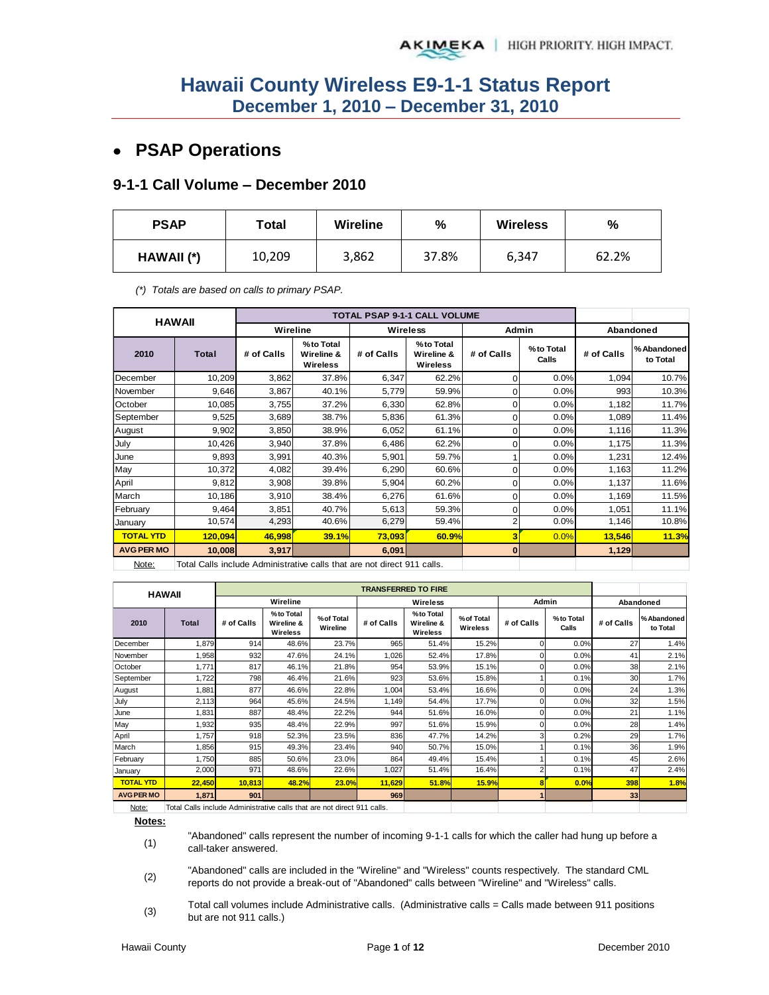## **PSAP Operations**

#### **9-1-1 Call Volume – December 2010**

| <b>PSAP</b> | <b>Wireline</b><br>Total |       | %     | <b>Wireless</b> | %     |  |
|-------------|--------------------------|-------|-------|-----------------|-------|--|
| HAWAII (*)  | 10,209                   | 3,862 | 37.8% | 6,347           | 62.2% |  |

*(\*) Totals are based on calls to primary PSAP.* 

|                   | <b>HAWAII</b>                                                           |            |                                     |            | <b>TOTAL PSAP 9-1-1 CALL VOLUME</b> |              |                    |            |                         |
|-------------------|-------------------------------------------------------------------------|------------|-------------------------------------|------------|-------------------------------------|--------------|--------------------|------------|-------------------------|
|                   |                                                                         | Wireline   |                                     |            | <b>Wireless</b>                     | <b>Admin</b> |                    |            | Abandoned               |
| 2010              | <b>Total</b>                                                            | # of Calls | %to Total<br>Wireline &<br>Wireless | # of Calls | %to Total<br>Wireline &<br>Wireless | # of Calls   | %to Total<br>Calls | # of Calls | % Abandoned<br>to Total |
| December          | 10,209                                                                  | 3,862      | 37.8%                               | 6,347      | 62.2%                               | 0            | 0.0%               | 1,094      | 10.7%                   |
| November          | 9,646                                                                   | 3,867      | 40.1%                               | 5,779      | 59.9%                               | 0            | 0.0%               | 993        | 10.3%                   |
| October           | 10.085                                                                  | 3,755      | 37.2%                               | 6,330      | 62.8%                               | $\Omega$     | 0.0%               | 1,182      | 11.7%                   |
| September         | 9,525                                                                   | 3,689      | 38.7%                               | 5,836      | 61.3%                               | 0            | 0.0%               | 1,089      | 11.4%                   |
| August            | 9,902                                                                   | 3,850      | 38.9%                               | 6,052      | 61.1%                               | 0            | 0.0%               | 1,116      | 11.3%                   |
| July              | 10,426                                                                  | 3,940      | 37.8%                               | 6,486      | 62.2%                               | 0            | 0.0%               | 1,175      | 11.3%                   |
| June              | 9,893                                                                   | 3,991      | 40.3%                               | 5,901      | 59.7%                               |              | 0.0%               | 1,231      | 12.4%                   |
| May               | 10,372                                                                  | 4,082      | 39.4%                               | 6,290      | 60.6%                               | 0            | 0.0%               | 1,163      | 11.2%                   |
| April             | 9,812                                                                   | 3,908      | 39.8%                               | 5,904      | 60.2%                               | 0            | 0.0%               | 1,137      | 11.6%                   |
| March             | 10,186                                                                  | 3,910      | 38.4%                               | 6,276      | 61.6%                               | $\Omega$     | 0.0%               | 1,169      | 11.5%                   |
| February          | 9,464                                                                   | 3,851      | 40.7%                               | 5,613      | 59.3%                               | $\Omega$     | 0.0%               | 1,051      | 11.1%                   |
| January           | 10,574                                                                  | 4,293      | 40.6%                               | 6,279      | 59.4%                               | 2            | 0.0%               | 1,146      | 10.8%                   |
| <b>TOTAL YTD</b>  | 120,094                                                                 | 46,998     | 39.1%                               | 73,093     | 60.9%                               | 3            | 0.0%               | 13,546     | 11.3%                   |
| <b>AVG PER MO</b> | 10,008                                                                  | 3,917      |                                     | 6,091      |                                     | $\bf{0}$     |                    | 1,129      |                         |
| Note:             | Total Calls include Administrative calls that are not direct 911 calls. |            |                                     |            |                                     |              |                    |            |                         |

| <b>HAWAII</b>     |                                                                        |            |                                     | <b>TRANSFERRED TO FIRE</b> |            |                                     |                        |            |                    |            |                         |
|-------------------|------------------------------------------------------------------------|------------|-------------------------------------|----------------------------|------------|-------------------------------------|------------------------|------------|--------------------|------------|-------------------------|
|                   |                                                                        |            | Wireline                            |                            |            | Wireless                            |                        | Admin      |                    | Abandoned  |                         |
| 2010              | <b>Total</b>                                                           | # of Calls | %to Total<br>Wireline &<br>Wireless | % of Total<br>Wireline     | # of Calls | %to Total<br>Wireline &<br>Wireless | % of Total<br>Wireless | # of Calls | %to Total<br>Calls | # of Calls | % Abandoned<br>to Total |
| December          | 1,879                                                                  | 914        | 48.6%                               | 23.7%                      | 965        | 51.4%                               | 15.2%                  |            | 0.0%               | 27         | 1.4%                    |
| November          | 1,958                                                                  | 932        | 47.6%                               | 24.1%                      | 1,026      | 52.4%                               | 17.8%                  |            | 0.0%               | 41         | 2.1%                    |
| October           | 1,771                                                                  | 817        | 46.1%                               | 21.8%                      | 954        | 53.9%                               | 15.1%                  |            | 0.0%               | 38         | 2.1%                    |
| September         | 1,722                                                                  | 798        | 46.4%                               | 21.6%                      | 923        | 53.6%                               | 15.8%                  |            | 0.1%               | 30         | 1.7%                    |
| August            | 1,881                                                                  | 877        | 46.6%                               | 22.8%                      | 1,004      | 53.4%                               | 16.6%                  |            | 0.0%               | 24         | 1.3%                    |
| July              | 2,113                                                                  | 964        | 45.6%                               | 24.5%                      | 1,149      | 54.4%                               | 17.7%                  |            | 0.0%               | 32         | 1.5%                    |
| June              | 1,831                                                                  | 887        | 48.4%                               | 22.2%                      | 944        | 51.6%                               | 16.0%                  |            | 0.0%               | 21         | 1.1%                    |
| May               | 1,932                                                                  | 935        | 48.4%                               | 22.9%                      | 997        | 51.6%                               | 15.9%                  |            | 0.0%               | 28         | 1.4%                    |
| April             | 1.757                                                                  | 918        | 52.3%                               | 23.5%                      | 836        | 47.7%                               | 14.2%                  |            | 0.2%               | 29         | 1.7%                    |
| March             | 1,856                                                                  | 915        | 49.3%                               | 23.4%                      | 940        | 50.7%                               | 15.0%                  |            | 0.1%               | 36         | 1.9%                    |
| February          | 1,750                                                                  | 885        | 50.6%                               | 23.0%                      | 864        | 49.4%                               | 15.4%                  |            | 0.1%               | 45         | 2.6%                    |
| January           | 2,000                                                                  | 971        | 48.6%                               | 22.6%                      | 1,027      | 51.4%                               | 16.4%                  |            | 0.1%               | 47         | 2.4%                    |
| <b>TOTAL YTD</b>  | 22,450                                                                 | 10,813     | 48.2%                               | 23.0%                      | 11,629     | 51.8%                               | 15.9%                  |            | 0.0%               | 398        | 1.8%                    |
| <b>AVG PER MO</b> | 1,871                                                                  | 901        |                                     |                            | 969        |                                     |                        |            |                    | 33         |                         |
| Note:             | Total Calls include Administrative calls that are not direct 911 calls |            |                                     |                            |            |                                     |                        |            |                    |            |                         |

Note: Total Calls include Administrative calls that are not direct 911 calls.

**Notes:**

(1) "Abandoned" calls represent the number of incoming 9-1-1 calls for which the caller had hung up before a call-taker answered.

(2) "Abandoned" calls are included in the "Wireline" and "Wireless" counts respectively. The standard CML reports do not provide a break-out of "Abandoned" calls between "Wireline" and "Wireless" calls.

(3) Total call volumes include Administrative calls. (Administrative calls = Calls made between 911 positions but are not 911 calls.)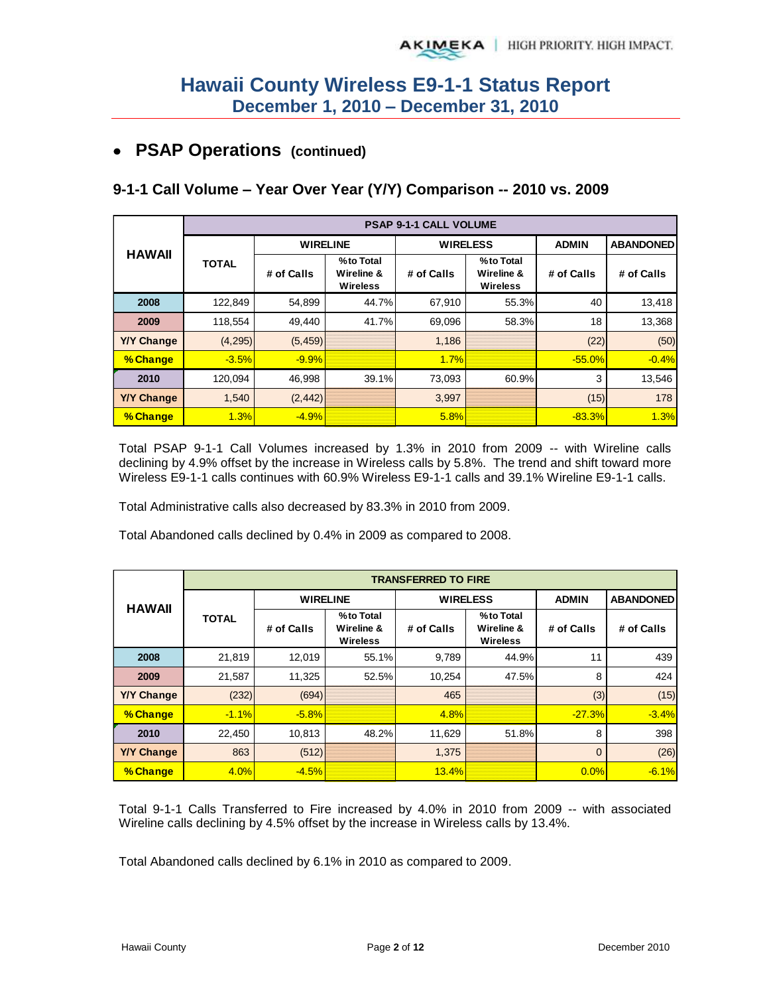## **PSAP Operations (continued)**

## **9-1-1 Call Volume – Year Over Year (Y/Y) Comparison -- 2010 vs. 2009**

|                   | <b>PSAP 9-1-1 CALL VOLUME</b> |                 |                                            |                 |                                     |              |                  |  |  |  |  |
|-------------------|-------------------------------|-----------------|--------------------------------------------|-----------------|-------------------------------------|--------------|------------------|--|--|--|--|
|                   |                               | <b>WIRELINE</b> |                                            | <b>WIRELESS</b> |                                     | <b>ADMIN</b> | <b>ABANDONED</b> |  |  |  |  |
| <b>HAWAII</b>     | <b>TOTAL</b>                  | # of Calls      | %to Total<br>Wireline &<br><b>Wireless</b> | # of Calls      | %to Total<br>Wireline &<br>Wireless | # of Calls   | # of Calls       |  |  |  |  |
| 2008              | 122,849                       | 54,899          | 44.7%                                      | 67,910          | 55.3%                               | 40           | 13,418           |  |  |  |  |
| 2009              | 118,554                       | 49,440          | 41.7%                                      | 69,096          | 58.3%                               | 18           | 13,368           |  |  |  |  |
| <b>Y/Y Change</b> | (4,295)                       | (5, 459)        |                                            | 1,186           |                                     | (22)         | (50)             |  |  |  |  |
| % Change          | $-3.5%$                       | $-9.9%$         |                                            | 1.7%            |                                     | $-55.0%$     | $-0.4%$          |  |  |  |  |
| 2010              | 120,094                       | 46,998          | 39.1%                                      | 73,093          | 60.9%                               | 3            | 13,546           |  |  |  |  |
| <b>Y/Y Change</b> | 1,540                         | (2, 442)        |                                            | 3,997           |                                     | (15)         | 178              |  |  |  |  |
| % Change          | 1.3%                          | $-4.9%$         |                                            | 5.8%            |                                     | $-83.3%$     | 1.3%             |  |  |  |  |

Total PSAP 9-1-1 Call Volumes increased by 1.3% in 2010 from 2009 -- with Wireline calls declining by 4.9% offset by the increase in Wireless calls by 5.8%. The trend and shift toward more Wireless E9-1-1 calls continues with 60.9% Wireless E9-1-1 calls and 39.1% Wireline E9-1-1 calls.

Total Administrative calls also decreased by 83.3% in 2010 from 2009.

Total Abandoned calls declined by 0.4% in 2009 as compared to 2008.

|                   | <b>TRANSFERRED TO FIRE</b>    |                 |                                            |                 |                                            |                |                  |  |  |  |  |
|-------------------|-------------------------------|-----------------|--------------------------------------------|-----------------|--------------------------------------------|----------------|------------------|--|--|--|--|
|                   |                               | <b>WIRELINE</b> |                                            | <b>WIRELESS</b> |                                            | <b>ADMIN</b>   | <b>ABANDONED</b> |  |  |  |  |
|                   | <b>HAWAII</b><br><b>TOTAL</b> |                 | %to Total<br>Wireline &<br><b>Wireless</b> | # of Calls      | %to Total<br>Wireline &<br><b>Wireless</b> | # of Calls     | # of Calls       |  |  |  |  |
| 2008              | 21,819                        | 12,019          | 55.1%                                      | 9,789           | 44.9%                                      | 11             | 439              |  |  |  |  |
| 2009              | 21,587                        | 11,325          | 52.5%                                      | 10,254          | 47.5%                                      | 8              | 424              |  |  |  |  |
| <b>Y/Y Change</b> | (232)                         | (694)           |                                            | 465             |                                            | (3)            | (15)             |  |  |  |  |
| % Change          | $-1.1%$                       | $-5.8%$         |                                            | 4.8%            |                                            | $-27.3%$       | $-3.4%$          |  |  |  |  |
| 2010              | 22,450                        | 10,813          | 48.2%                                      | 11,629          | 51.8%                                      | 8              | 398              |  |  |  |  |
| <b>Y/Y Change</b> | 863                           | (512)           |                                            | 1,375           |                                            | $\overline{0}$ | (26)             |  |  |  |  |
| % Change          | 4.0%                          | $-4.5%$         |                                            | 13.4%           |                                            | 0.0%           | $-6.1%$          |  |  |  |  |

Total 9-1-1 Calls Transferred to Fire increased by 4.0% in 2010 from 2009 -- with associated Wireline calls declining by 4.5% offset by the increase in Wireless calls by 13.4%.

Total Abandoned calls declined by 6.1% in 2010 as compared to 2009.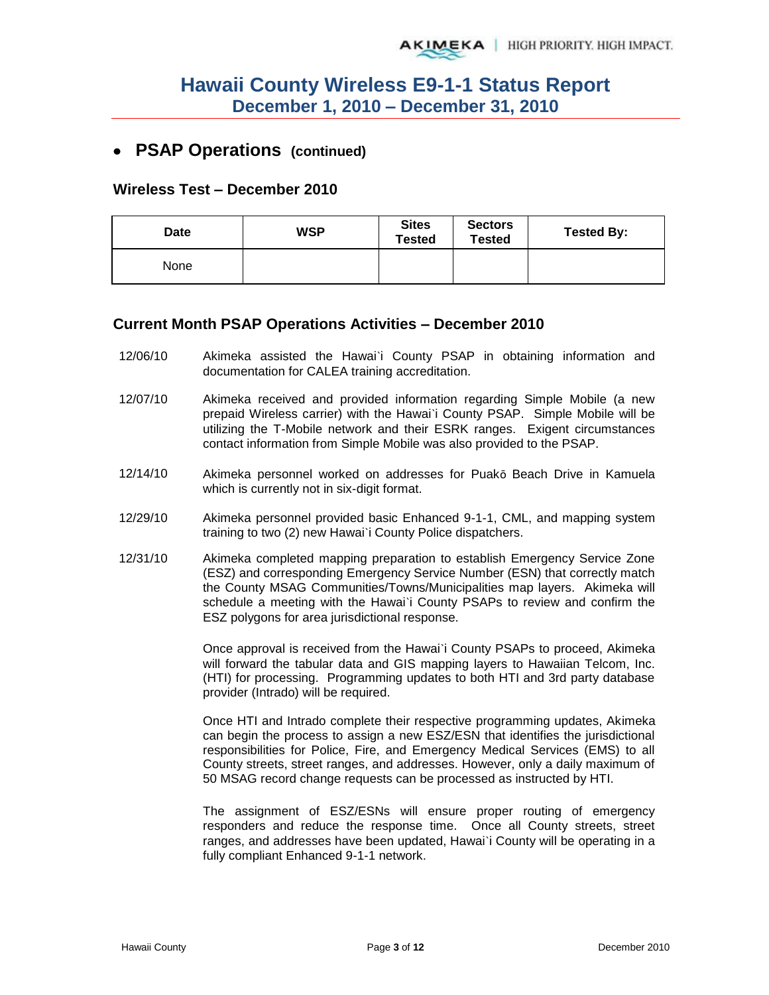### **PSAP Operations (continued)**

#### **Wireless Test – December 2010**

| <b>Date</b> | <b>WSP</b> | <b>Sites</b><br>Tested | <b>Sectors</b><br><b>Tested</b> | <b>Tested By:</b> |
|-------------|------------|------------------------|---------------------------------|-------------------|
| None        |            |                        |                                 |                   |

#### **Current Month PSAP Operations Activities – December 2010**

- 12/06/10 Akimeka assisted the Hawai`i County PSAP in obtaining information and documentation for CALEA training accreditation.
- 12/07/10 Akimeka received and provided information regarding Simple Mobile (a new prepaid Wireless carrier) with the Hawai`i County PSAP. Simple Mobile will be utilizing the T-Mobile network and their ESRK ranges. Exigent circumstances contact information from Simple Mobile was also provided to the PSAP.
- 12/14/10 Akimeka personnel worked on addresses for Puakō Beach Drive in Kamuela which is currently not in six-digit format.
- 12/29/10 Akimeka personnel provided basic Enhanced 9-1-1, CML, and mapping system training to two (2) new Hawai`i County Police dispatchers.
- 12/31/10 Akimeka completed mapping preparation to establish Emergency Service Zone (ESZ) and corresponding Emergency Service Number (ESN) that correctly match the County MSAG Communities/Towns/Municipalities map layers. Akimeka will schedule a meeting with the Hawai`i County PSAPs to review and confirm the ESZ polygons for area jurisdictional response.

Once approval is received from the Hawai`i County PSAPs to proceed, Akimeka will forward the tabular data and GIS mapping layers to Hawaiian Telcom, Inc. (HTI) for processing. Programming updates to both HTI and 3rd party database provider (Intrado) will be required.

Once HTI and Intrado complete their respective programming updates, Akimeka can begin the process to assign a new ESZ/ESN that identifies the jurisdictional responsibilities for Police, Fire, and Emergency Medical Services (EMS) to all County streets, street ranges, and addresses. However, only a daily maximum of 50 MSAG record change requests can be processed as instructed by HTI.

The assignment of ESZ/ESNs will ensure proper routing of emergency responders and reduce the response time. Once all County streets, street ranges, and addresses have been updated, Hawai`i County will be operating in a fully compliant Enhanced 9-1-1 network.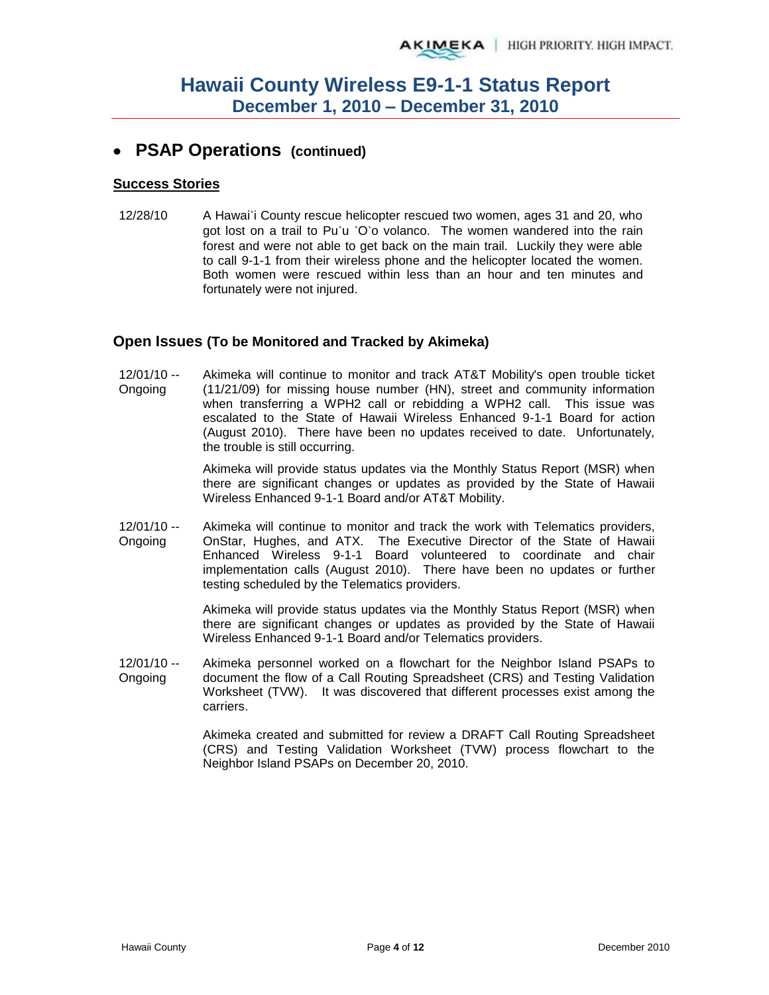## **PSAP Operations (continued)**

#### **Success Stories**

12/28/10 A Hawai`i County rescue helicopter rescued two women, ages 31 and 20, who got lost on a trail to Pu`u `O`o volanco. The women wandered into the rain forest and were not able to get back on the main trail. Luckily they were able to call 9-1-1 from their wireless phone and the helicopter located the women. Both women were rescued within less than an hour and ten minutes and fortunately were not injured.

#### **Open Issues (To be Monitored and Tracked by Akimeka)**

12/01/10 -- Ongoing Akimeka will continue to monitor and track AT&T Mobility's open trouble ticket (11/21/09) for missing house number (HN), street and community information when transferring a WPH2 call or rebidding a WPH2 call. This issue was escalated to the State of Hawaii Wireless Enhanced 9-1-1 Board for action (August 2010). There have been no updates received to date. Unfortunately, the trouble is still occurring.

> Akimeka will provide status updates via the Monthly Status Report (MSR) when there are significant changes or updates as provided by the State of Hawaii Wireless Enhanced 9-1-1 Board and/or AT&T Mobility.

12/01/10 -- Ongoing Akimeka will continue to monitor and track the work with Telematics providers, OnStar, Hughes, and ATX. The Executive Director of the State of Hawaii Enhanced Wireless 9-1-1 Board volunteered to coordinate and chair implementation calls (August 2010). There have been no updates or further testing scheduled by the Telematics providers.

> Akimeka will provide status updates via the Monthly Status Report (MSR) when there are significant changes or updates as provided by the State of Hawaii Wireless Enhanced 9-1-1 Board and/or Telematics providers.

12/01/10 -- Ongoing Akimeka personnel worked on a flowchart for the Neighbor Island PSAPs to document the flow of a Call Routing Spreadsheet (CRS) and Testing Validation Worksheet (TVW). It was discovered that different processes exist among the carriers.

> Akimeka created and submitted for review a DRAFT Call Routing Spreadsheet (CRS) and Testing Validation Worksheet (TVW) process flowchart to the Neighbor Island PSAPs on December 20, 2010.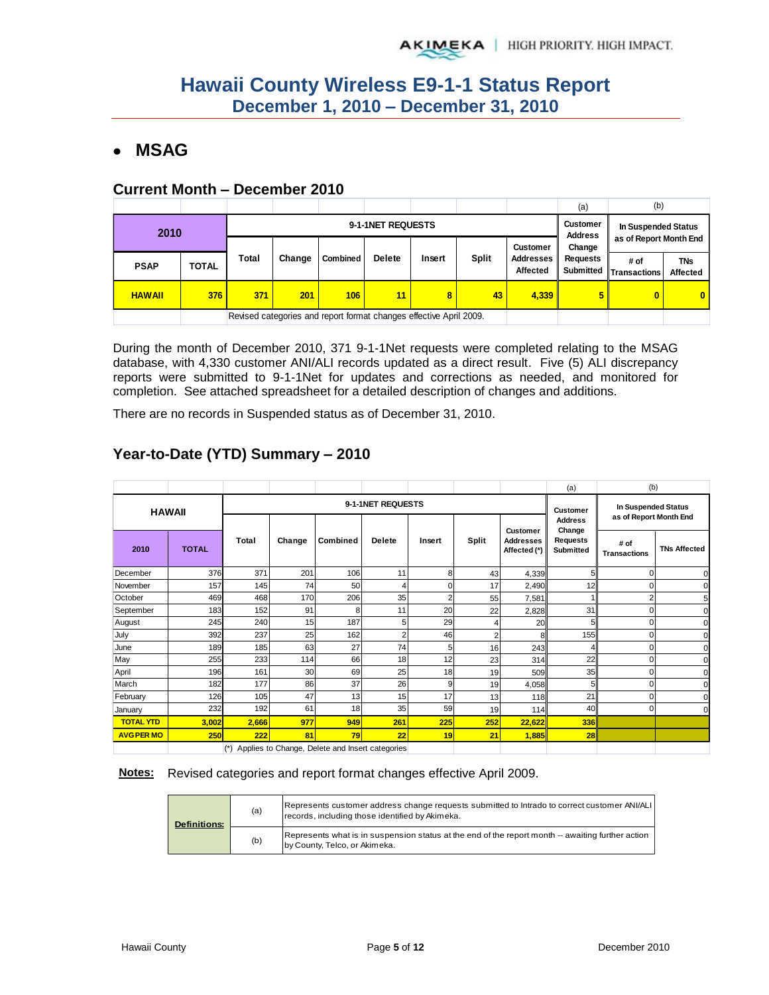## **MSAG**

#### **Current Month – December 2010**

|               |       |                                                                    |        |                 |               |        |                                   |                                               | (a)      | (b)                            |                               |
|---------------|-------|--------------------------------------------------------------------|--------|-----------------|---------------|--------|-----------------------------------|-----------------------------------------------|----------|--------------------------------|-------------------------------|
| 2010          |       | 9-1-1NET REQUESTS                                                  |        |                 |               |        | <b>Customer</b><br><b>Address</b> | In Suspended Status<br>as of Report Month End |          |                                |                               |
|               |       |                                                                    |        |                 |               |        |                                   | <b>Customer</b>                               | Change   |                                |                               |
| <b>PSAP</b>   | TOTAL | Total                                                              | Change | <b>Combined</b> | <b>Delete</b> | Insert | <b>Split</b>                      | Addresses<br>Affected                         | Requests | # of<br>Submitted Transactions | <b>TNs</b><br><b>Affected</b> |
| <b>HAWAII</b> | 376   | 371                                                                | 201    | 106             | 11            | 8      | 43                                | 4,339                                         |          | 0                              | $\mathbf{0}$                  |
|               |       | Revised categories and report format changes effective April 2009. |        |                 |               |        |                                   |                                               |          |                                |                               |

During the month of December 2010, 371 9-1-1Net requests were completed relating to the MSAG database, with 4,330 customer ANI/ALI records updated as a direct result. Five (5) ALI discrepancy reports were submitted to 9-1-1Net for updates and corrections as needed, and monitored for completion. See attached spreadsheet for a detailed description of changes and additions.

There are no records in Suspended status as of December 31, 2010.

|                   |               |       |                 |                                                 |               |                 |                                               |                                  | (a)                             | (b)                         |                     |
|-------------------|---------------|-------|-----------------|-------------------------------------------------|---------------|-----------------|-----------------------------------------------|----------------------------------|---------------------------------|-----------------------------|---------------------|
|                   | <b>HAWAII</b> |       |                 | 9-1-1NET REQUESTS                               |               | <b>Customer</b> | In Suspended Status<br>as of Report Month End |                                  |                                 |                             |                     |
|                   |               |       | <b>Customer</b> |                                                 |               | <b>Address</b>  |                                               |                                  |                                 |                             |                     |
| 2010              | <b>TOTAL</b>  | Total | Change          | <b>Combined</b>                                 | <b>Delete</b> | Insert          | Split                                         | <b>Addresses</b><br>Affected (*) | Change<br>Requests<br>Submitted | # of<br><b>Transactions</b> | <b>TNs Affected</b> |
| December          | 376           | 371   | 201             | 106                                             | 11            | 8               | 43                                            | 4,339                            | 5                               | $\Omega$                    | $\Omega$            |
| November          | 157           | 145   | 74              | 50                                              | 4             | 0               | 17                                            | 2,490                            | 12                              | $\Omega$                    | $\mathbf{0}$        |
| October           | 469           | 468   | 170             | 206                                             | 35            | c               | 55                                            | 7,581                            |                                 | 2                           | 5                   |
| September         | 183           | 152   | 91              | 8                                               | 11            | 20              | 22                                            | 2,828                            | 31                              | $\Omega$                    | $\Omega$            |
| August            | 245           | 240   | 15              | 187                                             | 5             | 29              | 4                                             | 20                               | 5                               | $\Omega$                    | $\mathbf{0}$        |
| July              | 392           | 237   | 25              | 162                                             | 2             | 46              | $\overline{c}$                                | 8                                | 155                             | 0                           | $\mathbf{0}$        |
| June              | 189           | 185   | 63              | 27                                              | 74            | 5               | 16                                            | 243                              |                                 | 0                           | $\Omega$            |
| May               | 255           | 233   | 114             | 66                                              | 18            | 12              | 23                                            | 314                              | 22                              | 0                           | $\mathbf{0}$        |
| April             | 196           | 161   | 30              | 69                                              | 25            | 18              | 19                                            | 509                              | 35                              | 0                           | $\Omega$            |
| March             | 182           | 177   | 86              | 37                                              | 26            | 9               | 19                                            | 4,058                            | 5                               | 0                           | $\mathbf{0}$        |
| February          | 126           | 105   | 47              | 13                                              | 15            | 17              | 13                                            | 118                              | 21                              | $\Omega$                    | $\Omega$            |
| January           | 232           | 192   | 61              | 18                                              | 35            | 59              | 19                                            | 114                              | 40                              | $\mathbf 0$                 | $\Omega$            |
| <b>TOTAL YTD</b>  | 3,002         | 2,666 | 977             | 949                                             | 261           | 225             | 252                                           | 22,622                           | <b>336</b>                      |                             |                     |
| <b>AVG PER MO</b> | 250           | 222   | 81              | 79                                              | 22            | 19              | 21                                            | 1,885                            | 28                              |                             |                     |
|                   |               | $(*)$ |                 | Applies to Change, Delete and Insert categories |               |                 |                                               |                                  |                                 |                             |                     |

## **Year-to-Date (YTD) Summary – 2010**

#### **Notes:** Revised categories and report format changes effective April 2009.

| <b>Definitions:</b> | (a) | Represents customer address change requests submitted to Intrado to correct customer ANI/ALI<br>records, including those identified by Akimeka. |
|---------------------|-----|-------------------------------------------------------------------------------------------------------------------------------------------------|
|                     | (b) | Represents what is in suspension status at the end of the report month -- awaiting further action<br>by County, Telco, or Akimeka.              |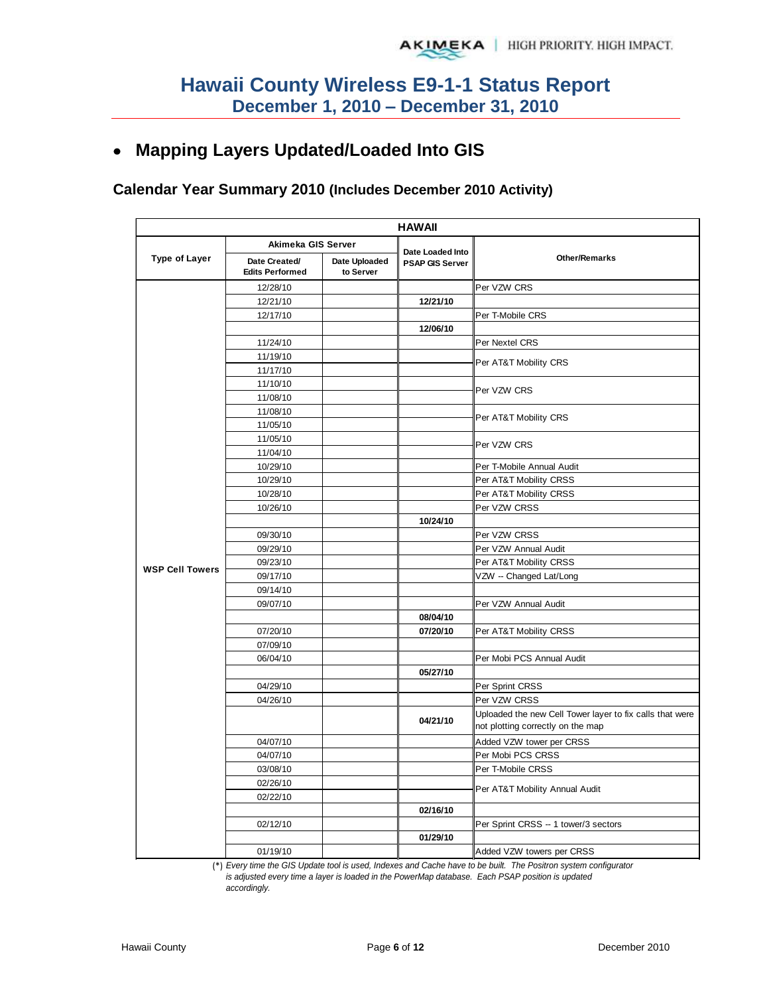## **Mapping Layers Updated/Loaded Into GIS**

### **Calendar Year Summary 2010 (Includes December 2010 Activity)**

|                        |                                         |                            | <b>HAWAII</b>                              |                                                          |  |  |
|------------------------|-----------------------------------------|----------------------------|--------------------------------------------|----------------------------------------------------------|--|--|
|                        | Akimeka GIS Server                      |                            |                                            |                                                          |  |  |
| <b>Type of Layer</b>   | Date Created/<br><b>Edits Performed</b> | Date Uploaded<br>to Server | Date Loaded Into<br><b>PSAP GIS Server</b> | <b>Other/Remarks</b>                                     |  |  |
|                        | 12/28/10                                |                            |                                            | Per VZW CRS                                              |  |  |
|                        | 12/21/10                                |                            | 12/21/10                                   |                                                          |  |  |
|                        | 12/17/10                                |                            |                                            | Per T-Mobile CRS                                         |  |  |
|                        |                                         |                            | 12/06/10                                   |                                                          |  |  |
|                        | 11/24/10                                |                            |                                            | Per Nextel CRS                                           |  |  |
|                        | 11/19/10                                |                            |                                            | Per AT&T Mobility CRS                                    |  |  |
|                        | 11/17/10                                |                            |                                            |                                                          |  |  |
|                        | 11/10/10                                |                            |                                            | Per VZW CRS                                              |  |  |
|                        | 11/08/10                                |                            |                                            |                                                          |  |  |
|                        | 11/08/10                                |                            |                                            | Per AT&T Mobility CRS                                    |  |  |
|                        | 11/05/10                                |                            |                                            |                                                          |  |  |
|                        | 11/05/10                                |                            |                                            | Per VZW CRS                                              |  |  |
|                        | 11/04/10                                |                            |                                            |                                                          |  |  |
|                        | 10/29/10                                |                            |                                            | Per T-Mobile Annual Audit                                |  |  |
|                        | 10/29/10                                |                            |                                            | Per AT&T Mobility CRSS                                   |  |  |
|                        | 10/28/10                                |                            |                                            | Per AT&T Mobility CRSS                                   |  |  |
|                        | 10/26/10                                |                            |                                            | Per VZW CRSS                                             |  |  |
|                        |                                         |                            | 10/24/10                                   |                                                          |  |  |
|                        | 09/30/10                                |                            |                                            | Per VZW CRSS                                             |  |  |
|                        | 09/29/10                                |                            |                                            | Per VZW Annual Audit                                     |  |  |
| <b>WSP Cell Towers</b> | 09/23/10                                |                            |                                            | Per AT&T Mobility CRSS                                   |  |  |
|                        | 09/17/10                                |                            |                                            | VZW -- Changed Lat/Long                                  |  |  |
|                        | 09/14/10                                |                            |                                            |                                                          |  |  |
|                        | 09/07/10                                |                            |                                            | Per VZW Annual Audit                                     |  |  |
|                        |                                         |                            | 08/04/10                                   |                                                          |  |  |
|                        | 07/20/10                                |                            | 07/20/10                                   | Per AT&T Mobility CRSS                                   |  |  |
|                        | 07/09/10                                |                            |                                            |                                                          |  |  |
|                        | 06/04/10                                |                            | 05/27/10                                   | Per Mobi PCS Annual Audit                                |  |  |
|                        | 04/29/10                                |                            |                                            | Per Sprint CRSS                                          |  |  |
|                        | 04/26/10                                |                            |                                            | Per VZW CRSS                                             |  |  |
|                        |                                         |                            |                                            | Uploaded the new Cell Tower layer to fix calls that were |  |  |
|                        |                                         |                            | 04/21/10                                   | not plotting correctly on the map                        |  |  |
|                        | 04/07/10                                |                            |                                            | Added VZW tower per CRSS                                 |  |  |
|                        | 04/07/10                                |                            |                                            | Per Mobi PCS CRSS                                        |  |  |
|                        | 03/08/10                                |                            |                                            | Per T-Mobile CRSS                                        |  |  |
|                        | 02/26/10                                |                            |                                            | Per AT&T Mobility Annual Audit                           |  |  |
|                        | 02/22/10                                |                            |                                            |                                                          |  |  |
|                        |                                         |                            | 02/16/10                                   |                                                          |  |  |
|                        | 02/12/10                                |                            |                                            | Per Sprint CRSS -- 1 tower/3 sectors                     |  |  |
|                        |                                         |                            | 01/29/10                                   |                                                          |  |  |
|                        | 01/19/10                                |                            |                                            | Added VZW towers per CRSS                                |  |  |

(\*) *Every time the GIS Update tool is used, Indexes and Cache have to be built. The Positron system configurator* 

*is adjusted every time a layer is loaded in the PowerMap database. Each PSAP position is updated accordingly.*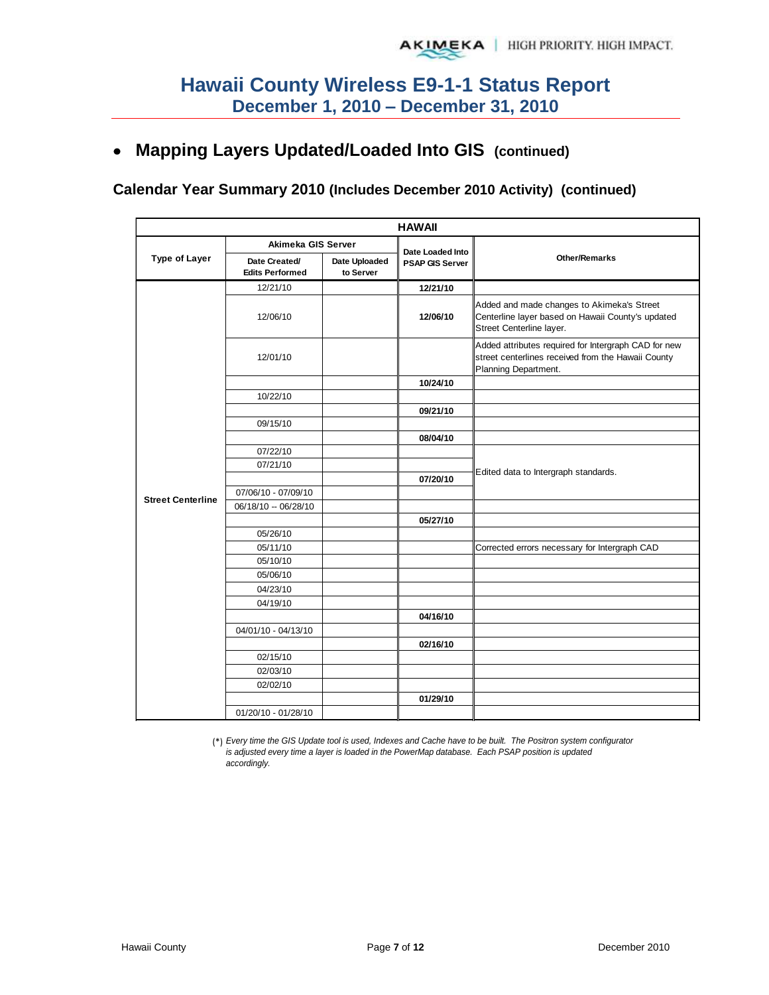## **Mapping Layers Updated/Loaded Into GIS (continued)**

#### **Calendar Year Summary 2010 (Includes December 2010 Activity) (continued)**

|                          | <b>HAWAII</b>                           |                            |                        |                                                                                                                                    |  |  |  |  |  |  |
|--------------------------|-----------------------------------------|----------------------------|------------------------|------------------------------------------------------------------------------------------------------------------------------------|--|--|--|--|--|--|
|                          | Akimeka GIS Server                      |                            | Date Loaded Into       |                                                                                                                                    |  |  |  |  |  |  |
| <b>Type of Layer</b>     | Date Created/<br><b>Edits Performed</b> | Date Uploaded<br>to Server | <b>PSAP GIS Server</b> | <b>Other/Remarks</b>                                                                                                               |  |  |  |  |  |  |
|                          | 12/21/10                                |                            | 12/21/10               |                                                                                                                                    |  |  |  |  |  |  |
|                          | 12/06/10                                |                            | 12/06/10               | Added and made changes to Akimeka's Street<br>Centerline layer based on Hawaii County's updated<br>Street Centerline layer.        |  |  |  |  |  |  |
|                          | 12/01/10                                |                            |                        | Added attributes required for Intergraph CAD for new<br>street centerlines received from the Hawaii County<br>Planning Department. |  |  |  |  |  |  |
|                          |                                         |                            | 10/24/10               |                                                                                                                                    |  |  |  |  |  |  |
|                          | 10/22/10                                |                            |                        |                                                                                                                                    |  |  |  |  |  |  |
|                          |                                         |                            | 09/21/10               |                                                                                                                                    |  |  |  |  |  |  |
|                          | 09/15/10                                |                            |                        |                                                                                                                                    |  |  |  |  |  |  |
|                          |                                         |                            | 08/04/10               |                                                                                                                                    |  |  |  |  |  |  |
|                          | 07/22/10                                |                            |                        |                                                                                                                                    |  |  |  |  |  |  |
|                          | 07/21/10                                |                            |                        | Edited data to Intergraph standards.                                                                                               |  |  |  |  |  |  |
|                          |                                         |                            | 07/20/10               |                                                                                                                                    |  |  |  |  |  |  |
| <b>Street Centerline</b> | 07/06/10 - 07/09/10                     |                            |                        |                                                                                                                                    |  |  |  |  |  |  |
|                          | 06/18/10 -- 06/28/10                    |                            |                        |                                                                                                                                    |  |  |  |  |  |  |
|                          | 05/26/10                                |                            | 05/27/10               |                                                                                                                                    |  |  |  |  |  |  |
|                          | 05/11/10                                |                            |                        | Corrected errors necessary for Intergraph CAD                                                                                      |  |  |  |  |  |  |
|                          | 05/10/10                                |                            |                        |                                                                                                                                    |  |  |  |  |  |  |
|                          | 05/06/10                                |                            |                        |                                                                                                                                    |  |  |  |  |  |  |
|                          | 04/23/10                                |                            |                        |                                                                                                                                    |  |  |  |  |  |  |
|                          | 04/19/10                                |                            |                        |                                                                                                                                    |  |  |  |  |  |  |
|                          |                                         |                            | 04/16/10               |                                                                                                                                    |  |  |  |  |  |  |
|                          | 04/01/10 - 04/13/10                     |                            |                        |                                                                                                                                    |  |  |  |  |  |  |
|                          |                                         |                            | 02/16/10               |                                                                                                                                    |  |  |  |  |  |  |
|                          | 02/15/10                                |                            |                        |                                                                                                                                    |  |  |  |  |  |  |
|                          | 02/03/10                                |                            |                        |                                                                                                                                    |  |  |  |  |  |  |
|                          | 02/02/10                                |                            |                        |                                                                                                                                    |  |  |  |  |  |  |
|                          |                                         |                            | 01/29/10               |                                                                                                                                    |  |  |  |  |  |  |
|                          | 01/20/10 - 01/28/10                     |                            |                        |                                                                                                                                    |  |  |  |  |  |  |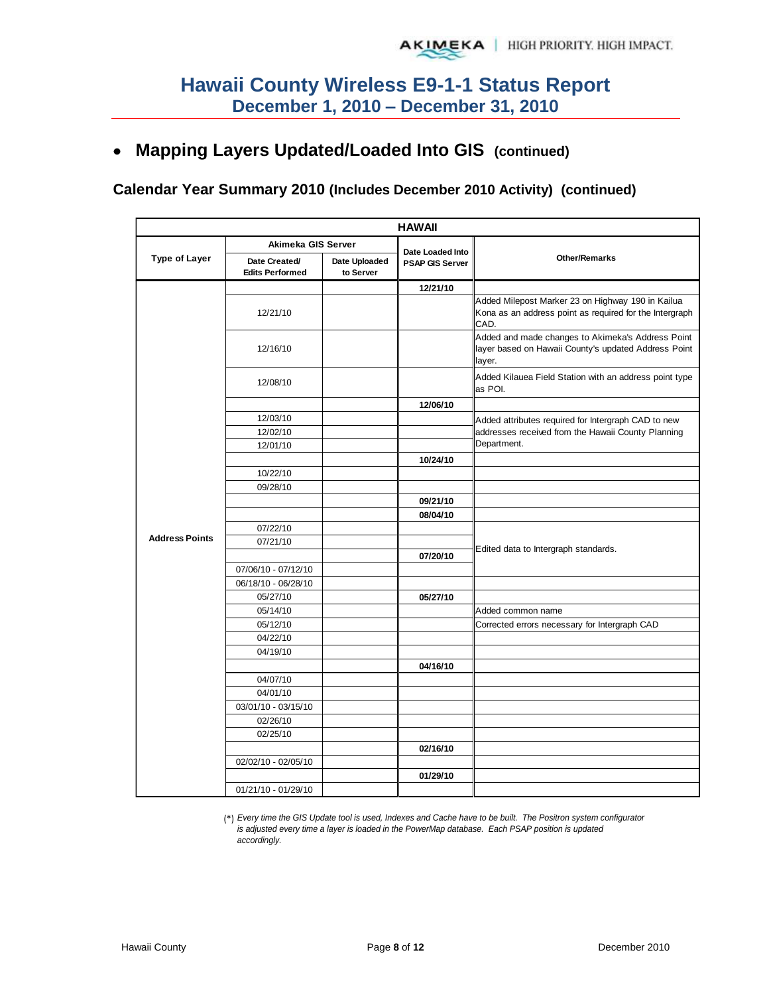## **Mapping Layers Updated/Loaded Into GIS (continued)**

## **Calendar Year Summary 2010 (Includes December 2010 Activity) (continued)**

|                       |                                            |                            | <b>HAWAII</b>                              |                                                                                                                      |
|-----------------------|--------------------------------------------|----------------------------|--------------------------------------------|----------------------------------------------------------------------------------------------------------------------|
|                       | Akimeka GIS Server                         |                            |                                            |                                                                                                                      |
| <b>Type of Layer</b>  | Date Created/<br><b>Edits Performed</b>    | Date Uploaded<br>to Server | Date Loaded Into<br><b>PSAP GIS Server</b> | <b>Other/Remarks</b>                                                                                                 |
|                       |                                            |                            | 12/21/10                                   |                                                                                                                      |
|                       | 12/21/10                                   |                            |                                            | Added Milepost Marker 23 on Highway 190 in Kailua<br>Kona as an address point as required for the Intergraph<br>CAD. |
|                       | 12/16/10                                   |                            |                                            | Added and made changes to Akimeka's Address Point<br>layer based on Hawaii County's updated Address Point<br>layer.  |
|                       | 12/08/10                                   |                            |                                            | Added Kilauea Field Station with an address point type<br>as POI.                                                    |
|                       |                                            |                            | 12/06/10                                   |                                                                                                                      |
|                       | 12/03/10                                   |                            |                                            | Added attributes required for Intergraph CAD to new                                                                  |
|                       | 12/02/10                                   |                            |                                            | addresses received from the Hawaii County Planning                                                                   |
|                       | 12/01/10                                   |                            |                                            | Department.                                                                                                          |
|                       |                                            |                            | 10/24/10                                   |                                                                                                                      |
|                       | 10/22/10                                   |                            |                                            |                                                                                                                      |
|                       | 09/28/10                                   |                            |                                            |                                                                                                                      |
|                       |                                            |                            | 09/21/10                                   |                                                                                                                      |
|                       |                                            |                            | 08/04/10                                   |                                                                                                                      |
| <b>Address Points</b> | 07/22/10<br>07/21/10                       |                            |                                            |                                                                                                                      |
|                       |                                            |                            |                                            | Edited data to Intergraph standards.                                                                                 |
|                       |                                            |                            | 07/20/10                                   |                                                                                                                      |
|                       | 07/06/10 - 07/12/10<br>06/18/10 - 06/28/10 |                            |                                            |                                                                                                                      |
|                       | 05/27/10                                   |                            | 05/27/10                                   |                                                                                                                      |
|                       | 05/14/10                                   |                            |                                            | Added common name                                                                                                    |
|                       | 05/12/10                                   |                            |                                            | Corrected errors necessary for Intergraph CAD                                                                        |
|                       | 04/22/10                                   |                            |                                            |                                                                                                                      |
|                       | 04/19/10                                   |                            |                                            |                                                                                                                      |
|                       |                                            |                            | 04/16/10                                   |                                                                                                                      |
|                       | 04/07/10                                   |                            |                                            |                                                                                                                      |
|                       | 04/01/10                                   |                            |                                            |                                                                                                                      |
|                       | 03/01/10 - 03/15/10                        |                            |                                            |                                                                                                                      |
|                       | 02/26/10                                   |                            |                                            |                                                                                                                      |
|                       | 02/25/10                                   |                            |                                            |                                                                                                                      |
|                       |                                            |                            | 02/16/10                                   |                                                                                                                      |
|                       | 02/02/10 - 02/05/10                        |                            |                                            |                                                                                                                      |
|                       |                                            |                            | 01/29/10                                   |                                                                                                                      |
|                       | 01/21/10 - 01/29/10                        |                            |                                            |                                                                                                                      |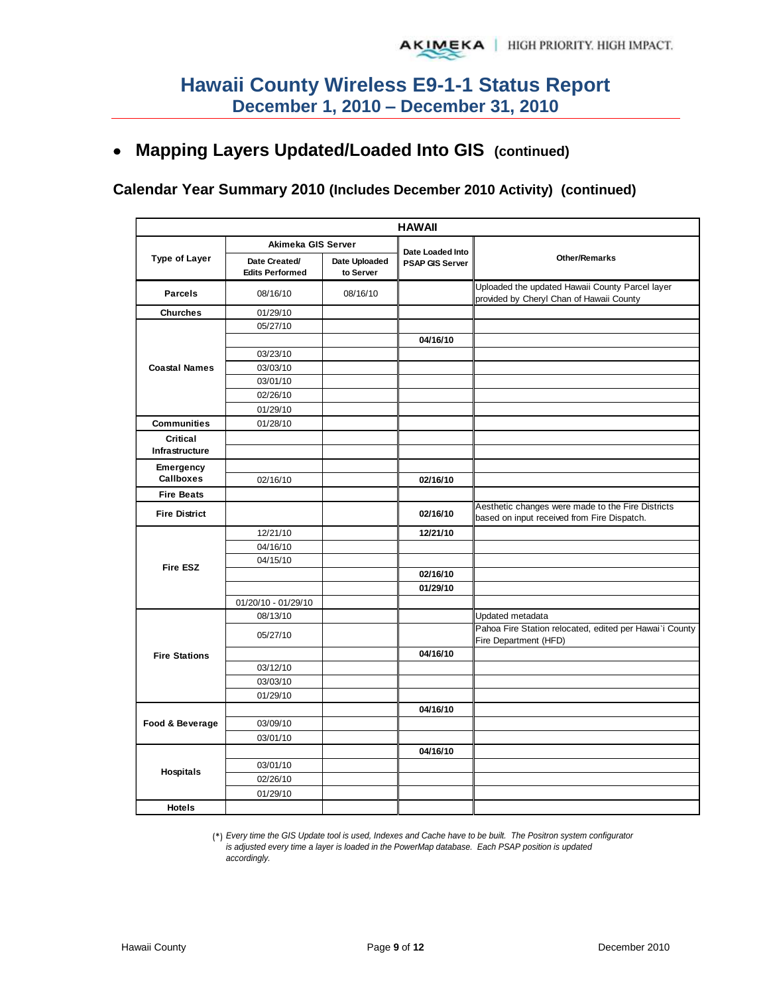## **Mapping Layers Updated/Loaded Into GIS (continued)**

#### **Calendar Year Summary 2010 (Includes December 2010 Activity) (continued)**

|                        | <b>HAWAII</b>                           |                            |                        |                                                                                             |  |  |  |  |
|------------------------|-----------------------------------------|----------------------------|------------------------|---------------------------------------------------------------------------------------------|--|--|--|--|
|                        | Akimeka GIS Server                      |                            | Date Loaded Into       |                                                                                             |  |  |  |  |
| <b>Type of Layer</b>   | Date Created/<br><b>Edits Performed</b> | Date Uploaded<br>to Server | <b>PSAP GIS Server</b> | <b>Other/Remarks</b>                                                                        |  |  |  |  |
| <b>Parcels</b>         | 08/16/10                                | 08/16/10                   |                        | Uploaded the updated Hawaii County Parcel layer<br>provided by Cheryl Chan of Hawaii County |  |  |  |  |
| <b>Churches</b>        | 01/29/10                                |                            |                        |                                                                                             |  |  |  |  |
|                        | 05/27/10                                |                            |                        |                                                                                             |  |  |  |  |
|                        |                                         |                            | 04/16/10               |                                                                                             |  |  |  |  |
|                        | 03/23/10                                |                            |                        |                                                                                             |  |  |  |  |
| <b>Coastal Names</b>   | 03/03/10                                |                            |                        |                                                                                             |  |  |  |  |
|                        | 03/01/10                                |                            |                        |                                                                                             |  |  |  |  |
|                        | 02/26/10                                |                            |                        |                                                                                             |  |  |  |  |
|                        | 01/29/10                                |                            |                        |                                                                                             |  |  |  |  |
| <b>Communities</b>     | 01/28/10                                |                            |                        |                                                                                             |  |  |  |  |
| Critical               |                                         |                            |                        |                                                                                             |  |  |  |  |
| Infrastructure         |                                         |                            |                        |                                                                                             |  |  |  |  |
| Emergency<br>Callboxes |                                         |                            |                        |                                                                                             |  |  |  |  |
|                        | 02/16/10                                |                            | 02/16/10               |                                                                                             |  |  |  |  |
| <b>Fire Beats</b>      |                                         |                            |                        | Aesthetic changes were made to the Fire Districts                                           |  |  |  |  |
| <b>Fire District</b>   |                                         |                            | 02/16/10               | based on input received from Fire Dispatch.                                                 |  |  |  |  |
|                        | 12/21/10                                |                            | 12/21/10               |                                                                                             |  |  |  |  |
|                        | 04/16/10                                |                            |                        |                                                                                             |  |  |  |  |
| <b>Fire ESZ</b>        | 04/15/10                                |                            |                        |                                                                                             |  |  |  |  |
|                        |                                         |                            | 02/16/10               |                                                                                             |  |  |  |  |
|                        |                                         |                            | 01/29/10               |                                                                                             |  |  |  |  |
|                        | 01/20/10 - 01/29/10                     |                            |                        |                                                                                             |  |  |  |  |
|                        | 08/13/10                                |                            |                        | Updated metadata                                                                            |  |  |  |  |
|                        | 05/27/10                                |                            |                        | Pahoa Fire Station relocated, edited per Hawai'i County<br>Fire Department (HFD)            |  |  |  |  |
| <b>Fire Stations</b>   |                                         |                            | 04/16/10               |                                                                                             |  |  |  |  |
|                        | 03/12/10                                |                            |                        |                                                                                             |  |  |  |  |
|                        | 03/03/10                                |                            |                        |                                                                                             |  |  |  |  |
|                        | 01/29/10                                |                            |                        |                                                                                             |  |  |  |  |
|                        |                                         |                            | 04/16/10               |                                                                                             |  |  |  |  |
| Food & Beverage        | 03/09/10                                |                            |                        |                                                                                             |  |  |  |  |
|                        | 03/01/10                                |                            |                        |                                                                                             |  |  |  |  |
|                        |                                         |                            | 04/16/10               |                                                                                             |  |  |  |  |
| Hospitals              | 03/01/10                                |                            |                        |                                                                                             |  |  |  |  |
|                        | 02/26/10                                |                            |                        |                                                                                             |  |  |  |  |
|                        | 01/29/10                                |                            |                        |                                                                                             |  |  |  |  |
| <b>Hotels</b>          |                                         |                            |                        |                                                                                             |  |  |  |  |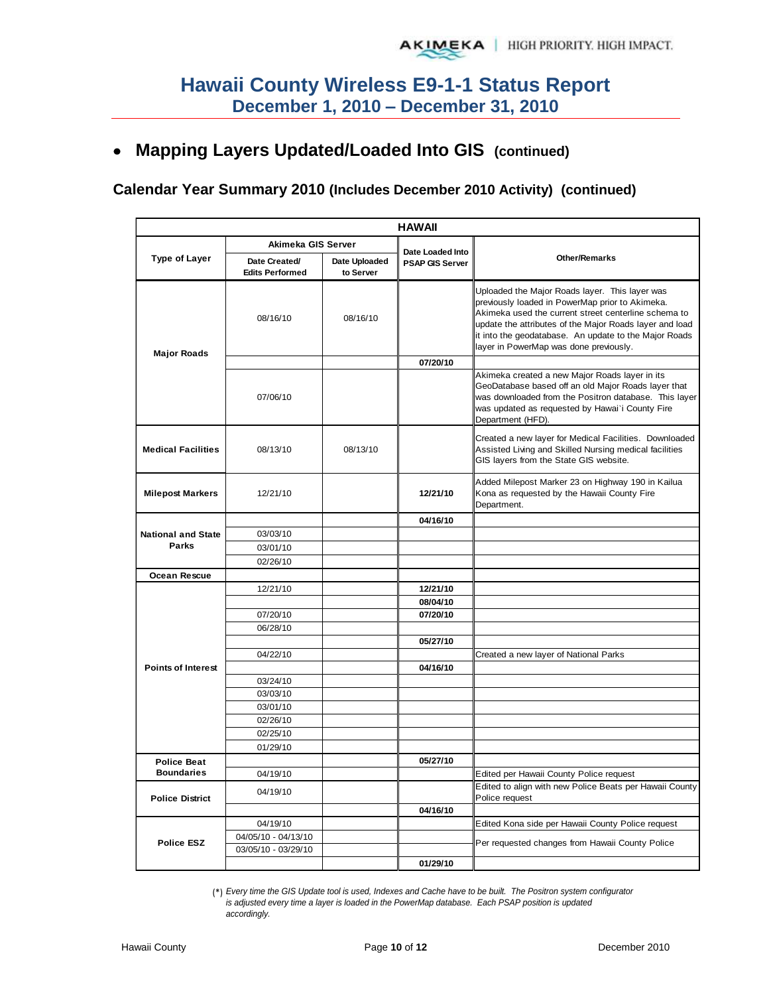## **Mapping Layers Updated/Loaded Into GIS (continued)**

## **Calendar Year Summary 2010 (Includes December 2010 Activity) (continued)**

|                           |                                         |                            | <b>HAWAII</b>                              |                                                                                                                                                                                                                                                                                                                         |
|---------------------------|-----------------------------------------|----------------------------|--------------------------------------------|-------------------------------------------------------------------------------------------------------------------------------------------------------------------------------------------------------------------------------------------------------------------------------------------------------------------------|
|                           | Akimeka GIS Server                      |                            |                                            |                                                                                                                                                                                                                                                                                                                         |
| Type of Layer             | Date Created/<br><b>Edits Performed</b> | Date Uploaded<br>to Server | Date Loaded Into<br><b>PSAP GIS Server</b> | <b>Other/Remarks</b>                                                                                                                                                                                                                                                                                                    |
| <b>Major Roads</b>        | 08/16/10                                | 08/16/10                   |                                            | Uploaded the Major Roads layer. This layer was<br>previously loaded in PowerMap prior to Akimeka.<br>Akimeka used the current street centerline schema to<br>update the attributes of the Major Roads layer and load<br>it into the geodatabase. An update to the Major Roads<br>layer in PowerMap was done previously. |
|                           |                                         |                            | 07/20/10                                   |                                                                                                                                                                                                                                                                                                                         |
|                           | 07/06/10                                |                            |                                            | Akimeka created a new Major Roads layer in its<br>GeoDatabase based off an old Major Roads layer that<br>was downloaded from the Positron database. This layer<br>was updated as requested by Hawai'i County Fire<br>Department (HFD).                                                                                  |
| <b>Medical Facilities</b> | 08/13/10                                | 08/13/10                   |                                            | Created a new layer for Medical Facilities. Downloaded<br>Assisted Living and Skilled Nursing medical facilities<br>GIS layers from the State GIS website.                                                                                                                                                              |
| <b>Milepost Markers</b>   | 12/21/10                                |                            | 12/21/10                                   | Added Milepost Marker 23 on Highway 190 in Kailua<br>Kona as requested by the Hawaii County Fire<br>Department.                                                                                                                                                                                                         |
|                           |                                         |                            | 04/16/10                                   |                                                                                                                                                                                                                                                                                                                         |
| <b>National and State</b> | 03/03/10                                |                            |                                            |                                                                                                                                                                                                                                                                                                                         |
| Parks                     | 03/01/10                                |                            |                                            |                                                                                                                                                                                                                                                                                                                         |
|                           | 02/26/10                                |                            |                                            |                                                                                                                                                                                                                                                                                                                         |
| Ocean Rescue              |                                         |                            |                                            |                                                                                                                                                                                                                                                                                                                         |
|                           | 12/21/10                                |                            | 12/21/10<br>08/04/10                       |                                                                                                                                                                                                                                                                                                                         |
|                           | 07/20/10                                |                            | 07/20/10                                   |                                                                                                                                                                                                                                                                                                                         |
|                           | 06/28/10                                |                            |                                            |                                                                                                                                                                                                                                                                                                                         |
|                           |                                         |                            | 05/27/10                                   |                                                                                                                                                                                                                                                                                                                         |
|                           | 04/22/10                                |                            |                                            | Created a new layer of National Parks                                                                                                                                                                                                                                                                                   |
| <b>Points of Interest</b> |                                         |                            | 04/16/10                                   |                                                                                                                                                                                                                                                                                                                         |
|                           | 03/24/10                                |                            |                                            |                                                                                                                                                                                                                                                                                                                         |
|                           | 03/03/10                                |                            |                                            |                                                                                                                                                                                                                                                                                                                         |
|                           | 03/01/10                                |                            |                                            |                                                                                                                                                                                                                                                                                                                         |
|                           | 02/26/10                                |                            |                                            |                                                                                                                                                                                                                                                                                                                         |
|                           | 02/25/10                                |                            |                                            |                                                                                                                                                                                                                                                                                                                         |
|                           | 01/29/10                                |                            |                                            |                                                                                                                                                                                                                                                                                                                         |
| <b>Police Beat</b>        |                                         |                            | 05/27/10                                   |                                                                                                                                                                                                                                                                                                                         |
| <b>Boundaries</b>         | 04/19/10                                |                            |                                            | Edited per Hawaii County Police request                                                                                                                                                                                                                                                                                 |
| <b>Police District</b>    | 04/19/10                                |                            |                                            | Edited to align with new Police Beats per Hawaii County<br>Police request                                                                                                                                                                                                                                               |
|                           |                                         |                            | 04/16/10                                   |                                                                                                                                                                                                                                                                                                                         |
|                           | 04/19/10                                |                            |                                            | Edited Kona side per Hawaii County Police request                                                                                                                                                                                                                                                                       |
|                           | 04/05/10 - 04/13/10                     |                            |                                            |                                                                                                                                                                                                                                                                                                                         |
| <b>Police ESZ</b>         | 03/05/10 - 03/29/10                     |                            |                                            | Per requested changes from Hawaii County Police                                                                                                                                                                                                                                                                         |
|                           |                                         |                            | 01/29/10                                   |                                                                                                                                                                                                                                                                                                                         |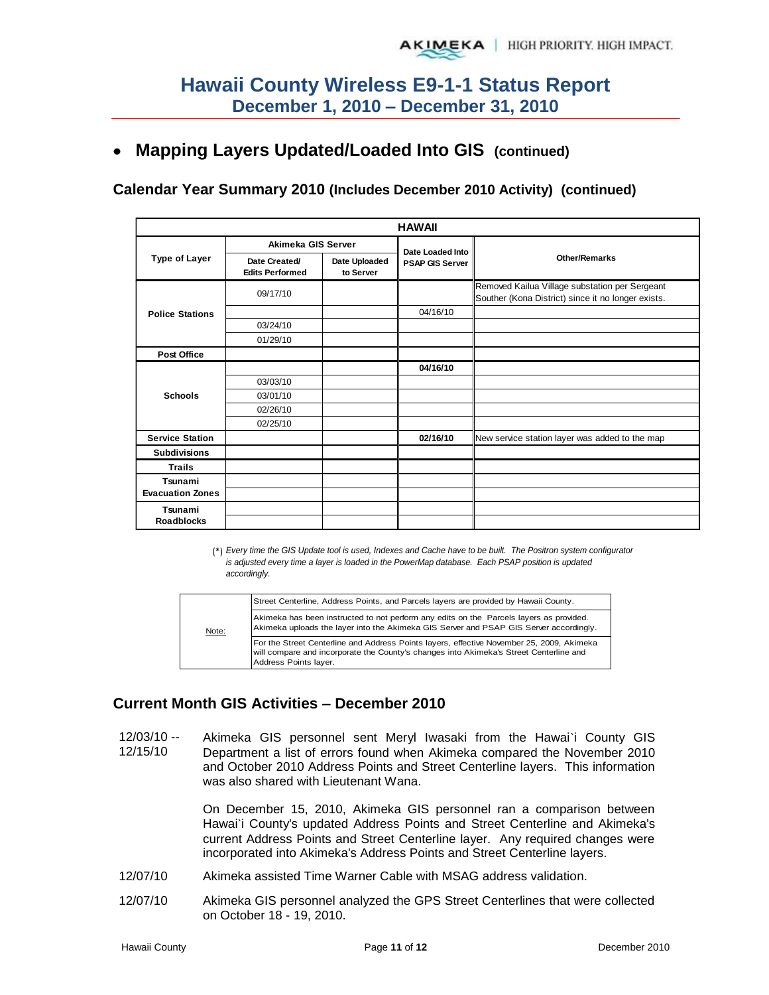## **Mapping Layers Updated/Loaded Into GIS (continued)**

#### **Calendar Year Summary 2010 (Includes December 2010 Activity) (continued)**

| <b>HAWAII</b>           |                                         |                            |                        |                                                                                                      |  |  |  |  |
|-------------------------|-----------------------------------------|----------------------------|------------------------|------------------------------------------------------------------------------------------------------|--|--|--|--|
|                         | Akimeka GIS Server                      |                            | Date Loaded Into       |                                                                                                      |  |  |  |  |
| <b>Type of Layer</b>    | Date Created/<br><b>Edits Performed</b> | Date Uploaded<br>to Server | <b>PSAP GIS Server</b> | <b>Other/Remarks</b>                                                                                 |  |  |  |  |
|                         | 09/17/10                                |                            |                        | Removed Kailua Village substation per Sergeant<br>Souther (Kona District) since it no longer exists. |  |  |  |  |
| <b>Police Stations</b>  |                                         |                            | 04/16/10               |                                                                                                      |  |  |  |  |
|                         | 03/24/10                                |                            |                        |                                                                                                      |  |  |  |  |
|                         | 01/29/10                                |                            |                        |                                                                                                      |  |  |  |  |
| Post Office             |                                         |                            |                        |                                                                                                      |  |  |  |  |
|                         |                                         |                            | 04/16/10               |                                                                                                      |  |  |  |  |
|                         | 03/03/10                                |                            |                        |                                                                                                      |  |  |  |  |
| <b>Schools</b>          | 03/01/10                                |                            |                        |                                                                                                      |  |  |  |  |
|                         | 02/26/10                                |                            |                        |                                                                                                      |  |  |  |  |
|                         | 02/25/10                                |                            |                        |                                                                                                      |  |  |  |  |
| <b>Service Station</b>  |                                         |                            | 02/16/10               | New service station layer was added to the map                                                       |  |  |  |  |
| <b>Subdivisions</b>     |                                         |                            |                        |                                                                                                      |  |  |  |  |
| <b>Trails</b>           |                                         |                            |                        |                                                                                                      |  |  |  |  |
| Tsunami                 |                                         |                            |                        |                                                                                                      |  |  |  |  |
| <b>Evacuation Zones</b> |                                         |                            |                        |                                                                                                      |  |  |  |  |
| Tsunami                 |                                         |                            |                        |                                                                                                      |  |  |  |  |
| <b>Roadblocks</b>       |                                         |                            |                        |                                                                                                      |  |  |  |  |

(\*) *Every time the GIS Update tool is used, Indexes and Cache have to be built. The Positron system configurator is adjusted every time a layer is loaded in the PowerMap database. Each PSAP position is updated accordingly.*

|       | Street Centerline, Address Points, and Parcels layers are provided by Hawaii County.                                                                                                                         |
|-------|--------------------------------------------------------------------------------------------------------------------------------------------------------------------------------------------------------------|
| Note: | Akimeka has been instructed to not perform any edits on the Parcels layers as provided.<br>Akimeka uploads the layer into the Akimeka GIS Server and PSAP GIS Server accordingly.                            |
|       | For the Street Centerline and Address Points layers, effective November 25, 2009, Akimeka<br>will compare and incorporate the County's changes into Akimeka's Street Centerline and<br>Address Points layer. |

### **Current Month GIS Activities – December 2010**

12/03/10 -- 12/15/10 Akimeka GIS personnel sent Meryl Iwasaki from the Hawai`i County GIS Department a list of errors found when Akimeka compared the November 2010 and October 2010 Address Points and Street Centerline layers. This information was also shared with Lieutenant Wana.

> On December 15, 2010, Akimeka GIS personnel ran a comparison between Hawai'i County's updated Address Points and Street Centerline and Akimeka's current Address Points and Street Centerline layer. Any required changes were incorporated into Akimeka's Address Points and Street Centerline layers.

- 12/07/10 Akimeka assisted Time Warner Cable with MSAG address validation.
- 12/07/10 Akimeka GIS personnel analyzed the GPS Street Centerlines that were collected on October 18 - 19, 2010.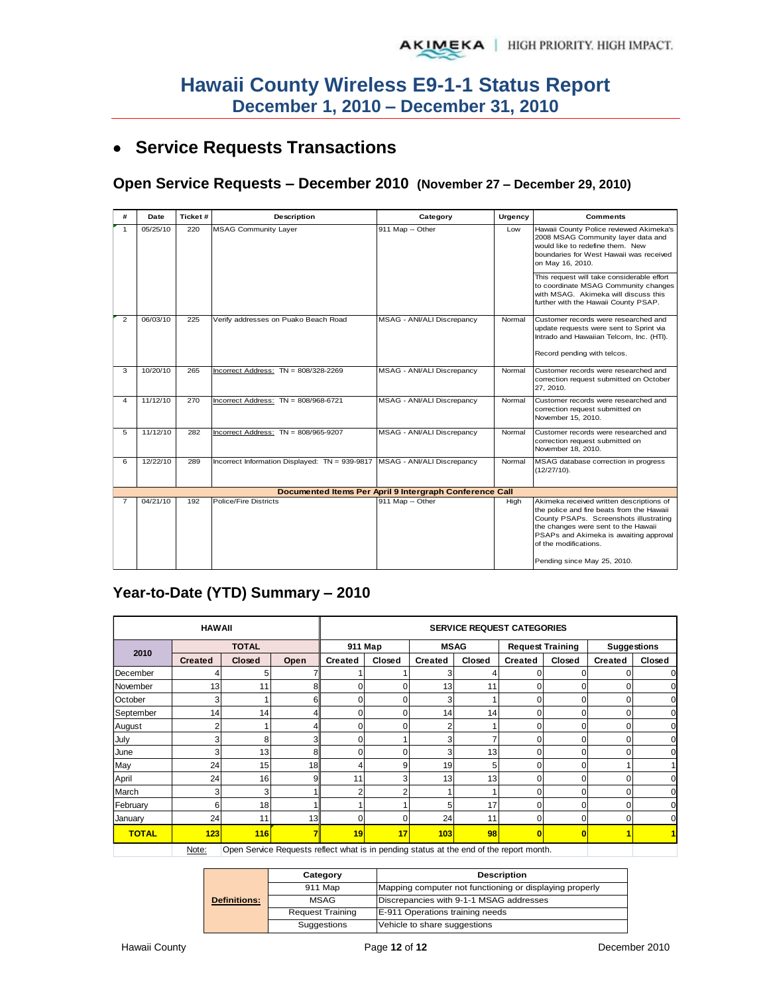## **Service Requests Transactions**

#### **Open Service Requests – December 2010 (November 27 – December 29, 2010)**

| #              | Date                                                    | Ticket# | Description                                                               | Category                   | Urgency | <b>Comments</b>                                                                                                                                                                                                                                                          |  |  |  |  |  |
|----------------|---------------------------------------------------------|---------|---------------------------------------------------------------------------|----------------------------|---------|--------------------------------------------------------------------------------------------------------------------------------------------------------------------------------------------------------------------------------------------------------------------------|--|--|--|--|--|
| $\mathbf{1}$   | 05/25/10                                                | 220     | <b>MSAG Community Layer</b>                                               | 911 Map -- Other           | Low     | Hawaii County Police reviewed Akimeka's<br>2008 MSAG Community layer data and<br>would like to redefine them. New<br>boundaries for West Hawaii was received<br>on May 16, 2010.                                                                                         |  |  |  |  |  |
|                |                                                         |         |                                                                           |                            |         | This request will take considerable effort<br>to coordinate MSAG Community changes<br>with MSAG. Akimeka will discuss this<br>further with the Hawaii County PSAP.                                                                                                       |  |  |  |  |  |
| $\overline{2}$ | 06/03/10                                                | 225     | Verify addresses on Puako Beach Road                                      | MSAG - ANI/ALI Discrepancy | Normal  | Customer records were researched and<br>update requests were sent to Sprint via<br>Intrado and Hawaiian Telcom, Inc. (HTI).<br>Record pending with telcos.                                                                                                               |  |  |  |  |  |
| 3              | 10/20/10                                                | 265     | Incorrect Address: $TN = 808/328-2269$                                    | MSAG - ANI/ALI Discrepancy | Normal  | Customer records were researched and<br>correction request submitted on October<br>27.2010.                                                                                                                                                                              |  |  |  |  |  |
| 4              | 11/12/10                                                | 270     | Incorrect Address: $TN = 808/968-6721$                                    | MSAG - ANI/ALI Discrepancy | Normal  | Customer records were researched and<br>correction request submitted on<br>November 15, 2010.                                                                                                                                                                            |  |  |  |  |  |
| 5              | 11/12/10                                                | 282     | Incorrect Address: TN = 808/965-9207                                      | MSAG - ANI/ALI Discrepancy | Normal  | Customer records were researched and<br>correction request submitted on<br>November 18, 2010.                                                                                                                                                                            |  |  |  |  |  |
| 6              | 12/22/10                                                | 289     | Incorrect Information Displayed: TN = 939-9817 MSAG - ANI/ALI Discrepancy |                            | Normal  | MSAG database correction in progress<br>(12/27/10).                                                                                                                                                                                                                      |  |  |  |  |  |
|                | Documented Items Per April 9 Intergraph Conference Call |         |                                                                           |                            |         |                                                                                                                                                                                                                                                                          |  |  |  |  |  |
| $\overline{7}$ | 04/21/10                                                | 192     | Police/Fire Districts                                                     | 911 Map -- Other           | High    | Akimeka received written descriptions of<br>the police and fire beats from the Hawaii<br>County PSAPs. Screenshots illustrating<br>the changes were sent to the Hawaii<br>PSAPs and Akimeka is awaiting approval<br>of the modifications.<br>Pending since May 25, 2010. |  |  |  |  |  |

## **Year-to-Date (YTD) Summary – 2010**

|              | <b>HAWAII</b>  |               |                                                                                         |                |         |                | <b>SERVICE REQUEST CATEGORIES</b> |                |                         |                |                    |  |
|--------------|----------------|---------------|-----------------------------------------------------------------------------------------|----------------|---------|----------------|-----------------------------------|----------------|-------------------------|----------------|--------------------|--|
| 2010         |                | <b>TOTAL</b>  |                                                                                         |                | 911 Map |                | <b>MSAG</b>                       |                | <b>Request Training</b> |                | <b>Suggestions</b> |  |
|              | <b>Created</b> | <b>Closed</b> | Open                                                                                    | <b>Created</b> | Closed  | <b>Created</b> | Closed                            | <b>Created</b> | Closed                  | <b>Created</b> | Closed             |  |
| December     |                |               |                                                                                         |                |         |                |                                   |                |                         |                |                    |  |
| November     | 13             | 11            | 8                                                                                       | 0              | ŋ       | 13             | 11                                | $\Omega$       | 0                       | $\Omega$       |                    |  |
| October      |                |               | 6                                                                                       | o              | U       | 3              |                                   | O              | 0                       | O              |                    |  |
| September    | 14             | 14            |                                                                                         |                | ŋ       | 14             | 14                                | 0              | 0                       | $\Omega$       |                    |  |
| August       |                |               |                                                                                         |                |         | 2              |                                   | 0              | 0                       | $\Omega$       |                    |  |
| July         |                | 8             |                                                                                         |                |         | 3              | 7                                 | 0              | 0                       | 0              |                    |  |
| June         |                | 13            | 8                                                                                       |                | O       | 3              | 13                                | 0              | 0                       |                |                    |  |
| May          | 24             | 15            | 18                                                                                      |                | 9       | 19             | 5                                 | 0              | 0                       |                |                    |  |
| April        | 24             | 16            |                                                                                         | 11             | 3       | 13             | 13                                | 0              | 0                       |                |                    |  |
| March        |                | 3             |                                                                                         |                |         |                |                                   | 0              | 0                       |                |                    |  |
| February     | 6              | 18            |                                                                                         |                |         | 5              | 17                                | $\Omega$       | $\Omega$                | ∩              |                    |  |
| January      | 24             | 11            | 13                                                                                      |                |         | 24             | 11                                | O              | O                       |                |                    |  |
| <b>TOTAL</b> | 123            | <b>116</b>    |                                                                                         | 19             | 17      | 103            | 98                                | n              | $\Omega$                |                |                    |  |
|              | Note:          |               | Open Service Requests reflect what is in pending status at the end of the report month. |                |         |                |                                   |                |                         |                |                    |  |

Note: Open Service Requests reflect what is in pending status at the end of the report month.

|                     | Category                | <b>Description</b>                                      |  |  |  |  |  |
|---------------------|-------------------------|---------------------------------------------------------|--|--|--|--|--|
|                     | 911 Map                 | Mapping computer not functioning or displaying properly |  |  |  |  |  |
| <b>Definitions:</b> | <b>MSAG</b>             | Discrepancies with 9-1-1 MSAG addresses                 |  |  |  |  |  |
|                     | <b>Request Training</b> | E-911 Operations training needs                         |  |  |  |  |  |
|                     | Suggestions             | Vehicle to share suggestions                            |  |  |  |  |  |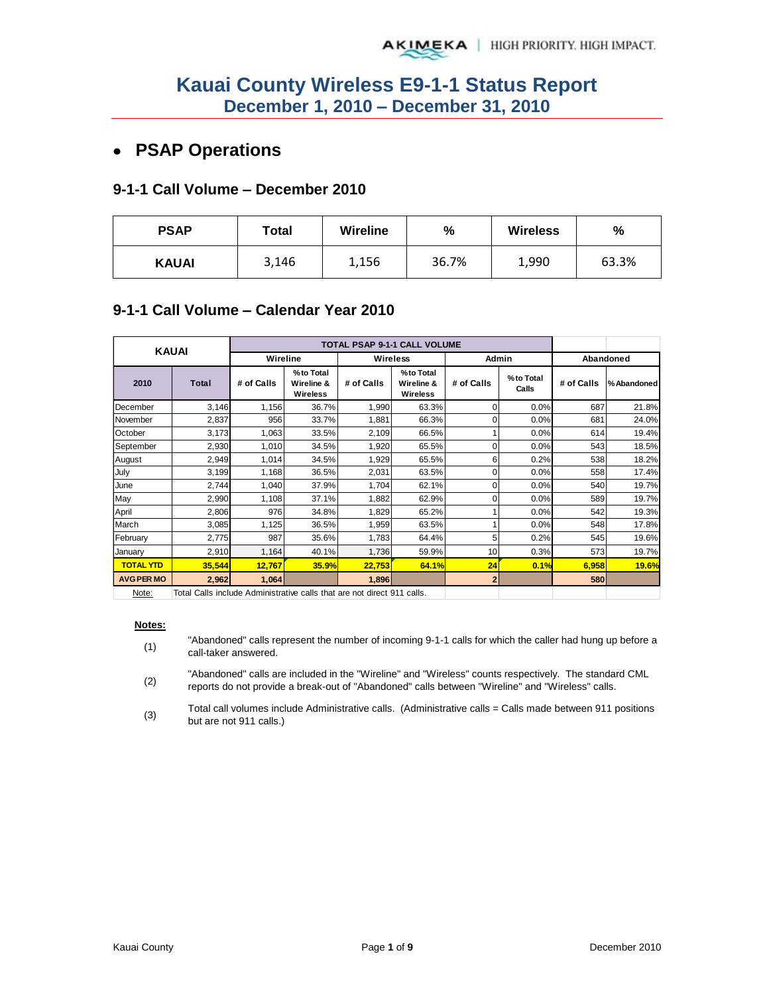## **PSAP Operations**

#### **9-1-1 Call Volume – December 2010**

| <b>PSAP</b>  | Wireline<br>Total |       | $\frac{9}{6}$ | <b>Wireless</b> | %     |
|--------------|-------------------|-------|---------------|-----------------|-------|
| <b>KAUAI</b> | 3,146             | 1,156 | 36.7%         | 1,990           | 63.3% |

#### **9-1-1 Call Volume – Calendar Year 2010**

| <b>KAUAI</b>      |                                                                        |            |                                            |            | TOTAL PSAP 9-1-1 CALL VOLUME        |            |                    |            |             |
|-------------------|------------------------------------------------------------------------|------------|--------------------------------------------|------------|-------------------------------------|------------|--------------------|------------|-------------|
|                   |                                                                        | Wireline   |                                            |            | <b>Wireless</b>                     |            | <b>Admin</b>       |            | Abandoned   |
| 2010              | <b>Total</b>                                                           | # of Calls | %to Total<br>Wireline &<br><b>Wireless</b> | # of Calls | %to Total<br>Wireline &<br>Wireless | # of Calls | %to Total<br>Calls | # of Calls | % Abandoned |
| December          | 3,146                                                                  | 1,156      | 36.7%                                      | 1,990      | 63.3%                               | 0          | 0.0%               | 687        | 21.8%       |
| November          | 2,837                                                                  | 956        | 33.7%                                      | 1,881      | 66.3%                               |            | 0.0%               | 681        | 24.0%       |
| October           | 3,173                                                                  | 1,063      | 33.5%                                      | 2,109      | 66.5%                               |            | 0.0%               | 614        | 19.4%       |
| September         | 2,930                                                                  | 1,010      | 34.5%                                      | 1,920      | 65.5%                               |            | 0.0%               | 543        | 18.5%       |
| August            | 2,949                                                                  | 1,014      | 34.5%                                      | 1,929      | 65.5%                               | 6          | 0.2%               | 538        | 18.2%       |
| July              | 3,199                                                                  | 1,168      | 36.5%                                      | 2,031      | 63.5%                               |            | 0.0%               | 558        | 17.4%       |
| June              | 2,744                                                                  | 1,040      | 37.9%                                      | 1,704      | 62.1%                               | 0          | 0.0%               | 540        | 19.7%       |
| May               | 2,990                                                                  | 1,108      | 37.1%                                      | 1,882      | 62.9%                               |            | 0.0%               | 589        | 19.7%       |
| April             | 2,806                                                                  | 976        | 34.8%                                      | 1,829      | 65.2%                               |            | 0.0%               | 542        | 19.3%       |
| March             | 3,085                                                                  | 1,125      | 36.5%                                      | 1,959      | 63.5%                               |            | 0.0%               | 548        | 17.8%       |
| February          | 2,775                                                                  | 987        | 35.6%                                      | 1.783      | 64.4%                               | 5          | 0.2%               | 545        | 19.6%       |
| January           | 2,910                                                                  | 1,164      | 40.1%                                      | 1,736      | 59.9%                               | 10         | 0.3%               | 573        | 19.7%       |
| <b>TOTAL YTD</b>  | 35,544                                                                 | 12,767     | 35.9%                                      | 22,753     | 64.1%                               | 24         | 0.1%               | 6,958      | 19.6%       |
| <b>AVG PER MO</b> | 2,962                                                                  | 1,064      |                                            | 1,896      |                                     |            |                    | 580        |             |
| Note:             | Total Calls include Administrative calls that are not direct 911 calls |            |                                            |            |                                     |            |                    |            |             |

Note: Total Calls include Administrative calls that are not direct 911 calls.

#### **Notes:**

- (1) "Abandoned" calls represent the number of incoming 9-1-1 calls for which the caller had hung up before a call-taker answered.
- (2) "Abandoned" calls are included in the "Wireline" and "Wireless" counts respectively. The standard CML reports do not provide a break-out of "Abandoned" calls between "Wireline" and "Wireless" calls.
- (3) Total call volumes include Administrative calls. (Administrative calls = Calls made between 911 positions but are not 911 calls.)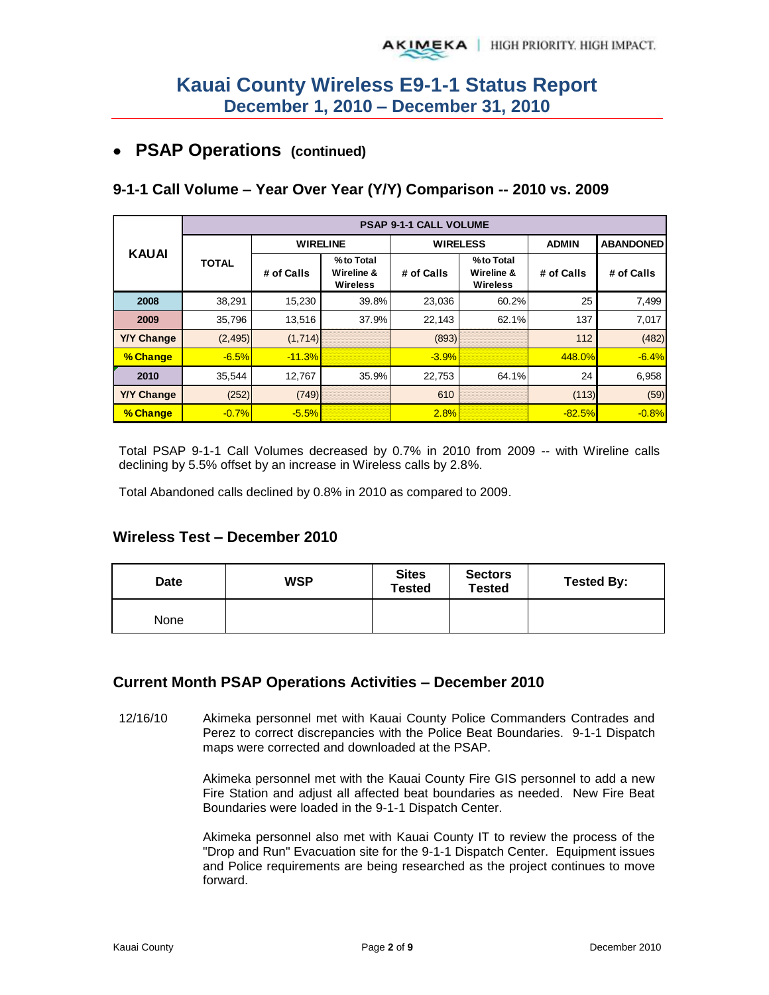## **PSAP Operations (continued)**

#### **9-1-1 Call Volume – Year Over Year (Y/Y) Comparison -- 2010 vs. 2009**

|                   |              | <b>PSAP 9-1-1 CALL VOLUME</b> |                                            |                 |                                            |              |                  |  |  |  |  |  |  |
|-------------------|--------------|-------------------------------|--------------------------------------------|-----------------|--------------------------------------------|--------------|------------------|--|--|--|--|--|--|
| <b>KAUAI</b>      |              | <b>WIRELINE</b>               |                                            | <b>WIRELESS</b> |                                            | <b>ADMIN</b> | <b>ABANDONED</b> |  |  |  |  |  |  |
|                   | <b>TOTAL</b> | # of Calls                    | %to Total<br>Wireline &<br><b>Wireless</b> | # of Calls      | %to Total<br>Wireline &<br><b>Wireless</b> | # of Calls   | # of Calls       |  |  |  |  |  |  |
| 2008              | 38,291       | 15,230                        | 39.8%                                      | 23,036          | 60.2%                                      | 25           | 7,499            |  |  |  |  |  |  |
| 2009              | 35.796       | 13.516                        | 37.9%                                      | 22.143          | 62.1%                                      | 137          | 7,017            |  |  |  |  |  |  |
| <b>Y/Y Change</b> | (2, 495)     | (1,714)                       |                                            | (893)           |                                            | 112          | (482)            |  |  |  |  |  |  |
| % Change          | $-6.5%$      | $-11.3%$                      |                                            | $-3.9%$         |                                            | 448.0%       | $-6.4%$          |  |  |  |  |  |  |
| 2010              | 35,544       | 12,767                        | 35.9%                                      | 22,753          | 64.1%                                      | 24           | 6,958            |  |  |  |  |  |  |
| <b>Y/Y Change</b> | (252)        | (749)                         |                                            | 610             |                                            | (113)        | (59)             |  |  |  |  |  |  |
| % Change          | $-0.7%$      | $-5.5%$                       |                                            | 2.8%            |                                            | $-82.5%$     | $-0.8%$          |  |  |  |  |  |  |

Total PSAP 9-1-1 Call Volumes decreased by 0.7% in 2010 from 2009 -- with Wireline calls declining by 5.5% offset by an increase in Wireless calls by 2.8%.

Total Abandoned calls declined by 0.8% in 2010 as compared to 2009.

#### **Wireless Test – December 2010**

| <b>Date</b> | <b>WSP</b> | <b>Sites</b><br>Tested | <b>Sectors</b><br><b>Tested</b> | <b>Tested By:</b> |
|-------------|------------|------------------------|---------------------------------|-------------------|
| None        |            |                        |                                 |                   |

#### **Current Month PSAP Operations Activities – December 2010**

12/16/10 Akimeka personnel met with Kauai County Police Commanders Contrades and Perez to correct discrepancies with the Police Beat Boundaries. 9-1-1 Dispatch maps were corrected and downloaded at the PSAP.

> Akimeka personnel met with the Kauai County Fire GIS personnel to add a new Fire Station and adjust all affected beat boundaries as needed. New Fire Beat Boundaries were loaded in the 9-1-1 Dispatch Center.

> Akimeka personnel also met with Kauai County IT to review the process of the "Drop and Run" Evacuation site for the 9-1-1 Dispatch Center. Equipment issues and Police requirements are being researched as the project continues to move forward.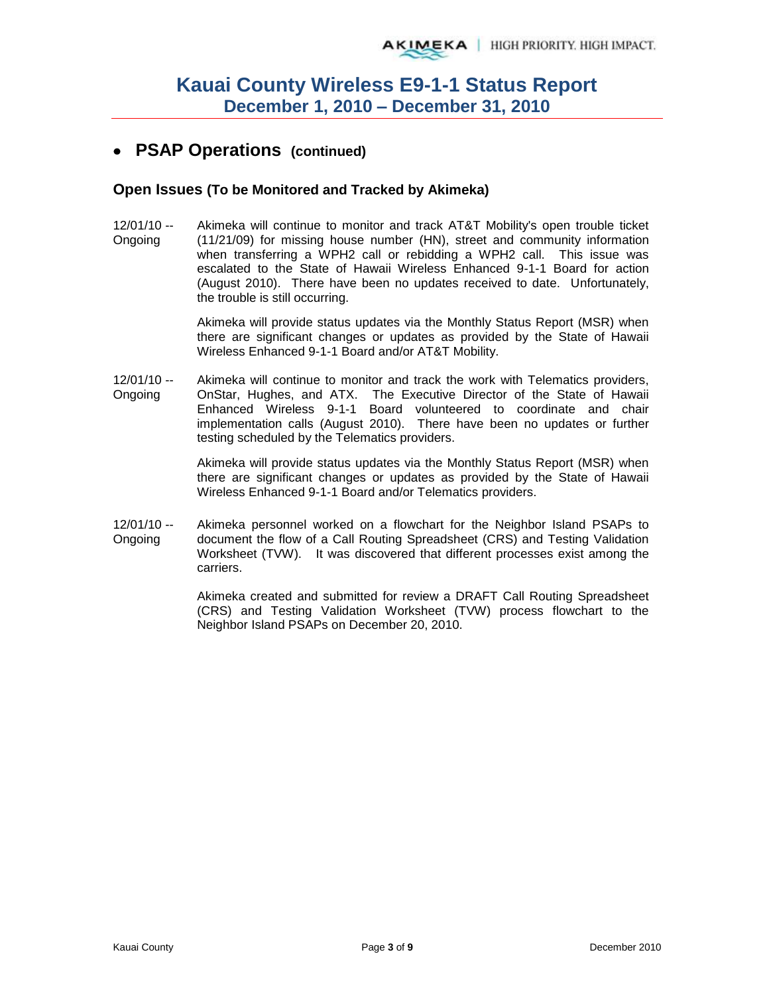## **PSAP Operations (continued)**

#### **Open Issues (To be Monitored and Tracked by Akimeka)**

12/01/10 -- Ongoing Akimeka will continue to monitor and track AT&T Mobility's open trouble ticket (11/21/09) for missing house number (HN), street and community information when transferring a WPH2 call or rebidding a WPH2 call. This issue was escalated to the State of Hawaii Wireless Enhanced 9-1-1 Board for action (August 2010). There have been no updates received to date. Unfortunately, the trouble is still occurring.

> Akimeka will provide status updates via the Monthly Status Report (MSR) when there are significant changes or updates as provided by the State of Hawaii Wireless Enhanced 9-1-1 Board and/or AT&T Mobility.

12/01/10 -- Ongoing Akimeka will continue to monitor and track the work with Telematics providers, OnStar, Hughes, and ATX. The Executive Director of the State of Hawaii Enhanced Wireless 9-1-1 Board volunteered to coordinate and chair implementation calls (August 2010). There have been no updates or further testing scheduled by the Telematics providers.

> Akimeka will provide status updates via the Monthly Status Report (MSR) when there are significant changes or updates as provided by the State of Hawaii Wireless Enhanced 9-1-1 Board and/or Telematics providers.

12/01/10 -- Ongoing Akimeka personnel worked on a flowchart for the Neighbor Island PSAPs to document the flow of a Call Routing Spreadsheet (CRS) and Testing Validation Worksheet (TVW). It was discovered that different processes exist among the carriers.

> Akimeka created and submitted for review a DRAFT Call Routing Spreadsheet (CRS) and Testing Validation Worksheet (TVW) process flowchart to the Neighbor Island PSAPs on December 20, 2010.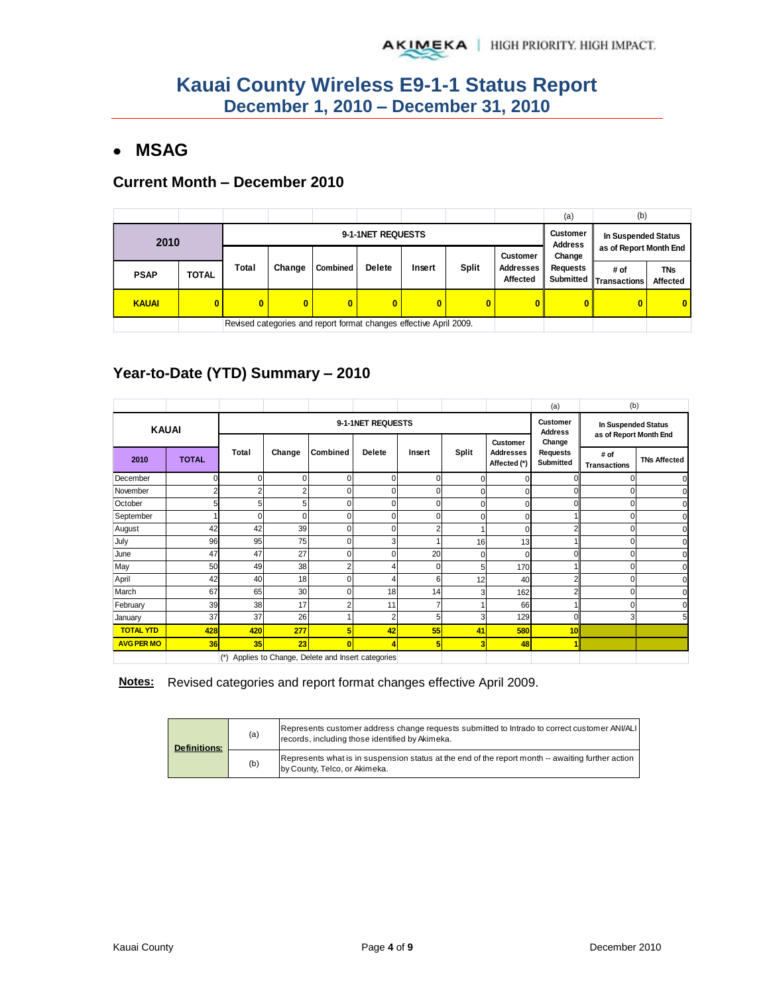## **MSAG**

#### **Current Month – December 2010**

|              |              |                   |                                                                    |                 |                |              |       |                                     | (a                                  | (b)                                           |                               |
|--------------|--------------|-------------------|--------------------------------------------------------------------|-----------------|----------------|--------------|-------|-------------------------------------|-------------------------------------|-----------------------------------------------|-------------------------------|
| 2010         |              | 9-1-1NET REQUESTS |                                                                    |                 |                |              |       |                                     |                                     | In Suspended Status<br>as of Report Month End |                               |
|              |              |                   |                                                                    |                 |                |              |       | <b>Customer</b>                     | <b>Address</b><br>Change            |                                               |                               |
| <b>PSAP</b>  | <b>TOTAL</b> | Total             | Change                                                             | <b>Combined</b> | <b>Delete</b>  | Insert       | Split | <b>Addresses</b><br><b>Affected</b> | <b>Requests</b><br><b>Submitted</b> | # of<br><b>Transactions</b>                   | <b>TNs</b><br><b>Affected</b> |
| <b>KAUAI</b> |              |                   | 0                                                                  | 0               | $\overline{0}$ | $\mathbf{0}$ | 0     | 0                                   |                                     | 0                                             | $\overline{0}$                |
|              |              |                   | Revised categories and report format changes effective April 2009. |                 |                |              |       |                                     |                                     |                                               |                               |

## **Year-to-Date (YTD) Summary – 2010**

|                                                     |     |          |     |                   |                            |                                               |        |              | (a)            | (b)                                 |                                 |      |                     |
|-----------------------------------------------------|-----|----------|-----|-------------------|----------------------------|-----------------------------------------------|--------|--------------|----------------|-------------------------------------|---------------------------------|------|---------------------|
| <b>KAUAI</b>                                        |     |          |     | 9-1-1NET REQUESTS | Customer<br><b>Address</b> | In Suspended Status<br>as of Report Month End |        |              |                |                                     |                                 |      |                     |
| <b>TOTAL</b><br>2010                                |     | Total    |     |                   | Change                     | Combined                                      | Delete | Insert       | <b>Split</b>   | <b>Customer</b><br><b>Addresses</b> | Change<br>Requests<br>Submitted | # of | <b>TNs Affected</b> |
|                                                     |     |          |     |                   |                            |                                               |        | Affected (*) |                | <b>Transactions</b>                 |                                 |      |                     |
| December                                            |     | $\Omega$ |     | $\mathbf 0$       | ۵                          | 0                                             |        |              |                |                                     |                                 |      |                     |
| November                                            |     |          |     | 0                 | 0                          | 0                                             |        |              | ი              |                                     |                                 |      |                     |
| October                                             |     | 5        | 5   | $\mathbf 0$       | ۵                          | 0                                             |        |              | 0              |                                     |                                 |      |                     |
| September                                           |     | $\Omega$ |     | $\Omega$          | Ω                          | $\Omega$                                      |        |              |                |                                     |                                 |      |                     |
| August                                              | 42  | 42       | 39  | $\Omega$          | በ                          | 2                                             |        |              | $\overline{c}$ |                                     |                                 |      |                     |
| July                                                | 96  | 95       | 75  | $\mathbf 0$       | 3                          |                                               | 16     | 13           |                |                                     |                                 |      |                     |
| June                                                | 47  | 47       | 27  | $\mathbf 0$       | ۵                          | 20                                            |        |              | U              |                                     |                                 |      |                     |
| May                                                 | 50  | 49       | 38  | $\overline{2}$    |                            | $\Omega$                                      | 5      | 170          |                |                                     |                                 |      |                     |
| April                                               | 42  | 40       | 18  | $\mathbf 0$       | 4                          | 6                                             | 12     | 40           | 2              |                                     |                                 |      |                     |
| March                                               | 67  | 65       | 30  | $\mathbf 0$       | 18                         | 14                                            | 3      | 162          | $\overline{2}$ |                                     |                                 |      |                     |
| February                                            | 39  | 38       | 17  | $\overline{2}$    | 11                         |                                               |        | 66           |                |                                     |                                 |      |                     |
| January                                             | 37  | 37       | 26  |                   | $\overline{2}$             | 5                                             | 3      | 129          | O              |                                     |                                 |      |                     |
| <b>TOTAL YTD</b>                                    | 428 | 420      | 277 | 5                 | 42                         | 55                                            | 41     | 580          | 10             |                                     |                                 |      |                     |
| <b>AVG PER MO</b>                                   | 36  | 35       | 23  | $\mathbf{0}$      | 4                          | 5                                             | 3      | 48           |                |                                     |                                 |      |                     |
| (*) Applies to Change, Delete and Insert categories |     |          |     |                   |                            |                                               |        |              |                |                                     |                                 |      |                     |

#### **Notes:** Revised categories and report format changes effective April 2009.

| <b>Definitions:</b> | (a) | Represents customer address change requests submitted to Intrado to correct customer ANI/ALI<br>records, including those identified by Akimeka. |
|---------------------|-----|-------------------------------------------------------------------------------------------------------------------------------------------------|
|                     | (b) | Represents what is in suspension status at the end of the report month -- awaiting further action<br>by County, Telco, or Akimeka.              |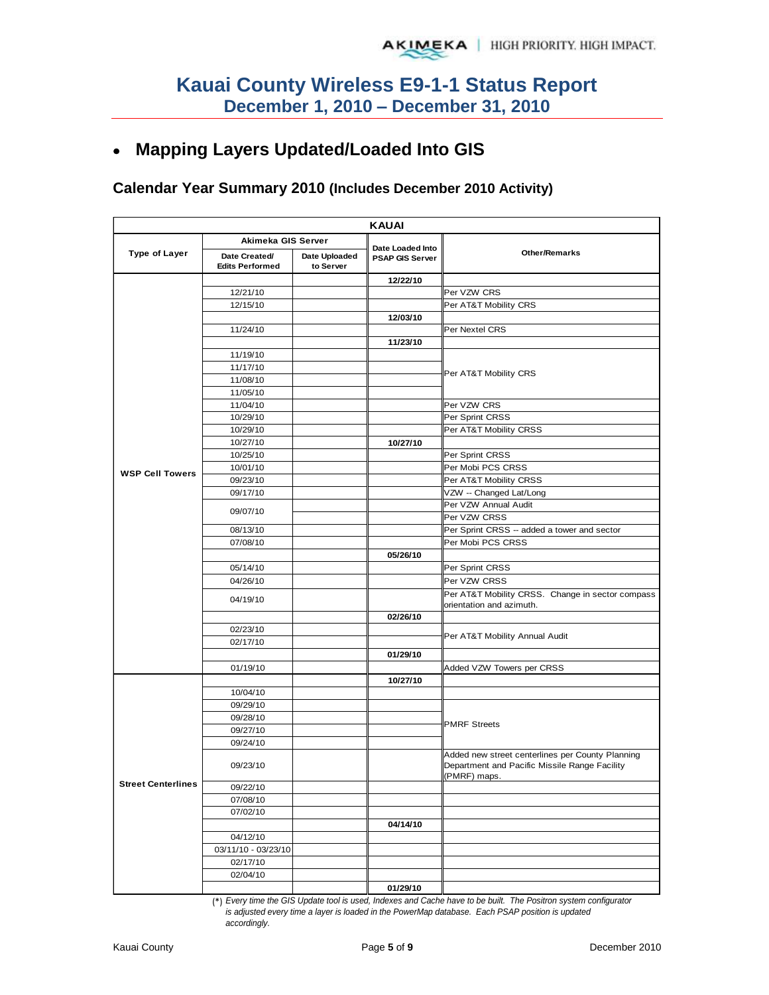## **Mapping Layers Updated/Loaded Into GIS**

#### **Calendar Year Summary 2010 (Includes December 2010 Activity)**

| <b>KAUAI</b>              |                                         |                            |                                            |                                                                                                                   |  |  |  |  |  |  |  |
|---------------------------|-----------------------------------------|----------------------------|--------------------------------------------|-------------------------------------------------------------------------------------------------------------------|--|--|--|--|--|--|--|
|                           | Akimeka GIS Server                      |                            |                                            |                                                                                                                   |  |  |  |  |  |  |  |
| <b>Type of Layer</b>      | Date Created/<br><b>Edits Performed</b> | Date Uploaded<br>to Server | Date Loaded Into<br><b>PSAP GIS Server</b> | <b>Other/Remarks</b>                                                                                              |  |  |  |  |  |  |  |
|                           |                                         |                            | 12/22/10                                   |                                                                                                                   |  |  |  |  |  |  |  |
|                           | 12/21/10                                |                            |                                            | Per VZW CRS                                                                                                       |  |  |  |  |  |  |  |
|                           | 12/15/10                                |                            |                                            | Per AT&T Mobility CRS                                                                                             |  |  |  |  |  |  |  |
|                           |                                         |                            | 12/03/10                                   |                                                                                                                   |  |  |  |  |  |  |  |
|                           | 11/24/10                                |                            |                                            | Per Nextel CRS                                                                                                    |  |  |  |  |  |  |  |
|                           |                                         |                            | 11/23/10                                   |                                                                                                                   |  |  |  |  |  |  |  |
|                           | 11/19/10                                |                            |                                            |                                                                                                                   |  |  |  |  |  |  |  |
|                           | 11/17/10                                |                            |                                            | Per AT&T Mobility CRS                                                                                             |  |  |  |  |  |  |  |
|                           | 11/08/10                                |                            |                                            |                                                                                                                   |  |  |  |  |  |  |  |
|                           | 11/05/10                                |                            |                                            |                                                                                                                   |  |  |  |  |  |  |  |
|                           | 11/04/10                                |                            |                                            | Per VZW CRS                                                                                                       |  |  |  |  |  |  |  |
|                           | 10/29/10                                |                            |                                            | Per Sprint CRSS                                                                                                   |  |  |  |  |  |  |  |
|                           | 10/29/10                                |                            |                                            | Per AT&T Mobility CRSS                                                                                            |  |  |  |  |  |  |  |
|                           | 10/27/10                                |                            | 10/27/10                                   |                                                                                                                   |  |  |  |  |  |  |  |
| <b>WSP Cell Towers</b>    | 10/25/10                                |                            |                                            | Per Sprint CRSS                                                                                                   |  |  |  |  |  |  |  |
|                           | 10/01/10                                |                            |                                            | Per Mobi PCS CRSS                                                                                                 |  |  |  |  |  |  |  |
|                           | 09/23/10                                |                            |                                            | Per AT&T Mobility CRSS                                                                                            |  |  |  |  |  |  |  |
|                           | 09/17/10                                |                            |                                            | VZW -- Changed Lat/Long                                                                                           |  |  |  |  |  |  |  |
|                           | 09/07/10                                |                            |                                            | Per VZW Annual Audit                                                                                              |  |  |  |  |  |  |  |
|                           |                                         |                            |                                            | Per VZW CRSS                                                                                                      |  |  |  |  |  |  |  |
|                           | 08/13/10                                |                            |                                            | Per Sprint CRSS -- added a tower and sector                                                                       |  |  |  |  |  |  |  |
|                           | 07/08/10                                |                            |                                            | Per Mobi PCS CRSS                                                                                                 |  |  |  |  |  |  |  |
|                           |                                         |                            | 05/26/10                                   |                                                                                                                   |  |  |  |  |  |  |  |
|                           | 05/14/10                                |                            |                                            | Per Sprint CRSS                                                                                                   |  |  |  |  |  |  |  |
|                           | 04/26/10                                |                            |                                            | Per VZW CRSS                                                                                                      |  |  |  |  |  |  |  |
|                           | 04/19/10                                |                            |                                            | Per AT&T Mobility CRSS. Change in sector compass                                                                  |  |  |  |  |  |  |  |
|                           |                                         |                            |                                            | orientation and azimuth.                                                                                          |  |  |  |  |  |  |  |
|                           |                                         |                            | 02/26/10                                   |                                                                                                                   |  |  |  |  |  |  |  |
|                           | 02/23/10                                |                            |                                            | Per AT&T Mobility Annual Audit                                                                                    |  |  |  |  |  |  |  |
|                           | 02/17/10                                |                            |                                            |                                                                                                                   |  |  |  |  |  |  |  |
|                           |                                         |                            | 01/29/10                                   |                                                                                                                   |  |  |  |  |  |  |  |
|                           | 01/19/10                                |                            |                                            | Added VZW Towers per CRSS                                                                                         |  |  |  |  |  |  |  |
|                           |                                         |                            | 10/27/10                                   |                                                                                                                   |  |  |  |  |  |  |  |
|                           | 10/04/10                                |                            |                                            |                                                                                                                   |  |  |  |  |  |  |  |
|                           | 09/29/10                                |                            |                                            |                                                                                                                   |  |  |  |  |  |  |  |
|                           | 09/28/10                                |                            |                                            | <b>PMRF Streets</b>                                                                                               |  |  |  |  |  |  |  |
|                           | 09/27/10                                |                            |                                            |                                                                                                                   |  |  |  |  |  |  |  |
|                           | 09/24/10                                |                            |                                            |                                                                                                                   |  |  |  |  |  |  |  |
|                           | 09/23/10                                |                            |                                            | Added new street centerlines per County Planning<br>Department and Pacific Missile Range Facility<br>(PMRF) maps. |  |  |  |  |  |  |  |
| <b>Street Centerlines</b> | 09/22/10                                |                            |                                            |                                                                                                                   |  |  |  |  |  |  |  |
|                           | 07/08/10                                |                            |                                            |                                                                                                                   |  |  |  |  |  |  |  |
|                           | 07/02/10                                |                            |                                            |                                                                                                                   |  |  |  |  |  |  |  |
|                           |                                         |                            | 04/14/10                                   |                                                                                                                   |  |  |  |  |  |  |  |
|                           | 04/12/10                                |                            |                                            |                                                                                                                   |  |  |  |  |  |  |  |
|                           | 03/11/10 - 03/23/10                     |                            |                                            |                                                                                                                   |  |  |  |  |  |  |  |
|                           | 02/17/10                                |                            |                                            |                                                                                                                   |  |  |  |  |  |  |  |
|                           | 02/04/10                                |                            |                                            |                                                                                                                   |  |  |  |  |  |  |  |
|                           |                                         |                            | 01/29/10                                   |                                                                                                                   |  |  |  |  |  |  |  |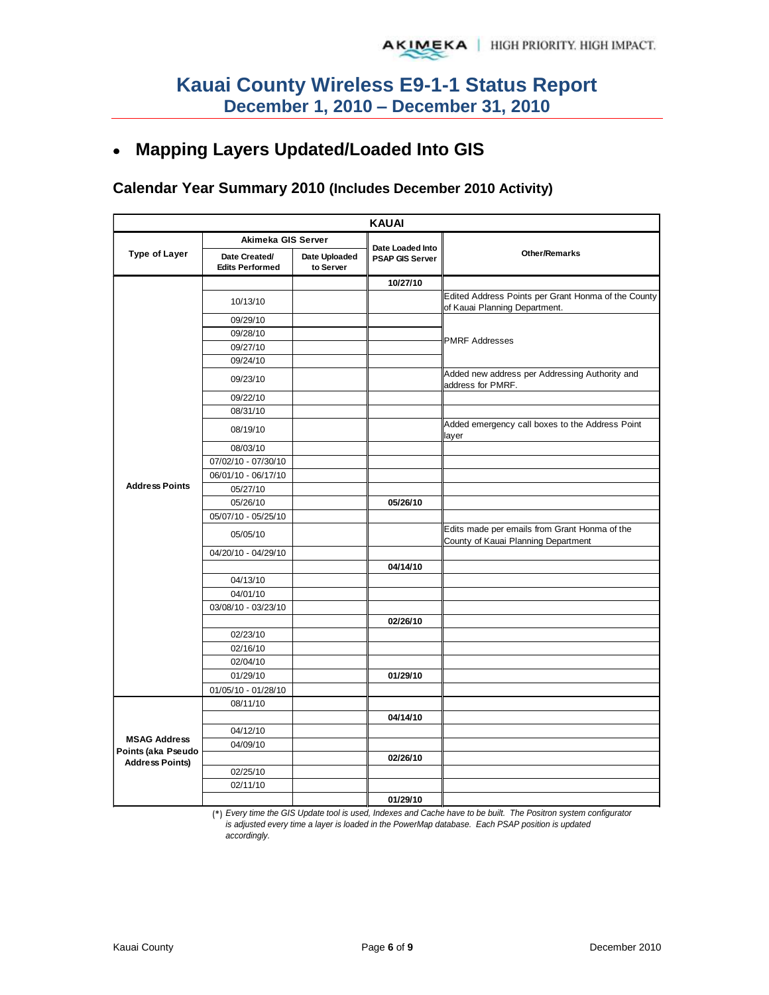## **Mapping Layers Updated/Loaded Into GIS**

## **Calendar Year Summary 2010 (Includes December 2010 Activity)**

| <b>KAUAI</b>                                                        |                                         |                            |                                            |                                                                                      |
|---------------------------------------------------------------------|-----------------------------------------|----------------------------|--------------------------------------------|--------------------------------------------------------------------------------------|
|                                                                     | Akimeka GIS Server                      |                            |                                            |                                                                                      |
| <b>Type of Layer</b>                                                | Date Created/<br><b>Edits Performed</b> | Date Uploaded<br>to Server | Date Loaded Into<br><b>PSAP GIS Server</b> | <b>Other/Remarks</b>                                                                 |
| <b>Address Points</b>                                               |                                         |                            | 10/27/10                                   |                                                                                      |
|                                                                     | 10/13/10                                |                            |                                            | Edited Address Points per Grant Honma of the County<br>of Kauai Planning Department. |
|                                                                     | 09/29/10                                |                            |                                            | <b>PMRF Addresses</b>                                                                |
|                                                                     | 09/28/10                                |                            |                                            |                                                                                      |
|                                                                     | 09/27/10                                |                            |                                            |                                                                                      |
|                                                                     | 09/24/10                                |                            |                                            |                                                                                      |
|                                                                     | 09/23/10                                |                            |                                            | Added new address per Addressing Authority and<br>address for PMRF.                  |
|                                                                     | 09/22/10                                |                            |                                            |                                                                                      |
|                                                                     | 08/31/10                                |                            |                                            |                                                                                      |
|                                                                     | 08/19/10                                |                            |                                            | Added emergency call boxes to the Address Point<br>layer                             |
|                                                                     | 08/03/10                                |                            |                                            |                                                                                      |
|                                                                     | 07/02/10 - 07/30/10                     |                            |                                            |                                                                                      |
|                                                                     | 06/01/10 - 06/17/10                     |                            |                                            |                                                                                      |
|                                                                     | 05/27/10                                |                            |                                            |                                                                                      |
|                                                                     | 05/26/10                                |                            | 05/26/10                                   |                                                                                      |
|                                                                     | 05/07/10 - 05/25/10                     |                            |                                            |                                                                                      |
|                                                                     | 05/05/10                                |                            |                                            | Edits made per emails from Grant Honma of the<br>County of Kauai Planning Department |
|                                                                     | 04/20/10 - 04/29/10                     |                            |                                            |                                                                                      |
|                                                                     |                                         |                            | 04/14/10                                   |                                                                                      |
|                                                                     | 04/13/10                                |                            |                                            |                                                                                      |
|                                                                     | 04/01/10                                |                            |                                            |                                                                                      |
|                                                                     | 03/08/10 - 03/23/10                     |                            |                                            |                                                                                      |
|                                                                     |                                         |                            | 02/26/10                                   |                                                                                      |
|                                                                     | 02/23/10                                |                            |                                            |                                                                                      |
|                                                                     | 02/16/10                                |                            |                                            |                                                                                      |
|                                                                     | 02/04/10                                |                            |                                            |                                                                                      |
|                                                                     | 01/29/10                                |                            | 01/29/10                                   |                                                                                      |
|                                                                     | 01/05/10 - 01/28/10                     |                            |                                            |                                                                                      |
| <b>MSAG Address</b><br>Points (aka Pseudo<br><b>Address Points)</b> | 08/11/10                                |                            |                                            |                                                                                      |
|                                                                     |                                         |                            | 04/14/10                                   |                                                                                      |
|                                                                     | 04/12/10                                |                            |                                            |                                                                                      |
|                                                                     | 04/09/10                                |                            |                                            |                                                                                      |
|                                                                     |                                         |                            | 02/26/10                                   |                                                                                      |
|                                                                     | 02/25/10                                |                            |                                            |                                                                                      |
|                                                                     | 02/11/10                                |                            |                                            |                                                                                      |
|                                                                     |                                         |                            | 01/29/10                                   |                                                                                      |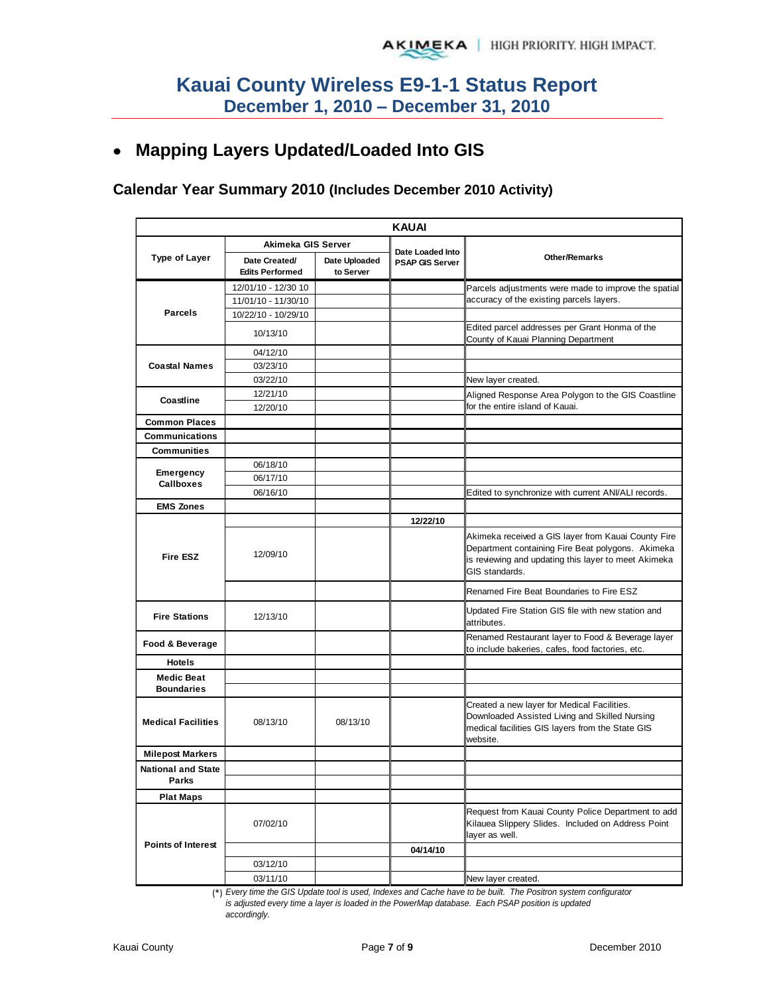# **Mapping Layers Updated/Loaded Into GIS**

### **Calendar Year Summary 2010 (Includes December 2010 Activity)**

|                                    |                                         |                            | <b>KAUAI</b>                               |                                                                                                                                                                                    |
|------------------------------------|-----------------------------------------|----------------------------|--------------------------------------------|------------------------------------------------------------------------------------------------------------------------------------------------------------------------------------|
|                                    | Akimeka GIS Server                      |                            |                                            |                                                                                                                                                                                    |
| <b>Type of Layer</b>               | Date Created/<br><b>Edits Performed</b> | Date Uploaded<br>to Server | Date Loaded Into<br><b>PSAP GIS Server</b> | <b>Other/Remarks</b>                                                                                                                                                               |
|                                    | 12/01/10 - 12/30 10                     |                            |                                            | Parcels adjustments were made to improve the spatial                                                                                                                               |
|                                    | 11/01/10 - 11/30/10                     |                            |                                            | accuracy of the existing parcels layers.                                                                                                                                           |
| <b>Parcels</b>                     | 10/22/10 - 10/29/10                     |                            |                                            |                                                                                                                                                                                    |
|                                    | 10/13/10                                |                            |                                            | Edited parcel addresses per Grant Honma of the<br>County of Kauai Planning Department                                                                                              |
|                                    | 04/12/10                                |                            |                                            |                                                                                                                                                                                    |
| <b>Coastal Names</b>               | 03/23/10                                |                            |                                            |                                                                                                                                                                                    |
|                                    | 03/22/10                                |                            |                                            | New layer created.                                                                                                                                                                 |
| Coastline                          | 12/21/10                                |                            |                                            | Aligned Response Area Polygon to the GIS Coastline                                                                                                                                 |
|                                    | 12/20/10                                |                            |                                            | for the entire island of Kauai.                                                                                                                                                    |
| <b>Common Places</b>               |                                         |                            |                                            |                                                                                                                                                                                    |
| <b>Communications</b>              |                                         |                            |                                            |                                                                                                                                                                                    |
| <b>Communities</b>                 |                                         |                            |                                            |                                                                                                                                                                                    |
|                                    | 06/18/10                                |                            |                                            |                                                                                                                                                                                    |
| Emergency<br><b>Callboxes</b>      | 06/17/10                                |                            |                                            |                                                                                                                                                                                    |
|                                    | 06/16/10                                |                            |                                            | Edited to synchronize with current ANI/ALI records.                                                                                                                                |
| <b>EMS Zones</b>                   |                                         |                            |                                            |                                                                                                                                                                                    |
|                                    |                                         |                            | 12/22/10                                   |                                                                                                                                                                                    |
| <b>Fire ESZ</b>                    | 12/09/10                                |                            |                                            | Akimeka received a GIS layer from Kauai County Fire<br>Department containing Fire Beat polygons. Akimeka<br>is reviewing and updating this layer to meet Akimeka<br>GIS standards. |
|                                    |                                         |                            |                                            | Renamed Fire Beat Boundaries to Fire ESZ                                                                                                                                           |
| <b>Fire Stations</b>               | 12/13/10                                |                            |                                            | Updated Fire Station GIS file with new station and<br>attributes.                                                                                                                  |
| Food & Beverage                    |                                         |                            |                                            | Renamed Restaurant layer to Food & Beverage layer<br>to include bakeries, cafes, food factories, etc.                                                                              |
| <b>Hotels</b>                      |                                         |                            |                                            |                                                                                                                                                                                    |
| <b>Medic Beat</b>                  |                                         |                            |                                            |                                                                                                                                                                                    |
| <b>Boundaries</b>                  |                                         |                            |                                            |                                                                                                                                                                                    |
| <b>Medical Facilities</b>          | 08/13/10                                | 08/13/10                   |                                            | Created a new layer for Medical Facilities.<br>Downloaded Assisted Living and Skilled Nursing<br>medical facilities GIS layers from the State GIS<br>website.                      |
| <b>Milepost Markers</b>            |                                         |                            |                                            |                                                                                                                                                                                    |
| <b>National and State</b><br>Parks |                                         |                            |                                            |                                                                                                                                                                                    |
| <b>Plat Maps</b>                   |                                         |                            |                                            |                                                                                                                                                                                    |
|                                    | 07/02/10                                |                            |                                            | Request from Kauai County Police Department to add<br>Kilauea Slippery Slides. Included on Address Point<br>layer as well.                                                         |
| <b>Points of Interest</b>          |                                         |                            | 04/14/10                                   |                                                                                                                                                                                    |
|                                    | 03/12/10                                |                            |                                            |                                                                                                                                                                                    |
|                                    | 03/11/10                                |                            |                                            | New layer created.                                                                                                                                                                 |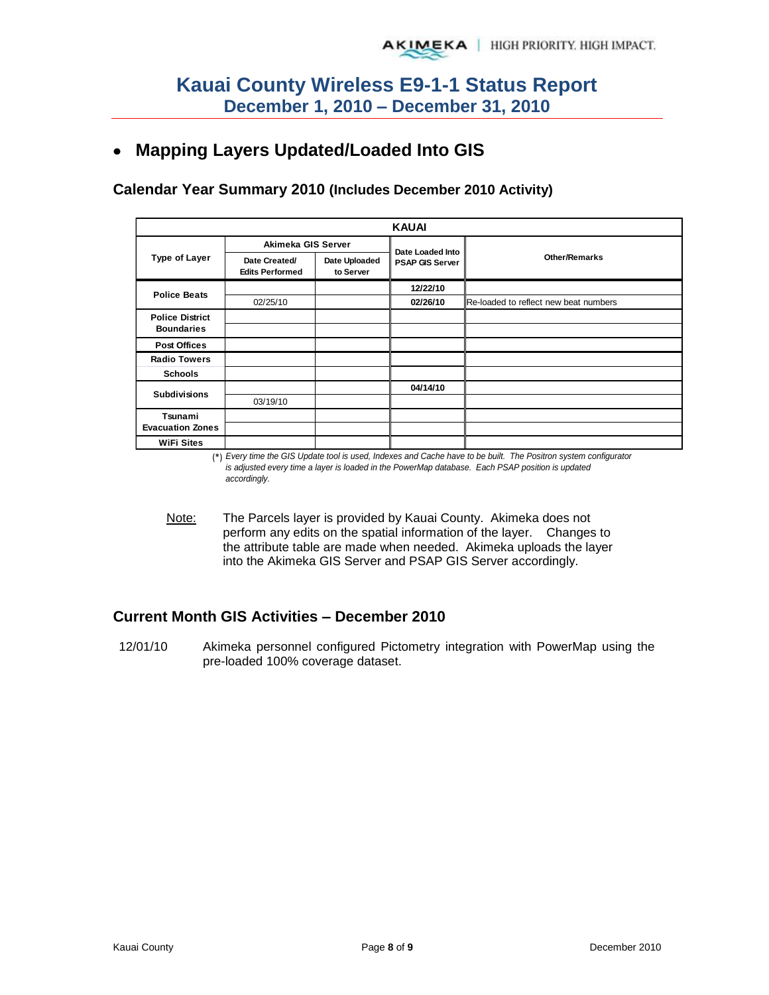# **Mapping Layers Updated/Loaded Into GIS**

**Calendar Year Summary 2010 (Includes December 2010 Activity)**

|                         |                                         |                            | <b>KAUAI</b>           |                                       |
|-------------------------|-----------------------------------------|----------------------------|------------------------|---------------------------------------|
|                         | Akimeka GIS Server                      |                            | Date Loaded Into       |                                       |
| Type of Layer           | Date Created/<br><b>Edits Performed</b> | Date Uploaded<br>to Server | <b>PSAP GIS Server</b> | <b>Other/Remarks</b>                  |
| <b>Police Beats</b>     |                                         |                            | 12/22/10               |                                       |
|                         | 02/25/10                                |                            | 02/26/10               | Re-loaded to reflect new beat numbers |
| <b>Police District</b>  |                                         |                            |                        |                                       |
| <b>Boundaries</b>       |                                         |                            |                        |                                       |
| <b>Post Offices</b>     |                                         |                            |                        |                                       |
| <b>Radio Towers</b>     |                                         |                            |                        |                                       |
| <b>Schools</b>          |                                         |                            |                        |                                       |
| <b>Subdivisions</b>     |                                         |                            | 04/14/10               |                                       |
|                         | 03/19/10                                |                            |                        |                                       |
| Tsunami                 |                                         |                            |                        |                                       |
| <b>Evacuation Zones</b> |                                         |                            |                        |                                       |
| <b>WiFi Sites</b>       |                                         |                            |                        |                                       |

(\*) *Every time the GIS Update tool is used, Indexes and Cache have to be built. The Positron system configurator is adjusted every time a layer is loaded in the PowerMap database. Each PSAP position is updated accordingly.*

Note: The Parcels layer is provided by Kauai County. Akimeka does not perform any edits on the spatial information of the layer. Changes to the attribute table are made when needed. Akimeka uploads the layer into the Akimeka GIS Server and PSAP GIS Server accordingly.

### **Current Month GIS Activities – December 2010**

12/01/10 Akimeka personnel configured Pictometry integration with PowerMap using the pre-loaded 100% coverage dataset.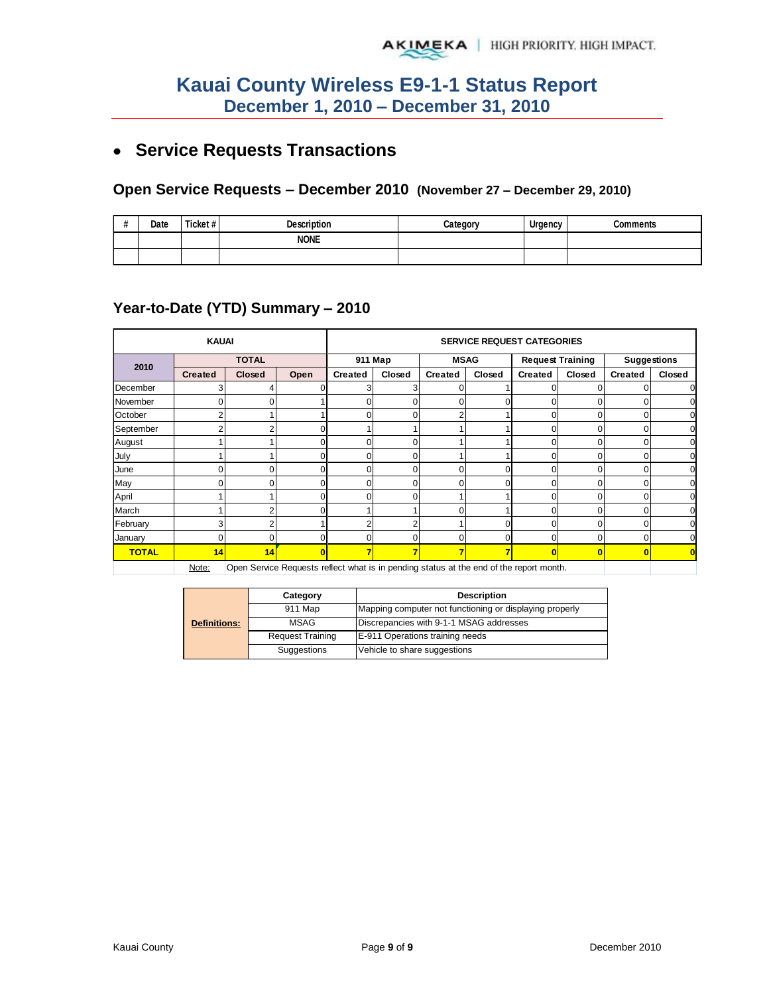# **Service Requests Transactions**

#### **Open Service Requests – December 2010 (November 27 – December 29, 2010)**

| <br>π | Date | Ticket# | <b>Description</b> | Categorv | Urgency | <b>Comments</b> |
|-------|------|---------|--------------------|----------|---------|-----------------|
|       |      |         | <b>NONE</b>        |          |         |                 |
|       |      |         |                    |          |         |                 |

#### **Year-to-Date (YTD) Summary – 2010**

|              | <b>KAUAI</b>   |              |                                                                                         | <b>SERVICE REQUEST CATEGORIES</b> |         |                |        |                         |          |                         |        |  |
|--------------|----------------|--------------|-----------------------------------------------------------------------------------------|-----------------------------------|---------|----------------|--------|-------------------------|----------|-------------------------|--------|--|
| 2010         |                | <b>TOTAL</b> |                                                                                         |                                   | 911 Map | <b>MSAG</b>    |        | <b>Request Training</b> |          | <b>Suggestions</b>      |        |  |
|              | <b>Created</b> | Closed       | Open                                                                                    | Created                           | Closed  | <b>Created</b> | Closed | <b>Created</b>          | Closed   | <b>Created</b>          | Closed |  |
| December     |                |              |                                                                                         |                                   | 3       |                |        |                         |          |                         |        |  |
| November     |                |              |                                                                                         | 0                                 | 0       | 0              | 0      |                         | 0        | 0                       |        |  |
| October      |                |              |                                                                                         | 0                                 | 0       |                |        |                         | $\Omega$ | 0                       |        |  |
| September    |                |              | $\Omega$                                                                                |                                   |         |                |        | $\Omega$                | 0        | $\Omega$                |        |  |
| August       |                |              | $\Omega$                                                                                | 0                                 | 0       |                |        | C                       | 0        | 0                       |        |  |
| July         |                |              | $\Omega$                                                                                | O                                 | 0       |                |        |                         | $\Omega$ | 0                       |        |  |
| June         |                |              | $\Omega$                                                                                | 0                                 | 0       |                |        |                         | 0        | O                       |        |  |
| May          |                |              | 01                                                                                      | C                                 | 0       |                |        |                         |          | 0                       |        |  |
| April        |                |              | ΟI                                                                                      | 0                                 | 0       |                |        |                         | $\Omega$ | 0                       |        |  |
| March        |                |              | $\Omega$                                                                                |                                   |         |                |        |                         | 0        | 0                       |        |  |
| February     |                |              |                                                                                         |                                   | 2       |                | 0      |                         | 0        | 0                       |        |  |
| January      |                |              | $\Omega$                                                                                | 0                                 | 0       | ი              | 0      | 0                       | $\Omega$ | 0                       |        |  |
| <b>TOTAL</b> | 14             | 14           | $\mathbf{0}$                                                                            | 7                                 | 7       | ⇁              | 7      | $\mathbf{0}$            | $\bf{0}$ | $\overline{\mathbf{0}}$ |        |  |
|              | Note:          |              | Open Service Requests reflect what is in pending status at the end of the report month. |                                   |         |                |        |                         |          |                         |        |  |

Note: Open Service Requests reflect what is in pending status at the end of the report month.

|                     | Category                | <b>Description</b>                                      |
|---------------------|-------------------------|---------------------------------------------------------|
|                     | 911 Map                 | Mapping computer not functioning or displaying properly |
| <b>Definitions:</b> | MSAG                    | Discrepancies with 9-1-1 MSAG addresses                 |
|                     | <b>Request Training</b> | E-911 Operations training needs                         |
|                     | Suggestions             | Vehicle to share suggestions                            |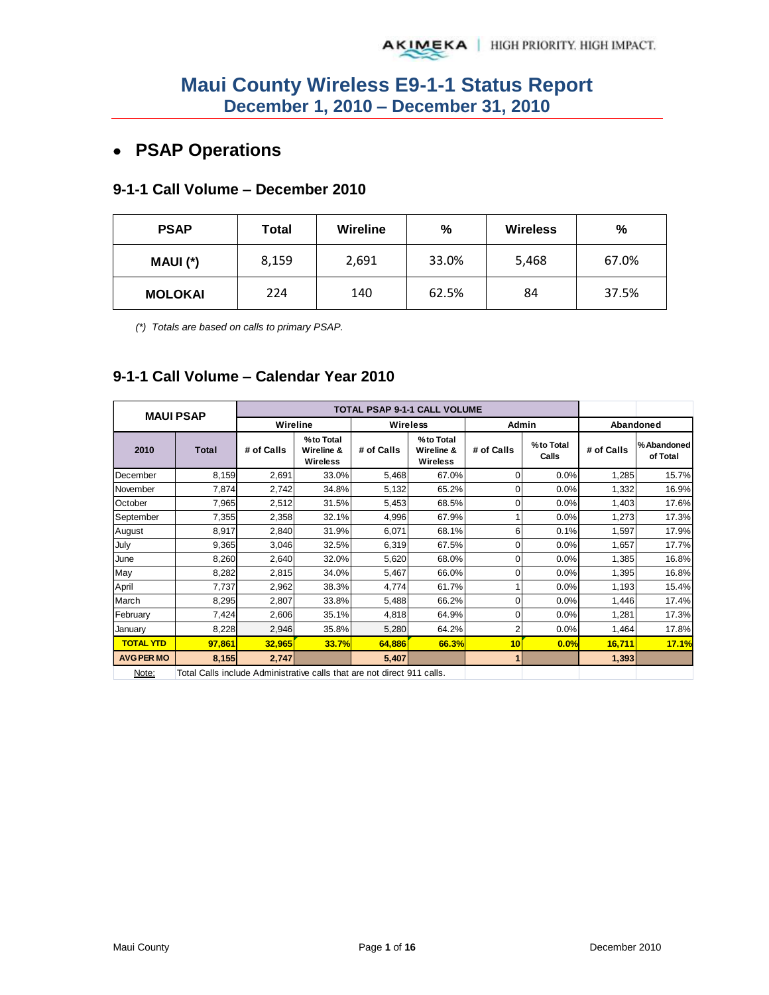## **PSAP Operations**

#### **9-1-1 Call Volume – December 2010**

| <b>PSAP</b>    | Total | Wireline | $\%$  | <b>Wireless</b> | %     |
|----------------|-------|----------|-------|-----------------|-------|
| MAUI (*)       | 8,159 | 2,691    | 33.0% | 5,468           | 67.0% |
| <b>MOLOKAI</b> | 224   | 140      | 62.5% | 84              | 37.5% |

*(\*) Totals are based on calls to primary PSAP.* 

### **9-1-1 Call Volume – Calendar Year 2010**

|                   | <b>MAUI PSAP</b>                                                        |            |                                            |            | <b>TOTAL PSAP 9-1-1 CALL VOLUME</b>        |            |                    |            |                         |
|-------------------|-------------------------------------------------------------------------|------------|--------------------------------------------|------------|--------------------------------------------|------------|--------------------|------------|-------------------------|
|                   |                                                                         | Wireline   |                                            |            | Wireless                                   | Admin      |                    |            | Abandoned               |
| 2010              | <b>Total</b>                                                            | # of Calls | %to Total<br>Wireline &<br><b>Wireless</b> | # of Calls | %to Total<br>Wireline &<br><b>Wireless</b> | # of Calls | %to Total<br>Calls | # of Calls | % Abandoned<br>of Total |
| December          | 8,159                                                                   | 2,691      | 33.0%                                      | 5,468      | 67.0%                                      | 0          | 0.0%               | 1,285      | 15.7%                   |
| November          | 7,874                                                                   | 2,742      | 34.8%                                      | 5,132      | 65.2%                                      | 0          | 0.0%               | 1,332      | 16.9%                   |
| October           | 7,965                                                                   | 2,512      | 31.5%                                      | 5,453      | 68.5%                                      | 0          | 0.0%               | 1,403      | 17.6%                   |
| September         | 7,355                                                                   | 2,358      | 32.1%                                      | 4,996      | 67.9%                                      |            | 0.0%               | 1,273      | 17.3%                   |
| August            | 8,917                                                                   | 2,840      | 31.9%                                      | 6,071      | 68.1%                                      | 6          | 0.1%               | 1,597      | 17.9%                   |
| July              | 9,365                                                                   | 3,046      | 32.5%                                      | 6,319      | 67.5%                                      | 0          | 0.0%               | 1,657      | 17.7%                   |
| June              | 8,260                                                                   | 2,640      | 32.0%                                      | 5,620      | 68.0%                                      | 0          | 0.0%               | 1,385      | 16.8%                   |
| May               | 8,282                                                                   | 2,815      | 34.0%                                      | 5,467      | 66.0%                                      | 0          | 0.0%               | 1,395      | 16.8%                   |
| April             | 7,737                                                                   | 2,962      | 38.3%                                      | 4,774      | 61.7%                                      |            | 0.0%               | 1,193      | 15.4%                   |
| March             | 8,295                                                                   | 2,807      | 33.8%                                      | 5,488      | 66.2%                                      | 0          | 0.0%               | 1,446      | 17.4%                   |
| February          | 7,424                                                                   | 2,606      | 35.1%                                      | 4,818      | 64.9%                                      | 0          | 0.0%               | 1,281      | 17.3%                   |
| Januarv           | 8,228                                                                   | 2,946      | 35.8%                                      | 5,280      | 64.2%                                      | 2          | 0.0%               | 1,464      | 17.8%                   |
| <b>TOTAL YTD</b>  | 97,861                                                                  | 32,965     | 33.7%                                      | 64,886     | 66.3%                                      | 10         | 0.0%               | 16,711     | 17.1%                   |
| <b>AVG PER MO</b> | 8,155                                                                   | 2,747      |                                            | 5,407      |                                            |            |                    | 1,393      |                         |
| Note:             | Total Calls include Administrative calls that are not direct 911 calls. |            |                                            |            |                                            |            |                    |            |                         |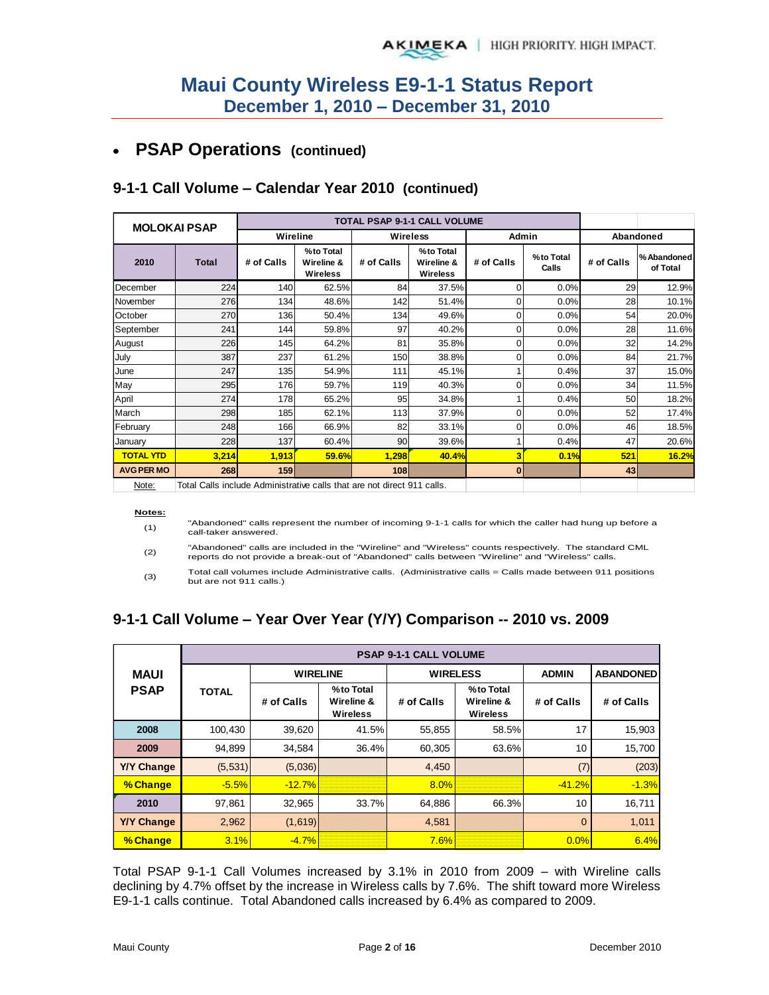#### **PSAP Operations (continued)**   $\bullet$

#### **2010 Total # of Calls % to Total Wireline & Wireless # of Calls % to Total Wireline & Wireless # of Calls % to Total Calls # of Calls % Abandoned** December 224 140 62.5% 84 37.5% 0 0.0% 29 12.9% **MOLOKAI PSAP TOTAL PSAP 9-1-1 CALL VOLUME Wireline Wireless Admin**

#### **9-1-1 Call Volume – Calendar Year 2010 (continued)**

| Note: |  | Total Calls include Administrative calls that are not direct 911 calls. |  |  |  |  |
|-------|--|-------------------------------------------------------------------------|--|--|--|--|
|       |  |                                                                         |  |  |  |  |

#### **Notes:**

(1) "Abandoned" calls represent the number of incoming 9-1-1 calls for which the caller had hung up before a call-taker answered.

November 276 134 48.6% 142 51.4% 0 0.0% 28 10.1% October | 270 136 50.4% 134 49.6% 0 0.0% 54 20.0% September | 241 144 59.8% 97 40.2% 0 0.0% 28 11.6% August | 226 145 64.2% 81 35.8% 0 0.0% 32 14.2% July | 387 237 61.2% 150 38.8% | 0 0.0% | 84 21.7% | June | 247 135| 54.9%| 111| 45.1%| 1| 0.4%| 37| 15.0%| May 295 176 59.7% 119 40.3% 0 0.0% 34 11.5% April | 274 178| 65.2%| 95| 34.8%| 1| 0.4%| 50| 18.2%| March | 298 185 62.1% 113 37.9% 0 0.0% 52 17.4% February | 248 166 66.9% 82 33.1% 0 0.0% 46 18.5% January | 228 137 60.4% 90 39.6% 1 0.4% 47 20.6% **TOTAL YTD 3,214 1,913 59.6% 1,298 40.4% 3 0.1% 521 16.2%**

(2) "Abandoned" calls are included in the "Wireline" and "Wireless" counts respectively. The standard CML reports do not provide a break-out of "Abandoned" calls between "Wireline" and "Wireless" calls.

**AVG PER MO 268 159 108 0 43**

(3) Total call volumes include Administrative calls. (Administrative calls = Calls made between 911 positions but are not 911 calls.)

### **9-1-1 Call Volume – Year Over Year (Y/Y) Comparison -- 2010 vs. 2009**

|                   | <b>PSAP 9-1-1 CALL VOLUME</b> |                 |                                            |            |                                     |                |                  |  |  |  |  |  |
|-------------------|-------------------------------|-----------------|--------------------------------------------|------------|-------------------------------------|----------------|------------------|--|--|--|--|--|
| <b>MAUI</b>       |                               | <b>WIRELINE</b> |                                            |            | <b>WIRELESS</b>                     | <b>ADMIN</b>   | <b>ABANDONED</b> |  |  |  |  |  |
| <b>PSAP</b>       | <b>TOTAL</b>                  | # of Calls      | %to Total<br>Wireline &<br><b>Wireless</b> | # of Calls | %to Total<br>Wireline &<br>Wireless | # of Calls     | # of Calls       |  |  |  |  |  |
| 2008              | 100,430                       | 39,620          | 41.5%                                      | 55,855     | 58.5%                               | 17             | 15,903           |  |  |  |  |  |
| 2009              | 94,899                        | 34,584          | 36.4%                                      | 60,305     | 63.6%                               | 10             | 15,700           |  |  |  |  |  |
| <b>Y/Y Change</b> | (5,531)                       | (5,036)         |                                            | 4,450      |                                     | (7)            | (203)            |  |  |  |  |  |
| % Change          | $-5.5%$                       | $-12.7%$        |                                            | 8.0%       |                                     | $-41.2%$       | $-1.3%$          |  |  |  |  |  |
| 2010              | 97,861                        | 32,965          | 33.7%                                      | 64,886     | 66.3%                               | 10             | 16,711           |  |  |  |  |  |
| <b>Y/Y Change</b> | 2,962                         | (1,619)         |                                            | 4,581      |                                     | $\overline{0}$ | 1,011            |  |  |  |  |  |
| % Change          | 3.1%                          | $-4.7%$         |                                            | 7.6%       |                                     | 0.0%           | 6.4%             |  |  |  |  |  |

Total PSAP 9-1-1 Call Volumes increased by 3.1% in 2010 from 2009 – with Wireline calls declining by 4.7% offset by the increase in Wireless calls by 7.6%. The shift toward more Wireless E9-1-1 calls continue. Total Abandoned calls increased by 6.4% as compared to 2009.

**of Total**

**Abandoned**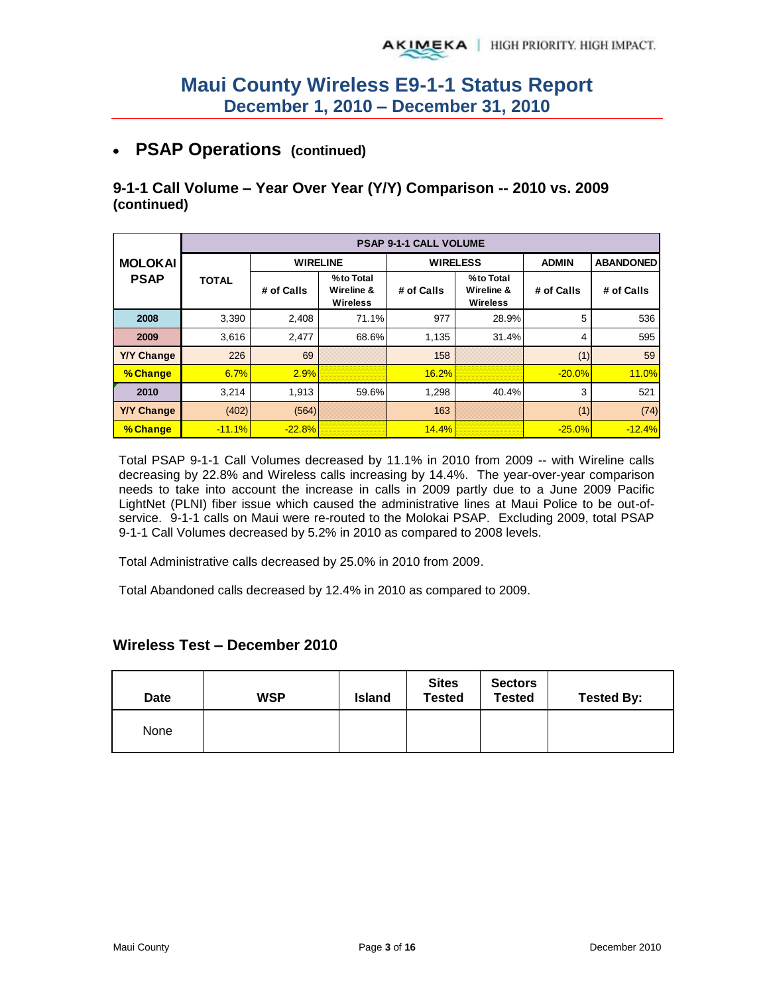## **PSAP Operations (continued)**

#### **9-1-1 Call Volume – Year Over Year (Y/Y) Comparison -- 2010 vs. 2009 (continued)**

|                   |              |                 |                                            | <b>PSAP 9-1-1 CALL VOLUME</b> |                                            |              |                  |
|-------------------|--------------|-----------------|--------------------------------------------|-------------------------------|--------------------------------------------|--------------|------------------|
| <b>MOLOKAI</b>    |              | <b>WIRELINE</b> |                                            | <b>WIRELESS</b>               |                                            | <b>ADMIN</b> | <b>ABANDONED</b> |
| <b>PSAP</b>       | <b>TOTAL</b> | # of Calls      | %to Total<br>Wireline &<br><b>Wireless</b> | # of Calls                    | %to Total<br>Wireline &<br><b>Wireless</b> | # of Calls   | # of Calls       |
| 2008              | 3,390        | 2,408           | 71.1%                                      | 977                           | 28.9%                                      | 5            | 536              |
| 2009              | 3,616        | 2,477           | 68.6%                                      | 1,135                         | 31.4%                                      | 4            | 595              |
| <b>Y/Y Change</b> | 226          | 69              |                                            | 158                           |                                            | (1)          | 59               |
| % Change          | 6.7%         | 2.9%            |                                            | 16.2%                         |                                            | $-20.0%$     | 11.0%            |
| 2010              | 3.214        | 1.913           | 59.6%                                      | 1,298                         | 40.4%                                      | 3            | 521              |
| <b>Y/Y Change</b> | (402)        | (564)           |                                            | 163                           |                                            | (1)          | (74)             |
| % Change          | $-11.1%$     | $-22.8%$        |                                            | 14.4%                         |                                            | $-25.0%$     | $-12.4%$         |

Total PSAP 9-1-1 Call Volumes decreased by 11.1% in 2010 from 2009 -- with Wireline calls decreasing by 22.8% and Wireless calls increasing by 14.4%. The year-over-year comparison needs to take into account the increase in calls in 2009 partly due to a June 2009 Pacific LightNet (PLNI) fiber issue which caused the administrative lines at Maui Police to be out-ofservice. 9-1-1 calls on Maui were re-routed to the Molokai PSAP. Excluding 2009, total PSAP 9-1-1 Call Volumes decreased by 5.2% in 2010 as compared to 2008 levels.

Total Administrative calls decreased by 25.0% in 2010 from 2009.

Total Abandoned calls decreased by 12.4% in 2010 as compared to 2009.

#### **Wireless Test – December 2010**

| Date | <b>WSP</b> | <b>Island</b> | <b>Sites</b><br><b>Tested</b> | <b>Sectors</b><br><b>Tested</b> | <b>Tested By:</b> |
|------|------------|---------------|-------------------------------|---------------------------------|-------------------|
| None |            |               |                               |                                 |                   |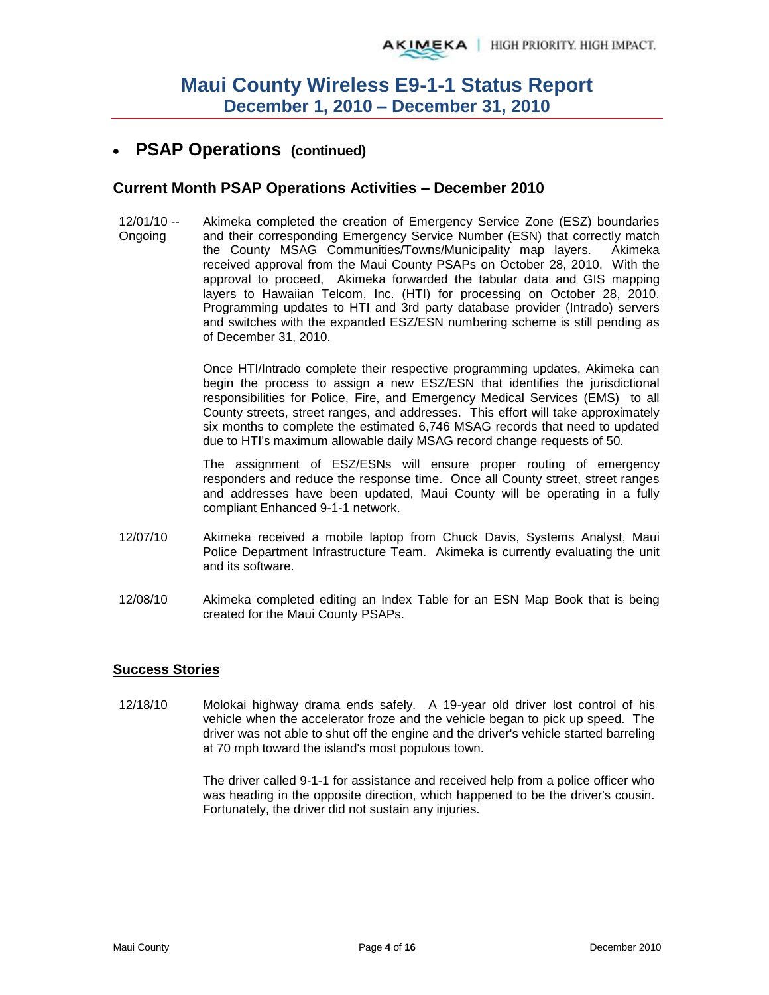### **PSAP Operations (continued)**

#### **Current Month PSAP Operations Activities – December 2010**

12/01/10 -- Ongoing Akimeka completed the creation of Emergency Service Zone (ESZ) boundaries and their corresponding Emergency Service Number (ESN) that correctly match the County MSAG Communities/Towns/Municipality map layers. Akimeka received approval from the Maui County PSAPs on October 28, 2010. With the approval to proceed, Akimeka forwarded the tabular data and GIS mapping layers to Hawaiian Telcom, Inc. (HTI) for processing on October 28, 2010. Programming updates to HTI and 3rd party database provider (Intrado) servers and switches with the expanded ESZ/ESN numbering scheme is still pending as of December 31, 2010.

> Once HTI/Intrado complete their respective programming updates, Akimeka can begin the process to assign a new ESZ/ESN that identifies the jurisdictional responsibilities for Police, Fire, and Emergency Medical Services (EMS) to all County streets, street ranges, and addresses. This effort will take approximately six months to complete the estimated 6,746 MSAG records that need to updated due to HTI's maximum allowable daily MSAG record change requests of 50.

> The assignment of ESZ/ESNs will ensure proper routing of emergency responders and reduce the response time. Once all County street, street ranges and addresses have been updated, Maui County will be operating in a fully compliant Enhanced 9-1-1 network.

- 12/07/10 Akimeka received a mobile laptop from Chuck Davis, Systems Analyst, Maui Police Department Infrastructure Team. Akimeka is currently evaluating the unit and its software.
- 12/08/10 Akimeka completed editing an Index Table for an ESN Map Book that is being created for the Maui County PSAPs.

#### **Success Stories**

12/18/10 Molokai highway drama ends safely. A 19-year old driver lost control of his vehicle when the accelerator froze and the vehicle began to pick up speed. The driver was not able to shut off the engine and the driver's vehicle started barreling at 70 mph toward the island's most populous town.

> The driver called 9-1-1 for assistance and received help from a police officer who was heading in the opposite direction, which happened to be the driver's cousin. Fortunately, the driver did not sustain any injuries.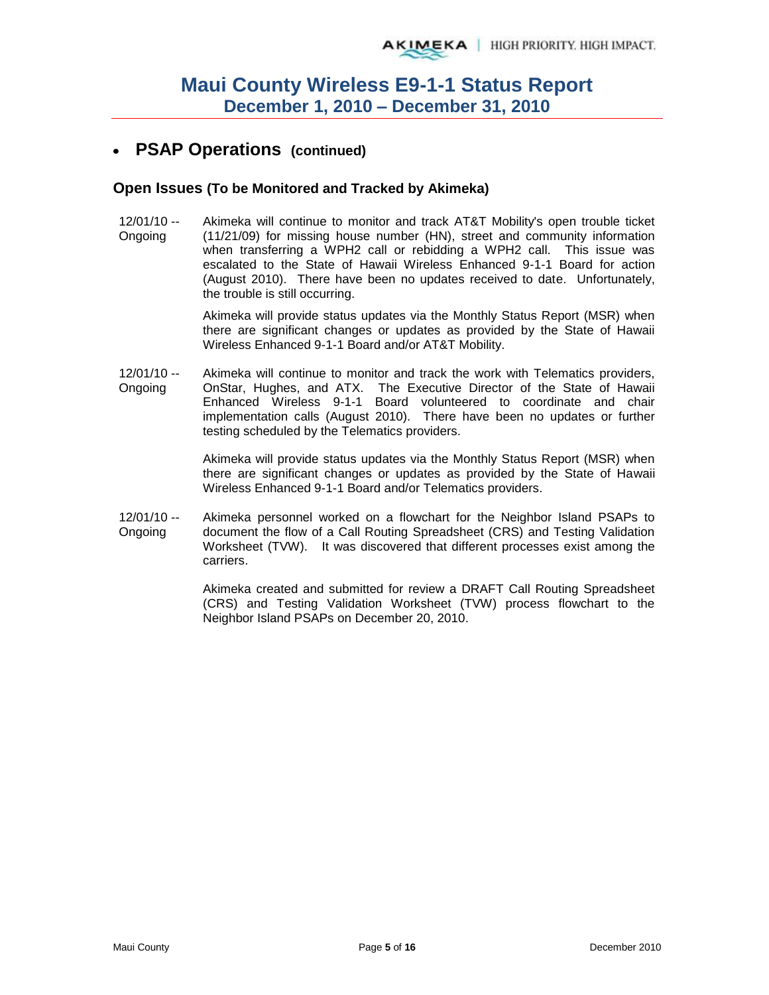## **PSAP Operations (continued)**

#### **Open Issues (To be Monitored and Tracked by Akimeka)**

12/01/10 -- Ongoing Akimeka will continue to monitor and track AT&T Mobility's open trouble ticket (11/21/09) for missing house number (HN), street and community information when transferring a WPH2 call or rebidding a WPH2 call. This issue was escalated to the State of Hawaii Wireless Enhanced 9-1-1 Board for action (August 2010). There have been no updates received to date. Unfortunately, the trouble is still occurring.

> Akimeka will provide status updates via the Monthly Status Report (MSR) when there are significant changes or updates as provided by the State of Hawaii Wireless Enhanced 9-1-1 Board and/or AT&T Mobility.

12/01/10 -- Ongoing Akimeka will continue to monitor and track the work with Telematics providers, OnStar, Hughes, and ATX. The Executive Director of the State of Hawaii Enhanced Wireless 9-1-1 Board volunteered to coordinate and chair implementation calls (August 2010). There have been no updates or further testing scheduled by the Telematics providers.

> Akimeka will provide status updates via the Monthly Status Report (MSR) when there are significant changes or updates as provided by the State of Hawaii Wireless Enhanced 9-1-1 Board and/or Telematics providers.

12/01/10 -- Ongoing Akimeka personnel worked on a flowchart for the Neighbor Island PSAPs to document the flow of a Call Routing Spreadsheet (CRS) and Testing Validation Worksheet (TVW). It was discovered that different processes exist among the carriers.

> Akimeka created and submitted for review a DRAFT Call Routing Spreadsheet (CRS) and Testing Validation Worksheet (TVW) process flowchart to the Neighbor Island PSAPs on December 20, 2010.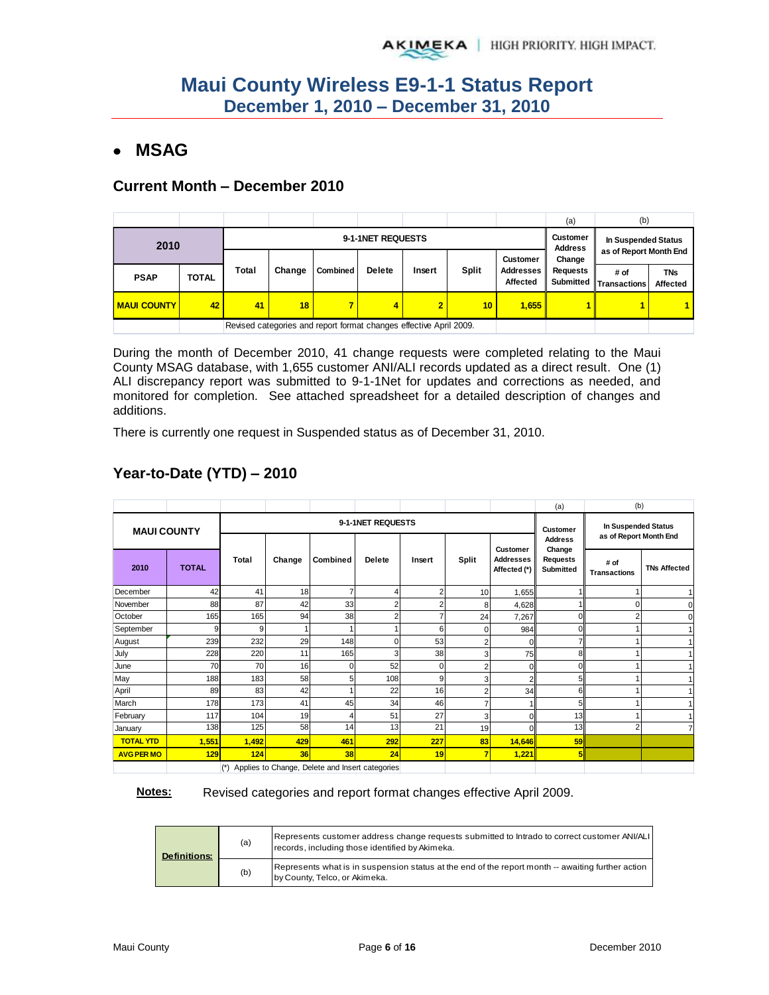## **MSAG**

#### **Current Month – December 2010**

|                    |              |                   |        |                                                                    |               |                |                 |                                     | (a)                                                | (b)                  |                               |  |
|--------------------|--------------|-------------------|--------|--------------------------------------------------------------------|---------------|----------------|-----------------|-------------------------------------|----------------------------------------------------|----------------------|-------------------------------|--|
| 2010               |              | 9-1-1NET REQUESTS |        |                                                                    |               |                |                 |                                     |                                                    | In Suspended Status  |                               |  |
|                    |              |                   |        |                                                                    |               |                |                 | <b>Customer</b>                     | <b>Address</b><br>as of Report Month End<br>Change |                      |                               |  |
| <b>PSAP</b>        | <b>TOTAL</b> | Total             | Change | <b>Combined</b>                                                    | <b>Delete</b> | Insert         | <b>Split</b>    | <b>Addresses</b><br><b>Affected</b> | Requests<br>Submitted                              | # of<br>Transactions | <b>TNs</b><br><b>Affected</b> |  |
| <b>MAUI COUNTY</b> | 42           | 41                | 18     |                                                                    | 4             | $\overline{2}$ | 10 <sub>1</sub> | 1,655                               |                                                    |                      |                               |  |
|                    |              |                   |        | Revised categories and report format changes effective April 2009. |               |                |                 |                                     |                                                    |                      |                               |  |

During the month of December 2010, 41 change requests were completed relating to the Maui County MSAG database, with 1,655 customer ANI/ALI records updated as a direct result. One (1) ALI discrepancy report was submitted to 9-1-1Net for updates and corrections as needed, and monitored for completion. See attached spreadsheet for a detailed description of changes and additions.

There is currently one request in Suspended status as of December 31, 2010.

|                    |              |                                                          |        |                 |                |                |                |                                                     | (a)                                                      | (b)                         |                     |
|--------------------|--------------|----------------------------------------------------------|--------|-----------------|----------------|----------------|----------------|-----------------------------------------------------|----------------------------------------------------------|-----------------------------|---------------------|
| <b>MAUI COUNTY</b> |              | 9-1-1NET REQUESTS                                        |        |                 |                |                |                | <b>Customer</b>                                     | In Suspended Status<br>as of Report Month End            |                             |                     |
| 2010               | <b>TOTAL</b> | Total                                                    | Change | <b>Combined</b> | <b>Delete</b>  | Insert         | Split          | <b>Customer</b><br><b>Addresses</b><br>Affected (*) | <b>Address</b><br>Change<br>Requests<br><b>Submitted</b> | # of<br><b>Transactions</b> | <b>TNs Affected</b> |
| December           | 42           | 41                                                       | 18     |                 | 4              | 2              | 10             | 1,655                                               |                                                          |                             |                     |
| November           | 88           | 87                                                       | 42     | 33              | 2              | $\overline{2}$ | 8              | 4,628                                               |                                                          | $\Omega$                    |                     |
| October            | 165          | 165                                                      | 94     | 38              | $\overline{2}$ |                | 24             | 7,267                                               | $\Omega$                                                 |                             |                     |
| September          | q            | 9                                                        |        |                 |                | 6              | 0              | 984                                                 | 0                                                        |                             |                     |
| August             | 239          | 232                                                      | 29     | 148             | 0              | 53             | $\overline{2}$ |                                                     |                                                          |                             |                     |
| July               | 228          | 220                                                      | 11     | 165             | 3              | 38             | 3              | 75                                                  | 8                                                        |                             |                     |
| June               | 70           | 70                                                       | 16     | $\Omega$        | 52             | 0              | 2              | $\Omega$                                            | 0                                                        |                             |                     |
| May                | 188          | 183                                                      | 58     | 5               | 108            | 9              | 3              | r                                                   | 5                                                        |                             |                     |
| April              | 89           | 83                                                       | 42     |                 | 22             | 16             | 2              | 34                                                  | 6                                                        |                             |                     |
| March              | 178          | 173                                                      | 41     | 45              | 34             | 46             |                |                                                     | 5                                                        |                             |                     |
| February           | 117          | 104                                                      | 19     |                 | 51             | 27             | 3              |                                                     | 13                                                       |                             |                     |
| January            | 138          | 125                                                      | 58     | 14              | 13             | 21             | 19             |                                                     | 13                                                       |                             |                     |
| <b>TOTAL YTD</b>   | 1,551        | 1,492                                                    | 429    | 461             | 292            | 227            | 83             | 14,646                                              | 59                                                       |                             |                     |
| <b>AVG PER MO</b>  | 129          | 124                                                      | 36     | 38              | 24             | 19             | $\overline{7}$ | 1,221                                               | 5                                                        |                             |                     |
|                    |              | Applies to Change, Delete and Insert categories<br>$(*)$ |        |                 |                |                |                |                                                     |                                                          |                             |                     |

# **Year-to-Date (YTD) – 2010**

(\*) Applies to Change, Delete and Insert categories

**Notes:** Revised categories and report format changes effective April 2009.

| <b>Definitions:</b> | (a) | Represents customer address change requests submitted to Intrado to correct customer ANI/ALI<br>records, including those identified by Akimeka. |
|---------------------|-----|-------------------------------------------------------------------------------------------------------------------------------------------------|
|                     | (b) | Represents what is in suspension status at the end of the report month -- awaiting further action<br>by County, Telco, or Akimeka.              |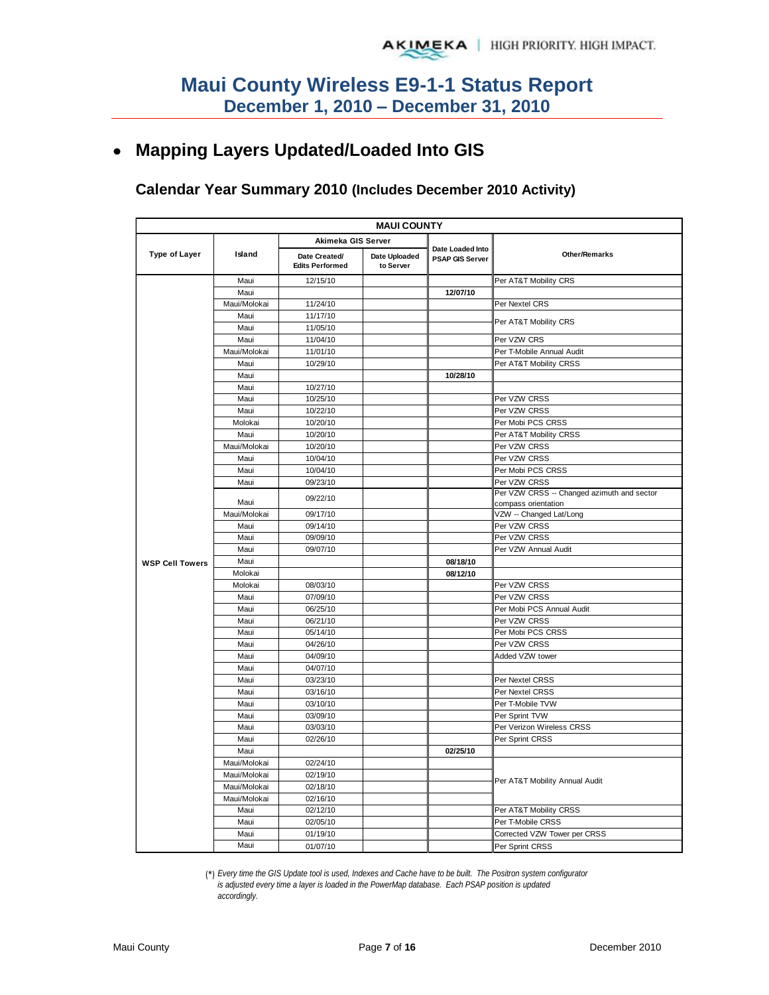# **Mapping Layers Updated/Loaded Into GIS**

#### **Calendar Year Summary 2010 (Includes December 2010 Activity)**

| <b>MAUI COUNTY</b>     |                              |                                         |                            |                                            |                                            |  |  |
|------------------------|------------------------------|-----------------------------------------|----------------------------|--------------------------------------------|--------------------------------------------|--|--|
|                        |                              | Akimeka GIS Server                      |                            |                                            |                                            |  |  |
| <b>Type of Layer</b>   | Island                       | Date Created/<br><b>Edits Performed</b> | Date Uploaded<br>to Server | Date Loaded Into<br><b>PSAP GIS Server</b> | <b>Other/Remarks</b>                       |  |  |
|                        | Maui                         | 12/15/10                                |                            |                                            | Per AT&T Mobility CRS                      |  |  |
|                        | Maui                         |                                         |                            | 12/07/10                                   |                                            |  |  |
|                        | Maui/Molokai                 | 11/24/10                                |                            |                                            | Per Nextel CRS                             |  |  |
|                        | Maui                         | 11/17/10                                |                            |                                            |                                            |  |  |
|                        | Maui                         | 11/05/10                                |                            |                                            | Per AT&T Mobility CRS                      |  |  |
|                        | Maui                         | 11/04/10                                |                            |                                            | Per VZW CRS                                |  |  |
|                        | Maui/Molokai                 | 11/01/10                                |                            |                                            | Per T-Mobile Annual Audit                  |  |  |
|                        | Maui                         | 10/29/10                                |                            |                                            | Per AT&T Mobility CRSS                     |  |  |
|                        | Maui                         |                                         |                            | 10/28/10                                   |                                            |  |  |
|                        | Maui                         | 10/27/10                                |                            |                                            |                                            |  |  |
|                        | Maui                         | 10/25/10                                |                            |                                            | Per VZW CRSS                               |  |  |
|                        | Maui                         | 10/22/10                                |                            |                                            | Per VZW CRSS                               |  |  |
|                        | Molokai                      | 10/20/10                                |                            |                                            | Per Mobi PCS CRSS                          |  |  |
|                        | Maui                         | 10/20/10                                |                            |                                            | Per AT&T Mobility CRSS                     |  |  |
|                        | Maui/Molokai                 | 10/20/10                                |                            |                                            | Per VZW CRSS                               |  |  |
|                        | Maui                         | 10/04/10                                |                            |                                            | Per VZW CRSS                               |  |  |
|                        | Maui                         | 10/04/10                                |                            |                                            | Per Mobi PCS CRSS                          |  |  |
|                        | Maui                         | 09/23/10                                |                            |                                            | Per VZW CRSS                               |  |  |
|                        |                              | 09/22/10                                |                            |                                            | Per VZW CRSS -- Changed azimuth and sector |  |  |
|                        | Maui                         |                                         |                            |                                            | compass orientation                        |  |  |
|                        | Maui/Molokai                 | 09/17/10                                |                            |                                            | VZW -- Changed Lat/Long                    |  |  |
|                        | Maui                         | 09/14/10                                |                            |                                            | Per VZW CRSS                               |  |  |
|                        | Maui                         | 09/09/10                                |                            |                                            | Per VZW CRSS                               |  |  |
|                        | Maui                         | 09/07/10                                |                            |                                            | Per VZW Annual Audit                       |  |  |
| <b>WSP Cell Towers</b> | Maui                         |                                         |                            | 08/18/10                                   |                                            |  |  |
|                        | Molokai                      |                                         |                            | 08/12/10                                   |                                            |  |  |
|                        | Molokai                      | 08/03/10                                |                            |                                            | Per VZW CRSS                               |  |  |
|                        | Maui<br>Maui                 | 07/09/10<br>06/25/10                    |                            |                                            | Per VZW CRSS<br>Per Mobi PCS Annual Audit  |  |  |
|                        |                              |                                         |                            |                                            |                                            |  |  |
|                        | Maui                         | 06/21/10                                |                            |                                            | Per VZW CRSS                               |  |  |
|                        | Maui                         | 05/14/10                                |                            |                                            | Per Mobi PCS CRSS                          |  |  |
|                        | Maui                         | 04/26/10                                |                            |                                            | Per VZW CRSS                               |  |  |
|                        | Maui<br>Maui                 | 04/09/10<br>04/07/10                    |                            |                                            | Added VZW tower                            |  |  |
|                        | Maui                         | 03/23/10                                |                            |                                            | Per Nextel CRSS                            |  |  |
|                        |                              |                                         |                            |                                            |                                            |  |  |
|                        | Maui<br>Maui                 | 03/16/10<br>03/10/10                    |                            |                                            | Per Nextel CRSS<br>Per T-Mobile TVW        |  |  |
|                        | Maui                         | 03/09/10                                |                            |                                            | Per Sprint TVW                             |  |  |
|                        | Maui                         | 03/03/10                                |                            |                                            | Per Verizon Wireless CRSS                  |  |  |
|                        | Maui                         | 02/26/10                                |                            |                                            | Per Sprint CRSS                            |  |  |
|                        | Maui                         |                                         |                            | 02/25/10                                   |                                            |  |  |
|                        |                              |                                         |                            |                                            |                                            |  |  |
|                        | Maui/Molokai<br>Maui/Molokai | 02/24/10<br>02/19/10                    |                            |                                            |                                            |  |  |
|                        | Maui/Molokai                 | 02/18/10                                |                            |                                            | Per AT&T Mobility Annual Audit             |  |  |
|                        | Maui/Molokai                 | 02/16/10                                |                            |                                            |                                            |  |  |
|                        | Maui                         | 02/12/10                                |                            |                                            | Per AT&T Mobility CRSS                     |  |  |
|                        | Maui                         | 02/05/10                                |                            |                                            | Per T-Mobile CRSS                          |  |  |
|                        | Maui                         | 01/19/10                                |                            |                                            | Corrected VZW Tower per CRSS               |  |  |
|                        | Maui                         | 01/07/10                                |                            |                                            | Per Sprint CRSS                            |  |  |
|                        |                              |                                         |                            |                                            |                                            |  |  |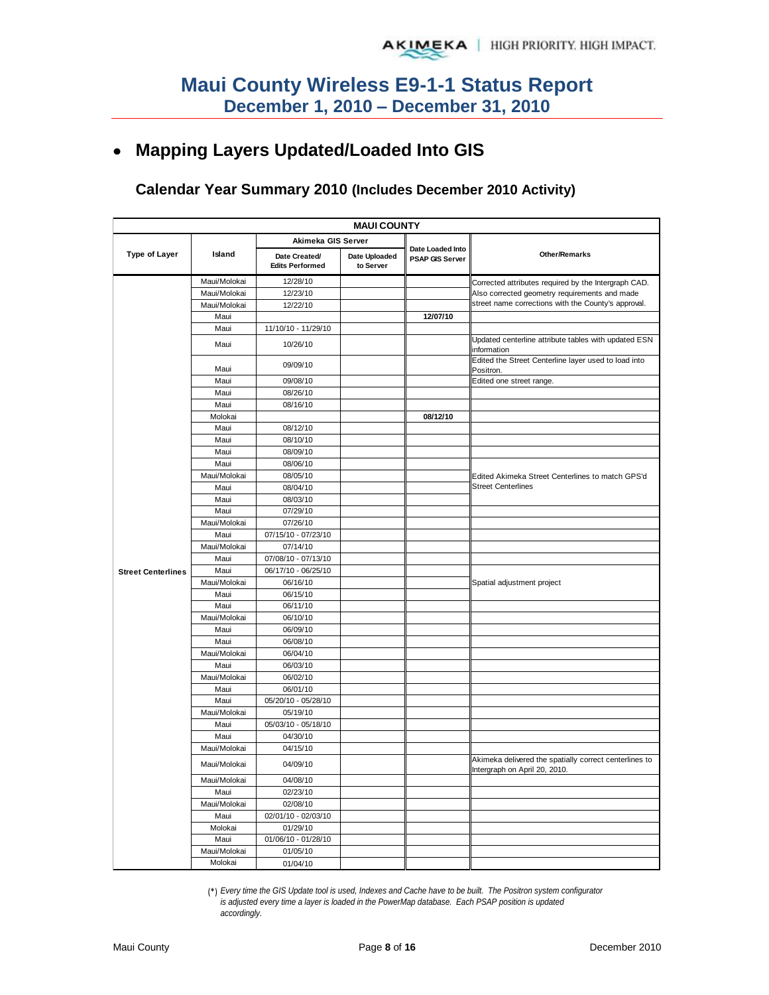# **Mapping Layers Updated/Loaded Into GIS**

### **Calendar Year Summary 2010 (Includes December 2010 Activity)**

|                           | <b>MAUI COUNTY</b> |                                         |                            |                                            |                                                                                         |  |  |  |
|---------------------------|--------------------|-----------------------------------------|----------------------------|--------------------------------------------|-----------------------------------------------------------------------------------------|--|--|--|
|                           |                    | Akimeka GIS Server                      |                            |                                            |                                                                                         |  |  |  |
| <b>Type of Layer</b>      | Island             | Date Created/<br><b>Edits Performed</b> | Date Uploaded<br>to Server | Date Loaded Into<br><b>PSAP GIS Server</b> | <b>Other/Remarks</b>                                                                    |  |  |  |
|                           | Maui/Molokai       | 12/28/10                                |                            |                                            | Corrected attributes required by the Intergraph CAD.                                    |  |  |  |
|                           | Maui/Molokai       | 12/23/10                                |                            |                                            | Also corrected geometry requirements and made                                           |  |  |  |
|                           | Maui/Molokai       | 12/22/10                                |                            |                                            | street name corrections with the County's approval.                                     |  |  |  |
|                           | Maui               |                                         |                            | 12/07/10                                   |                                                                                         |  |  |  |
|                           | Maui               | 11/10/10 - 11/29/10                     |                            |                                            |                                                                                         |  |  |  |
|                           | Maui               | 10/26/10                                |                            |                                            | Updated centerline attribute tables with updated ESN<br>information                     |  |  |  |
|                           | Maui               | 09/09/10                                |                            |                                            | Edited the Street Centerline layer used to load into<br>Positron.                       |  |  |  |
|                           | Maui               | 09/08/10                                |                            |                                            | Edited one street range.                                                                |  |  |  |
|                           | Maui               | 08/26/10                                |                            |                                            |                                                                                         |  |  |  |
|                           | Maui               | 08/16/10                                |                            |                                            |                                                                                         |  |  |  |
|                           | Molokai            |                                         |                            | 08/12/10                                   |                                                                                         |  |  |  |
|                           | Maui               | 08/12/10                                |                            |                                            |                                                                                         |  |  |  |
|                           | Maui               | 08/10/10                                |                            |                                            |                                                                                         |  |  |  |
|                           | Maui               | 08/09/10                                |                            |                                            |                                                                                         |  |  |  |
|                           | Maui               | 08/06/10                                |                            |                                            |                                                                                         |  |  |  |
|                           | Maui/Molokai       | 08/05/10                                |                            |                                            | Edited Akimeka Street Centerlines to match GPS'd                                        |  |  |  |
|                           | Maui               | 08/04/10                                |                            |                                            | <b>Street Centerlines</b>                                                               |  |  |  |
|                           | Maui               | 08/03/10                                |                            |                                            |                                                                                         |  |  |  |
|                           | Maui               | 07/29/10                                |                            |                                            |                                                                                         |  |  |  |
|                           | Maui/Molokai       | 07/26/10                                |                            |                                            |                                                                                         |  |  |  |
|                           | Maui               | 07/15/10 - 07/23/10                     |                            |                                            |                                                                                         |  |  |  |
|                           | Maui/Molokai       | 07/14/10                                |                            |                                            |                                                                                         |  |  |  |
|                           | Maui               | 07/08/10 - 07/13/10                     |                            |                                            |                                                                                         |  |  |  |
| <b>Street Centerlines</b> | Maui               | 06/17/10 - 06/25/10                     |                            |                                            |                                                                                         |  |  |  |
|                           | Maui/Molokai       | 06/16/10                                |                            |                                            | Spatial adjustment project                                                              |  |  |  |
|                           | Maui               | 06/15/10                                |                            |                                            |                                                                                         |  |  |  |
|                           | Maui               | 06/11/10                                |                            |                                            |                                                                                         |  |  |  |
|                           | Maui/Molokai       | 06/10/10                                |                            |                                            |                                                                                         |  |  |  |
|                           | Maui               | 06/09/10                                |                            |                                            |                                                                                         |  |  |  |
|                           | Maui               | 06/08/10                                |                            |                                            |                                                                                         |  |  |  |
|                           | Maui/Molokai       | 06/04/10                                |                            |                                            |                                                                                         |  |  |  |
|                           | Maui               | 06/03/10                                |                            |                                            |                                                                                         |  |  |  |
|                           | Maui/Molokai       | 06/02/10                                |                            |                                            |                                                                                         |  |  |  |
|                           | Maui               | 06/01/10                                |                            |                                            |                                                                                         |  |  |  |
|                           | Maui               | 05/20/10 - 05/28/10                     |                            |                                            |                                                                                         |  |  |  |
|                           | Maui/Molokai       | 05/19/10                                |                            |                                            |                                                                                         |  |  |  |
|                           | Maui               | 05/03/10 - 05/18/10                     |                            |                                            |                                                                                         |  |  |  |
|                           | Maui               | 04/30/10                                |                            |                                            |                                                                                         |  |  |  |
|                           | Maui/Molokai       | 04/15/10                                |                            |                                            |                                                                                         |  |  |  |
|                           | Maui/Molokai       | 04/09/10                                |                            |                                            | Akimeka delivered the spatially correct centerlines to<br>Intergraph on April 20, 2010. |  |  |  |
|                           | Maui/Molokai       | 04/08/10                                |                            |                                            |                                                                                         |  |  |  |
|                           | Maui               | 02/23/10                                |                            |                                            |                                                                                         |  |  |  |
|                           | Maui/Molokai       | 02/08/10                                |                            |                                            |                                                                                         |  |  |  |
|                           | Maui               | 02/01/10 - 02/03/10                     |                            |                                            |                                                                                         |  |  |  |
|                           | Molokai            | 01/29/10                                |                            |                                            |                                                                                         |  |  |  |
|                           | Maui               | 01/06/10 - 01/28/10                     |                            |                                            |                                                                                         |  |  |  |
|                           | Maui/Molokai       | 01/05/10                                |                            |                                            |                                                                                         |  |  |  |
|                           | Molokai            | 01/04/10                                |                            |                                            |                                                                                         |  |  |  |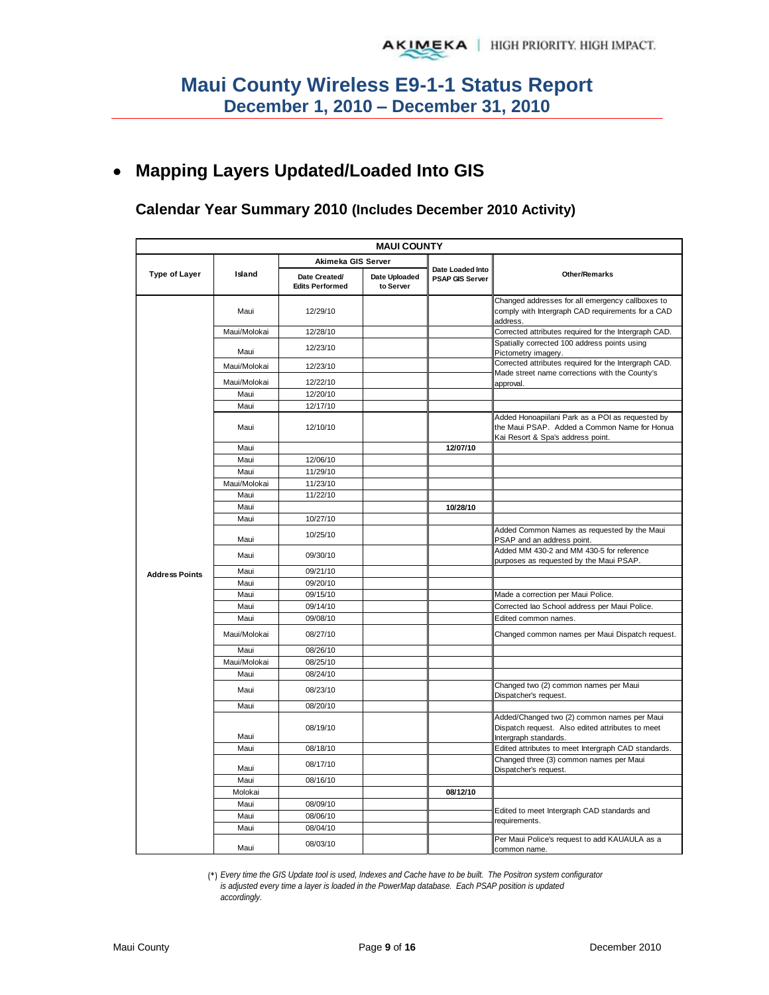#### **Mapping Layers Updated/Loaded Into GIS**   $\bullet$

#### **Calendar Year Summary 2010 (Includes December 2010 Activity)**

|                       |              | <b>MAUI COUNTY</b>                      |                            |                                            |                                                                                                                                       |  |
|-----------------------|--------------|-----------------------------------------|----------------------------|--------------------------------------------|---------------------------------------------------------------------------------------------------------------------------------------|--|
|                       |              | Akimeka GIS Server                      |                            |                                            |                                                                                                                                       |  |
| Type of Layer         | Island       | Date Created/<br><b>Edits Performed</b> | Date Uploaded<br>to Server | Date Loaded Into<br><b>PSAP GIS Server</b> | <b>Other/Remarks</b>                                                                                                                  |  |
|                       | Maui         | 12/29/10                                |                            |                                            | Changed addresses for all emergency callboxes to<br>comply with Intergraph CAD requirements for a CAD<br>address.                     |  |
|                       | Maui/Molokai | 12/28/10                                |                            |                                            | Corrected attributes required for the Intergraph CAD.                                                                                 |  |
|                       | Maui         | 12/23/10                                |                            |                                            | Spatially corrected 100 address points using<br>Pictometry imagery.                                                                   |  |
|                       | Maui/Molokai | 12/23/10                                |                            |                                            | Corrected attributes required for the Intergraph CAD.                                                                                 |  |
|                       | Maui/Molokai | 12/22/10                                |                            |                                            | Made street name corrections with the County's<br>approval.                                                                           |  |
|                       | Maui         | 12/20/10                                |                            |                                            |                                                                                                                                       |  |
|                       | Maui         | 12/17/10                                |                            |                                            |                                                                                                                                       |  |
|                       | Maui         | 12/10/10                                |                            |                                            | Added Honoapiilani Park as a POI as requested by<br>the Maui PSAP. Added a Common Name for Honua<br>Kai Resort & Spa's address point. |  |
|                       | Maui         |                                         |                            | 12/07/10                                   |                                                                                                                                       |  |
|                       | Maui         | 12/06/10                                |                            |                                            |                                                                                                                                       |  |
|                       | Maui         | 11/29/10                                |                            |                                            |                                                                                                                                       |  |
|                       | Maui/Molokai | 11/23/10                                |                            |                                            |                                                                                                                                       |  |
|                       | Maui         | 11/22/10                                |                            |                                            |                                                                                                                                       |  |
|                       | Maui         |                                         |                            | 10/28/10                                   |                                                                                                                                       |  |
|                       | Maui         | 10/27/10                                |                            |                                            |                                                                                                                                       |  |
|                       | Maui         | 10/25/10                                |                            |                                            | Added Common Names as requested by the Maui<br>PSAP and an address point.                                                             |  |
|                       | Maui         | 09/30/10                                |                            |                                            | Added MM 430-2 and MM 430-5 for reference<br>purposes as requested by the Maui PSAP.                                                  |  |
| <b>Address Points</b> | Maui         | 09/21/10                                |                            |                                            |                                                                                                                                       |  |
|                       | Maui         | 09/20/10                                |                            |                                            |                                                                                                                                       |  |
|                       | Maui         | 09/15/10                                |                            |                                            | Made a correction per Maui Police.                                                                                                    |  |
|                       | Maui         | 09/14/10                                |                            |                                            | Corrected lao School address per Maui Police.                                                                                         |  |
|                       | Maui         | 09/08/10                                |                            |                                            | Edited common names.                                                                                                                  |  |
|                       | Maui/Molokai | 08/27/10                                |                            |                                            | Changed common names per Maui Dispatch request.                                                                                       |  |
|                       | Maui         | 08/26/10                                |                            |                                            |                                                                                                                                       |  |
|                       | Maui/Molokai | 08/25/10                                |                            |                                            |                                                                                                                                       |  |
|                       | Maui         | 08/24/10                                |                            |                                            |                                                                                                                                       |  |
|                       | Maui         | 08/23/10                                |                            |                                            | Changed two (2) common names per Maui<br>Dispatcher's request.                                                                        |  |
|                       | Maui         | 08/20/10                                |                            |                                            |                                                                                                                                       |  |
|                       | Maui         | 08/19/10                                |                            |                                            | Added/Changed two (2) common names per Maui<br>Dispatch request. Also edited attributes to meet<br>Intergraph standards.              |  |
|                       | Maui         | 08/18/10                                |                            |                                            | Edited attributes to meet Intergraph CAD standards.                                                                                   |  |
|                       | Maui         | 08/17/10                                |                            |                                            | Changed three (3) common names per Maui<br>Dispatcher's request.                                                                      |  |
|                       | Maui         | 08/16/10                                |                            |                                            |                                                                                                                                       |  |
|                       | Molokai      |                                         |                            | 08/12/10                                   |                                                                                                                                       |  |
|                       | Maui         | 08/09/10                                |                            |                                            |                                                                                                                                       |  |
|                       | Maui         | 08/06/10                                |                            |                                            | Edited to meet Intergraph CAD standards and<br>requirements.                                                                          |  |
|                       | Maui         | 08/04/10                                |                            |                                            |                                                                                                                                       |  |
|                       | Maui         | 08/03/10                                |                            |                                            | Per Maui Police's request to add KAUAULA as a<br>common name.                                                                         |  |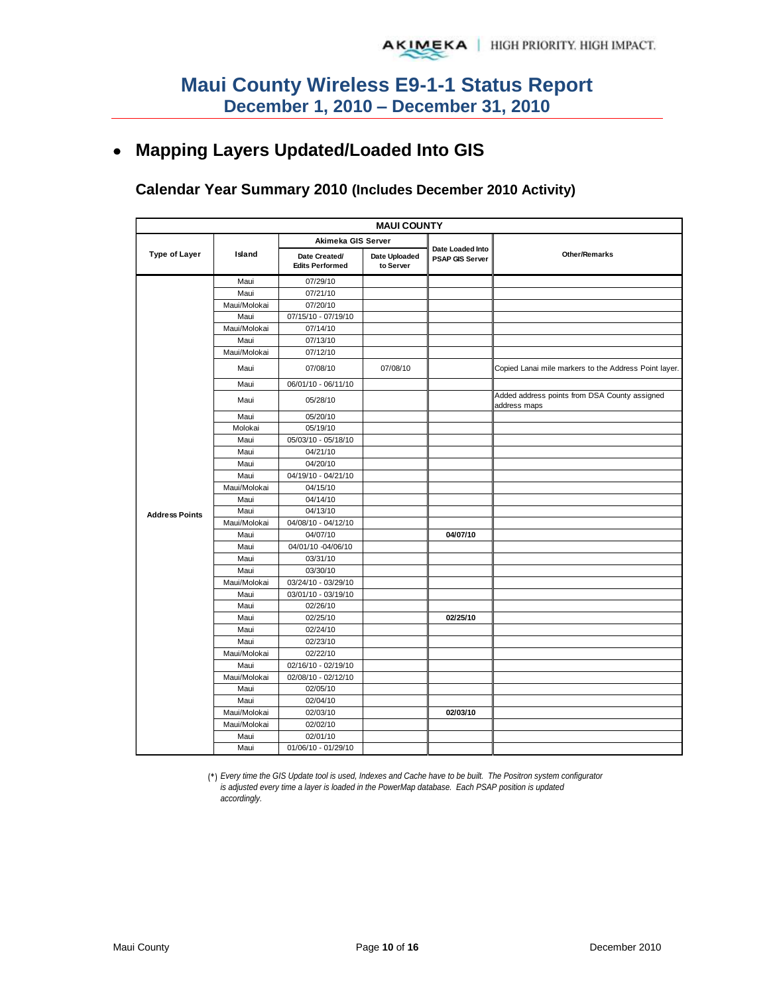# **Mapping Layers Updated/Loaded Into GIS**

### **Calendar Year Summary 2010 (Includes December 2010 Activity)**

|                       |              |                                         | <b>MAUI COUNTY</b>         |                                            |                                                               |
|-----------------------|--------------|-----------------------------------------|----------------------------|--------------------------------------------|---------------------------------------------------------------|
|                       |              | Akimeka GIS Server                      |                            |                                            |                                                               |
| <b>Type of Layer</b>  | Island       | Date Created/<br><b>Edits Performed</b> | Date Uploaded<br>to Server | Date Loaded Into<br><b>PSAP GIS Server</b> | <b>Other/Remarks</b>                                          |
|                       | Maui         | 07/29/10                                |                            |                                            |                                                               |
|                       | Maui         | 07/21/10                                |                            |                                            |                                                               |
|                       | Maui/Molokai | 07/20/10                                |                            |                                            |                                                               |
|                       | Maui         | 07/15/10 - 07/19/10                     |                            |                                            |                                                               |
|                       | Maui/Molokai | 07/14/10                                |                            |                                            |                                                               |
|                       | Maui         | 07/13/10                                |                            |                                            |                                                               |
|                       | Maui/Molokai | 07/12/10                                |                            |                                            |                                                               |
|                       | Maui         | 07/08/10                                | 07/08/10                   |                                            | Copied Lanai mile markers to the Address Point layer.         |
|                       | Maui         | 06/01/10 - 06/11/10                     |                            |                                            |                                                               |
|                       | Maui         | 05/28/10                                |                            |                                            | Added address points from DSA County assigned<br>address maps |
|                       | Maui         | 05/20/10                                |                            |                                            |                                                               |
|                       | Molokai      | 05/19/10                                |                            |                                            |                                                               |
|                       | Maui         | 05/03/10 - 05/18/10                     |                            |                                            |                                                               |
|                       | Maui         | 04/21/10                                |                            |                                            |                                                               |
|                       | Maui         | 04/20/10                                |                            |                                            |                                                               |
|                       | Maui         | 04/19/10 - 04/21/10                     |                            |                                            |                                                               |
|                       | Maui/Molokai | 04/15/10                                |                            |                                            |                                                               |
|                       | Maui         | 04/14/10                                |                            |                                            |                                                               |
| <b>Address Points</b> | Maui         | 04/13/10                                |                            |                                            |                                                               |
|                       | Maui/Molokai | 04/08/10 - 04/12/10                     |                            |                                            |                                                               |
|                       | Maui         | 04/07/10                                |                            | 04/07/10                                   |                                                               |
|                       | Maui         | 04/01/10 -04/06/10                      |                            |                                            |                                                               |
|                       | Maui         | 03/31/10                                |                            |                                            |                                                               |
|                       | Maui         | 03/30/10                                |                            |                                            |                                                               |
|                       | Maui/Molokai | 03/24/10 - 03/29/10                     |                            |                                            |                                                               |
|                       | Maui         | 03/01/10 - 03/19/10                     |                            |                                            |                                                               |
|                       | Maui         | 02/26/10                                |                            |                                            |                                                               |
|                       | Maui         | 02/25/10                                |                            | 02/25/10                                   |                                                               |
|                       | Maui         | 02/24/10                                |                            |                                            |                                                               |
|                       | Maui         | 02/23/10                                |                            |                                            |                                                               |
|                       | Maui/Molokai | 02/22/10                                |                            |                                            |                                                               |
|                       | Maui         | 02/16/10 - 02/19/10                     |                            |                                            |                                                               |
|                       | Maui/Molokai | 02/08/10 - 02/12/10                     |                            |                                            |                                                               |
|                       | Maui         | 02/05/10                                |                            |                                            |                                                               |
|                       | Maui         | 02/04/10                                |                            |                                            |                                                               |
|                       | Maui/Molokai | 02/03/10                                |                            | 02/03/10                                   |                                                               |
|                       | Maui/Molokai | 02/02/10                                |                            |                                            |                                                               |
|                       | Maui         | 02/01/10                                |                            |                                            |                                                               |
|                       | Maui         | 01/06/10 - 01/29/10                     |                            |                                            |                                                               |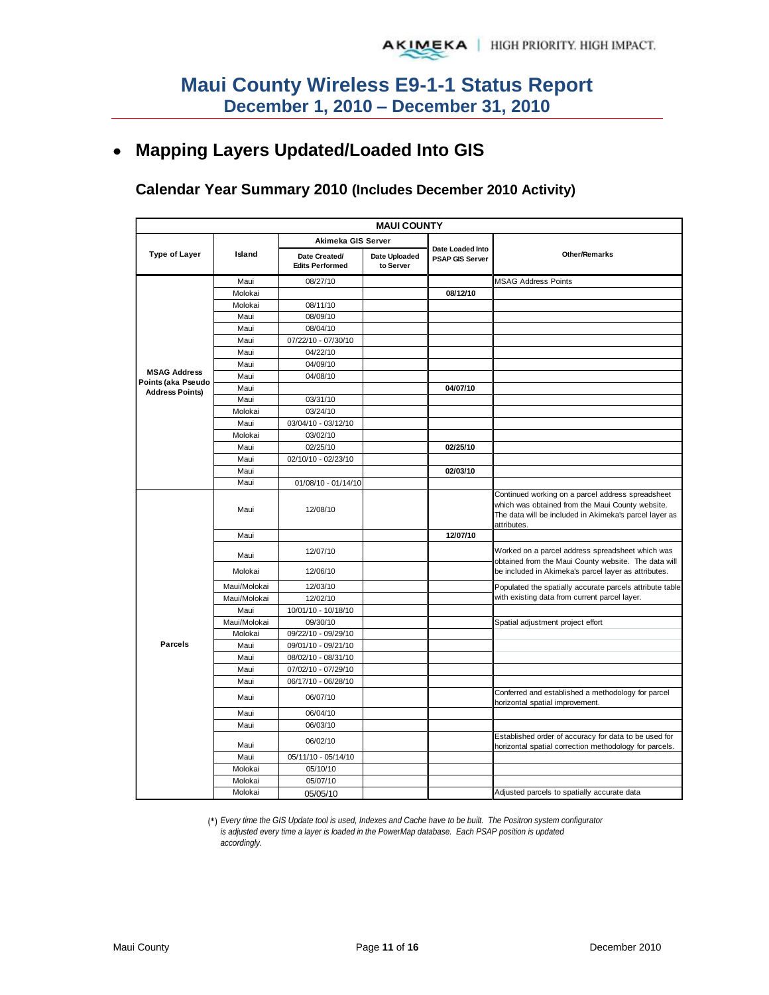# **Mapping Layers Updated/Loaded Into GIS**

### **Calendar Year Summary 2010 (Includes December 2010 Activity)**

| <b>MAUI COUNTY</b>                        |              |                                         |                            |                                            |                                                                                                                                                                                |  |  |  |
|-------------------------------------------|--------------|-----------------------------------------|----------------------------|--------------------------------------------|--------------------------------------------------------------------------------------------------------------------------------------------------------------------------------|--|--|--|
|                                           |              | Akimeka GIS Server                      |                            |                                            |                                                                                                                                                                                |  |  |  |
| <b>Type of Layer</b>                      | Island       | Date Created/<br><b>Edits Performed</b> | Date Uploaded<br>to Server | Date Loaded Into<br><b>PSAP GIS Server</b> | <b>Other/Remarks</b>                                                                                                                                                           |  |  |  |
|                                           | Maui         | 08/27/10                                |                            |                                            | <b>MSAG Address Points</b>                                                                                                                                                     |  |  |  |
|                                           | Molokai      |                                         |                            | 08/12/10                                   |                                                                                                                                                                                |  |  |  |
|                                           | Molokai      | 08/11/10                                |                            |                                            |                                                                                                                                                                                |  |  |  |
|                                           | Maui         | 08/09/10                                |                            |                                            |                                                                                                                                                                                |  |  |  |
|                                           | Maui         | 08/04/10                                |                            |                                            |                                                                                                                                                                                |  |  |  |
|                                           | Maui         | 07/22/10 - 07/30/10                     |                            |                                            |                                                                                                                                                                                |  |  |  |
|                                           | Maui         | 04/22/10                                |                            |                                            |                                                                                                                                                                                |  |  |  |
|                                           | Maui         | 04/09/10                                |                            |                                            |                                                                                                                                                                                |  |  |  |
| <b>MSAG Address</b><br>Points (aka Pseudo | Maui         | 04/08/10                                |                            |                                            |                                                                                                                                                                                |  |  |  |
| <b>Address Points)</b>                    | Maui         |                                         |                            | 04/07/10                                   |                                                                                                                                                                                |  |  |  |
|                                           | Maui         | 03/31/10                                |                            |                                            |                                                                                                                                                                                |  |  |  |
|                                           | Molokai      | 03/24/10                                |                            |                                            |                                                                                                                                                                                |  |  |  |
|                                           | Maui         | 03/04/10 - 03/12/10                     |                            |                                            |                                                                                                                                                                                |  |  |  |
|                                           | Molokai      | 03/02/10                                |                            |                                            |                                                                                                                                                                                |  |  |  |
|                                           | Maui         | 02/25/10                                |                            | 02/25/10                                   |                                                                                                                                                                                |  |  |  |
|                                           | Maui         | 02/10/10 - 02/23/10                     |                            |                                            |                                                                                                                                                                                |  |  |  |
|                                           | Maui         |                                         |                            | 02/03/10                                   |                                                                                                                                                                                |  |  |  |
|                                           | Maui         | 01/08/10 - 01/14/10                     |                            |                                            |                                                                                                                                                                                |  |  |  |
|                                           | Maui         | 12/08/10                                |                            |                                            | Continued working on a parcel address spreadsheet<br>which was obtained from the Maui County website.<br>The data will be included in Akimeka's parcel layer as<br>attributes. |  |  |  |
|                                           | Maui         |                                         |                            | 12/07/10                                   |                                                                                                                                                                                |  |  |  |
|                                           | Maui         | 12/07/10                                |                            |                                            | Worked on a parcel address spreadsheet which was<br>obtained from the Maui County website. The data will                                                                       |  |  |  |
|                                           | Molokai      | 12/06/10                                |                            |                                            | be included in Akimeka's parcel layer as attributes.                                                                                                                           |  |  |  |
|                                           | Maui/Molokai | 12/03/10                                |                            |                                            | Populated the spatially accurate parcels attribute table                                                                                                                       |  |  |  |
|                                           | Maui/Molokai | 12/02/10                                |                            |                                            | with existing data from current parcel layer.                                                                                                                                  |  |  |  |
|                                           | Maui         | 10/01/10 - 10/18/10                     |                            |                                            |                                                                                                                                                                                |  |  |  |
|                                           | Maui/Molokai | 09/30/10                                |                            |                                            | Spatial adjustment project effort                                                                                                                                              |  |  |  |
|                                           | Molokai      | 09/22/10 - 09/29/10                     |                            |                                            |                                                                                                                                                                                |  |  |  |
| <b>Parcels</b>                            | Maui         | 09/01/10 - 09/21/10                     |                            |                                            |                                                                                                                                                                                |  |  |  |
|                                           | Maui         | 08/02/10 - 08/31/10                     |                            |                                            |                                                                                                                                                                                |  |  |  |
|                                           | Maui         | 07/02/10 - 07/29/10                     |                            |                                            |                                                                                                                                                                                |  |  |  |
|                                           | Maui         | 06/17/10 - 06/28/10                     |                            |                                            |                                                                                                                                                                                |  |  |  |
|                                           | Maui         | 06/07/10                                |                            |                                            | Conferred and established a methodology for parcel<br>horizontal spatial improvement.                                                                                          |  |  |  |
|                                           | Maui         | 06/04/10                                |                            |                                            |                                                                                                                                                                                |  |  |  |
|                                           | Maui         | 06/03/10                                |                            |                                            |                                                                                                                                                                                |  |  |  |
|                                           | Maui         | 06/02/10                                |                            |                                            | Established order of accuracy for data to be used for<br>horizontal spatial correction methodology for parcels.                                                                |  |  |  |
|                                           | Maui         | 05/11/10 - 05/14/10                     |                            |                                            |                                                                                                                                                                                |  |  |  |
|                                           | Molokai      | 05/10/10                                |                            |                                            |                                                                                                                                                                                |  |  |  |
|                                           | Molokai      | 05/07/10                                |                            |                                            |                                                                                                                                                                                |  |  |  |
|                                           | Molokai      | 05/05/10                                |                            |                                            | Adjusted parcels to spatially accurate data                                                                                                                                    |  |  |  |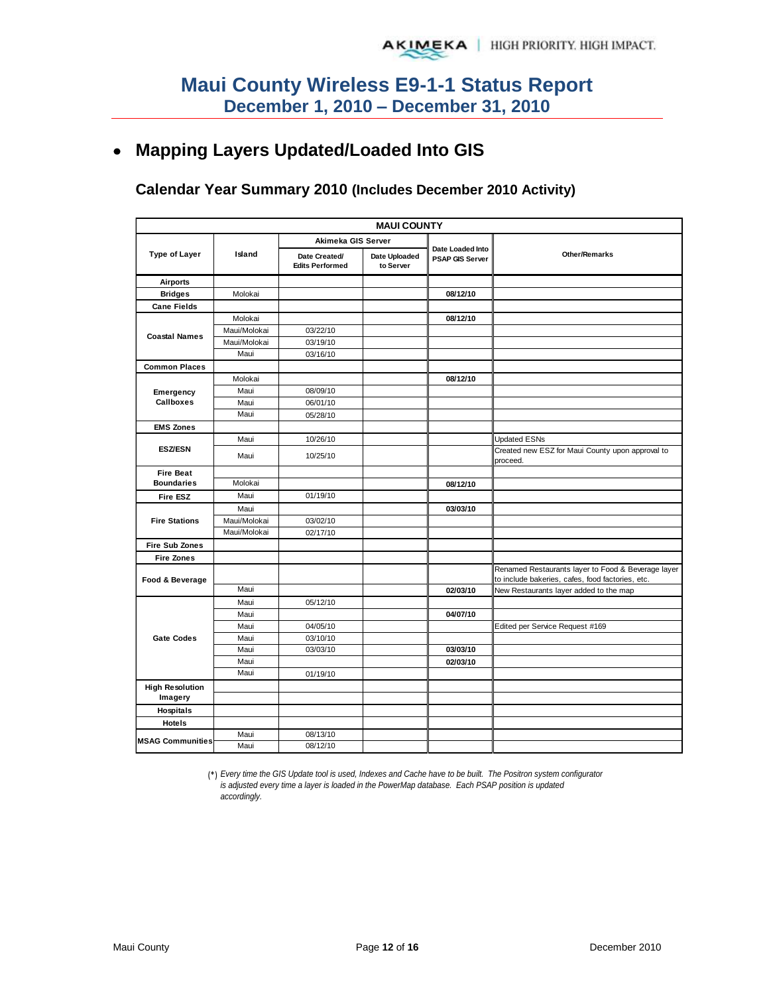# **Mapping Layers Updated/Loaded Into GIS**

### **Calendar Year Summary 2010 (Includes December 2010 Activity)**

|                         |              |                                         | <b>MAUI COUNTY</b>         |                                            |                                                                                                        |  |  |
|-------------------------|--------------|-----------------------------------------|----------------------------|--------------------------------------------|--------------------------------------------------------------------------------------------------------|--|--|
|                         |              | Akimeka GIS Server                      |                            |                                            |                                                                                                        |  |  |
| <b>Type of Layer</b>    | Island       | Date Created/<br><b>Edits Performed</b> | Date Uploaded<br>to Server | Date Loaded Into<br><b>PSAP GIS Server</b> | <b>Other/Remarks</b>                                                                                   |  |  |
| <b>Airports</b>         |              |                                         |                            |                                            |                                                                                                        |  |  |
| <b>Bridges</b>          | Molokai      |                                         |                            | 08/12/10                                   |                                                                                                        |  |  |
| <b>Cane Fields</b>      |              |                                         |                            |                                            |                                                                                                        |  |  |
|                         | Molokai      |                                         |                            | 08/12/10                                   |                                                                                                        |  |  |
|                         | Maui/Molokai | 03/22/10                                |                            |                                            |                                                                                                        |  |  |
| <b>Coastal Names</b>    | Maui/Molokai | 03/19/10                                |                            |                                            |                                                                                                        |  |  |
|                         | Maui         | 03/16/10                                |                            |                                            |                                                                                                        |  |  |
| <b>Common Places</b>    |              |                                         |                            |                                            |                                                                                                        |  |  |
|                         | Molokai      |                                         |                            | 08/12/10                                   |                                                                                                        |  |  |
| Emergency               | Maui         | 08/09/10                                |                            |                                            |                                                                                                        |  |  |
| Callboxes               | Maui         | 06/01/10                                |                            |                                            |                                                                                                        |  |  |
|                         | Maui         | 05/28/10                                |                            |                                            |                                                                                                        |  |  |
| <b>EMS Zones</b>        |              |                                         |                            |                                            |                                                                                                        |  |  |
|                         | Maui         | 10/26/10                                |                            |                                            | <b>Updated ESNs</b>                                                                                    |  |  |
| <b>ESZ/ESN</b>          | Maui         | 10/25/10                                |                            |                                            | Created new ESZ for Maui County upon approval to<br>proceed.                                           |  |  |
| <b>Fire Beat</b>        |              |                                         |                            |                                            |                                                                                                        |  |  |
| <b>Boundaries</b>       | Molokai      |                                         |                            | 08/12/10                                   |                                                                                                        |  |  |
| <b>Fire ESZ</b>         | Maui         | 01/19/10                                |                            |                                            |                                                                                                        |  |  |
|                         | Maui         |                                         |                            | 03/03/10                                   |                                                                                                        |  |  |
| <b>Fire Stations</b>    | Maui/Molokai | 03/02/10                                |                            |                                            |                                                                                                        |  |  |
|                         | Maui/Molokai | 02/17/10                                |                            |                                            |                                                                                                        |  |  |
| <b>Fire Sub Zones</b>   |              |                                         |                            |                                            |                                                                                                        |  |  |
| <b>Fire Zones</b>       |              |                                         |                            |                                            |                                                                                                        |  |  |
| Food & Beverage         |              |                                         |                            |                                            | Renamed Restaurants layer to Food & Beverage layer<br>to include bakeries, cafes, food factories, etc. |  |  |
|                         | Maui         |                                         |                            | 02/03/10                                   | New Restaurants layer added to the map                                                                 |  |  |
|                         | Maui         | 05/12/10                                |                            |                                            |                                                                                                        |  |  |
|                         | Maui         |                                         |                            | 04/07/10                                   |                                                                                                        |  |  |
|                         | Maui         | 04/05/10                                |                            |                                            | Edited per Service Request #169                                                                        |  |  |
| <b>Gate Codes</b>       | Maui         | 03/10/10                                |                            |                                            |                                                                                                        |  |  |
|                         | Maui         | 03/03/10                                |                            | 03/03/10                                   |                                                                                                        |  |  |
|                         | Maui         |                                         |                            | 02/03/10                                   |                                                                                                        |  |  |
|                         | Maui         | 01/19/10                                |                            |                                            |                                                                                                        |  |  |
| <b>High Resolution</b>  |              |                                         |                            |                                            |                                                                                                        |  |  |
| Imagery                 |              |                                         |                            |                                            |                                                                                                        |  |  |
| Hospitals               |              |                                         |                            |                                            |                                                                                                        |  |  |
| <b>Hotels</b>           |              |                                         |                            |                                            |                                                                                                        |  |  |
|                         | Maui         | 08/13/10                                |                            |                                            |                                                                                                        |  |  |
| <b>MSAG Communities</b> | Maui         | 08/12/10                                |                            |                                            |                                                                                                        |  |  |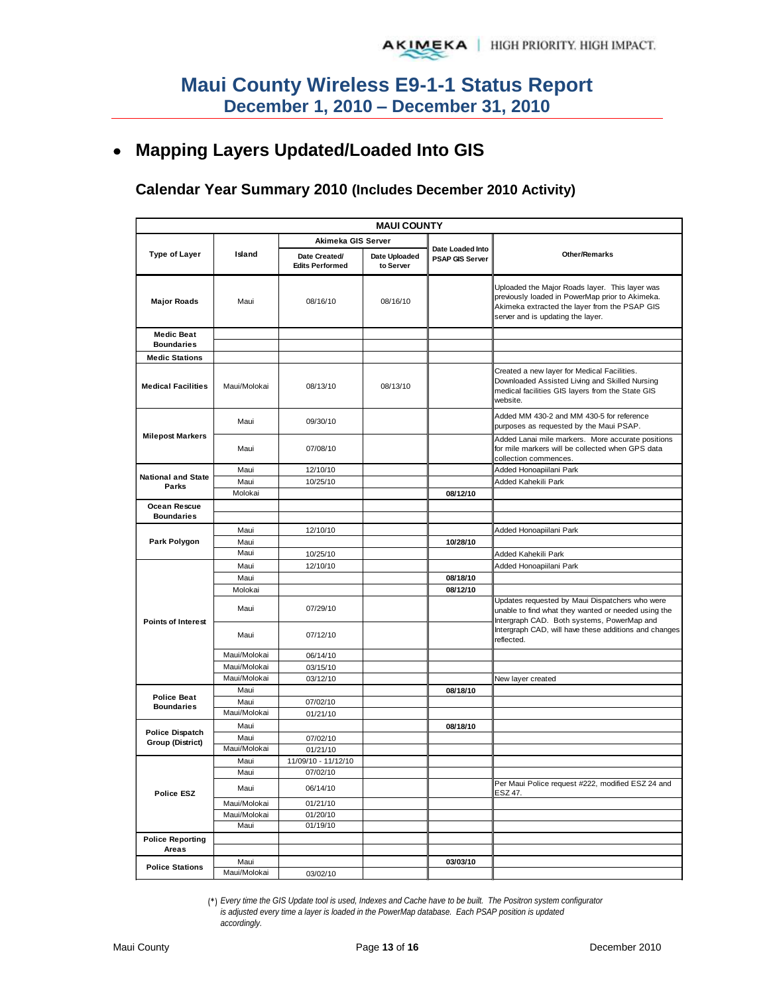# **Mapping Layers Updated/Loaded Into GIS**

#### **Calendar Year Summary 2010 (Includes December 2010 Activity)**

| <b>MAUI COUNTY</b>                     |                      |                                         |                            |                                            |                                                                                                                                                                                         |  |  |
|----------------------------------------|----------------------|-----------------------------------------|----------------------------|--------------------------------------------|-----------------------------------------------------------------------------------------------------------------------------------------------------------------------------------------|--|--|
|                                        |                      | Akimeka GIS Server                      |                            |                                            |                                                                                                                                                                                         |  |  |
| Type of Layer                          | Island               | Date Created/<br><b>Edits Performed</b> | Date Uploaded<br>to Server | Date Loaded Into<br><b>PSAP GIS Server</b> | <b>Other/Remarks</b>                                                                                                                                                                    |  |  |
| <b>Major Roads</b>                     | Maui                 | 08/16/10                                | 08/16/10                   |                                            | Uploaded the Major Roads layer. This layer was<br>previously loaded in PowerMap prior to Akimeka.<br>Akimeka extracted the layer from the PSAP GIS<br>server and is updating the layer. |  |  |
| <b>Medic Beat</b><br><b>Boundaries</b> |                      |                                         |                            |                                            |                                                                                                                                                                                         |  |  |
| <b>Medic Stations</b>                  |                      |                                         |                            |                                            |                                                                                                                                                                                         |  |  |
| <b>Medical Facilities</b>              | Maui/Molokai         | 08/13/10                                | 08/13/10                   |                                            | Created a new layer for Medical Facilities.<br>Downloaded Assisted Living and Skilled Nursing<br>medical facilities GIS layers from the State GIS<br>website.                           |  |  |
|                                        | Maui                 | 09/30/10                                |                            |                                            | Added MM 430-2 and MM 430-5 for reference<br>purposes as requested by the Maui PSAP.                                                                                                    |  |  |
| <b>Milepost Markers</b>                | Maui                 | 07/08/10                                |                            |                                            | Added Lanai mile markers. More accurate positions<br>for mile markers will be collected when GPS data<br>collection commences.                                                          |  |  |
| <b>National and State</b>              | Maui                 | 12/10/10                                |                            |                                            | Added Honoapiilani Park                                                                                                                                                                 |  |  |
| Parks                                  | Maui                 | 10/25/10                                |                            |                                            | Added Kahekili Park                                                                                                                                                                     |  |  |
|                                        | Molokai              |                                         |                            | 08/12/10                                   |                                                                                                                                                                                         |  |  |
| Ocean Rescue<br><b>Boundaries</b>      |                      |                                         |                            |                                            |                                                                                                                                                                                         |  |  |
|                                        |                      |                                         |                            |                                            |                                                                                                                                                                                         |  |  |
|                                        | Maui<br>Maui         | 12/10/10                                |                            | 10/28/10                                   | Added Honoapiilani Park                                                                                                                                                                 |  |  |
| Park Polygon                           | Maui                 | 10/25/10                                |                            |                                            | Added Kahekili Park                                                                                                                                                                     |  |  |
|                                        | Maui                 | 12/10/10                                |                            |                                            | Added Honoapiilani Park                                                                                                                                                                 |  |  |
|                                        | Maui                 |                                         |                            | 08/18/10                                   |                                                                                                                                                                                         |  |  |
|                                        | Molokai              |                                         |                            | 08/12/10                                   |                                                                                                                                                                                         |  |  |
| <b>Points of Interest</b>              | Maui                 | 07/29/10                                |                            |                                            | Updates requested by Maui Dispatchers who were<br>unable to find what they wanted or needed using the<br>Intergraph CAD. Both systems, PowerMap and                                     |  |  |
|                                        | Maui                 | 07/12/10                                |                            |                                            | Intergraph CAD, will have these additions and changes<br>reflected.                                                                                                                     |  |  |
|                                        | Maui/Molokai         | 06/14/10                                |                            |                                            |                                                                                                                                                                                         |  |  |
|                                        | Maui/Molokai         | 03/15/10                                |                            |                                            |                                                                                                                                                                                         |  |  |
|                                        | Maui/Molokai         | 03/12/10                                |                            |                                            | New layer created                                                                                                                                                                       |  |  |
| <b>Police Beat</b>                     | Maui                 |                                         |                            | 08/18/10                                   |                                                                                                                                                                                         |  |  |
| <b>Boundaries</b>                      | Maui<br>Maui/Molokai | 07/02/10<br>01/21/10                    |                            |                                            |                                                                                                                                                                                         |  |  |
|                                        | Maui                 |                                         |                            | 08/18/10                                   |                                                                                                                                                                                         |  |  |
| <b>Police Dispatch</b>                 | Maui                 | 07/02/10                                |                            |                                            |                                                                                                                                                                                         |  |  |
| Group (District)                       | Maui/Molokai         | 01/21/10                                |                            |                                            |                                                                                                                                                                                         |  |  |
|                                        | Maui                 | 11/09/10 - 11/12/10                     |                            |                                            |                                                                                                                                                                                         |  |  |
|                                        | Maui                 | 07/02/10                                |                            |                                            |                                                                                                                                                                                         |  |  |
| <b>Police ESZ</b>                      | Maui                 | 06/14/10                                |                            |                                            | Per Maui Police request #222, modified ESZ 24 and<br>ESZ 47.                                                                                                                            |  |  |
|                                        | Maui/Molokai         | 01/21/10                                |                            |                                            |                                                                                                                                                                                         |  |  |
|                                        | Maui/Molokai         | 01/20/10                                |                            |                                            |                                                                                                                                                                                         |  |  |
|                                        | Maui                 | 01/19/10                                |                            |                                            |                                                                                                                                                                                         |  |  |
| <b>Police Reporting</b><br>Areas       |                      |                                         |                            |                                            |                                                                                                                                                                                         |  |  |
| <b>Police Stations</b>                 | Maui                 |                                         |                            | 03/03/10                                   |                                                                                                                                                                                         |  |  |
|                                        | Maui/Molokai         | 03/02/10                                |                            |                                            |                                                                                                                                                                                         |  |  |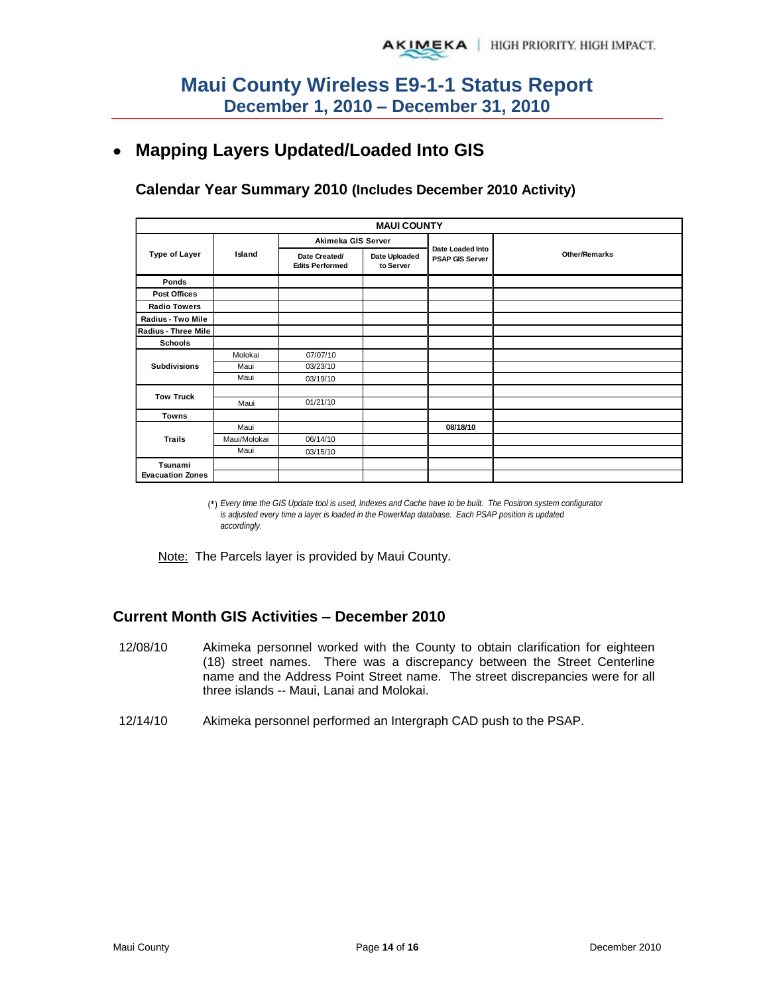#### **Mapping Layers Updated/Loaded Into GIS**   $\bullet$

**Calendar Year Summary 2010 (Includes December 2010 Activity)**

|                         | <b>MAUI COUNTY</b> |                                         |                            |                                            |                      |  |  |  |  |
|-------------------------|--------------------|-----------------------------------------|----------------------------|--------------------------------------------|----------------------|--|--|--|--|
|                         |                    | Akimeka GIS Server                      |                            |                                            |                      |  |  |  |  |
| <b>Type of Layer</b>    | Island             | Date Created/<br><b>Edits Performed</b> | Date Uploaded<br>to Server | Date Loaded Into<br><b>PSAP GIS Server</b> | <b>Other/Remarks</b> |  |  |  |  |
| Ponds                   |                    |                                         |                            |                                            |                      |  |  |  |  |
| Post Offices            |                    |                                         |                            |                                            |                      |  |  |  |  |
| <b>Radio Towers</b>     |                    |                                         |                            |                                            |                      |  |  |  |  |
| Radius - Two Mile       |                    |                                         |                            |                                            |                      |  |  |  |  |
| Radius - Three Mile     |                    |                                         |                            |                                            |                      |  |  |  |  |
| <b>Schools</b>          |                    |                                         |                            |                                            |                      |  |  |  |  |
|                         | Molokai            | 07/07/10                                |                            |                                            |                      |  |  |  |  |
| <b>Subdivisions</b>     | Maui               | 03/23/10                                |                            |                                            |                      |  |  |  |  |
|                         | Maui               | 03/19/10                                |                            |                                            |                      |  |  |  |  |
| <b>Tow Truck</b>        |                    |                                         |                            |                                            |                      |  |  |  |  |
|                         | Maui               | 01/21/10                                |                            |                                            |                      |  |  |  |  |
| Towns                   |                    |                                         |                            |                                            |                      |  |  |  |  |
|                         | Maui               |                                         |                            | 08/18/10                                   |                      |  |  |  |  |
| <b>Trails</b>           | Maui/Molokai       | 06/14/10                                |                            |                                            |                      |  |  |  |  |
|                         | Maui               | 03/15/10                                |                            |                                            |                      |  |  |  |  |
| Tsunami                 |                    |                                         |                            |                                            |                      |  |  |  |  |
| <b>Evacuation Zones</b> |                    |                                         |                            |                                            |                      |  |  |  |  |

(\*) *Every time the GIS Update tool is used, Indexes and Cache have to be built. The Positron system configurator is adjusted every time a layer is loaded in the PowerMap database. Each PSAP position is updated accordingly.*

Note: The Parcels layer is provided by Maui County.

#### **Current Month GIS Activities – December 2010**

- 12/08/10 Akimeka personnel worked with the County to obtain clarification for eighteen (18) street names. There was a discrepancy between the Street Centerline name and the Address Point Street name. The street discrepancies were for all three islands -- Maui, Lanai and Molokai.
- 12/14/10 Akimeka personnel performed an Intergraph CAD push to the PSAP.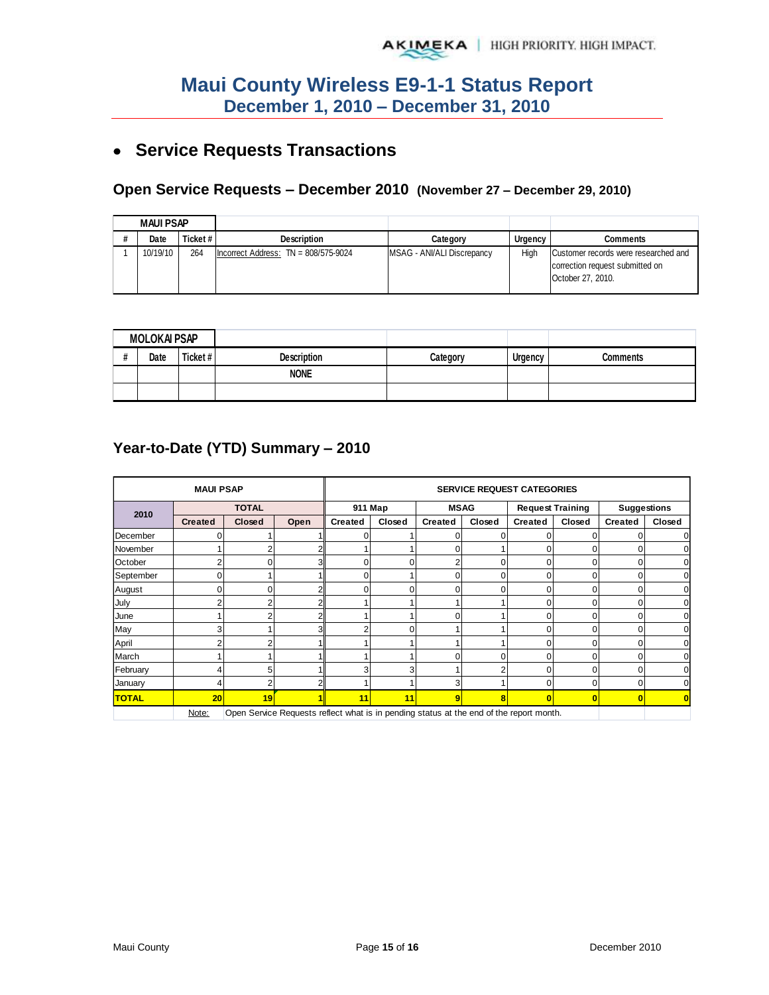# **Service Requests Transactions**

#### **Open Service Requests – December 2010 (November 27 – December 29, 2010)**

| <b>MAUI PSAP</b> |          |          |                                        |                            |         |                                                                                              |
|------------------|----------|----------|----------------------------------------|----------------------------|---------|----------------------------------------------------------------------------------------------|
|                  | Date     | Ticket # | <b>Description</b>                     | Category                   | Urgency | Comments                                                                                     |
|                  | 10/19/10 | 264      | Incorrect Address: $TN = 808/575-9024$ | MSAG - ANI/ALI Discrepancy | High    | Customer records were researched and<br>correction request submitted on<br>October 27, 2010. |

| <b>MOLOKAI PSAP</b> |          |             |          |                |                 |
|---------------------|----------|-------------|----------|----------------|-----------------|
| Date                | Ticket # | Description | Category | <b>Urgency</b> | <b>Comments</b> |
|                     |          | <b>NONE</b> |          |                |                 |
|                     |          |             |          |                |                 |

### **Year-to-Date (YTD) Summary – 2010**

| <b>MAUI PSAP</b>                                                                                 |                |                |      | <b>SERVICE REQUEST CATEGORIES</b> |        |                |          |                         |          |                         |        |
|--------------------------------------------------------------------------------------------------|----------------|----------------|------|-----------------------------------|--------|----------------|----------|-------------------------|----------|-------------------------|--------|
| 2010                                                                                             | <b>TOTAL</b>   |                |      | 911 Map                           |        | <b>MSAG</b>    |          | <b>Request Training</b> |          | <b>Suggestions</b>      |        |
|                                                                                                  | <b>Created</b> | Closed         | Open | <b>Created</b>                    | Closed | <b>Created</b> | Closed   | <b>Created</b>          | Closed   | <b>Created</b>          | Closed |
| December                                                                                         |                |                |      |                                   |        | 0              |          |                         |          |                         |        |
| November                                                                                         |                |                |      |                                   |        | 0              |          | 0                       |          | 0                       |        |
| October                                                                                          |                |                |      | 0                                 | 0      | 2              | 0        | 0                       | $\Omega$ | 0                       |        |
| September                                                                                        |                |                |      | $\Omega$                          |        | 0              | 0        | 0                       | $\Omega$ | 0                       |        |
| August                                                                                           |                | ŋ              |      | $\Omega$                          | O      | $\Omega$       | $\Omega$ | 0                       | ŋ        | O                       |        |
| July                                                                                             |                | $\overline{ }$ |      |                                   |        |                |          | 0                       | ŋ        | 0                       |        |
| June                                                                                             |                |                |      |                                   |        | 0              |          | 0                       | O        | 0                       |        |
| May                                                                                              |                |                |      |                                   | 0      |                |          | 0                       | ი        | $\Omega$                |        |
| April                                                                                            |                |                |      |                                   |        |                |          | 0                       | 0        | 0                       |        |
| March                                                                                            |                |                |      |                                   |        | 0              | 0        | 0                       | O        | 0                       |        |
| February                                                                                         |                | 5              |      | 3                                 | 3      |                | 2        | 0                       | 0        | 0                       |        |
| January                                                                                          |                |                |      |                                   |        | 3              |          | $\Omega$                | 0        | 0                       |        |
| <b>TOTAL</b>                                                                                     | 20             | 19             |      | 11                                | 11     | 9              | 8        | $\bf{0}$                | 0        | $\overline{\mathbf{0}}$ |        |
| Open Service Requests reflect what is in pending status at the end of the report month.<br>Note: |                |                |      |                                   |        |                |          |                         |          |                         |        |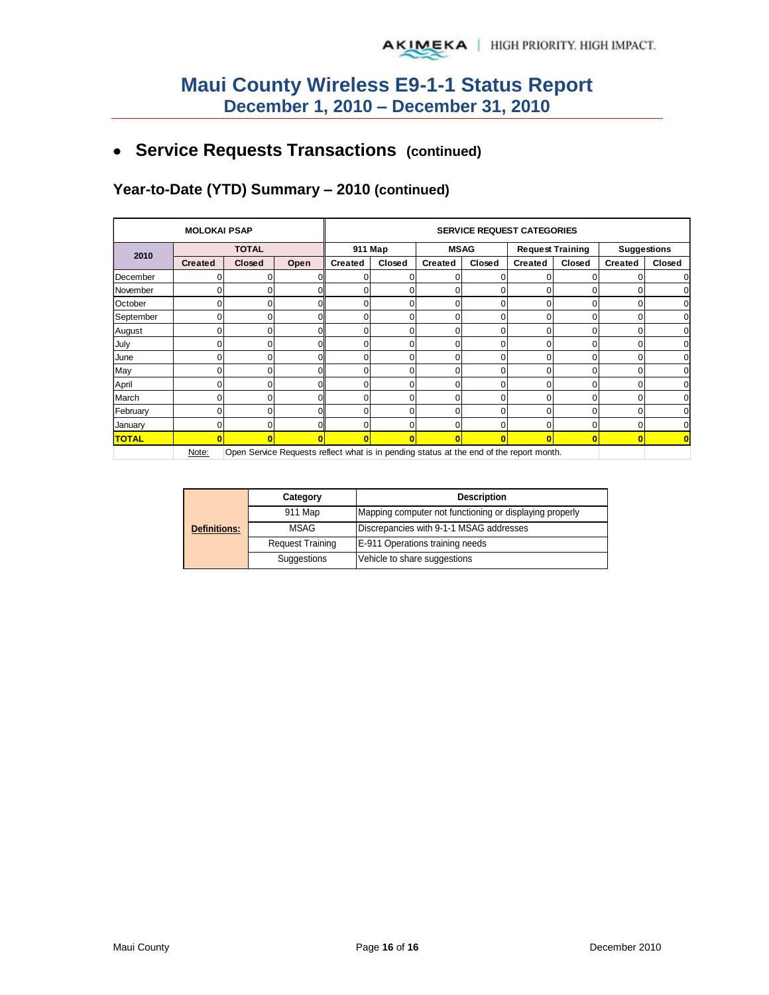# **Service Requests Transactions (continued)**

## **Year-to-Date (YTD) Summary – 2010 (continued)**

| <b>MOLOKAI PSAP</b> |                                                                                                  |               |          | <b>SERVICE REQUEST CATEGORIES</b> |          |                |              |                         |          |                    |        |
|---------------------|--------------------------------------------------------------------------------------------------|---------------|----------|-----------------------------------|----------|----------------|--------------|-------------------------|----------|--------------------|--------|
|                     | <b>TOTAL</b>                                                                                     |               |          | 911 Map                           |          | <b>MSAG</b>    |              | <b>Request Training</b> |          | <b>Suggestions</b> |        |
| 2010                | <b>Created</b>                                                                                   | <b>Closed</b> | Open     | <b>Created</b>                    | Closed   | <b>Created</b> | Closed       | Created                 | Closed   | <b>Created</b>     | Closed |
| December            |                                                                                                  |               |          | O                                 |          |                |              |                         | 0        |                    |        |
| November            |                                                                                                  |               | ΩI       | O                                 | U        | n              | U            | U                       | $\Omega$ |                    |        |
| October             |                                                                                                  |               | ΩI       | O                                 | U        | n              | 0            |                         | U        |                    |        |
| September           |                                                                                                  |               |          | 0                                 |          | 0              | $\Omega$     |                         | U        |                    |        |
| August              |                                                                                                  |               | Οl       | 0                                 |          | 0              | 0            |                         | 0        |                    |        |
| July                |                                                                                                  |               | ΩI       | 0                                 | 0        | $\Omega$       | 0            | O                       | 0        |                    |        |
| June                |                                                                                                  |               | $\Omega$ | 0                                 | 0        | 0              | 0            |                         | 0        |                    |        |
| May                 |                                                                                                  |               | ΟI       | 0                                 | 0        | 0              | 0            |                         | 0        |                    |        |
| April               |                                                                                                  |               | ΩI       | 0                                 | 0        | 0              | 0            | O                       | 0        |                    |        |
| March               |                                                                                                  |               | ΩI       | 0                                 | ۵        | 0              | 0            |                         | 0        |                    |        |
| February            |                                                                                                  |               | Οl       | 0                                 | 0        | 0              | $\mathbf{0}$ | $\Omega$                | 0        | 0                  |        |
| January             |                                                                                                  | ∩             | $\Omega$ | $\Omega$                          | $\Omega$ | $\Omega$       | $\Omega$     | $\Omega$                | 0        | 0                  |        |
| <b>TOTAL</b>        |                                                                                                  |               |          |                                   | п        | n              | Π            |                         | 0        | 0                  |        |
|                     | Open Service Requests reflect what is in pending status at the end of the report month.<br>Note: |               |          |                                   |          |                |              |                         |          |                    |        |

|                     | Category                | <b>Description</b>                                      |
|---------------------|-------------------------|---------------------------------------------------------|
|                     | 911 Map                 | Mapping computer not functioning or displaying properly |
| <b>Definitions:</b> | <b>MSAG</b>             | Discrepancies with 9-1-1 MSAG addresses                 |
|                     | <b>Request Training</b> | E-911 Operations training needs                         |
|                     | Suggestions             | Vehicle to share suggestions                            |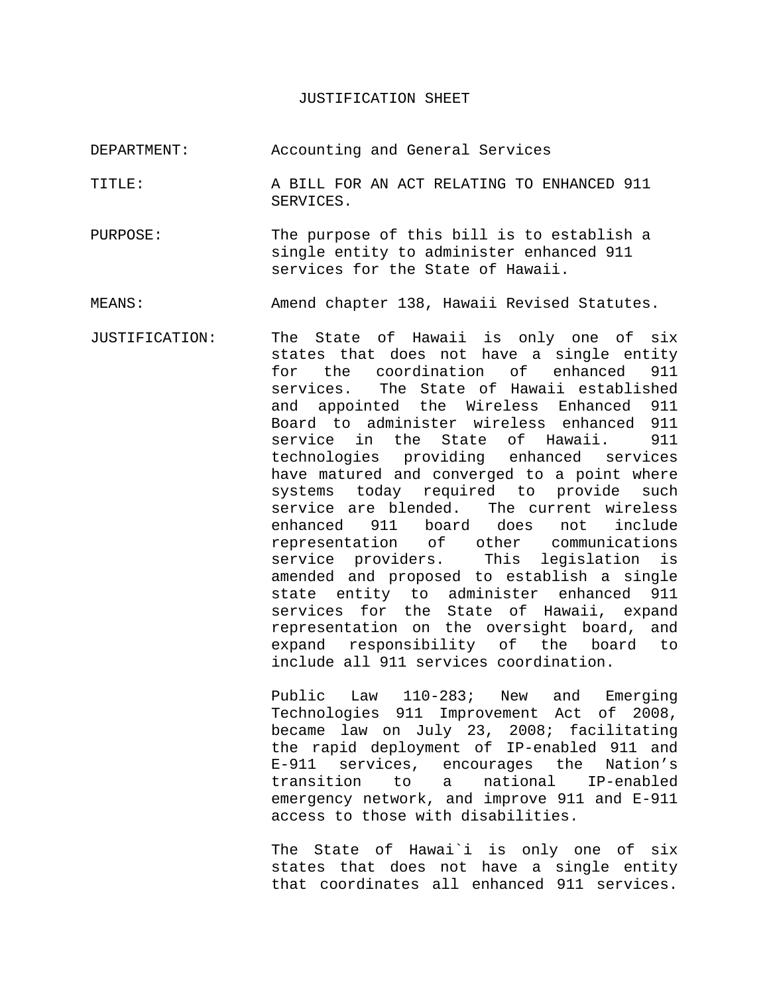#### JUSTIFICATION SHEET

- DEPARTMENT: Accounting and General Services
- TITLE: A BILL FOR AN ACT RELATING TO ENHANCED 911 SERVICES.
- PURPOSE: The purpose of this bill is to establish a single entity to administer enhanced 911 services for the State of Hawaii.

MEANS: Amend chapter 138, Hawaii Revised Statutes.

JUSTIFICATION: The State of Hawaii is only one of six states that does not have a single entity for the coordination of enhanced 911 services. The State of Hawaii established and appointed the Wireless Enhanced 911 Board to administer wireless enhanced 911 service in the State of Hawaii. 911 technologies providing enhanced services have matured and converged to a point where systems today required to provide such service are blended. The current wireless enhanced 911 board does not include representation of other communications service providers. This legislation is amended and proposed to establish a single state entity to administer enhanced 911 services for the State of Hawaii, expand representation on the oversight board, and expand responsibility of the board to include all 911 services coordination.

> Public Law 110-283; New and Emerging Technologies 911 Improvement Act of 2008, became law on July 23, 2008; facilitating the rapid deployment of IP-enabled 911 and E-911 services, encourages the Nation's transition to a national IP-enabled emergency network, and improve 911 and E-911 access to those with disabilities.

> The State of Hawai`i is only one of six states that does not have a single entity that coordinates all enhanced 911 services.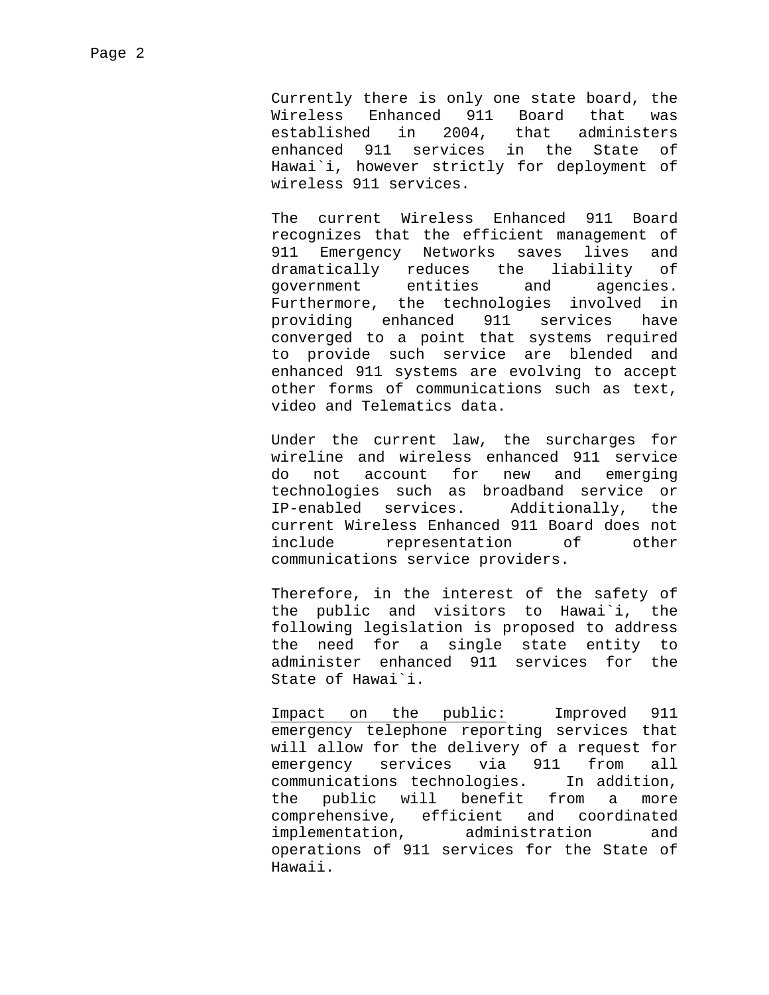Currently there is only one state board, the Wireless Enhanced 911 Board that was established in 2004, that administers enhanced 911 services in the State of Hawai`i, however strictly for deployment of wireless 911 services.

The current Wireless Enhanced 911 Board recognizes that the efficient management of 911 Emergency Networks saves lives and dramatically reduces the liability of government entities and agencies. Furthermore, the technologies involved in providing enhanced 911 services have converged to a point that systems required to provide such service are blended and enhanced 911 systems are evolving to accept other forms of communications such as text, video and Telematics data.

Under the current law, the surcharges for wireline and wireless enhanced 911 service do not account for new and emerging technologies such as broadband service or IP-enabled services. Additionally, the current Wireless Enhanced 911 Board does not include representation of other communications service providers.

Therefore, in the interest of the safety of the public and visitors to Hawai`i, the following legislation is proposed to address the need for a single state entity to administer enhanced 911 services for the State of Hawai`i.

Impact on the public: Improved 911 emergency telephone reporting services that will allow for the delivery of a request for emergency services via 911 from all communications technologies. In addition, the public will benefit from a more comprehensive, efficient and coordinated implementation, administration and operations of 911 services for the State of Hawaii.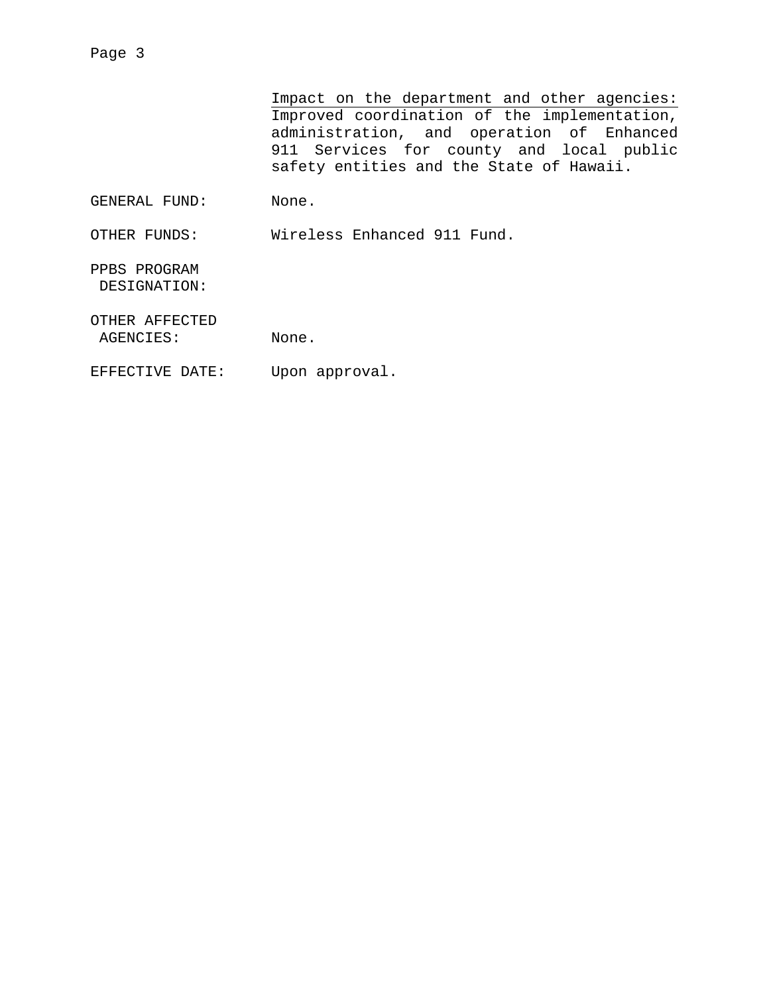Impact on the department and other agencies: Improved coordination of the implementation, administration, and operation of Enhanced 911 Services for county and local public safety entities and the State of Hawaii. GENERAL FUND: None. OTHER FUNDS: Wireless Enhanced 911 Fund. PPBS PROGRAM DESIGNATION:

OTHER AFFECTED

Page 3

AGENCIES: None.

EFFECTIVE DATE: Upon approval.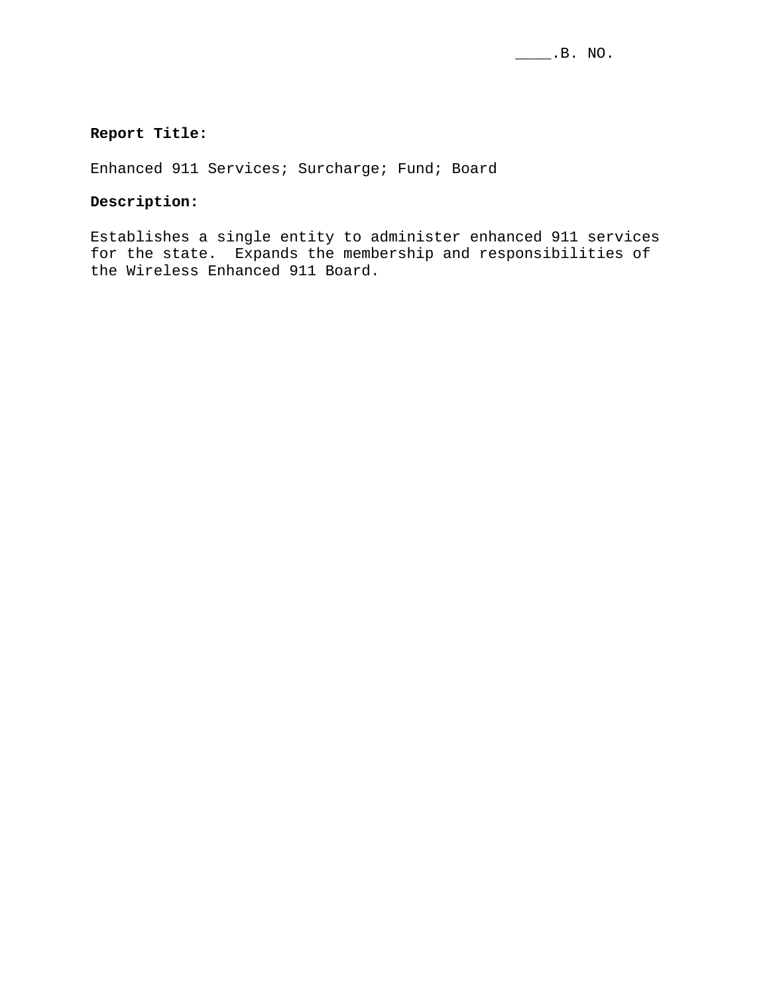#### **Report Title:**

Enhanced 911 Services; Surcharge; Fund; Board

#### **Description:**

Establishes a single entity to administer enhanced 911 services for the state. Expands the membership and responsibilities of the Wireless Enhanced 911 Board.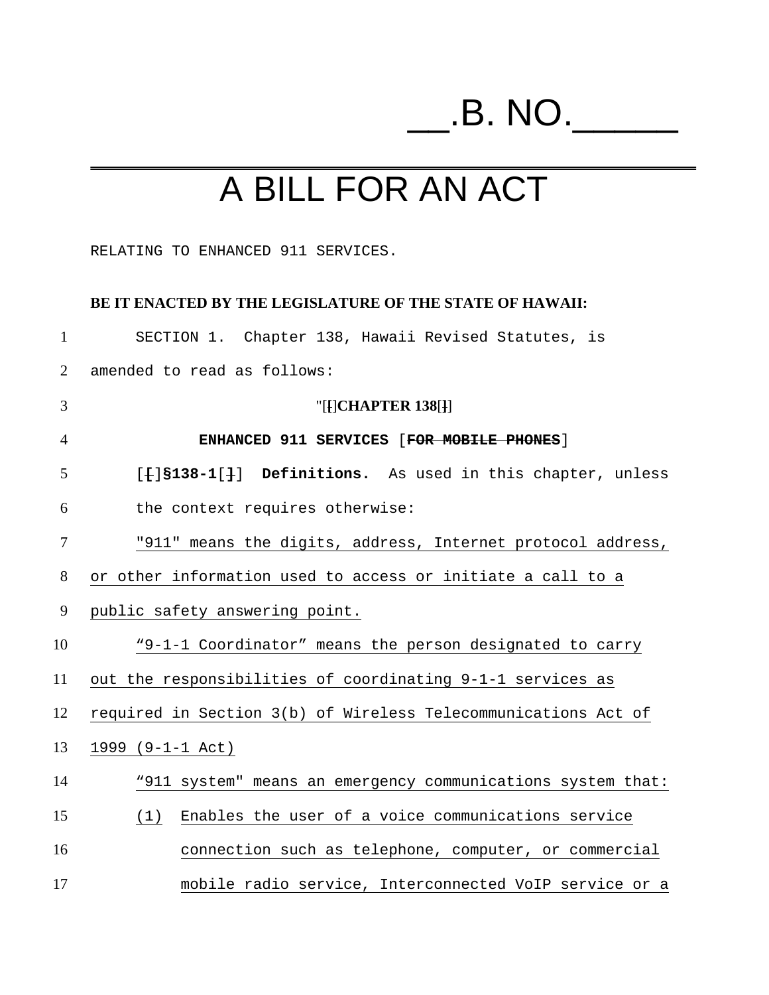# \_\_.B. NO.\_\_\_\_\_

# A BILL FOR AN ACT

RELATING TO ENHANCED 911 SERVICES.

#### **BE IT ENACTED BY THE LEGISLATURE OF THE STATE OF HAWAII:**

| $\mathbf{1}$   | SECTION 1. Chapter 138, Hawaii Revised Statutes, is            |
|----------------|----------------------------------------------------------------|
| 2              | amended to read as follows:                                    |
| 3              | " $[$ [ $]$ CHAPTER 138 $[$ $]$ ]                              |
| $\overline{4}$ | ENHANCED 911 SERVICES [FOR MOBILE PHONES]                      |
| 5              | [f] S138-1[]] Definitions. As used in this chapter, unless     |
| 6              | the context requires otherwise:                                |
| $\tau$         | "911" means the digits, address, Internet protocol address,    |
| 8              | or other information used to access or initiate a call to a    |
| 9              | public safety answering point.                                 |
| 10             | "9-1-1 Coordinator" means the person designated to carry       |
| 11             | out the responsibilities of coordinating 9-1-1 services as     |
| 12             | required in Section 3(b) of Wireless Telecommunications Act of |
| 13             | $1999$ (9-1-1 Act)                                             |
| 14             | "911 system" means an emergency communications system that:    |
| 15             | Enables the user of a voice communications service<br>(1)      |
| 16             | connection such as telephone, computer, or commercial          |
| 17             | mobile radio service, Interconnected VoIP service or a         |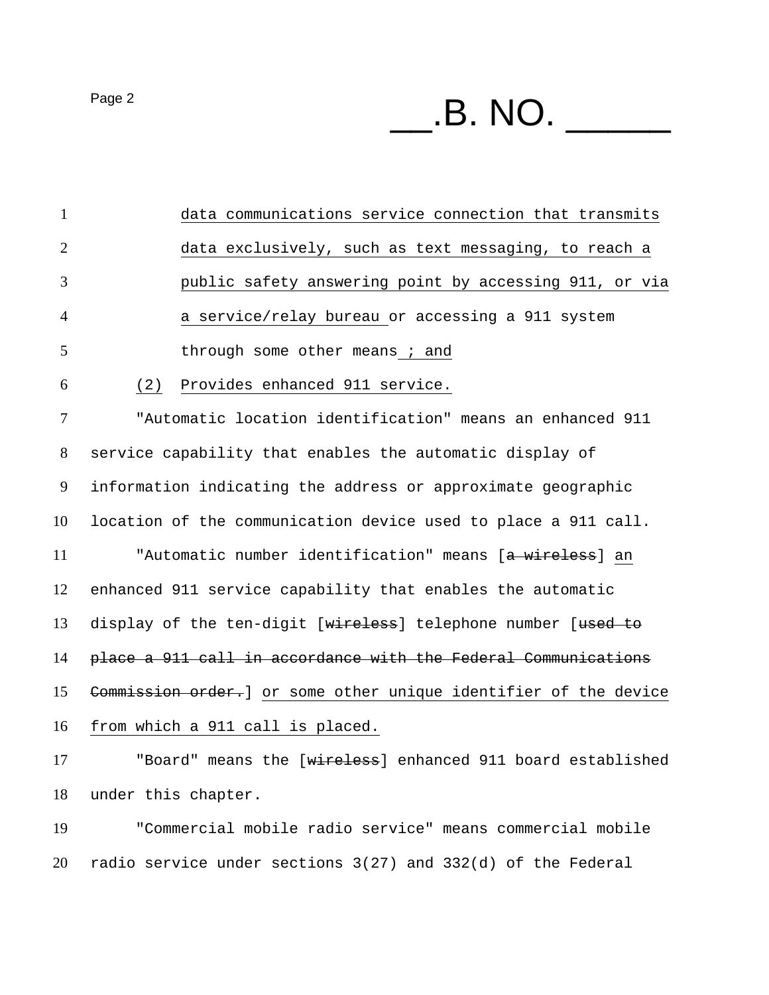$P<sub>age 2</sub>$   $\blacksquare$   $\blacksquare$   $\blacksquare$   $\blacksquare$   $\blacksquare$   $\blacksquare$ 

data communications service connection that transmits data exclusively, such as text messaging, to reach a public safety answering point by accessing 911, or via a service/relay bureau or accessing a 911 system 5 through some other means ; and (2) Provides enhanced 911 service. "Automatic location identification" means an enhanced 911 service capability that enables the automatic display of information indicating the address or approximate geographic location of the communication device used to place a 911 call. 11 "Automatic number identification" means [a wireless] an enhanced 911 service capability that enables the automatic 13 display of the ten-digit [wireless] telephone number [used to place a 911 call in accordance with the Federal Communications Commission order.] or some other unique identifier of the device from which a 911 call is placed. 17 "Board" means the [wireless] enhanced 911 board established under this chapter. "Commercial mobile radio service" means commercial mobile radio service under sections 3(27) and 332(d) of the Federal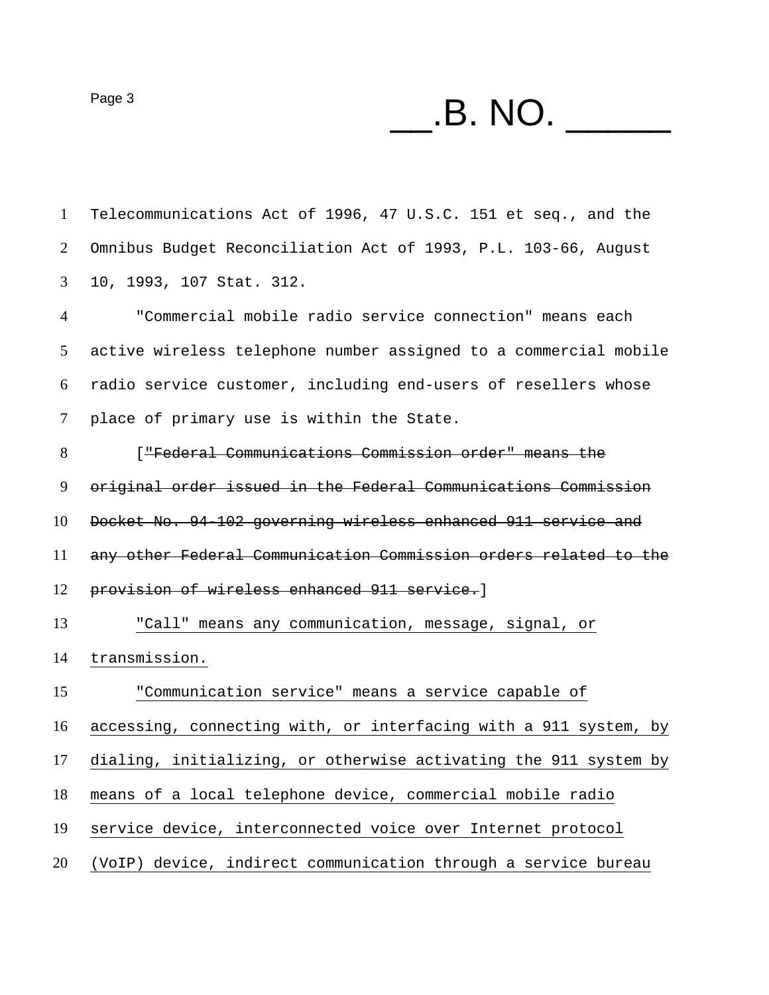$P\text{age 3}$   $\text{B. NO.}$ Telecommunications Act of 1996, 47 U.S.C. 151 et seq., and the Omnibus Budget Reconciliation Act of 1993, P.L. 103-66, August 10, 1993, 107 Stat. 312. "Commercial mobile radio service connection" means each active wireless telephone number assigned to a commercial mobile radio service customer, including end-users of resellers whose place of primary use is within the State. ["Federal Communications Commission order" means the original order issued in the Federal Communications Commission Docket No. 94-102 governing wireless enhanced 911 service and any other Federal Communication Commission orders related to the provision of wireless enhanced 911 service.] "Call" means any communication, message, signal, or transmission. "Communication service" means a service capable of accessing, connecting with, or interfacing with a 911 system, by dialing, initializing, or otherwise activating the 911 system by means of a local telephone device, commercial mobile radio service device, interconnected voice over Internet protocol (VoIP) device, indirect communication through a service bureau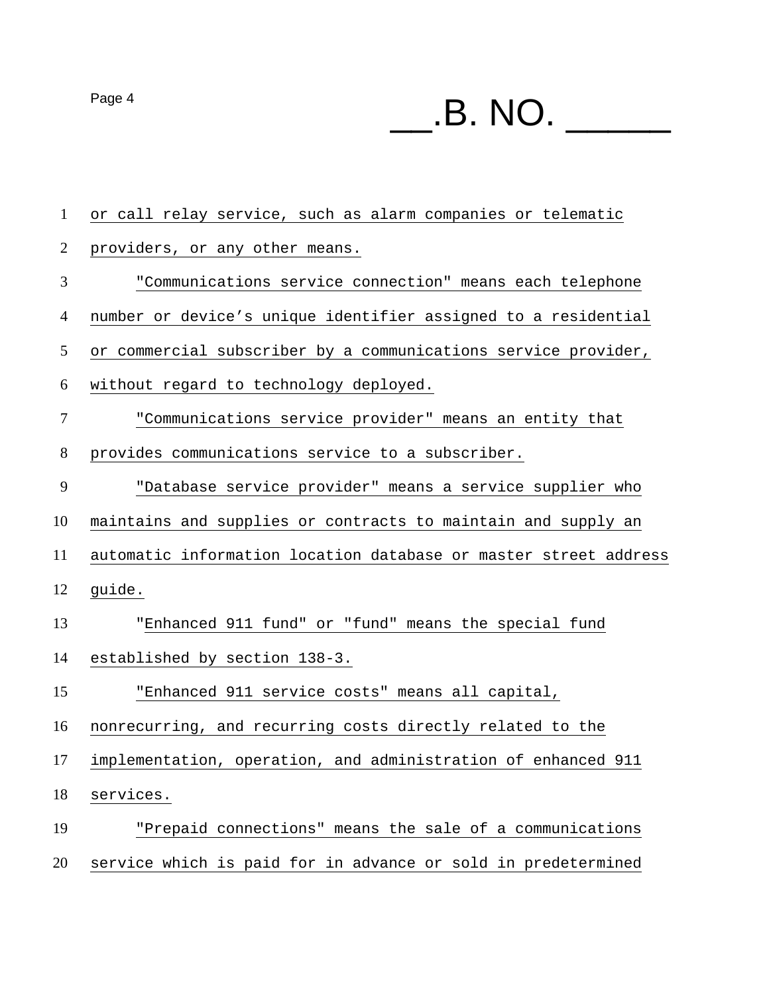Page 4 \_\_.B. NO. \_\_\_\_\_

| $\mathbf{1}$   | or call relay service, such as alarm companies or telematic      |
|----------------|------------------------------------------------------------------|
| $\overline{2}$ | providers, or any other means.                                   |
| 3              | "Communications service connection" means each telephone         |
| $\overline{4}$ | number or device's unique identifier assigned to a residential   |
| 5              | or commercial subscriber by a communications service provider,   |
| 6              | without regard to technology deployed.                           |
| $\overline{7}$ | "Communications service provider" means an entity that           |
| $8\,$          | provides communications service to a subscriber.                 |
| 9              | "Database service provider" means a service supplier who         |
| 10             | maintains and supplies or contracts to maintain and supply an    |
| 11             | automatic information location database or master street address |
| 12             | guide.                                                           |
| 13             | "Enhanced 911 fund" or "fund" means the special fund             |
| 14             | established by section 138-3.                                    |
| 15             | "Enhanced 911 service costs" means all capital,                  |
| 16             | nonrecurring, and recurring costs directly related to the        |
| 17             | implementation, operation, and administration of enhanced 911    |
| 18             | services.                                                        |
| 19             | "Prepaid connections" means the sale of a communications         |
| 20             | service which is paid for in advance or sold in predetermined    |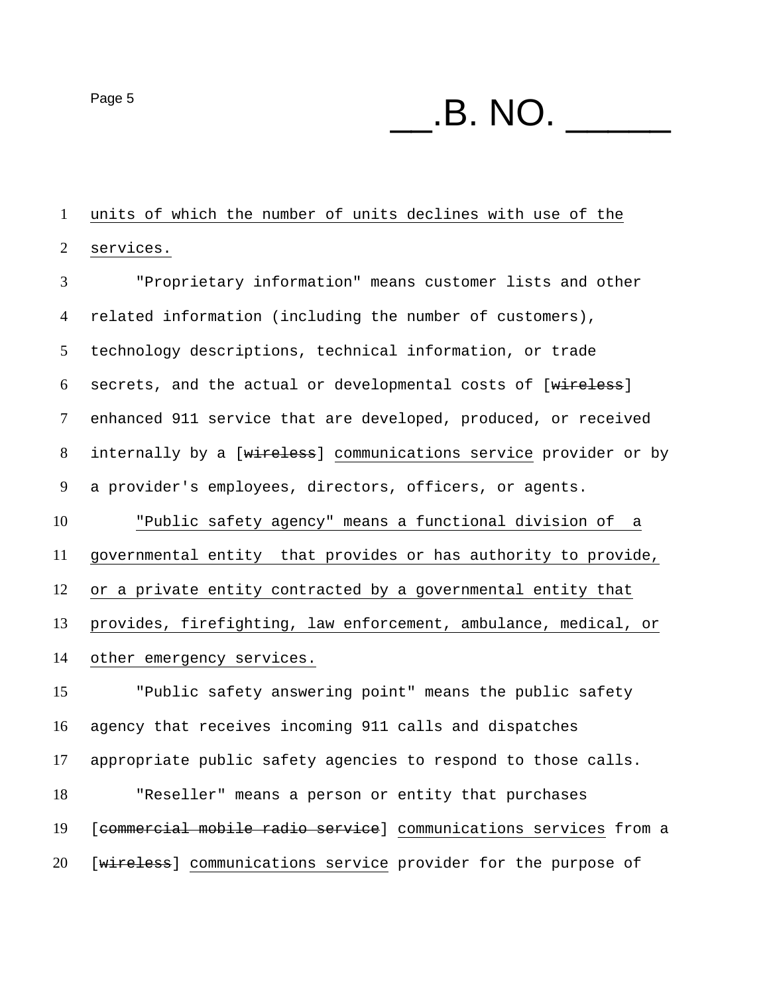$P\text{age 5}$   $\text{B. NO.}$ 

units of which the number of units declines with use of the

services.

"Proprietary information" means customer lists and other related information (including the number of customers), technology descriptions, technical information, or trade 6 secrets, and the actual or developmental costs of [wireless] enhanced 911 service that are developed, produced, or received 8 internally by a [wireless] communications service provider or by a provider's employees, directors, officers, or agents.

"Public safety agency" means a functional division of a governmental entity that provides or has authority to provide, or a private entity contracted by a governmental entity that provides, firefighting, law enforcement, ambulance, medical, or

other emergency services.

"Public safety answering point" means the public safety agency that receives incoming 911 calls and dispatches appropriate public safety agencies to respond to those calls. "Reseller" means a person or entity that purchases [commercial mobile radio service] communications services from a [wireless] communications service provider for the purpose of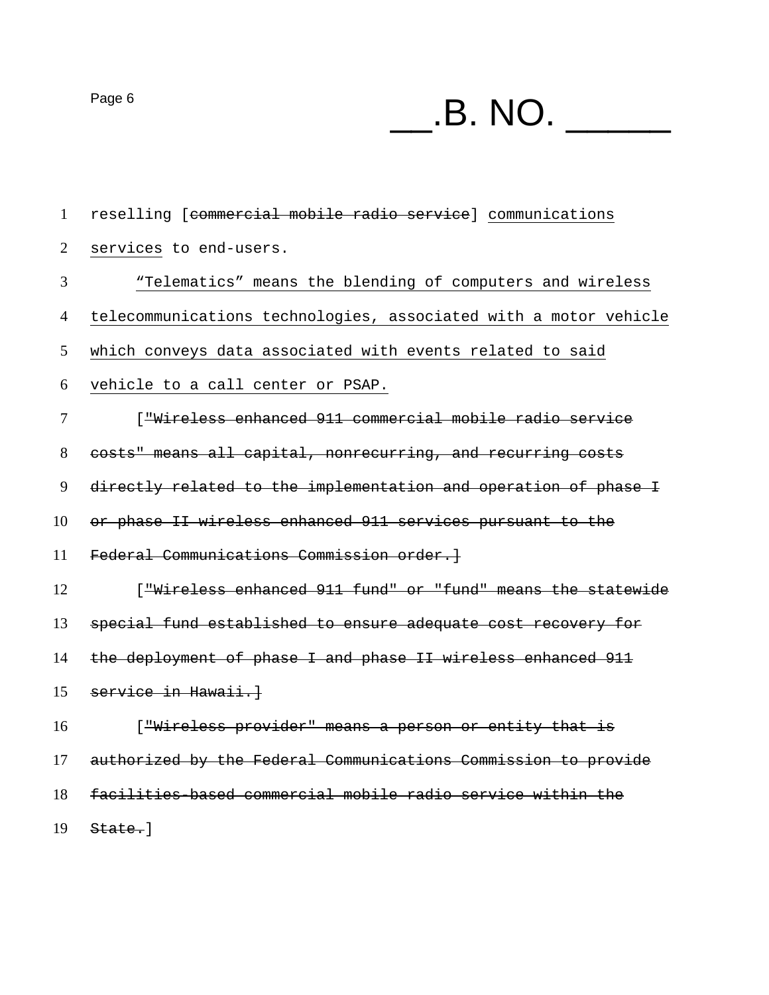Page 6 \_\_.B. NO. \_\_\_\_\_

reselling [commercial mobile radio service] communications services to end-users. "Telematics" means the blending of computers and wireless telecommunications technologies, associated with a motor vehicle which conveys data associated with events related to said vehicle to a call center or PSAP. ["Wireless enhanced 911 commercial mobile radio service costs" means all capital, nonrecurring, and recurring costs directly related to the implementation and operation of phase I or phase II wireless enhanced 911 services pursuant to the Federal Communications Commission order.] **Interprese Engalage 12** Fund" or "fund" means the statewide special fund established to ensure adequate cost recovery for 14 the deployment of phase I and phase II wireless enhanced 911 service in Hawaii.] ["Wireless provider" means a person or entity that is authorized by the Federal Communications Commission to provide facilities-based commercial mobile radio service within the

State.]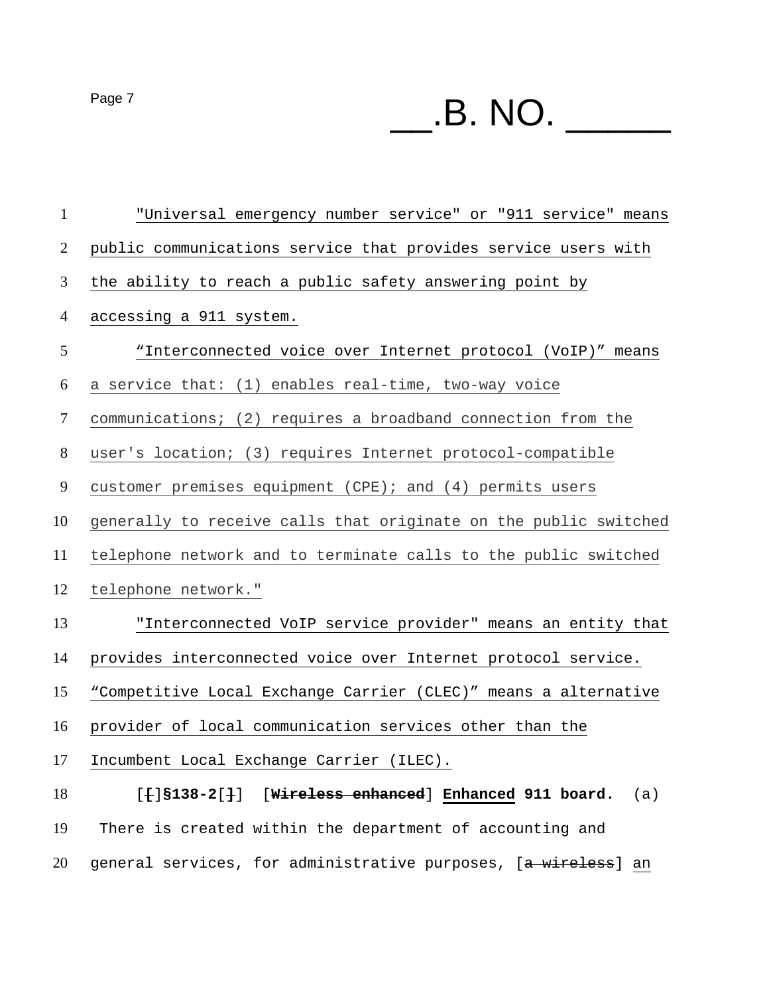$P\text{age 7}$   $\qquad \qquad$   $\qquad$   $\qquad$   $\qquad$   $\qquad$   $\qquad$   $\qquad$   $\qquad$   $\qquad$   $\qquad$   $\qquad$   $\qquad$   $\qquad$   $\qquad$   $\qquad$   $\qquad$   $\qquad$   $\qquad$   $\qquad$   $\qquad$   $\qquad$   $\qquad$   $\qquad$   $\qquad$   $\qquad$   $\qquad$   $\qquad$   $\qquad$   $\qquad$   $\qquad$   $\qquad$   $\qquad$   $\qquad$   $\qquad$   $\q$ 

"Universal emergency number service" or "911 service" means public communications service that provides service users with the ability to reach a public safety answering point by accessing a 911 system. "Interconnected voice over Internet protocol (VoIP)" means a service that: (1) enables real-time, two-way voice communications; (2) requires a broadband connection from the user's location; (3) requires Internet protocol-compatible customer premises equipment (CPE); and (4) permits users generally to receive calls that originate on the public switched telephone network and to terminate calls to the public switched telephone network." "Interconnected VoIP service provider" means an entity that provides interconnected voice over Internet protocol service. "Competitive Local Exchange Carrier (CLEC)" means a alternative provider of local communication services other than the Incumbent Local Exchange Carrier (ILEC). [**[**]**§138-2**[**]**][**Wireless enhanced**] **Enhanced 911 board.** (a) There is created within the department of accounting and 20 general services, for administrative purposes, [a wireless] an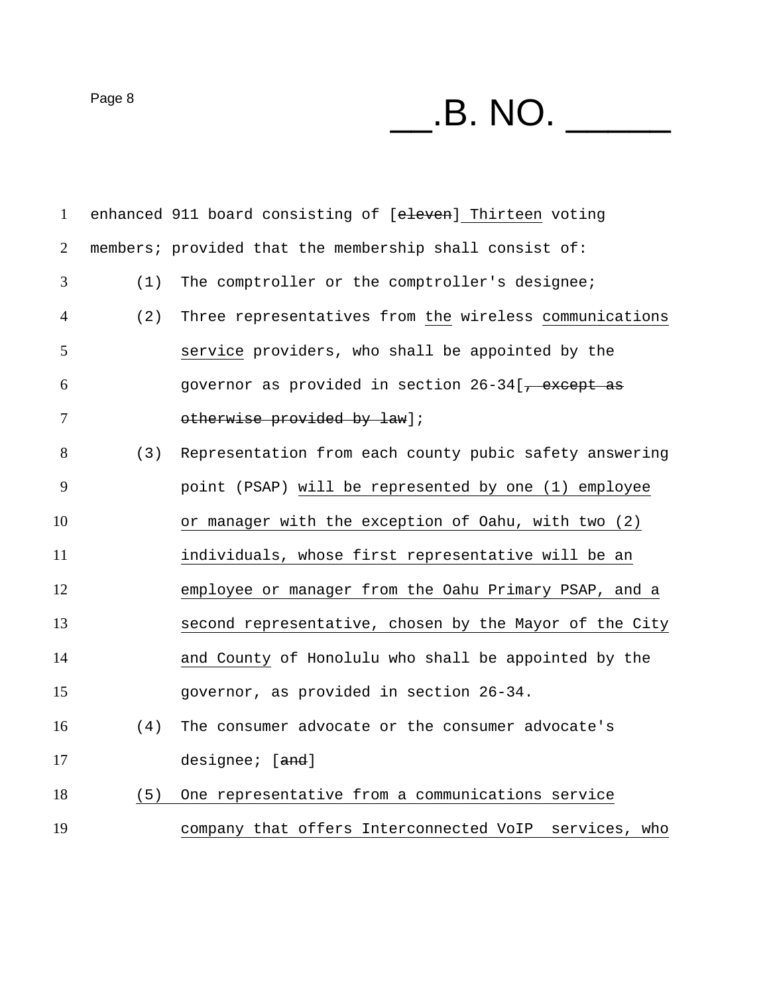Page 8 \_\_.B. NO. \_\_\_\_\_

| $\mathbf{1}$   |     | enhanced 911 board consisting of [eleven] Thirteen voting     |
|----------------|-----|---------------------------------------------------------------|
| 2              |     | members; provided that the membership shall consist of:       |
| 3              | (1) | The comptroller or the comptroller's designee;                |
| $\overline{4}$ | (2) | Three representatives from the wireless communications        |
| 5              |     | service providers, who shall be appointed by the              |
| 6              |     | governor as provided in section 26-34[ <del>, except as</del> |
| 7              |     | otherwise provided by law];                                   |
| 8              | (3) | Representation from each county pubic safety answering        |
| 9              |     | point (PSAP) will be represented by one (1) employee          |
| 10             |     | or manager with the exception of Oahu, with two (2)           |
| 11             |     | individuals, whose first representative will be an            |
| 12             |     | employee or manager from the Oahu Primary PSAP, and a         |
| 13             |     | second representative, chosen by the Mayor of the City        |
| 14             |     | and County of Honolulu who shall be appointed by the          |
| 15             |     | governor, as provided in section 26-34.                       |
| 16             | (4) | The consumer advocate or the consumer advocate's              |
| 17             |     | designee; [and]                                               |
| 18             | (5) | One representative from a communications service              |
| 19             |     | company that offers Interconnected VoIP<br>services, who      |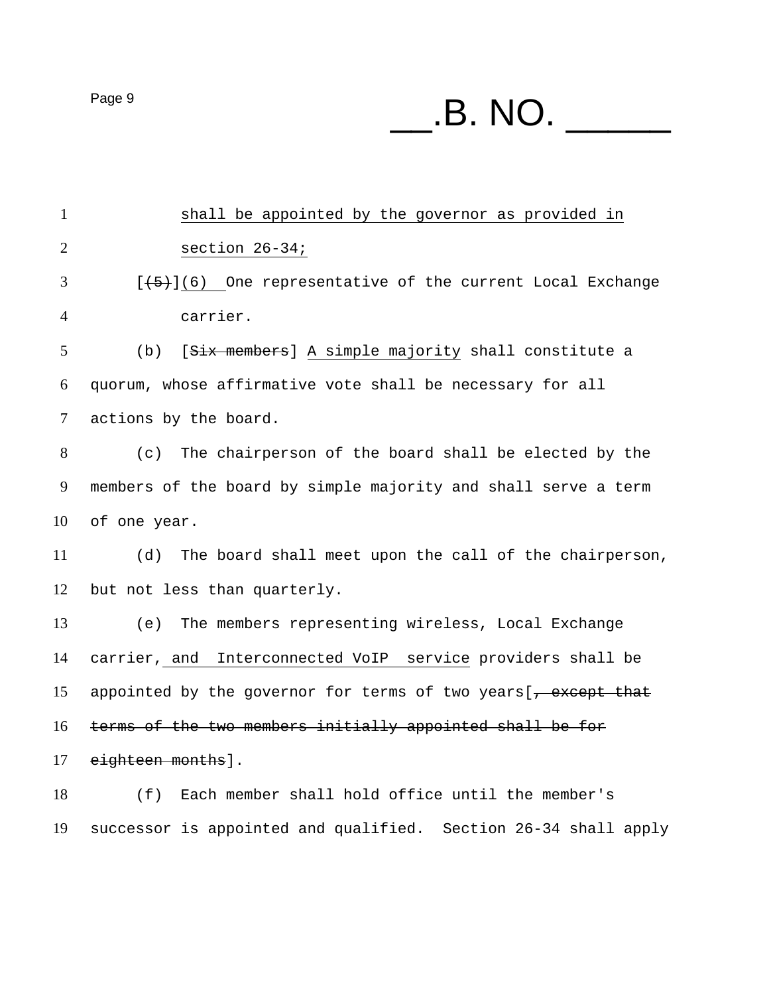shall be appointed by the governor as provided in section 26-34; [ $\left(5\right)$ ](6) One representative of the current Local Exchange carrier. (b) [Six members] A simple majority shall constitute a quorum, whose affirmative vote shall be necessary for all actions by the board. (c) The chairperson of the board shall be elected by the members of the board by simple majority and shall serve a term of one year. (d) The board shall meet upon the call of the chairperson, but not less than quarterly. (e) The members representing wireless, Local Exchange carrier, and Interconnected VoIP service providers shall be 15 appointed by the governor for terms of two years  $\frac{1}{1}$  except that terms of the two members initially appointed shall be for 17 eighteen months]. (f) Each member shall hold office until the member's

successor is appointed and qualified. Section 26-34 shall apply

 $P\text{age 9}$   $\text{B. NO.}$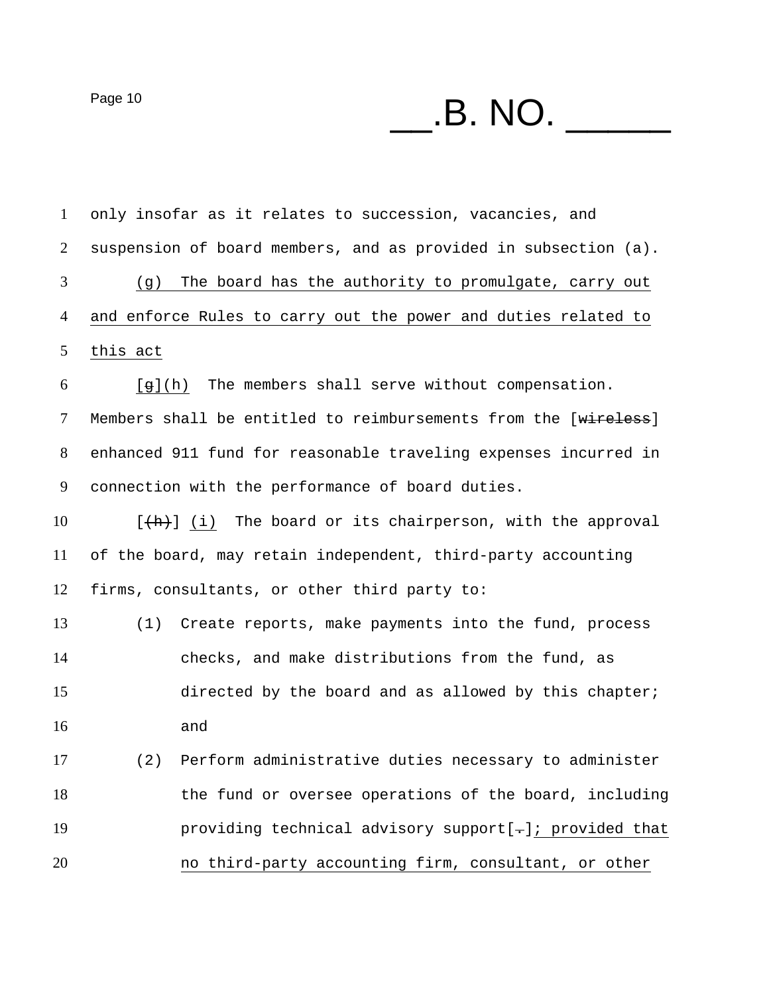Page 10 \_\_.B. NO. \_\_\_\_\_

| $\mathbf{1}$ |          | only insofar as it relates to succession, vacancies, and        |
|--------------|----------|-----------------------------------------------------------------|
| 2            |          | suspension of board members, and as provided in subsection (a). |
| 3            | (g)      | The board has the authority to promulgate, carry out            |
| 4            |          | and enforce Rules to carry out the power and duties related to  |
| 5            | this act |                                                                 |
| 6            | [g](h)   | The members shall serve without compensation.                   |
| $\tau$       |          | Members shall be entitled to reimbursements from the [wireless] |
| 8            |          | enhanced 911 fund for reasonable traveling expenses incurred in |
| 9            |          | connection with the performance of board duties.                |
| 10           |          | $[+h]$ (i) The board or its chairperson, with the approval      |
| 11           |          | of the board, may retain independent, third-party accounting    |
| 12           |          | firms, consultants, or other third party to:                    |
| 13           | (1)      | Create reports, make payments into the fund, process            |
| 14           |          | checks, and make distributions from the fund, as                |
| 15           |          | directed by the board and as allowed by this chapter;           |
| 16           |          | and                                                             |
| 17           | (2)      | Perform administrative duties necessary to administer           |
| 18           |          | the fund or oversee operations of the board, including          |
| 19           |          | providing technical advisory support[-]; provided that          |
| 20           |          | no third-party accounting firm, consultant, or other            |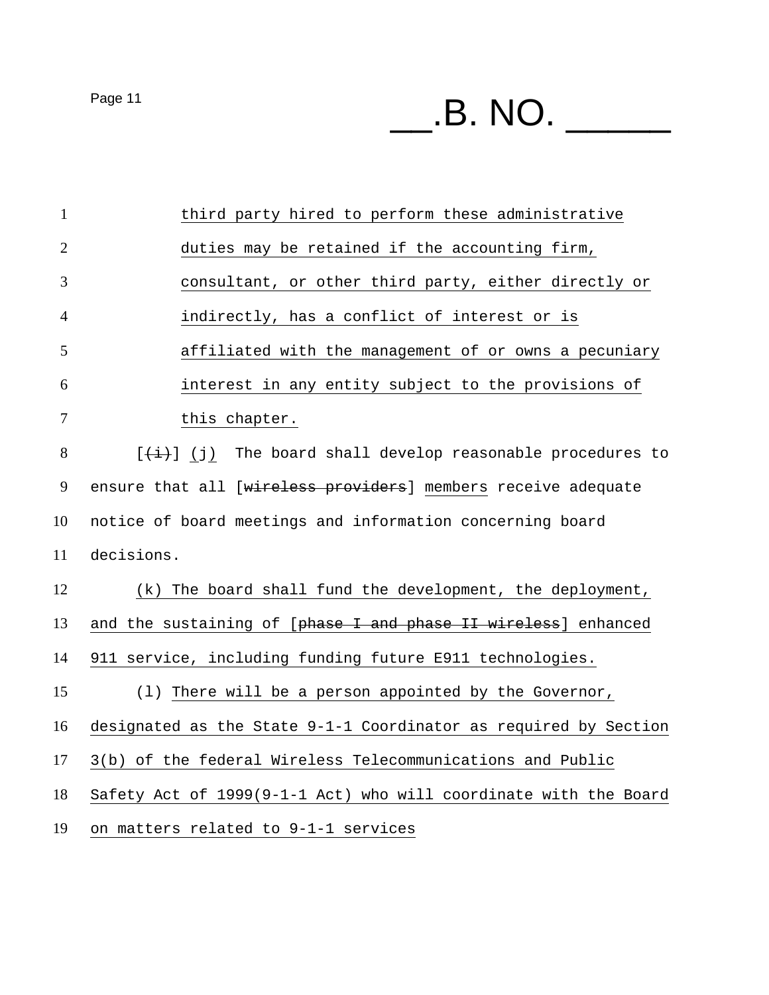$P$ age 11  $\hspace{1cm}$   $\hspace{1cm}$   $\hspace{1cm}$   $\hspace{1cm}$   $\hspace{1cm}$   $\hspace{1cm}$   $\hspace{1cm}$   $\hspace{1cm}$   $\hspace{1cm}$   $\hspace{1cm}$   $\hspace{1cm}$   $\hspace{1cm}$   $\hspace{1cm}$   $\hspace{1cm}$   $\hspace{1cm}$   $\hspace{1cm}$   $\hspace{1cm}$   $\hspace{1cm}$   $\hspace{1cm}$   $\hspace{1cm}$   $\hspace{1cm}$ 

third party hired to perform these administrative duties may be retained if the accounting firm, consultant, or other third party, either directly or indirectly, has a conflict of interest or is affiliated with the management of or owns a pecuniary interest in any entity subject to the provisions of 7 this chapter. [ $\left(\frac{1}{1}\right)$  (j) The board shall develop reasonable procedures to 9 ensure that all [wireless providers] members receive adequate notice of board meetings and information concerning board decisions. (k) The board shall fund the development, the deployment, 13 and the sustaining of [phase I and phase II wireless] enhanced 911 service, including funding future E911 technologies. (l) There will be a person appointed by the Governor, designated as the State 9-1-1 Coordinator as required by Section 3(b) of the federal Wireless Telecommunications and Public Safety Act of 1999(9-1-1 Act) who will coordinate with the Board on matters related to 9-1-1 services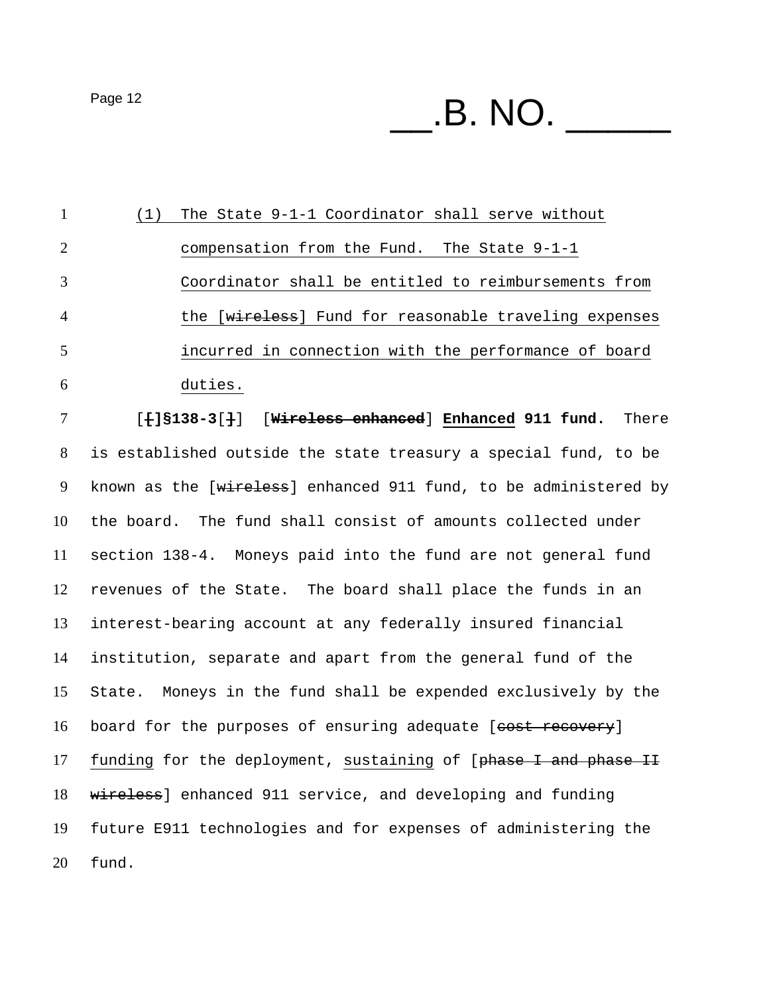$P$ age 12  $\hspace{1cm}$   $\hspace{1cm}$   $\hspace{1cm}$   $\hspace{1cm}$   $\hspace{1cm}$   $\hspace{1cm}$   $\hspace{1cm}$   $\hspace{1cm}$   $\hspace{1cm}$   $\hspace{1cm}$   $\hspace{1cm}$   $\hspace{1cm}$   $\hspace{1cm}$   $\hspace{1cm}$   $\hspace{1cm}$   $\hspace{1cm}$   $\hspace{1cm}$   $\hspace{1cm}$   $\hspace{1cm}$   $\hspace{1cm}$   $\hspace{1cm}$ 

(1) The State 9-1-1 Coordinator shall serve without compensation from the Fund. The State 9-1-1 Coordinator shall be entitled to reimbursements from 4 the [wireless] Fund for reasonable traveling expenses incurred in connection with the performance of board duties. [**[]§138-3**[**]**][**Wireless enhanced**] **Enhanced 911 fund.** There is established outside the state treasury a special fund, to be 9 known as the [wireless] enhanced 911 fund, to be administered by the board. The fund shall consist of amounts collected under section 138-4. Moneys paid into the fund are not general fund revenues of the State. The board shall place the funds in an interest-bearing account at any federally insured financial institution, separate and apart from the general fund of the State. Moneys in the fund shall be expended exclusively by the 16 board for the purposes of ensuring adequate [cost recovery] 17 funding for the deployment, sustaining of [phase I and phase II 18 wireless] enhanced 911 service, and developing and funding future E911 technologies and for expenses of administering the fund.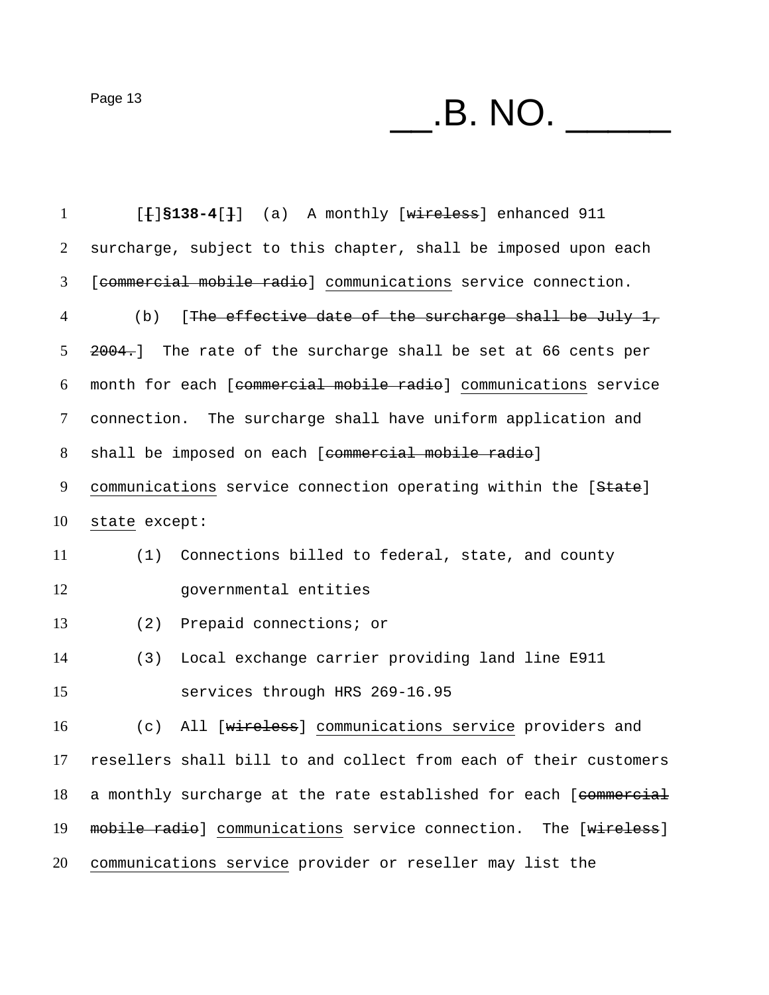Page 13  $\_\_$ .B. NO.  $\_\_$ 

| $\mathbf{1}$ | $[+]$ \$138-4 $[+]$ (a) A monthly [wireless] enhanced 911        |
|--------------|------------------------------------------------------------------|
| 2            | surcharge, subject to this chapter, shall be imposed upon each   |
| 3            | [commercial mobile radio] communications service connection.     |
| 4            | [The effective date of the surcharge shall be July 1,<br>(b)     |
| 5            | 2004.] The rate of the surcharge shall be set at 66 cents per    |
| 6            | month for each [commercial mobile radio] communications service  |
| 7            | connection. The surcharge shall have uniform application and     |
| 8            | shall be imposed on each [commercial mobile radio]               |
| 9            | communications service connection operating within the [State]   |
| 10           | state except:                                                    |
| 11           | Connections billed to federal, state, and county<br>(1)          |
| 12           | governmental entities                                            |
| 13           | Prepaid connections; or<br>(2)                                   |
| 14           | Local exchange carrier providing land line E911<br>(3)           |
| 15           | services through HRS 269-16.95                                   |
| 16           | All [wireless] communications service providers and<br>(c)       |
| 17           | resellers shall bill to and collect from each of their customers |
| 18           | a monthly surcharge at the rate established for each [commercial |
| 19           | mobile radio] communications service connection. The [wireless]  |
| 20           | communications service provider or reseller may list the         |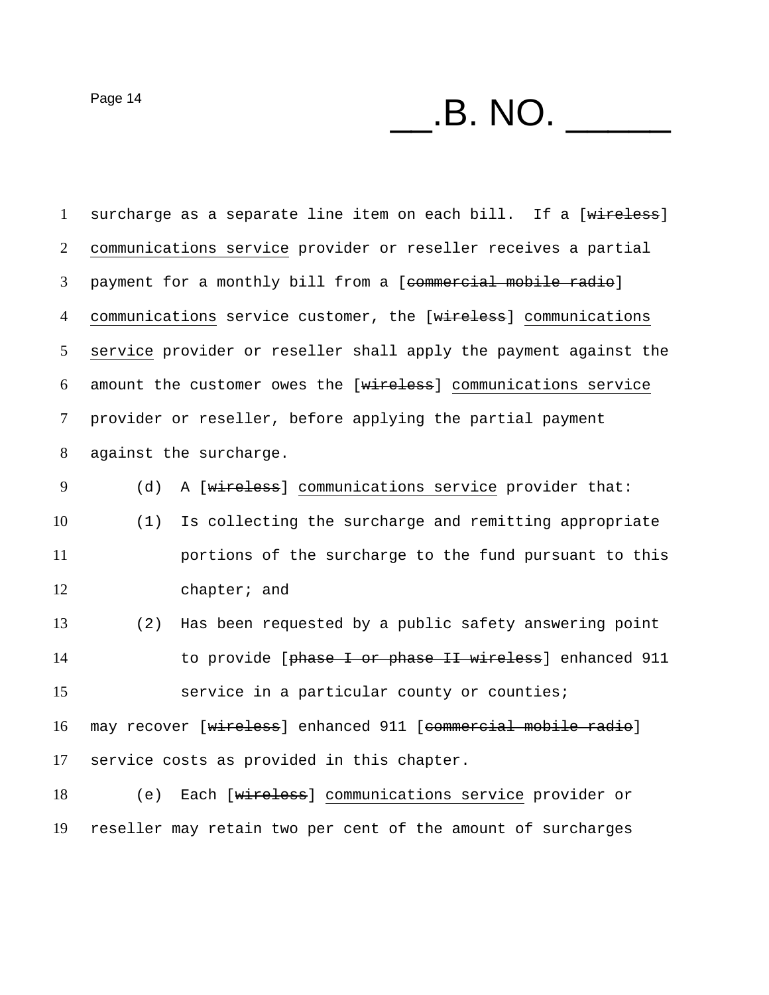$P\text{age 14}$   $\qquad \qquad$   $\qquad$   $\qquad$   $\qquad$   $\qquad$   $\qquad$   $\qquad$   $\qquad$   $\qquad$   $\qquad$   $\qquad$   $\qquad$   $\qquad$   $\qquad$   $\qquad$   $\qquad$   $\qquad$   $\qquad$   $\qquad$   $\qquad$   $\qquad$   $\qquad$   $\qquad$   $\qquad$   $\qquad$   $\qquad$   $\qquad$   $\qquad$   $\qquad$   $\qquad$   $\qquad$   $\qquad$   $\qquad$   $\qquad$   $\$ 

1 surcharge as a separate line item on each bill. If a [wireless] communications service provider or reseller receives a partial payment for a monthly bill from a [commercial mobile radio] 4 communications service customer, the [wireless] communications service provider or reseller shall apply the payment against the amount the customer owes the [wireless] communications service provider or reseller, before applying the partial payment against the surcharge. 9 (d) A [wireless] communications service provider that: (1) Is collecting the surcharge and remitting appropriate portions of the surcharge to the fund pursuant to this chapter; and (2) Has been requested by a public safety answering point 14 to provide [phase I or phase II wireless] enhanced 911 service in a particular county or counties; 16 may recover [wireless] enhanced 911 [commercial mobile radio] service costs as provided in this chapter. (e) Each [wireless] communications service provider or

reseller may retain two per cent of the amount of surcharges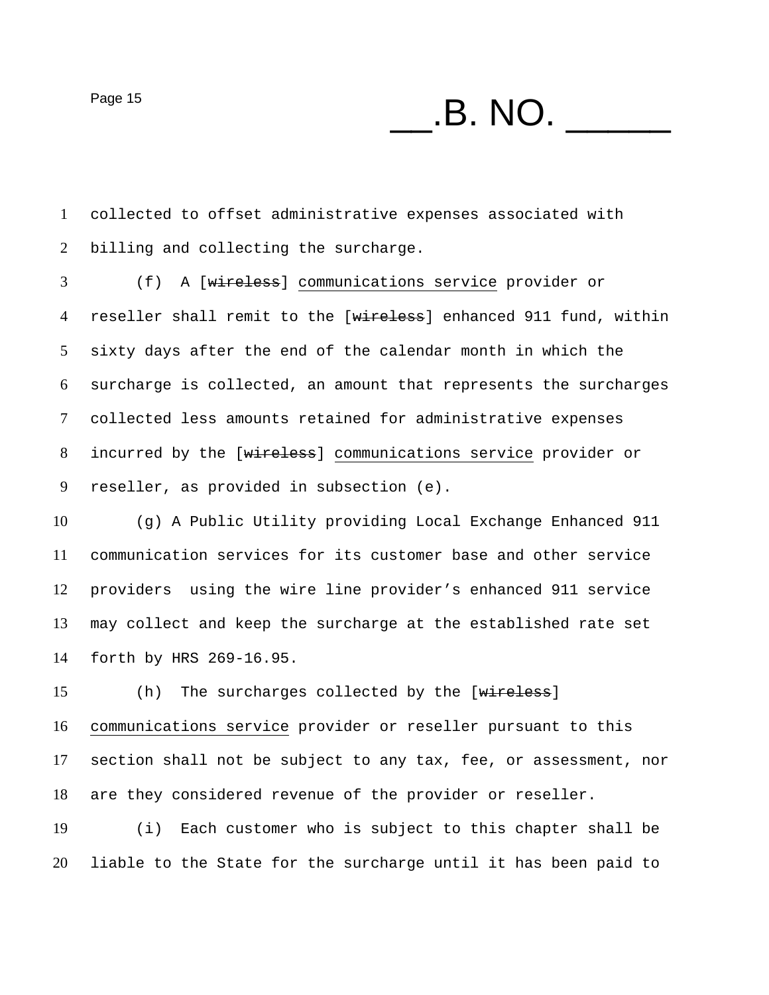$P\text{age 15}$   $\text{B. NO.}$ 

collected to offset administrative expenses associated with billing and collecting the surcharge.

(f) A [wireless] communications service provider or 4 reseller shall remit to the [wireless] enhanced 911 fund, within sixty days after the end of the calendar month in which the surcharge is collected, an amount that represents the surcharges collected less amounts retained for administrative expenses incurred by the [wireless] communications service provider or reseller, as provided in subsection (e).

(g) A Public Utility providing Local Exchange Enhanced 911 communication services for its customer base and other service providers using the wire line provider's enhanced 911 service may collect and keep the surcharge at the established rate set forth by HRS 269-16.95.

15 (h) The surcharges collected by the [wireless] communications service provider or reseller pursuant to this section shall not be subject to any tax, fee, or assessment, nor are they considered revenue of the provider or reseller.

(i) Each customer who is subject to this chapter shall be liable to the State for the surcharge until it has been paid to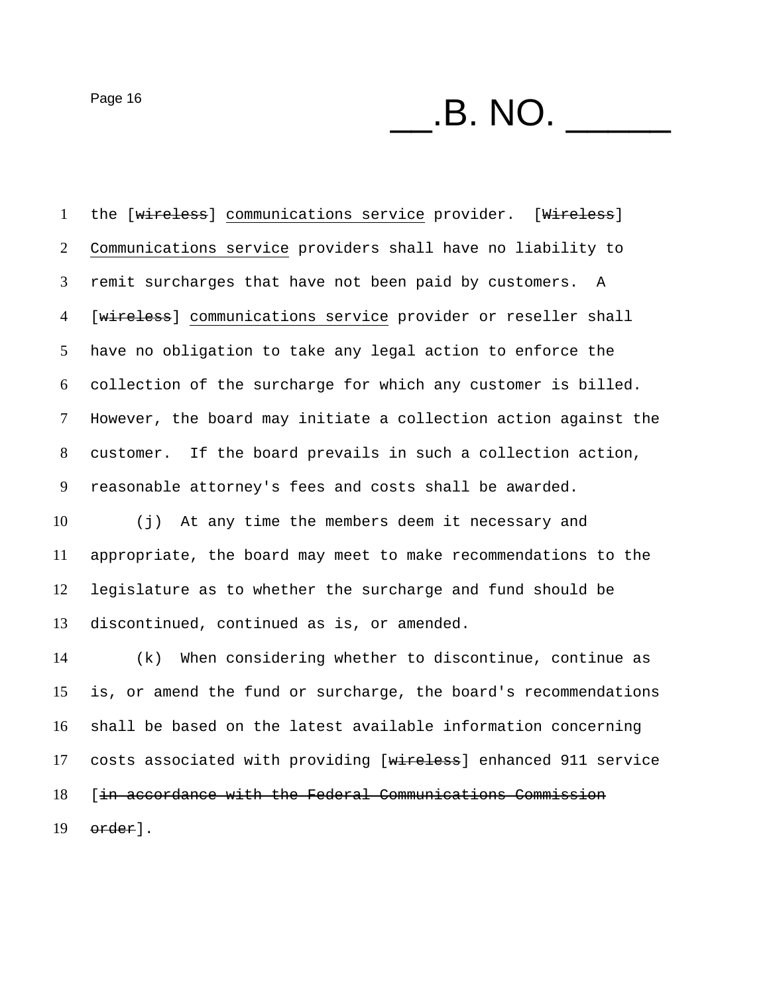$P\text{age 16}$   $\qquad \qquad$   $\qquad \qquad$   $\qquad$   $\qquad$   $\qquad$   $\qquad$   $\qquad$   $\qquad$   $\qquad$   $\qquad$   $\qquad$   $\qquad$   $\qquad$   $\qquad$   $\qquad$   $\qquad$   $\qquad$   $\qquad$   $\qquad$   $\qquad$   $\qquad$   $\qquad$   $\qquad$   $\qquad$   $\qquad$   $\qquad$   $\qquad$   $\qquad$   $\qquad$   $\qquad$   $\qquad$   $\qquad$   $\qquad$   $\qquad$ 

1 the [wireless] communications service provider. [Wireless] Communications service providers shall have no liability to remit surcharges that have not been paid by customers. A 4 [wireless] communications service provider or reseller shall have no obligation to take any legal action to enforce the collection of the surcharge for which any customer is billed. However, the board may initiate a collection action against the customer. If the board prevails in such a collection action, reasonable attorney's fees and costs shall be awarded.

(j) At any time the members deem it necessary and appropriate, the board may meet to make recommendations to the legislature as to whether the surcharge and fund should be discontinued, continued as is, or amended.

(k) When considering whether to discontinue, continue as is, or amend the fund or surcharge, the board's recommendations shall be based on the latest available information concerning costs associated with providing [wireless] enhanced 911 service [in accordance with the Federal Communications Commission order].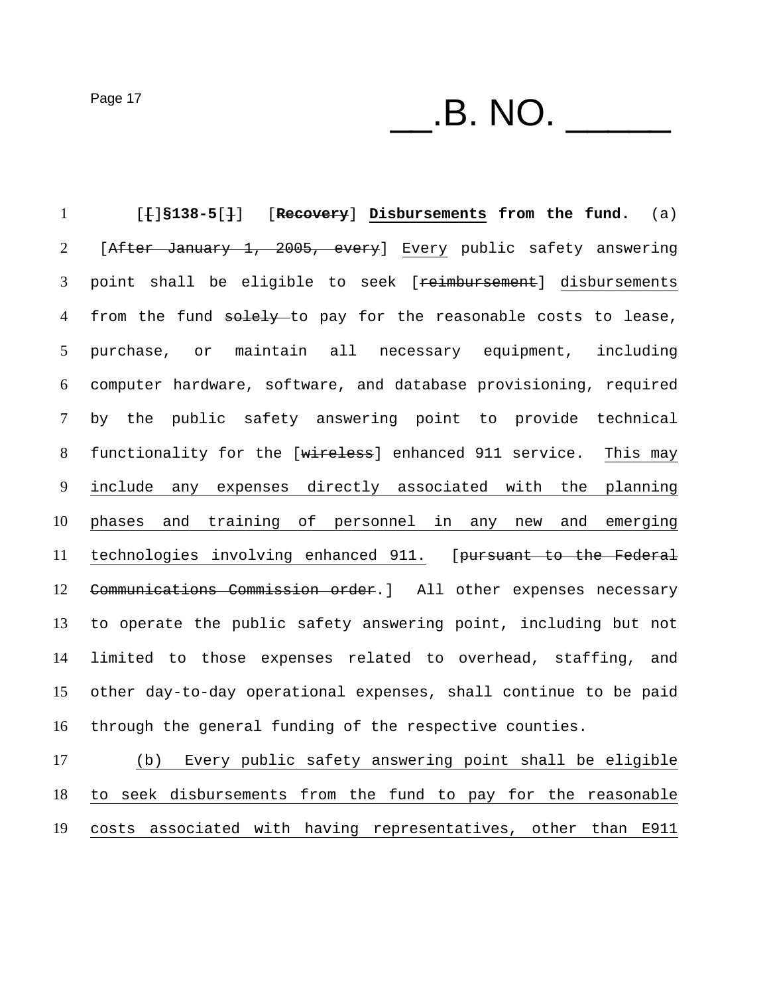$P\text{age 17}$   $\qquad \qquad$   $\qquad$   $\qquad$   $\qquad$   $\qquad$   $\qquad$   $\qquad$   $\qquad$   $\qquad$   $\qquad$   $\qquad$   $\qquad$   $\qquad$   $\qquad$   $\qquad$   $\qquad$   $\qquad$   $\qquad$   $\qquad$   $\qquad$   $\qquad$   $\qquad$   $\qquad$   $\qquad$   $\qquad$   $\qquad$   $\qquad$   $\qquad$   $\qquad$   $\qquad$   $\qquad$   $\qquad$   $\qquad$   $\qquad$   $\$ 

[**[**]**§138-5**[**]**] [**Recovery**] **Disbursements from the fund.** (a) [After January 1, 2005, every] Every public safety answering 3 point shall be eligible to seek [reimbursement] disbursements 4 from the fund solely-to pay for the reasonable costs to lease, purchase, or maintain all necessary equipment, including computer hardware, software, and database provisioning, required by the public safety answering point to provide technical 8 functionality for the [wireless] enhanced 911 service. This may include any expenses directly associated with the planning phases and training of personnel in any new and emerging technologies involving enhanced 911. [pursuant to the Federal 12 Communications Commission order. ] All other expenses necessary to operate the public safety answering point, including but not limited to those expenses related to overhead, staffing, and other day-to-day operational expenses, shall continue to be paid through the general funding of the respective counties.

(b) Every public safety answering point shall be eligible to seek disbursements from the fund to pay for the reasonable costs associated with having representatives, other than E911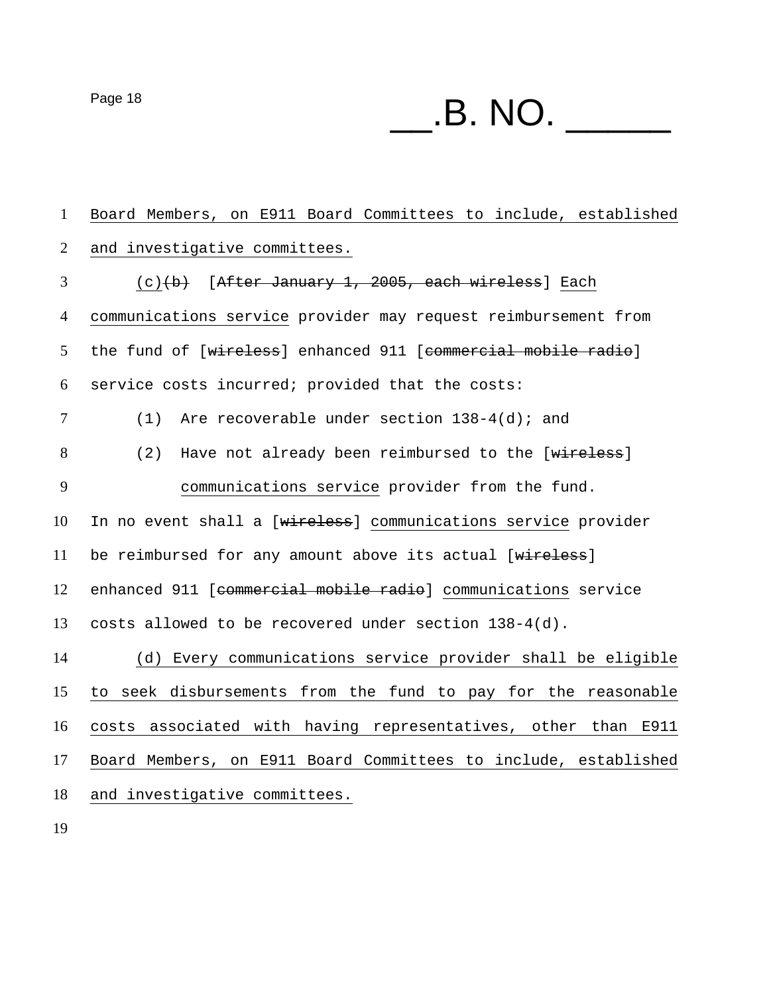$P\text{age 18}$   $\qquad \qquad$   $\qquad \qquad$   $\qquad$   $\qquad$   $\qquad$   $\qquad$   $\qquad$   $\qquad$   $\qquad$   $\qquad$   $\qquad$   $\qquad$   $\qquad$   $\qquad$   $\qquad$   $\qquad$   $\qquad$   $\qquad$   $\qquad$   $\qquad$   $\qquad$   $\qquad$   $\qquad$   $\qquad$   $\qquad$   $\qquad$   $\qquad$   $\qquad$   $\qquad$   $\qquad$   $\qquad$   $\qquad$   $\qquad$   $\qquad$ 

Board Members, on E911 Board Committees to include, established and investigative committees. (c)(b) [After January 1, 2005, each wireless] Each communications service provider may request reimbursement from 5 the fund of [wireless] enhanced 911 [eommercial mobile radio] service costs incurred; provided that the costs: 7 (1) Are recoverable under section 138-4(d); and 8 (2) Have not already been reimbursed to the [wireless] communications service provider from the fund. 10 In no event shall a [wireless] communications service provider 11 be reimbursed for any amount above its actual [wireless] enhanced 911 [commercial mobile radio] communications service costs allowed to be recovered under section 138-4(d). (d) Every communications service provider shall be eligible to seek disbursements from the fund to pay for the reasonable costs associated with having representatives, other than E911 Board Members, on E911 Board Committees to include, established and investigative committees.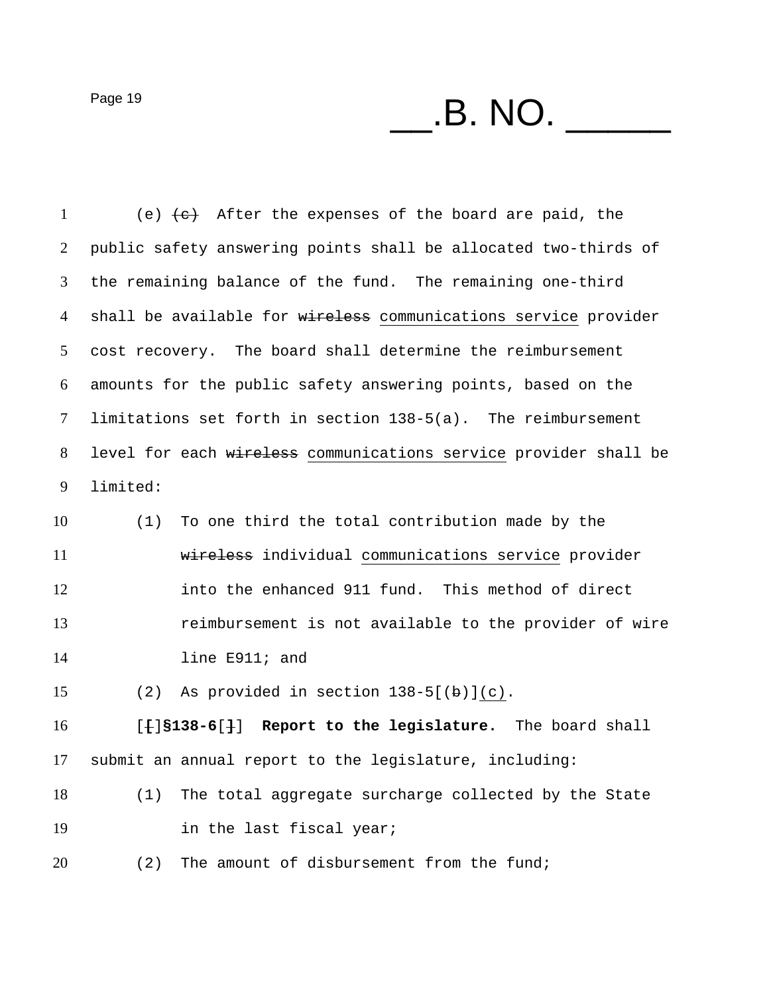$P$ age 19  $\hspace{1cm}$   $\hspace{1cm}$   $\hspace{1cm}$   $\hspace{1cm}$   $\hspace{1cm}$   $\hspace{1cm}$   $\hspace{1cm}$   $\hspace{1cm}$   $\hspace{1cm}$   $\hspace{1cm}$   $\hspace{1cm}$   $\hspace{1cm}$   $\hspace{1cm}$   $\hspace{1cm}$   $\hspace{1cm}$   $\hspace{1cm}$   $\hspace{1cm}$   $\hspace{1cm}$   $\hspace{1cm}$   $\hspace{1cm}$   $\hspace{1cm}$ 

1 (e)  $\left\lbrace e \right\rbrace$  After the expenses of the board are paid, the public safety answering points shall be allocated two-thirds of the remaining balance of the fund. The remaining one-third 4 shall be available for wireless communications service provider cost recovery. The board shall determine the reimbursement amounts for the public safety answering points, based on the limitations set forth in section 138-5(a). The reimbursement level for each wireless communications service provider shall be limited:

(1) To one third the total contribution made by the wireless individual communications service provider into the enhanced 911 fund. This method of direct reimbursement is not available to the provider of wire line E911; and

15 (2) As provided in section  $138-5[(b)](c)$ .

[**[**]**§138-6**[**]**] **Report to the legislature.** The board shall submit an annual report to the legislature, including:

(1) The total aggregate surcharge collected by the State 19 in the last fiscal year;

(2) The amount of disbursement from the fund;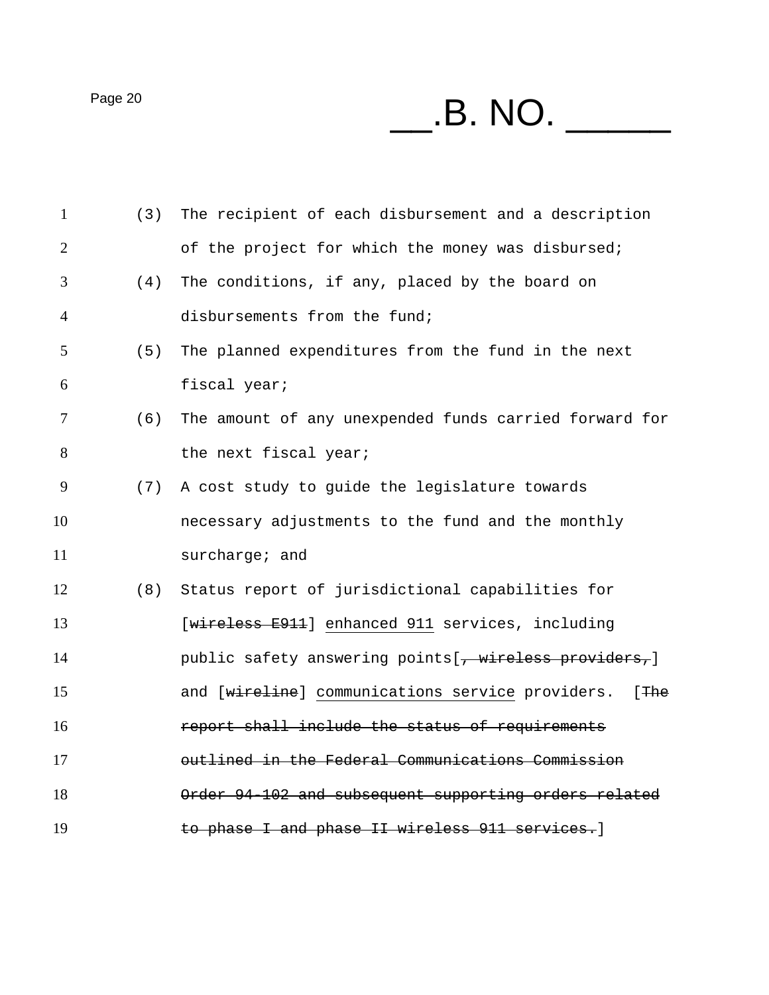$P<sub>age 20</sub>$   $\qquad \qquad$   $\qquad \qquad$   $\qquad \qquad$   $\qquad \qquad$   $\qquad \qquad$   $\qquad \qquad$   $\qquad \qquad$   $\qquad \qquad$   $\qquad \qquad$   $\qquad \qquad$   $\qquad \qquad$   $\qquad \qquad$   $\qquad \qquad$   $\qquad \qquad$   $\qquad \qquad$   $\qquad \qquad$   $\qquad \qquad$   $\qquad \qquad$   $\qquad$   $\qquad \qquad$   $\qquad \qquad$   $\qquad \qquad$   $\qquad \qquad$   $\q$ 

| $\mathbf{1}$   | (3) | The recipient of each disbursement and a description        |
|----------------|-----|-------------------------------------------------------------|
| $\overline{2}$ |     | of the project for which the money was disbursed;           |
| 3              | (4) | The conditions, if any, placed by the board on              |
| $\overline{4}$ |     | disbursements from the fund;                                |
| 5              | (5) | The planned expenditures from the fund in the next          |
| 6              |     | fiscal year;                                                |
| 7              | (6) | The amount of any unexpended funds carried forward for      |
| 8              |     | the next fiscal year;                                       |
| 9              | (7) | A cost study to guide the legislature towards               |
| 10             |     | necessary adjustments to the fund and the monthly           |
| 11             |     | surcharge; and                                              |
| 12             | (8) | Status report of jurisdictional capabilities for            |
| 13             |     | [wireless E911] enhanced 911 services, including            |
| 14             |     | public safety answering points [, wireless providers,]      |
| 15             |     | and [wireline] communications service providers.<br>$[$ The |
| 16             |     | report shall include the status of requirements             |
| 17             |     | outlined in the Federal Communications Commission           |
| 18             |     | Order 94-102 and subsequent supporting orders related       |
| 19             |     | to phase I and phase II wireless 911 services.]             |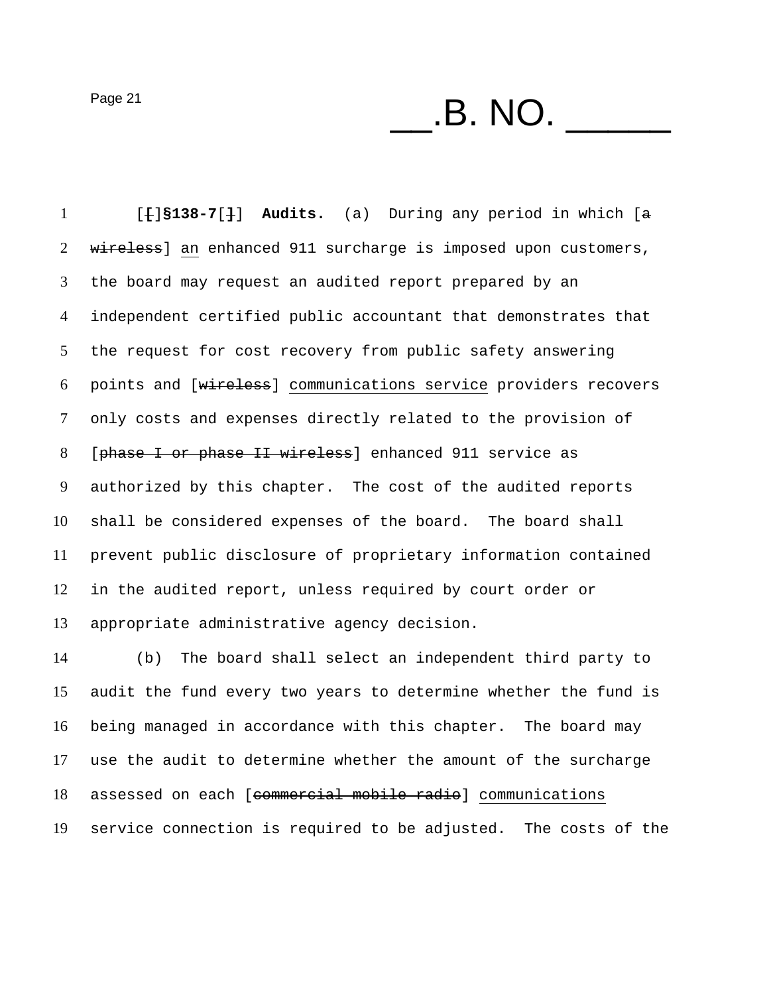$P\text{age 21}$   $\qquad \qquad$   $\qquad$   $\qquad$   $\qquad$   $\qquad$   $\qquad$   $\qquad$   $\qquad$   $\qquad$   $\qquad$   $\qquad$   $\qquad$   $\qquad$   $\qquad$   $\qquad$   $\qquad$   $\qquad$   $\qquad$   $\qquad$   $\qquad$   $\qquad$   $\qquad$   $\qquad$   $\qquad$   $\qquad$   $\qquad$   $\qquad$   $\qquad$   $\qquad$   $\qquad$   $\qquad$   $\qquad$   $\qquad$   $\qquad$   $\$ 

[**[**]**§138-7**[**]**] **Audits.** (a) During any period in which [a 2 wireless] an enhanced 911 surcharge is imposed upon customers, the board may request an audited report prepared by an independent certified public accountant that demonstrates that the request for cost recovery from public safety answering points and [wireless] communications service providers recovers only costs and expenses directly related to the provision of [phase I or phase II wireless] enhanced 911 service as authorized by this chapter. The cost of the audited reports shall be considered expenses of the board. The board shall prevent public disclosure of proprietary information contained in the audited report, unless required by court order or appropriate administrative agency decision.

(b) The board shall select an independent third party to audit the fund every two years to determine whether the fund is being managed in accordance with this chapter. The board may use the audit to determine whether the amount of the surcharge 18 assessed on each [commercial mobile radio] communications service connection is required to be adjusted. The costs of the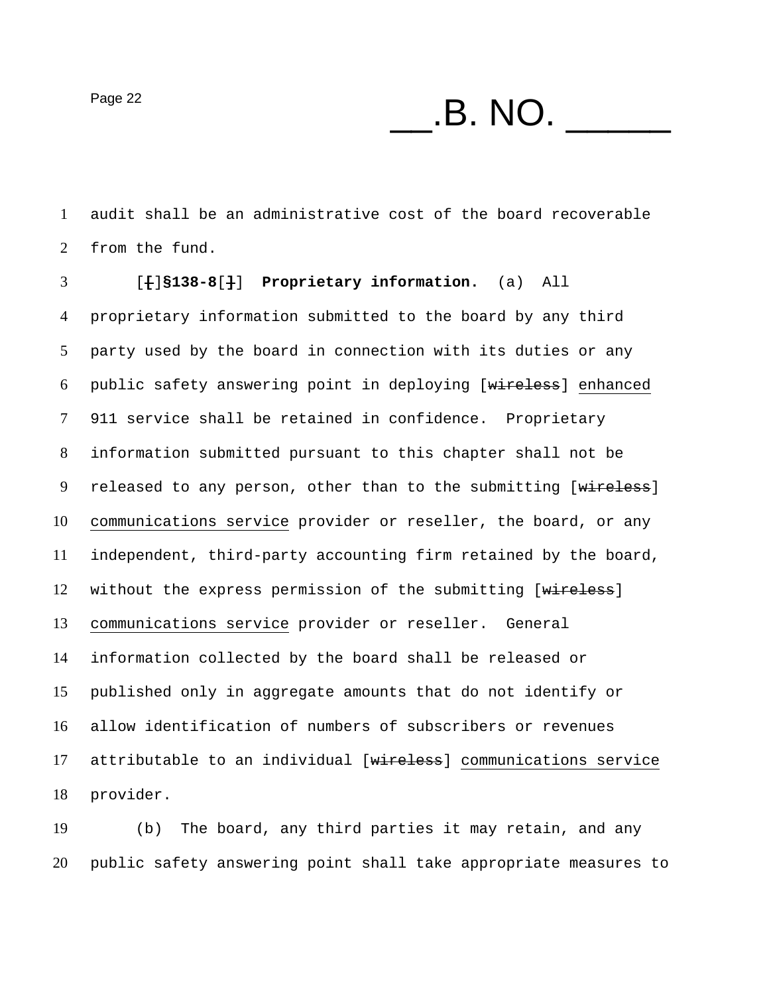$P\text{age 22}$  **B. NO.** 

audit shall be an administrative cost of the board recoverable from the fund.

[**[**]**§138-8**[**]**] **Proprietary information.** (a) All proprietary information submitted to the board by any third party used by the board in connection with its duties or any 6 public safety answering point in deploying [wireless] enhanced 911 service shall be retained in confidence. Proprietary information submitted pursuant to this chapter shall not be 9 released to any person, other than to the submitting [wireless] communications service provider or reseller, the board, or any independent, third-party accounting firm retained by the board, 12 without the express permission of the submitting [wireless] communications service provider or reseller. General information collected by the board shall be released or published only in aggregate amounts that do not identify or allow identification of numbers of subscribers or revenues 17 attributable to an individual [wireless] communications service provider.

(b) The board, any third parties it may retain, and any public safety answering point shall take appropriate measures to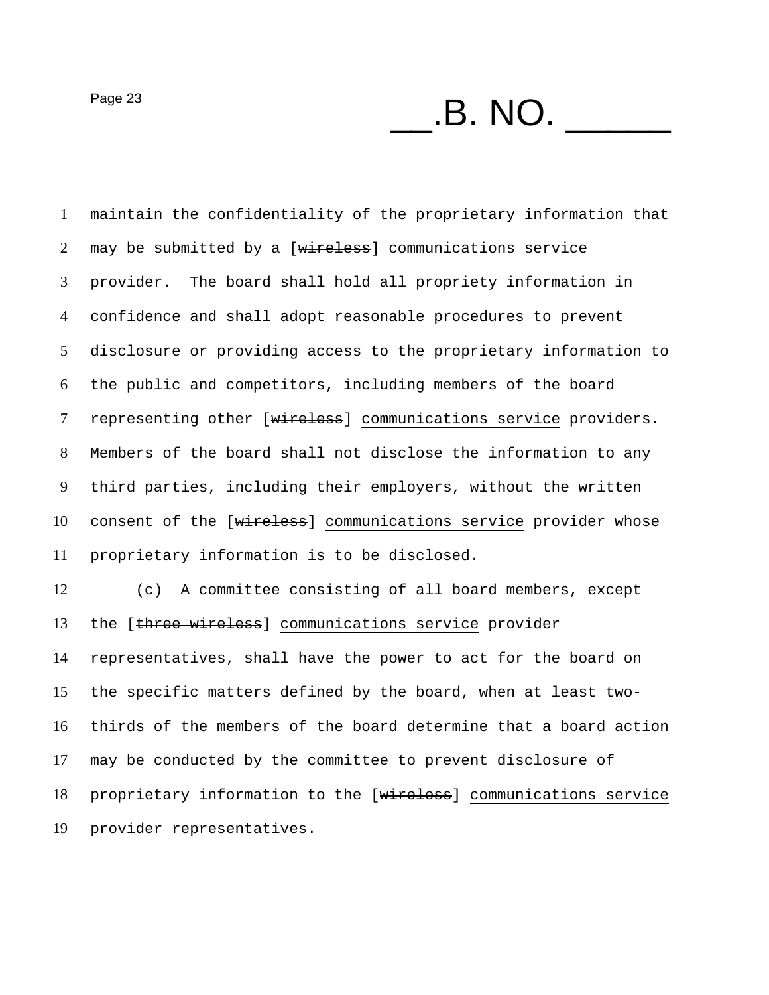$P\text{age 23}$   $\qquad \qquad$   $\qquad \qquad$   $\qquad$   $\qquad$   $\qquad$   $\qquad$   $\qquad$   $\qquad$   $\qquad$   $\qquad$   $\qquad$   $\qquad$   $\qquad$   $\qquad$   $\qquad$   $\qquad$   $\qquad$   $\qquad$   $\qquad$   $\qquad$   $\qquad$   $\qquad$   $\qquad$   $\qquad$   $\qquad$   $\qquad$   $\qquad$   $\qquad$   $\qquad$   $\qquad$   $\qquad$   $\qquad$   $\qquad$   $\qquad$ 

maintain the confidentiality of the proprietary information that 2 may be submitted by a [wireless] communications service provider. The board shall hold all propriety information in confidence and shall adopt reasonable procedures to prevent disclosure or providing access to the proprietary information to the public and competitors, including members of the board 7 representing other [wireless] communications service providers. Members of the board shall not disclose the information to any third parties, including their employers, without the written 10 consent of the [wireless] communications service provider whose proprietary information is to be disclosed. (c) A committee consisting of all board members, except 13 the [three wireless] communications service provider

representatives, shall have the power to act for the board on the specific matters defined by the board, when at least two-thirds of the members of the board determine that a board action may be conducted by the committee to prevent disclosure of 18 proprietary information to the [wireless] communications service provider representatives.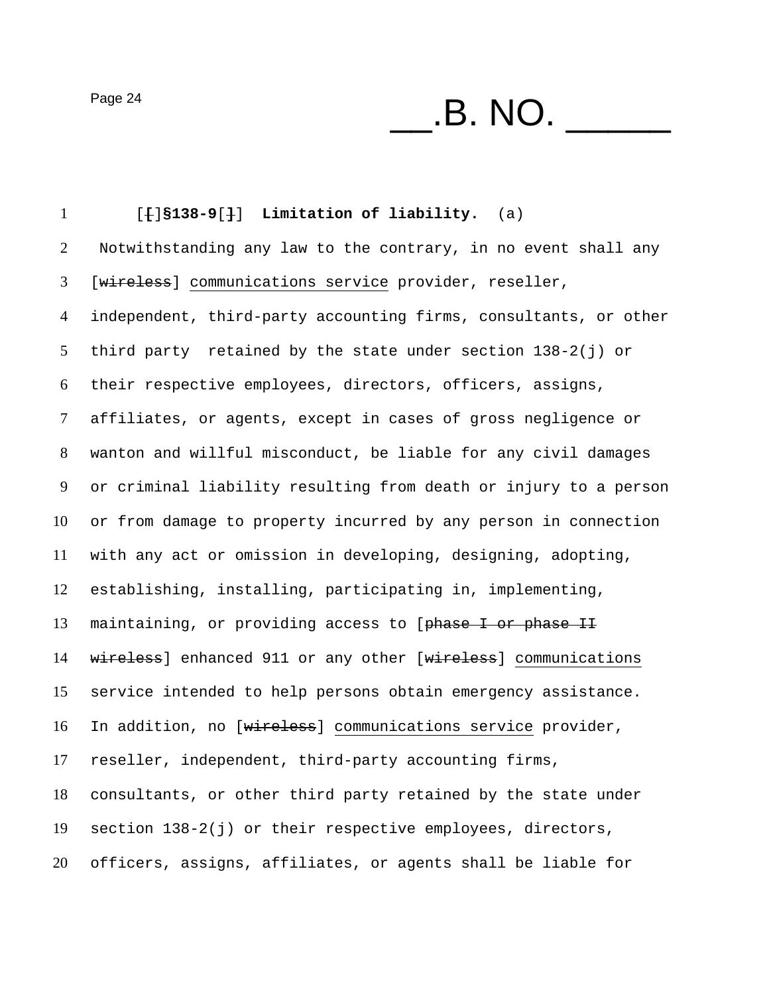$P\text{age 24}$   $\qquad \qquad$   $\qquad$   $\qquad$   $\qquad$   $\qquad$   $\qquad$   $\qquad$   $\qquad$   $\qquad$   $\qquad$   $\qquad$   $\qquad$   $\qquad$   $\qquad$   $\qquad$   $\qquad$   $\qquad$   $\qquad$   $\qquad$   $\qquad$   $\qquad$   $\qquad$   $\qquad$   $\qquad$   $\qquad$   $\qquad$   $\qquad$   $\qquad$   $\qquad$   $\qquad$   $\qquad$   $\qquad$   $\qquad$   $\qquad$   $\$ 

[**[**]**§138-9**[**]**] **Limitation of liability.** (a) Notwithstanding any law to the contrary, in no event shall any [wireless] communications service provider, reseller, independent, third-party accounting firms, consultants, or other third party retained by the state under section 138-2(j) or their respective employees, directors, officers, assigns, affiliates, or agents, except in cases of gross negligence or wanton and willful misconduct, be liable for any civil damages or criminal liability resulting from death or injury to a person or from damage to property incurred by any person in connection with any act or omission in developing, designing, adopting, establishing, installing, participating in, implementing, 13 maintaining, or providing access to [phase I or phase II 14 wireless] enhanced 911 or any other [wireless] communications service intended to help persons obtain emergency assistance. In addition, no [wireless] communications service provider, reseller, independent, third-party accounting firms, consultants, or other third party retained by the state under section 138-2(j) or their respective employees, directors, officers, assigns, affiliates, or agents shall be liable for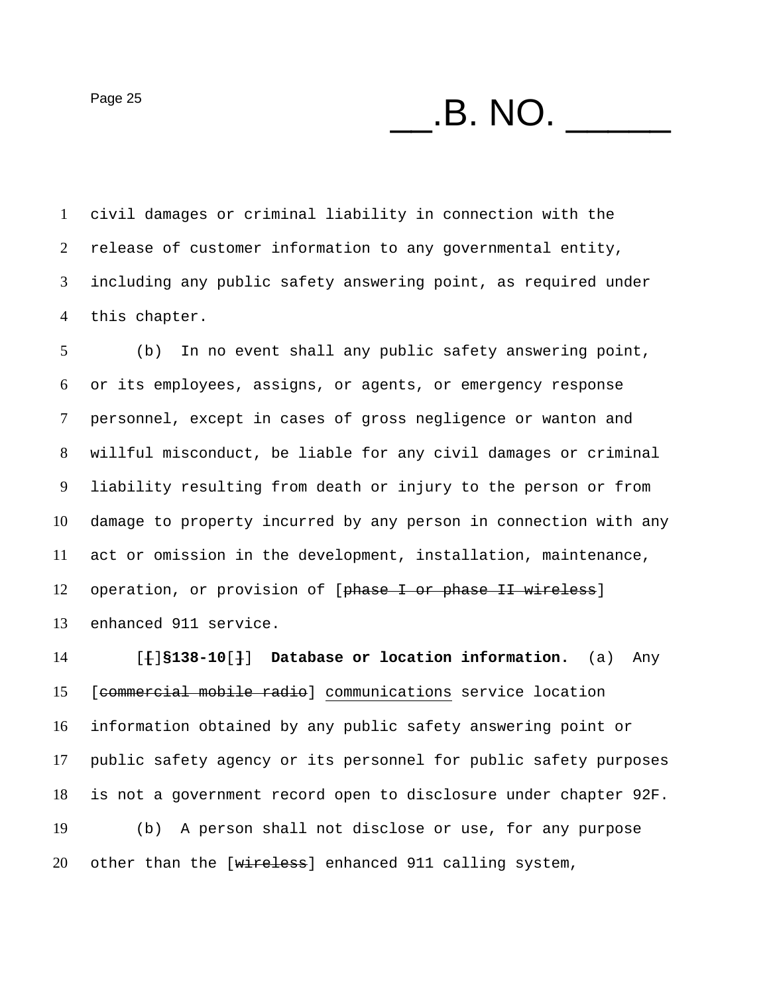$P\text{age 25}$   $\qquad \qquad$   $\qquad \qquad$   $\qquad$   $\qquad$   $\qquad$   $\qquad$   $\qquad$   $\qquad$   $\qquad$   $\qquad$   $\qquad$   $\qquad$   $\qquad$   $\qquad$   $\qquad$   $\qquad$   $\qquad$   $\qquad$   $\qquad$   $\qquad$   $\qquad$   $\qquad$   $\qquad$   $\qquad$   $\qquad$   $\qquad$   $\qquad$   $\qquad$   $\qquad$   $\qquad$   $\qquad$   $\qquad$   $\qquad$   $\qquad$ 

civil damages or criminal liability in connection with the release of customer information to any governmental entity, including any public safety answering point, as required under this chapter.

(b) In no event shall any public safety answering point, or its employees, assigns, or agents, or emergency response personnel, except in cases of gross negligence or wanton and willful misconduct, be liable for any civil damages or criminal liability resulting from death or injury to the person or from damage to property incurred by any person in connection with any act or omission in the development, installation, maintenance, 12 operation, or provision of [phase I or phase II wireless] enhanced 911 service.

[**[**]**§138-10**[**]**] **Database or location information.** (a) Any [commercial mobile radio] communications service location information obtained by any public safety answering point or public safety agency or its personnel for public safety purposes is not a government record open to disclosure under chapter 92F. (b) A person shall not disclose or use, for any purpose 20 other than the [wireless] enhanced 911 calling system,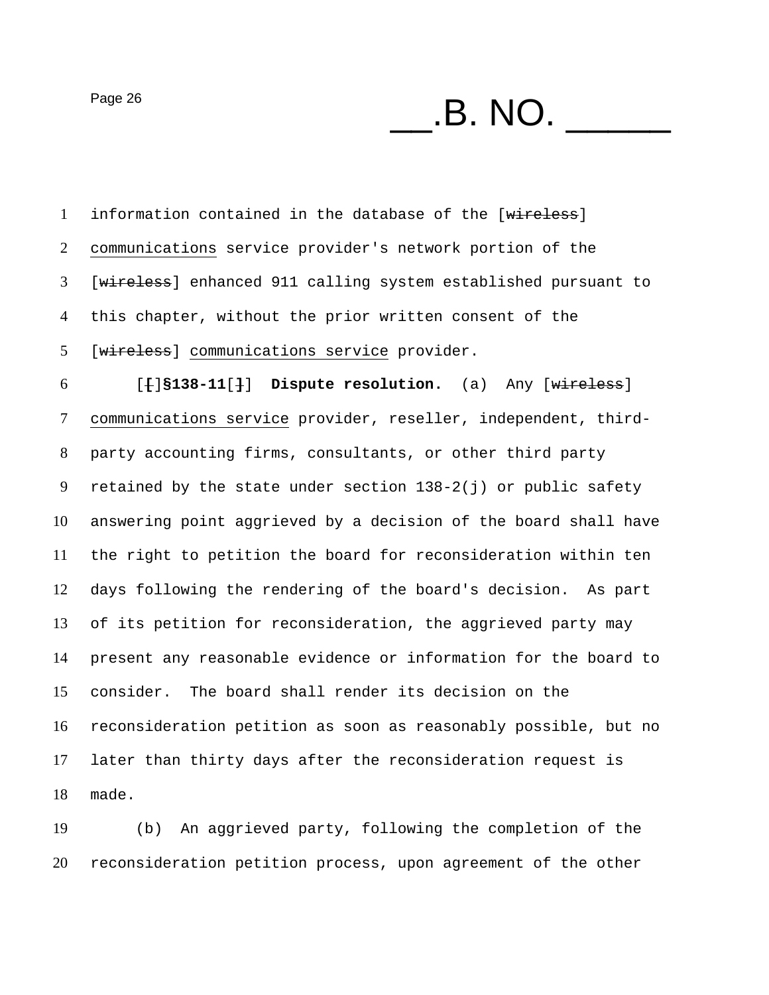$P\text{age 26}$   $\qquad \qquad$   $\qquad \qquad$   $\qquad$   $\qquad$   $\qquad$   $\qquad$   $\qquad$   $\qquad$   $\qquad$   $\qquad$   $\qquad$   $\qquad$   $\qquad$   $\qquad$   $\qquad$   $\qquad$   $\qquad$   $\qquad$   $\qquad$   $\qquad$   $\qquad$   $\qquad$   $\qquad$   $\qquad$   $\qquad$   $\qquad$   $\qquad$   $\qquad$   $\qquad$   $\qquad$   $\qquad$   $\qquad$   $\qquad$   $\qquad$ 

1 information contained in the database of the [wireless] communications service provider's network portion of the [wireless] enhanced 911 calling system established pursuant to this chapter, without the prior written consent of the 5 [wireless] communications service provider. [**[**]**§138-11**[**]**] **Dispute resolution.** (a) Any [wireless] communications service provider, reseller, independent, third-party accounting firms, consultants, or other third party 9 retained by the state under section  $138-2(j)$  or public safety answering point aggrieved by a decision of the board shall have the right to petition the board for reconsideration within ten days following the rendering of the board's decision. As part of its petition for reconsideration, the aggrieved party may present any reasonable evidence or information for the board to consider. The board shall render its decision on the reconsideration petition as soon as reasonably possible, but no later than thirty days after the reconsideration request is made.

(b) An aggrieved party, following the completion of the reconsideration petition process, upon agreement of the other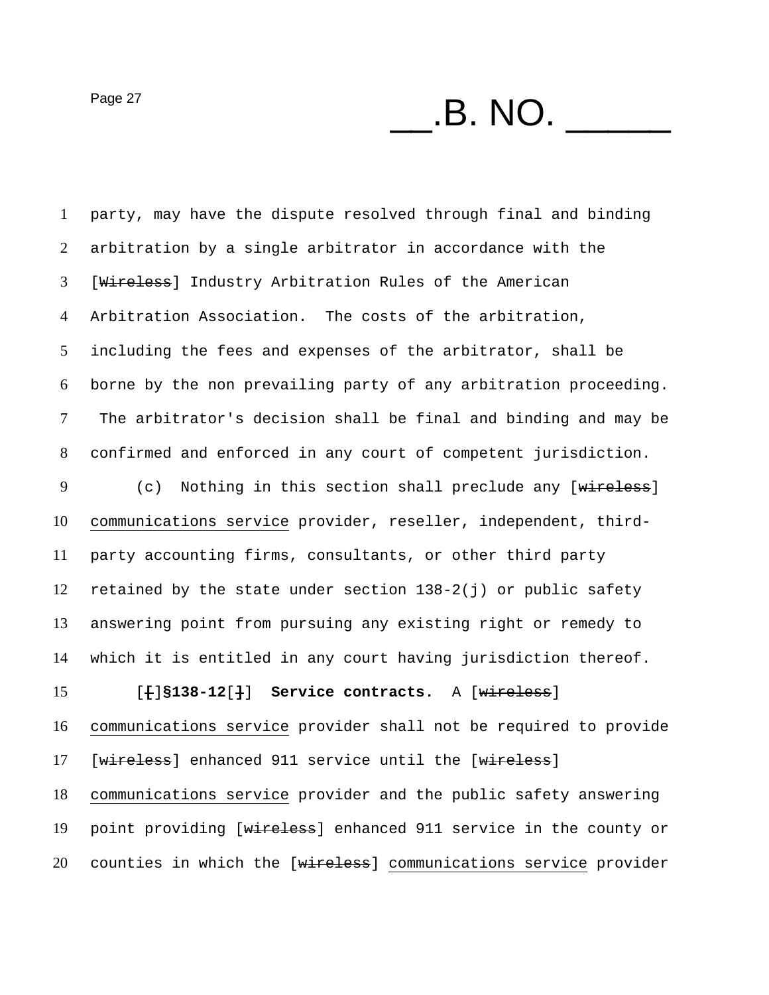$P\text{age 27}$   $\qquad \qquad$   $\qquad$   $\qquad$   $\qquad$   $\qquad$   $\qquad$   $\qquad$   $\qquad$   $\qquad$   $\qquad$   $\qquad$   $\qquad$   $\qquad$   $\qquad$   $\qquad$   $\qquad$   $\qquad$   $\qquad$   $\qquad$   $\qquad$   $\qquad$   $\qquad$   $\qquad$   $\qquad$   $\qquad$   $\qquad$   $\qquad$   $\qquad$   $\qquad$   $\qquad$   $\qquad$   $\qquad$   $\qquad$   $\qquad$   $\$ 

party, may have the dispute resolved through final and binding arbitration by a single arbitrator in accordance with the [Wireless] Industry Arbitration Rules of the American Arbitration Association. The costs of the arbitration, including the fees and expenses of the arbitrator, shall be borne by the non prevailing party of any arbitration proceeding. The arbitrator's decision shall be final and binding and may be confirmed and enforced in any court of competent jurisdiction. 9 (c) Nothing in this section shall preclude any [wireless] communications service provider, reseller, independent, third-party accounting firms, consultants, or other third party retained by the state under section 138-2(j) or public safety answering point from pursuing any existing right or remedy to which it is entitled in any court having jurisdiction thereof. [**[**]**§138-12**[**]**] **Service contracts.** A [wireless] communications service provider shall not be required to provide 17 [wireless] enhanced 911 service until the [wireless] communications service provider and the public safety answering 19 point providing [wireless] enhanced 911 service in the county or 20 counties in which the [wireless] communications service provider